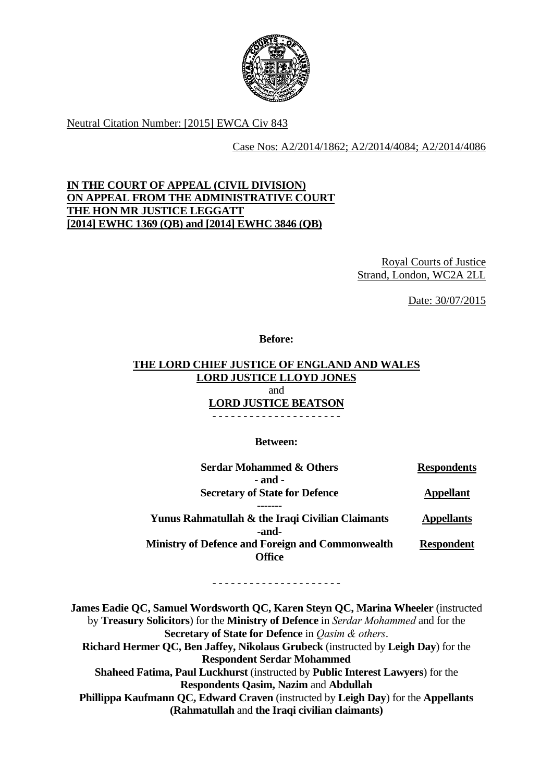

Neutral Citation Number: [2015] EWCA Civ 843

Case Nos: A2/2014/1862; A2/2014/4084; A2/2014/4086

# **[2014] EWHC 1369 (QB) and [2014] EWHC 3846 (QB) IN THE COURT OF APPEAL (CIVIL DIVISION) ON APPEAL FROM THE ADMINISTRATIVE COURT THE HON MR JUSTICE LEGGATT**

Royal Courts of Justice Strand, London, WC2A 2LL

Date: 30/07/2015

**Before:** 

### **THE LORD CHIEF JUSTICE OF ENGLAND AND WALES LORD JUSTICE LLOYD JONES**  and **LORD JUSTICE BEATSON**

- - - - - - - - - - - - - - - - - - - - -

**Between:** 

| <b>Serdar Mohammed &amp; Others</b>                     | <b>Respondents</b> |
|---------------------------------------------------------|--------------------|
| - and -                                                 |                    |
| <b>Secretary of State for Defence</b>                   | <b>Appellant</b>   |
| Yunus Rahmatullah & the Iraqi Civilian Claimants        |                    |
| -and-                                                   | <b>Appellants</b>  |
| <b>Ministry of Defence and Foreign and Commonwealth</b> | <b>Respondent</b>  |
| Office                                                  |                    |

- - - - - - - - - - - - - - - - - - - - -

 by **Treasury Solicitors**) for the **Ministry of Defence** in *Serdar Mohammed* and for the **James Eadie QC, Samuel Wordsworth QC, Karen Steyn QC, Marina Wheeler** (instructed **Secretary of State for Defence** in *Qasim & others*. **Richard Hermer QC, Ben Jaffey, Nikolaus Grubeck** (instructed by **Leigh Day**) for the **Respondent Serdar Mohammed Shaheed Fatima, Paul Luckhurst** (instructed by **Public Interest Lawyers**) for the **Respondents Qasim, Nazim** and **Abdullah Phillippa Kaufmann QC, Edward Craven** (instructed by **Leigh Day**) for the **Appellants (Rahmatullah** and **the Iraqi civilian claimants)**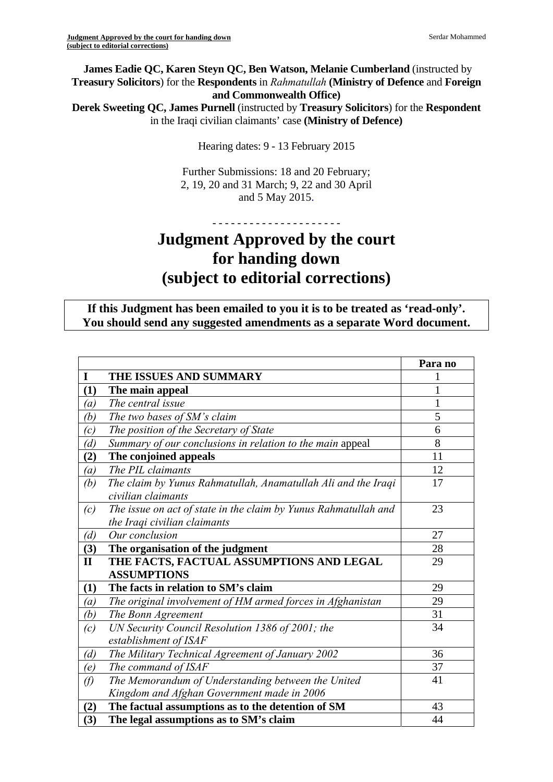**James Eadie QC, Karen Steyn QC, Ben Watson, Melanie Cumberland** (instructed by **Treasury Solicitors**) for the **Respondents** in *Rahmatullah* **(Ministry of Defence** and **Foreign and Commonwealth Office)** 

**Derek Sweeting QC, James Purnell** (instructed by **Treasury Solicitors**) for the **Respondent**  in the Iraqi civilian claimants' case **(Ministry of Defence)** 

Hearing dates: 9 - 13 February 2015

Further Submissions: 18 and 20 February; 2, 19, 20 and 31 March; 9, 22 and 30 April and 5 May 2015.

# - - - - - - - - - - - - - - - - - - - - - **Judgment Approved by the court for handing down (subject to editorial corrections)**

**If this Judgment has been emailed to you it is to be treated as 'read-only'. You should send any suggested amendments as a separate Word document.** 

|                  |                                                                 | Para no      |
|------------------|-----------------------------------------------------------------|--------------|
| $\mathbf I$      | THE ISSUES AND SUMMARY                                          |              |
| (1)              | The main appeal                                                 |              |
| $\left(a\right)$ | The central issue                                               | $\mathbf{1}$ |
| (b)              | The two bases of SM's claim                                     | 5            |
| (c)              | The position of the Secretary of State                          | 6            |
| (d)              | Summary of our conclusions in relation to the main appeal       | 8            |
| (2)              | The conjoined appeals                                           | 11           |
| $\left(a\right)$ | The PIL claimants                                               | 12           |
| (b)              | The claim by Yunus Rahmatullah, Anamatullah Ali and the Iraqi   | 17           |
|                  | civilian claimants                                              |              |
| (c)              | The issue on act of state in the claim by Yunus Rahmatullah and | 23           |
|                  | the Iraqi civilian claimants                                    |              |
| (d)              | Our conclusion                                                  | 27           |
| (3)              | The organisation of the judgment                                | 28           |
| $\mathbf{I}$     | THE FACTS, FACTUAL ASSUMPTIONS AND LEGAL                        | 29           |
|                  | <b>ASSUMPTIONS</b>                                              |              |
| (1)              | The facts in relation to SM's claim                             | 29           |
| (a)              | The original involvement of HM armed forces in Afghanistan      | 29           |
| (b)              | The Bonn Agreement                                              | 31           |
| (c)              | UN Security Council Resolution 1386 of 2001; the                | 34           |
|                  | establishment of ISAF                                           |              |
| (d)              | The Military Technical Agreement of January 2002                | 36           |
| (e)              | The command of ISAF                                             | 37           |
| $\varnothing$    | The Memorandum of Understanding between the United              | 41           |
|                  | Kingdom and Afghan Government made in 2006                      |              |
| (2)              | The factual assumptions as to the detention of SM               | 43           |
| (3)              | The legal assumptions as to SM's claim                          | 44           |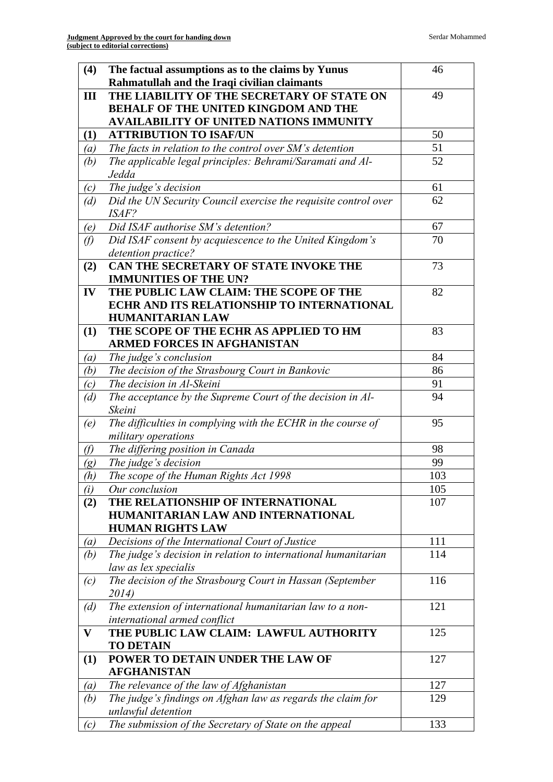| (4)              | The factual assumptions as to the claims by Yunus               | 46  |
|------------------|-----------------------------------------------------------------|-----|
|                  | Rahmatullah and the Iraqi civilian claimants                    |     |
| Ш                | THE LIABILITY OF THE SECRETARY OF STATE ON                      | 49  |
|                  | <b>BEHALF OF THE UNITED KINGDOM AND THE</b>                     |     |
|                  | <b>AVAILABILITY OF UNITED NATIONS IMMUNITY</b>                  |     |
| (1)              | <b>ATTRIBUTION TO ISAF/UN</b>                                   | 50  |
| (a)              | The facts in relation to the control over SM's detention        | 51  |
| (b)              | The applicable legal principles: Behrami/Saramati and Al-       | 52  |
|                  | Jedda                                                           |     |
| (c)              | The judge's decision                                            | 61  |
| (d)              | Did the UN Security Council exercise the requisite control over | 62  |
|                  | <i>ISAF?</i>                                                    |     |
| (e)              | Did ISAF authorise SM's detention?                              | 67  |
| $\mathcal{D}$    | Did ISAF consent by acquiescence to the United Kingdom's        | 70  |
|                  | detention practice?                                             |     |
| (2)              | CAN THE SECRETARY OF STATE INVOKE THE                           | 73  |
|                  | <b>IMMUNITIES OF THE UN?</b>                                    |     |
| IV               | THE PUBLIC LAW CLAIM: THE SCOPE OF THE                          | 82  |
|                  | ECHR AND ITS RELATIONSHIP TO INTERNATIONAL                      |     |
|                  | <b>HUMANITARIAN LAW</b>                                         |     |
| (1)              | THE SCOPE OF THE ECHR AS APPLIED TO HM                          | 83  |
|                  | <b>ARMED FORCES IN AFGHANISTAN</b>                              |     |
| $\left(a\right)$ | The judge's conclusion                                          | 84  |
| (b)              | The decision of the Strasbourg Court in Bankovic                | 86  |
| (c)              | The decision in Al-Skeini                                       | 91  |
| (d)              | The acceptance by the Supreme Court of the decision in Al-      | 94  |
|                  | Skeini                                                          |     |
| (e)              | The difficulties in complying with the ECHR in the course of    | 95  |
|                  | military operations                                             |     |
| $\theta$         | The differing position in Canada                                | 98  |
| (g)              | The judge's decision                                            | 99  |
| (h)              | The scope of the Human Rights Act 1998                          | 103 |
| (i)              | Our conclusion                                                  | 105 |
| (2)              | THE RELATIONSHIP OF INTERNATIONAL                               | 107 |
|                  | HUMANITARIAN LAW AND INTERNATIONAL                              |     |
|                  | <b>HUMAN RIGHTS LAW</b>                                         |     |
| $\left(a\right)$ | Decisions of the International Court of Justice                 | 111 |
| (b)              | The judge's decision in relation to international humanitarian  | 114 |
|                  | law as lex specialis                                            |     |
| (c)              | The decision of the Strasbourg Court in Hassan (September       | 116 |
|                  | 2014)                                                           |     |
| (d)              | The extension of international humanitarian law to a non-       | 121 |
|                  | international armed conflict                                    |     |
| V                | THE PUBLIC LAW CLAIM: LAWFUL AUTHORITY                          | 125 |
|                  | <b>TO DETAIN</b>                                                |     |
| (1)              | POWER TO DETAIN UNDER THE LAW OF                                | 127 |
|                  | <b>AFGHANISTAN</b>                                              |     |
| $\left(a\right)$ | The relevance of the law of Afghanistan                         | 127 |
| (b)              | The judge's findings on Afghan law as regards the claim for     | 129 |
|                  | unlawful detention                                              |     |
| (c)              | The submission of the Secretary of State on the appeal          | 133 |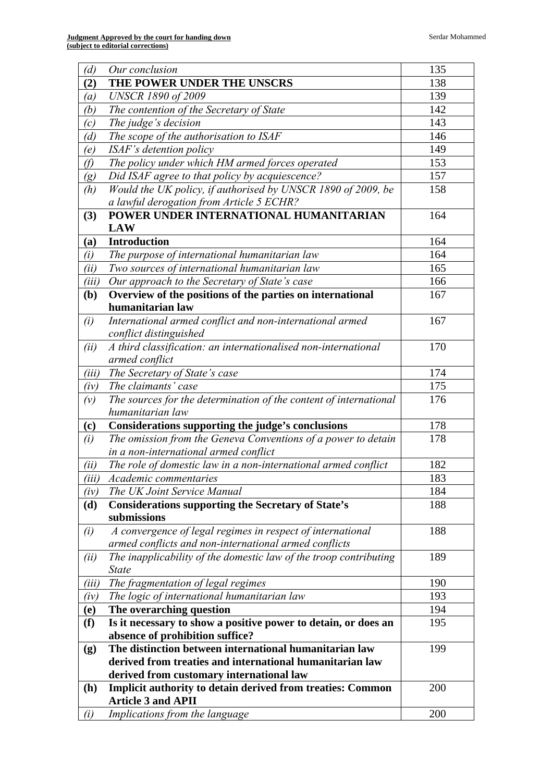| (d)              | Our conclusion                                                    | 135 |
|------------------|-------------------------------------------------------------------|-----|
| (2)              | THE POWER UNDER THE UNSCRS                                        | 138 |
| $\left(a\right)$ | <b>UNSCR 1890 of 2009</b>                                         | 139 |
| (b)              | The contention of the Secretary of State                          | 142 |
| (c)              | The judge's decision                                              | 143 |
| (d)              | The scope of the authorisation to ISAF                            | 146 |
| (e)              | ISAF's detention policy                                           | 149 |
| $\theta$         | The policy under which HM armed forces operated                   | 153 |
| (g)              | Did ISAF agree to that policy by acquiescence?                    | 157 |
| (h)              | Would the UK policy, if authorised by UNSCR 1890 of 2009, be      | 158 |
|                  | a lawful derogation from Article 5 ECHR?                          |     |
| (3)              | POWER UNDER INTERNATIONAL HUMANITARIAN                            | 164 |
|                  | <b>LAW</b>                                                        |     |
| (a)              | <b>Introduction</b>                                               | 164 |
| (i)              | The purpose of international humanitarian law                     | 164 |
| (ii)             | Two sources of international humanitarian law                     | 165 |
| (iii)            | Our approach to the Secretary of State's case                     | 166 |
| ( <b>b</b> )     | Overview of the positions of the parties on international         | 167 |
|                  | humanitarian law                                                  |     |
| (i)              | International armed conflict and non-international armed          | 167 |
|                  | conflict distinguished                                            |     |
| (ii)             | A third classification: an internationalised non-international    | 170 |
|                  | armed conflict                                                    |     |
| (iii)            | The Secretary of State's case                                     | 174 |
| (iv)             | The claimants' case                                               | 175 |
| (v)              | The sources for the determination of the content of international | 176 |
|                  | humanitarian law                                                  |     |
| (c)              | Considerations supporting the judge's conclusions                 | 178 |
| (i)              | The omission from the Geneva Conventions of a power to detain     | 178 |
|                  | in a non-international armed conflict                             |     |
| (ii)             | The role of domestic law in a non-international armed conflict    | 182 |
| (iii)            | <i>Academic commentaries</i>                                      | 183 |
| $(i\nu)$         | The UK Joint Service Manual                                       | 184 |
| (d)              | <b>Considerations supporting the Secretary of State's</b>         | 188 |
|                  | submissions                                                       |     |
| (i)              | A convergence of legal regimes in respect of international        | 188 |
|                  | armed conflicts and non-international armed conflicts             |     |
| (ii)             | The inapplicability of the domestic law of the troop contributing | 189 |
|                  | <b>State</b>                                                      |     |
| (iii)            | The fragmentation of legal regimes                                | 190 |
| (iv)             | The logic of international humanitarian law                       | 193 |
| (e)              | The overarching question                                          | 194 |
| (f)              | Is it necessary to show a positive power to detain, or does an    | 195 |
|                  | absence of prohibition suffice?                                   |     |
| (g)              | The distinction between international humanitarian law            | 199 |
|                  | derived from treaties and international humanitarian law          |     |
|                  | derived from customary international law                          |     |
| (h)              | <b>Implicit authority to detain derived from treaties: Common</b> | 200 |
|                  | <b>Article 3 and APII</b>                                         |     |
| (i)              | Implications from the language                                    | 200 |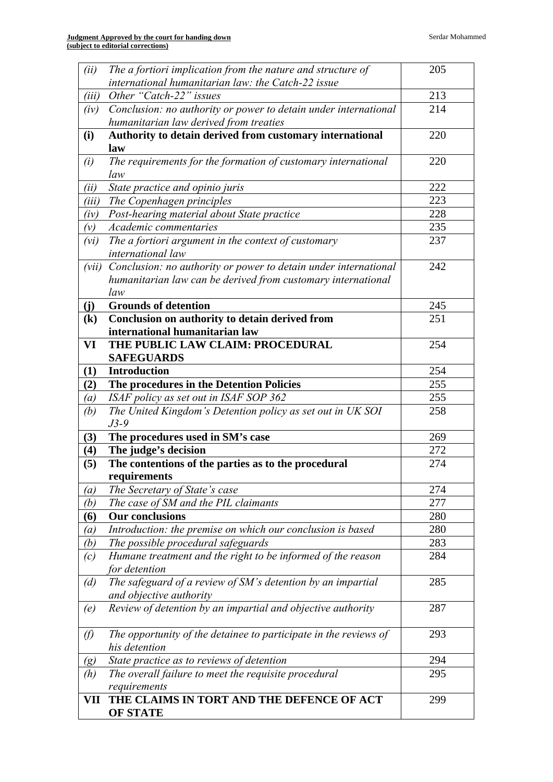|                            | <b>OF STATE</b>                                                                        |            |
|----------------------------|----------------------------------------------------------------------------------------|------------|
| VII                        | THE CLAIMS IN TORT AND THE DEFENCE OF ACT                                              | 299        |
|                            | requirements                                                                           |            |
| (h)                        | The overall failure to meet the requisite procedural                                   | 295        |
| $\left( g\right)$          | State practice as to reviews of detention                                              | 294        |
| $\emptyset$                | The opportunity of the detainee to participate in the reviews of<br>his detention      | 293        |
|                            |                                                                                        |            |
| (e)                        | and objective authority<br>Review of detention by an impartial and objective authority | 287        |
| (d)                        | The safeguard of a review of SM's detention by an impartial                            | 285        |
| (c)                        | Humane treatment and the right to be informed of the reason<br>for detention           |            |
| (b)                        | The possible procedural safeguards                                                     | 283<br>284 |
| $\left(a\right)$           | Introduction: the premise on which our conclusion is based                             | 280        |
| (6)                        | <b>Our conclusions</b>                                                                 | 280        |
| (b)                        | The case of SM and the PIL claimants                                                   | 277        |
| $\left(a\right)$           | The Secretary of State's case                                                          | 274        |
|                            | requirements                                                                           |            |
| (5)                        | The contentions of the parties as to the procedural                                    | 274        |
| $\bf(4)$                   | The judge's decision                                                                   | 272        |
| (3)                        | The procedures used in SM's case                                                       | 269        |
|                            | $J3-9$                                                                                 |            |
| (b)                        | The United Kingdom's Detention policy as set out in UK SOI                             | 258        |
| (a)                        | ISAF policy as set out in ISAF SOP 362                                                 | 255        |
| (2)                        | The procedures in the Detention Policies                                               | 255        |
| (1)                        | <b>SAFEGUARDS</b><br><b>Introduction</b>                                               | 254        |
| VI                         | THE PUBLIC LAW CLAIM: PROCEDURAL                                                       | 254        |
|                            | international humanitarian law                                                         |            |
| $\left( \mathbf{k}\right)$ | Conclusion on authority to detain derived from                                         | 251        |
| (j)                        | <b>Grounds of detention</b>                                                            | 245        |
|                            | law                                                                                    |            |
|                            | humanitarian law can be derived from customary international                           |            |
| (vii)                      | Conclusion: no authority or power to detain under international                        | 242        |
| (vi)                       | The a fortiori argument in the context of customary<br>international law               | 237        |
| (v)                        | Academic commentaries                                                                  | 235        |
| (iv)                       | Post-hearing material about State practice                                             | 228        |
| (iii)                      | The Copenhagen principles                                                              | 223        |
| (ii)                       | State practice and opinio juris                                                        | 222        |
| (i)                        | law                                                                                    |            |
|                            | law<br>The requirements for the formation of customary international                   | 220        |
| (i)                        | Authority to detain derived from customary international                               | 220        |
|                            | humanitarian law derived from treaties                                                 |            |
| (iv)                       | Conclusion: no authority or power to detain under international                        | 214        |
| (iii)                      | Other "Catch-22" issues                                                                | 213        |
|                            | international humanitarian law: the Catch-22 issue                                     |            |
| (ii)                       | The a fortiori implication from the nature and structure of                            | 205        |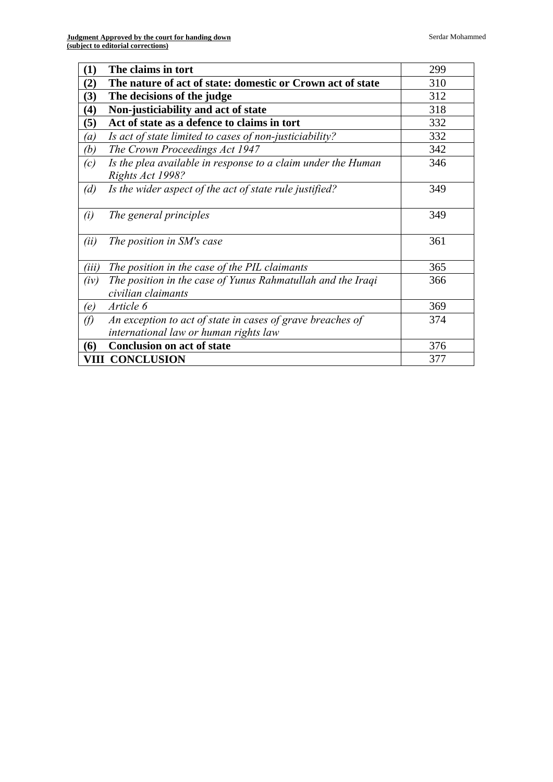| (1)              | The claims in tort                                                                | 299 |
|------------------|-----------------------------------------------------------------------------------|-----|
| (2)              | The nature of act of state: domestic or Crown act of state                        | 310 |
| (3)              | The decisions of the judge                                                        | 312 |
| (4)              | Non-justiciability and act of state                                               | 318 |
| (5)              | Act of state as a defence to claims in tort                                       | 332 |
| $\left(a\right)$ | Is act of state limited to cases of non-justiciability?                           | 332 |
| (b)              | The Crown Proceedings Act 1947                                                    | 342 |
| (c)              | Is the plea available in response to a claim under the Human<br>Rights Act 1998?  | 346 |
| (d)              | Is the wider aspect of the act of state rule justified?                           | 349 |
| (i)              | The general principles                                                            | 349 |
| (ii)             | The position in SM's case                                                         | 361 |
| (iii)            | The position in the case of the PIL claimants                                     | 365 |
| (iv)             | The position in the case of Yunus Rahmatullah and the Iraqi<br>civilian claimants | 366 |
| (e)              | Article 6                                                                         | 369 |
| (f)              | An exception to act of state in cases of grave breaches of                        | 374 |
|                  | international law or human rights law                                             |     |
| (6)              | <b>Conclusion on act of state</b>                                                 | 376 |
|                  | <b>VIII CONCLUSION</b>                                                            | 377 |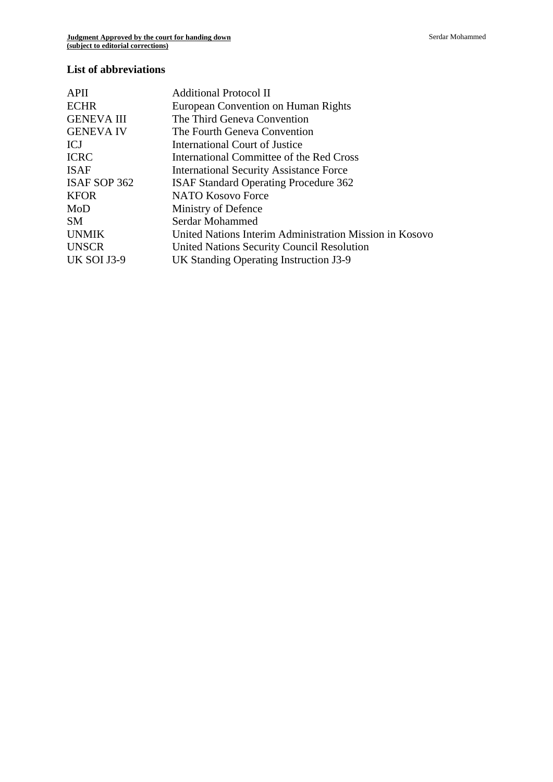### **List of abbreviations**

| <b>APII</b>        | Additional Protocol II                                  |
|--------------------|---------------------------------------------------------|
| <b>ECHR</b>        | European Convention on Human Rights                     |
| <b>GENEVA III</b>  | The Third Geneva Convention                             |
| <b>GENEVA IV</b>   | The Fourth Geneva Convention                            |
| ICJ                | International Court of Justice                          |
| <b>ICRC</b>        | International Committee of the Red Cross                |
| <b>ISAF</b>        | <b>International Security Assistance Force</b>          |
| ISAF SOP 362       | <b>ISAF Standard Operating Procedure 362</b>            |
| <b>KFOR</b>        | <b>NATO Kosovo Force</b>                                |
| MoD                | Ministry of Defence                                     |
| SM.                | Serdar Mohammed                                         |
| <b>UNMIK</b>       | United Nations Interim Administration Mission in Kosovo |
| <b>UNSCR</b>       | <b>United Nations Security Council Resolution</b>       |
| <b>UK SOI J3-9</b> | UK Standing Operating Instruction J3-9                  |
|                    |                                                         |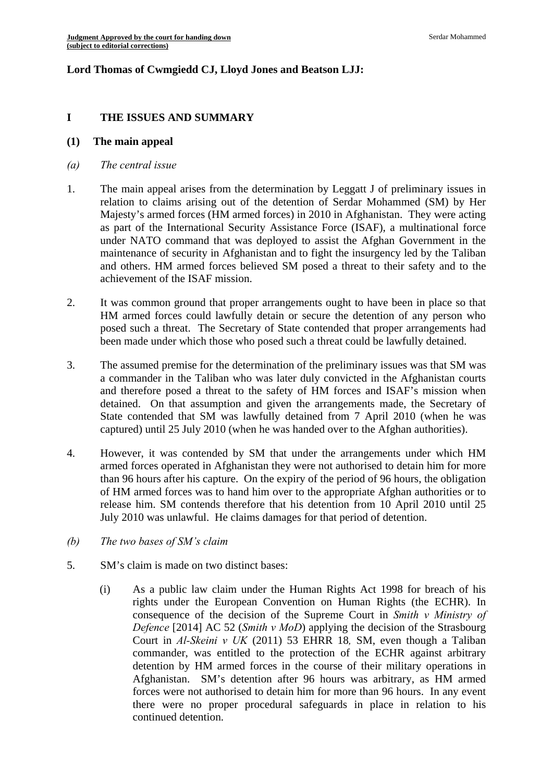# **Lord Thomas of Cwmgiedd CJ, Lloyd Jones and Beatson LJJ:**

#### **I THE ISSUES AND SUMMARY**

#### **(1) The main appeal**

- *(a) The central issue*
- 1. The main appeal arises from the determination by Leggatt J of preliminary issues in relation to claims arising out of the detention of Serdar Mohammed (SM) by Her Majesty's armed forces (HM armed forces) in 2010 in Afghanistan. They were acting as part of the International Security Assistance Force (ISAF), a multinational force under NATO command that was deployed to assist the Afghan Government in the maintenance of security in Afghanistan and to fight the insurgency led by the Taliban and others. HM armed forces believed SM posed a threat to their safety and to the achievement of the ISAF mission.
- 2. It was common ground that proper arrangements ought to have been in place so that HM armed forces could lawfully detain or secure the detention of any person who posed such a threat. The Secretary of State contended that proper arrangements had been made under which those who posed such a threat could be lawfully detained.
- 3. The assumed premise for the determination of the preliminary issues was that SM was a commander in the Taliban who was later duly convicted in the Afghanistan courts and therefore posed a threat to the safety of HM forces and ISAF's mission when detained. On that assumption and given the arrangements made, the Secretary of State contended that SM was lawfully detained from 7 April 2010 (when he was captured) until 25 July 2010 (when he was handed over to the Afghan authorities).
- 4. However, it was contended by SM that under the arrangements under which HM armed forces operated in Afghanistan they were not authorised to detain him for more than 96 hours after his capture. On the expiry of the period of 96 hours, the obligation of HM armed forces was to hand him over to the appropriate Afghan authorities or to release him. SM contends therefore that his detention from 10 April 2010 until 25 July 2010 was unlawful. He claims damages for that period of detention.
- *(b) The two bases of SM's claim*
- 5. SM's claim is made on two distinct bases:
	- (i) As a public law claim under the Human Rights Act 1998 for breach of his rights under the European Convention on Human Rights (the ECHR). In consequence of the decision of the Supreme Court in *Smith v Ministry of Defence* [2014] AC 52 (*Smith v MoD*) applying the decision of the Strasbourg Court in *Al-Skeini v UK* (2011) 53 EHRR 18*,* SM, even though a Taliban commander, was entitled to the protection of the ECHR against arbitrary detention by HM armed forces in the course of their military operations in Afghanistan. SM's detention after 96 hours was arbitrary, as HM armed forces were not authorised to detain him for more than 96 hours. In any event there were no proper procedural safeguards in place in relation to his continued detention.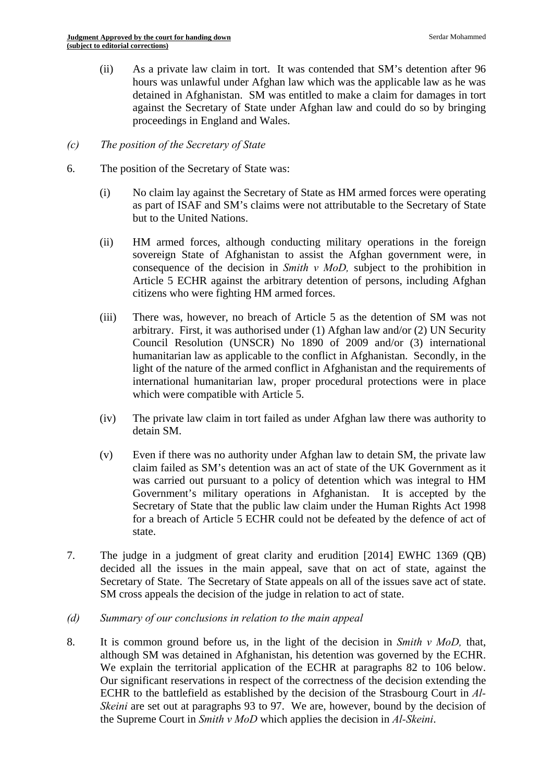(ii) As a private law claim in tort. It was contended that SM's detention after 96 hours was unlawful under Afghan law which was the applicable law as he was detained in Afghanistan. SM was entitled to make a claim for damages in tort against the Secretary of State under Afghan law and could do so by bringing proceedings in England and Wales.

### *(c) The position of the Secretary of State*

- 6. The position of the Secretary of State was:
	- (i) No claim lay against the Secretary of State as HM armed forces were operating as part of ISAF and SM's claims were not attributable to the Secretary of State but to the United Nations.
	- (ii) HM armed forces, although conducting military operations in the foreign sovereign State of Afghanistan to assist the Afghan government were, in consequence of the decision in *Smith v MoD,* subject to the prohibition in Article 5 ECHR against the arbitrary detention of persons, including Afghan citizens who were fighting HM armed forces.
	- (iii) There was, however, no breach of Article 5 as the detention of SM was not arbitrary. First, it was authorised under (1) Afghan law and/or (2) UN Security Council Resolution (UNSCR) No 1890 of 2009 and/or (3) international humanitarian law as applicable to the conflict in Afghanistan. Secondly, in the light of the nature of the armed conflict in Afghanistan and the requirements of international humanitarian law, proper procedural protections were in place which were compatible with Article 5.
	- (iv) The private law claim in tort failed as under Afghan law there was authority to detain SM.
	- (v) Even if there was no authority under Afghan law to detain SM, the private law claim failed as SM's detention was an act of state of the UK Government as it was carried out pursuant to a policy of detention which was integral to HM Government's military operations in Afghanistan. It is accepted by the Secretary of State that the public law claim under the Human Rights Act 1998 for a breach of Article 5 ECHR could not be defeated by the defence of act of state.
- 7. The judge in a judgment of great clarity and erudition [2014] EWHC 1369 (QB) decided all the issues in the main appeal, save that on act of state, against the Secretary of State. The Secretary of State appeals on all of the issues save act of state. SM cross appeals the decision of the judge in relation to act of state.
- *(d) Summary of our conclusions in relation to the main appeal*
- 8. It is common ground before us, in the light of the decision in *Smith v MoD*, that, although SM was detained in Afghanistan, his detention was governed by the ECHR. We explain the territorial application of the ECHR at paragraphs 82 to 106 below. Our significant reservations in respect of the correctness of the decision extending the ECHR to the battlefield as established by the decision of the Strasbourg Court in *Al-Skeini* are set out at paragraphs 93 to 97. We are, however, bound by the decision of the Supreme Court in *Smith v MoD* which applies the decision in *Al-Skeini*.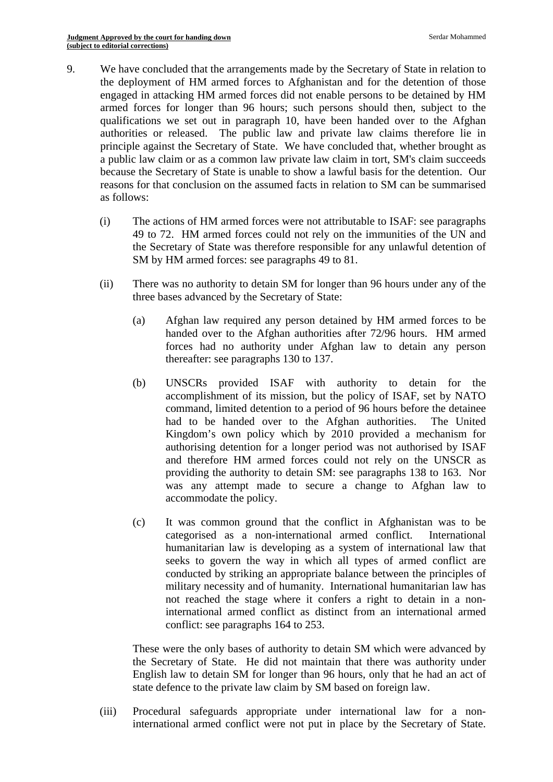- 9. We have concluded that the arrangements made by the Secretary of State in relation to the deployment of HM armed forces to Afghanistan and for the detention of those engaged in attacking HM armed forces did not enable persons to be detained by HM armed forces for longer than 96 hours; such persons should then, subject to the qualifications we set out in paragraph 10, have been handed over to the Afghan authorities or released. The public law and private law claims therefore lie in principle against the Secretary of State. We have concluded that, whether brought as a public law claim or as a common law private law claim in tort, SM's claim succeeds because the Secretary of State is unable to show a lawful basis for the detention. Our reasons for that conclusion on the assumed facts in relation to SM can be summarised as follows:
	- (i) The actions of HM armed forces were not attributable to ISAF: see paragraphs 49 to 72. HM armed forces could not rely on the immunities of the UN and the Secretary of State was therefore responsible for any unlawful detention of SM by HM armed forces: see paragraphs 49 to 81.
	- (ii) There was no authority to detain SM for longer than 96 hours under any of the three bases advanced by the Secretary of State:
		- (a) Afghan law required any person detained by HM armed forces to be handed over to the Afghan authorities after 72/96 hours. HM armed forces had no authority under Afghan law to detain any person thereafter: see paragraphs 130 to 137.
		- (b) UNSCRs provided ISAF with authority to detain for the accomplishment of its mission, but the policy of ISAF, set by NATO command, limited detention to a period of 96 hours before the detainee had to be handed over to the Afghan authorities. The United Kingdom's own policy which by 2010 provided a mechanism for authorising detention for a longer period was not authorised by ISAF and therefore HM armed forces could not rely on the UNSCR as providing the authority to detain SM: see paragraphs 138 to 163. Nor was any attempt made to secure a change to Afghan law to accommodate the policy.
		- (c) It was common ground that the conflict in Afghanistan was to be categorised as a non-international armed conflict. International humanitarian law is developing as a system of international law that seeks to govern the way in which all types of armed conflict are conducted by striking an appropriate balance between the principles of military necessity and of humanity. International humanitarian law has not reached the stage where it confers a right to detain in a noninternational armed conflict as distinct from an international armed conflict: see paragraphs 164 to 253.

These were the only bases of authority to detain SM which were advanced by the Secretary of State. He did not maintain that there was authority under English law to detain SM for longer than 96 hours, only that he had an act of state defence to the private law claim by SM based on foreign law.

(iii) Procedural safeguards appropriate under international law for a noninternational armed conflict were not put in place by the Secretary of State.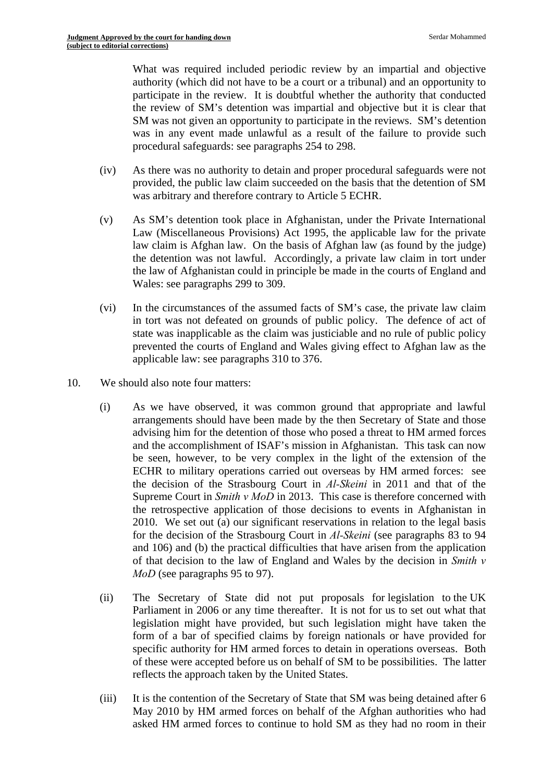What was required included periodic review by an impartial and objective authority (which did not have to be a court or a tribunal) and an opportunity to participate in the review. It is doubtful whether the authority that conducted the review of SM's detention was impartial and objective but it is clear that SM was not given an opportunity to participate in the reviews. SM's detention was in any event made unlawful as a result of the failure to provide such procedural safeguards: see paragraphs 254 to 298.

- (iv) As there was no authority to detain and proper procedural safeguards were not provided, the public law claim succeeded on the basis that the detention of SM was arbitrary and therefore contrary to Article 5 ECHR.
- (v) As SM's detention took place in Afghanistan, under the Private International Law (Miscellaneous Provisions) Act 1995, the applicable law for the private law claim is Afghan law. On the basis of Afghan law (as found by the judge) the detention was not lawful. Accordingly, a private law claim in tort under the law of Afghanistan could in principle be made in the courts of England and Wales: see paragraphs 299 to 309.
- (vi) In the circumstances of the assumed facts of SM's case, the private law claim in tort was not defeated on grounds of public policy. The defence of act of state was inapplicable as the claim was justiciable and no rule of public policy prevented the courts of England and Wales giving effect to Afghan law as the applicable law: see paragraphs 310 to 376.
- 10. We should also note four matters:
	- (i) As we have observed, it was common ground that appropriate and lawful arrangements should have been made by the then Secretary of State and those advising him for the detention of those who posed a threat to HM armed forces and the accomplishment of ISAF's mission in Afghanistan. This task can now be seen, however, to be very complex in the light of the extension of the ECHR to military operations carried out overseas by HM armed forces: see the decision of the Strasbourg Court in *Al-Skeini* in 2011 and that of the Supreme Court in *Smith v MoD* in 2013. This case is therefore concerned with the retrospective application of those decisions to events in Afghanistan in 2010. We set out (a) our significant reservations in relation to the legal basis for the decision of the Strasbourg Court in *Al-Skeini* (see paragraphs 83 to 94 and 106) and (b) the practical difficulties that have arisen from the application of that decision to the law of England and Wales by the decision in *Smith v MoD* (see paragraphs 95 to 97).
	- (ii) The Secretary of State did not put proposals for legislation to the UK Parliament in 2006 or any time thereafter. It is not for us to set out what that legislation might have provided, but such legislation might have taken the form of a bar of specified claims by foreign nationals or have provided for specific authority for HM armed forces to detain in operations overseas. Both of these were accepted before us on behalf of SM to be possibilities. The latter reflects the approach taken by the United States.
	- (iii) It is the contention of the Secretary of State that SM was being detained after 6 May 2010 by HM armed forces on behalf of the Afghan authorities who had asked HM armed forces to continue to hold SM as they had no room in their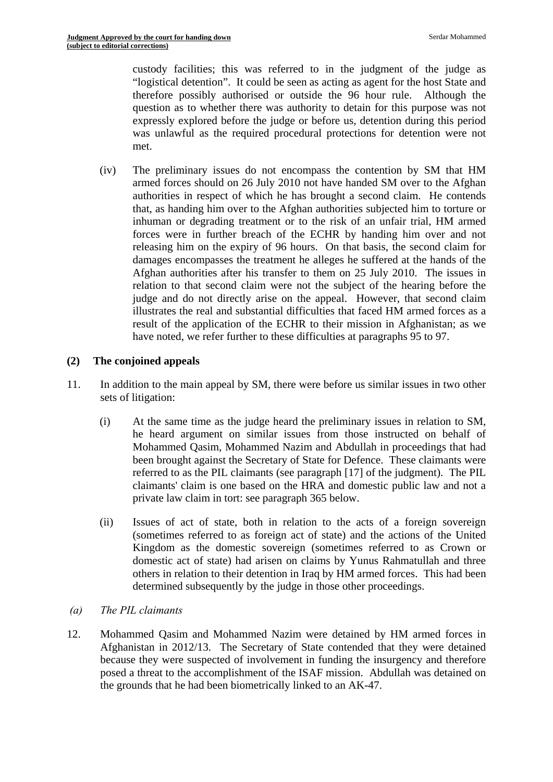custody facilities; this was referred to in the judgment of the judge as "logistical detention". It could be seen as acting as agent for the host State and therefore possibly authorised or outside the 96 hour rule. Although the question as to whether there was authority to detain for this purpose was not expressly explored before the judge or before us, detention during this period was unlawful as the required procedural protections for detention were not met.

(iv) The preliminary issues do not encompass the contention by SM that HM armed forces should on 26 July 2010 not have handed SM over to the Afghan authorities in respect of which he has brought a second claim. He contends that, as handing him over to the Afghan authorities subjected him to torture or inhuman or degrading treatment or to the risk of an unfair trial, HM armed forces were in further breach of the ECHR by handing him over and not releasing him on the expiry of 96 hours. On that basis, the second claim for damages encompasses the treatment he alleges he suffered at the hands of the Afghan authorities after his transfer to them on 25 July 2010. The issues in relation to that second claim were not the subject of the hearing before the judge and do not directly arise on the appeal. However, that second claim illustrates the real and substantial difficulties that faced HM armed forces as a result of the application of the ECHR to their mission in Afghanistan; as we have noted, we refer further to these difficulties at paragraphs 95 to 97.

## **(2) The conjoined appeals**

- 11. In addition to the main appeal by SM, there were before us similar issues in two other sets of litigation:
	- (i) At the same time as the judge heard the preliminary issues in relation to SM, he heard argument on similar issues from those instructed on behalf of Mohammed Qasim, Mohammed Nazim and Abdullah in proceedings that had been brought against the Secretary of State for Defence. These claimants were referred to as the PIL claimants (see paragraph [17] of the judgment). The PIL claimants' claim is one based on the HRA and domestic public law and not a private law claim in tort: see paragraph 365 below.
	- (ii) Issues of act of state, both in relation to the acts of a foreign sovereign (sometimes referred to as foreign act of state) and the actions of the United Kingdom as the domestic sovereign (sometimes referred to as Crown or domestic act of state) had arisen on claims by Yunus Rahmatullah and three others in relation to their detention in Iraq by HM armed forces. This had been determined subsequently by the judge in those other proceedings.
- *(a) The PIL claimants*
- 12. Mohammed Qasim and Mohammed Nazim were detained by HM armed forces in Afghanistan in 2012/13. The Secretary of State contended that they were detained because they were suspected of involvement in funding the insurgency and therefore posed a threat to the accomplishment of the ISAF mission. Abdullah was detained on the grounds that he had been biometrically linked to an AK-47.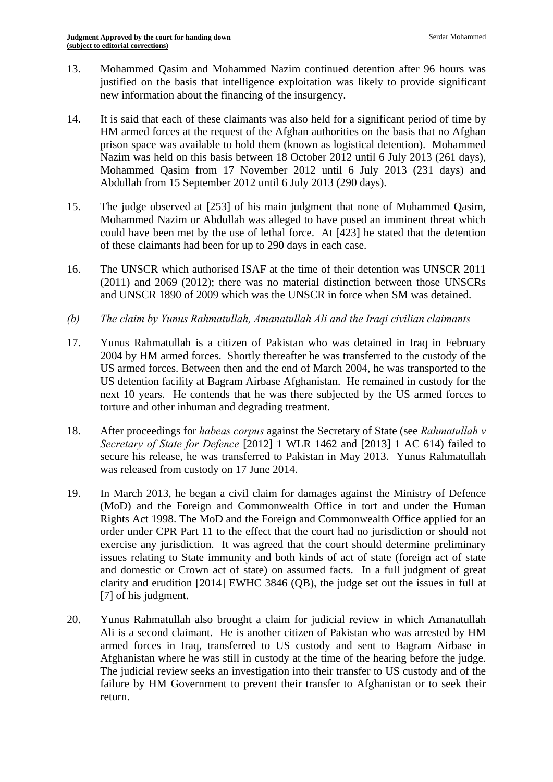- 13. Mohammed Oasim and Mohammed Nazim continued detention after 96 hours was justified on the basis that intelligence exploitation was likely to provide significant new information about the financing of the insurgency.
- 14. It is said that each of these claimants was also held for a significant period of time by HM armed forces at the request of the Afghan authorities on the basis that no Afghan prison space was available to hold them (known as logistical detention). Mohammed Nazim was held on this basis between 18 October 2012 until 6 July 2013 (261 days), Mohammed Qasim from 17 November 2012 until 6 July 2013 (231 days) and Abdullah from 15 September 2012 until 6 July 2013 (290 days).
- 15. The judge observed at [253] of his main judgment that none of Mohammed Qasim, Mohammed Nazim or Abdullah was alleged to have posed an imminent threat which could have been met by the use of lethal force. At [423] he stated that the detention of these claimants had been for up to 290 days in each case.
- 16. The UNSCR which authorised ISAF at the time of their detention was UNSCR 2011 (2011) and 2069 (2012); there was no material distinction between those UNSCRs and UNSCR 1890 of 2009 which was the UNSCR in force when SM was detained.
- *(b) The claim by Yunus Rahmatullah, Amanatullah Ali and the Iraqi civilian claimants*
- 17. Yunus Rahmatullah is a citizen of Pakistan who was detained in Iraq in February 2004 by HM armed forces. Shortly thereafter he was transferred to the custody of the US armed forces. Between then and the end of March 2004, he was transported to the US detention facility at Bagram Airbase Afghanistan. He remained in custody for the next 10 years. He contends that he was there subjected by the US armed forces to torture and other inhuman and degrading treatment.
- 18. After proceedings for *habeas corpus* against the Secretary of State (see *Rahmatullah v Secretary of State for Defence* [2012] 1 WLR 1462 and [2013] 1 AC 614) failed to secure his release, he was transferred to Pakistan in May 2013. Yunus Rahmatullah was released from custody on 17 June 2014.
- 19. In March 2013, he began a civil claim for damages against the Ministry of Defence (MoD) and the Foreign and Commonwealth Office in tort and under the Human Rights Act 1998. The MoD and the Foreign and Commonwealth Office applied for an order under CPR Part 11 to the effect that the court had no jurisdiction or should not exercise any jurisdiction. It was agreed that the court should determine preliminary issues relating to State immunity and both kinds of act of state (foreign act of state and domestic or Crown act of state) on assumed facts. In a full judgment of great clarity and erudition [2014] EWHC 3846 (QB), the judge set out the issues in full at [7] of his judgment.
- 20. Yunus Rahmatullah also brought a claim for judicial review in which Amanatullah Ali is a second claimant. He is another citizen of Pakistan who was arrested by HM armed forces in Iraq, transferred to US custody and sent to Bagram Airbase in Afghanistan where he was still in custody at the time of the hearing before the judge. The judicial review seeks an investigation into their transfer to US custody and of the failure by HM Government to prevent their transfer to Afghanistan or to seek their return.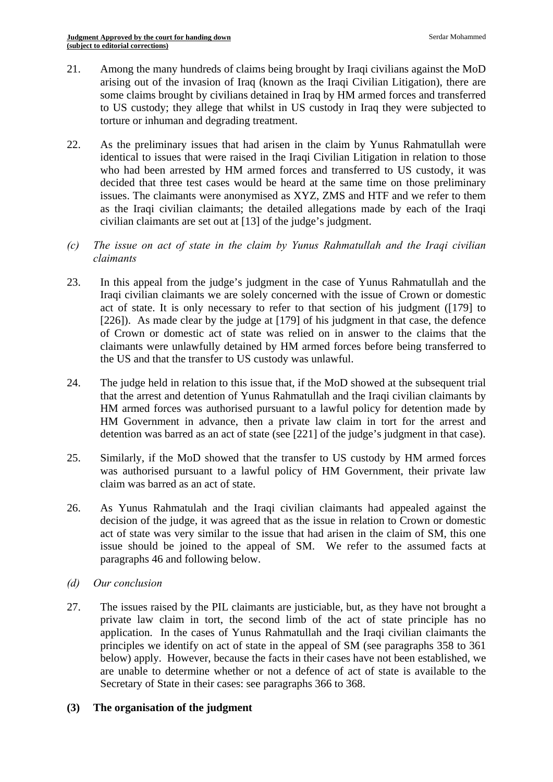- 21. Among the many hundreds of claims being brought by Iraqi civilians against the MoD arising out of the invasion of Iraq (known as the Iraqi Civilian Litigation), there are some claims brought by civilians detained in Iraq by HM armed forces and transferred to US custody; they allege that whilst in US custody in Iraq they were subjected to torture or inhuman and degrading treatment.
- 22. As the preliminary issues that had arisen in the claim by Yunus Rahmatullah were identical to issues that were raised in the Iraqi Civilian Litigation in relation to those who had been arrested by HM armed forces and transferred to US custody, it was decided that three test cases would be heard at the same time on those preliminary issues. The claimants were anonymised as XYZ, ZMS and HTF and we refer to them as the Iraqi civilian claimants; the detailed allegations made by each of the Iraqi civilian claimants are set out at [13] of the judge's judgment.
- *(c) The issue on act of state in the claim by Yunus Rahmatullah and the Iraqi civilian claimants*
- 23. In this appeal from the judge's judgment in the case of Yunus Rahmatullah and the Iraqi civilian claimants we are solely concerned with the issue of Crown or domestic act of state. It is only necessary to refer to that section of his judgment ([179] to [226]). As made clear by the judge at [179] of his judgment in that case, the defence of Crown or domestic act of state was relied on in answer to the claims that the claimants were unlawfully detained by HM armed forces before being transferred to the US and that the transfer to US custody was unlawful.
- 24. The judge held in relation to this issue that, if the MoD showed at the subsequent trial that the arrest and detention of Yunus Rahmatullah and the Iraqi civilian claimants by HM armed forces was authorised pursuant to a lawful policy for detention made by HM Government in advance, then a private law claim in tort for the arrest and detention was barred as an act of state (see [221] of the judge's judgment in that case).
- 25. Similarly, if the MoD showed that the transfer to US custody by HM armed forces was authorised pursuant to a lawful policy of HM Government, their private law claim was barred as an act of state.
- 26. As Yunus Rahmatulah and the Iraqi civilian claimants had appealed against the decision of the judge, it was agreed that as the issue in relation to Crown or domestic act of state was very similar to the issue that had arisen in the claim of SM, this one issue should be joined to the appeal of SM. We refer to the assumed facts at paragraphs 46 and following below.
- *(d) Our conclusion*
- 27. The issues raised by the PIL claimants are justiciable, but, as they have not brought a private law claim in tort, the second limb of the act of state principle has no application. In the cases of Yunus Rahmatullah and the Iraqi civilian claimants the principles we identify on act of state in the appeal of SM (see paragraphs 358 to 361 below) apply. However, because the facts in their cases have not been established, we are unable to determine whether or not a defence of act of state is available to the Secretary of State in their cases: see paragraphs 366 to 368.

# **(3) The organisation of the judgment**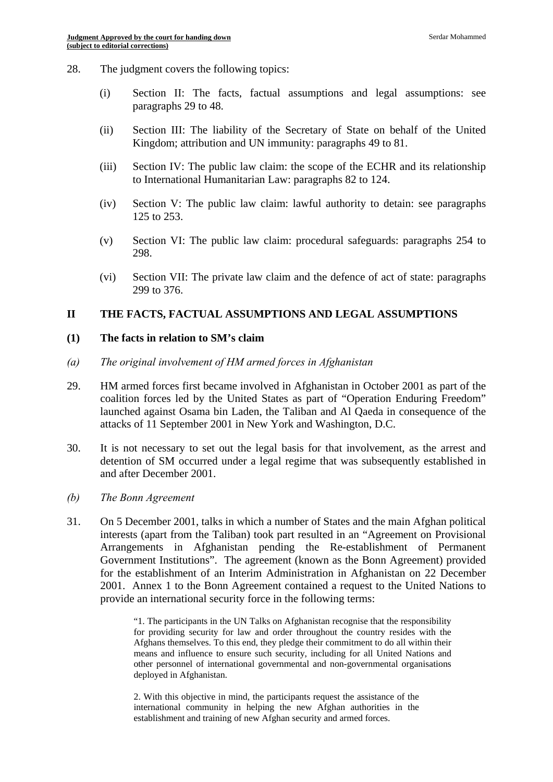- 28. The judgment covers the following topics:
	- (i) Section II: The facts, factual assumptions and legal assumptions: see paragraphs 29 to 48.
	- (ii) Section III: The liability of the Secretary of State on behalf of the United Kingdom; attribution and UN immunity: paragraphs 49 to 81.
	- (iii) Section IV: The public law claim: the scope of the ECHR and its relationship to International Humanitarian Law: paragraphs 82 to 124.
	- (iv) Section V: The public law claim: lawful authority to detain: see paragraphs 125 to 253.
	- (v) Section VI: The public law claim: procedural safeguards: paragraphs 254 to 298.
	- (vi) Section VII: The private law claim and the defence of act of state: paragraphs 299 to 376.

#### **II THE FACTS, FACTUAL ASSUMPTIONS AND LEGAL ASSUMPTIONS**

#### **(1) The facts in relation to SM's claim**

- *(a) The original involvement of HM armed forces in Afghanistan*
- 29. HM armed forces first became involved in Afghanistan in October 2001 as part of the coalition forces led by the United States as part of "Operation Enduring Freedom" launched against Osama bin Laden, the Taliban and Al Qaeda in consequence of the attacks of 11 September 2001 in New York and Washington, D.C.
- 30. It is not necessary to set out the legal basis for that involvement, as the arrest and detention of SM occurred under a legal regime that was subsequently established in and after December 2001.
- *(b) The Bonn Agreement*
- 31. On 5 December 2001, talks in which a number of States and the main Afghan political interests (apart from the Taliban) took part resulted in an "Agreement on Provisional Arrangements in Afghanistan pending the Re-establishment of Permanent Government Institutions". The agreement (known as the Bonn Agreement) provided for the establishment of an Interim Administration in Afghanistan on 22 December 2001. Annex 1 to the Bonn Agreement contained a request to the United Nations to provide an international security force in the following terms:

 "1. The participants in the UN Talks on Afghanistan recognise that the responsibility for providing security for law and order throughout the country resides with the Afghans themselves. To this end, they pledge their commitment to do all within their means and influence to ensure such security, including for all United Nations and other personnel of international governmental and non-governmental organisations deployed in Afghanistan.

2. With this objective in mind, the participants request the assistance of the international community in helping the new Afghan authorities in the establishment and training of new Afghan security and armed forces.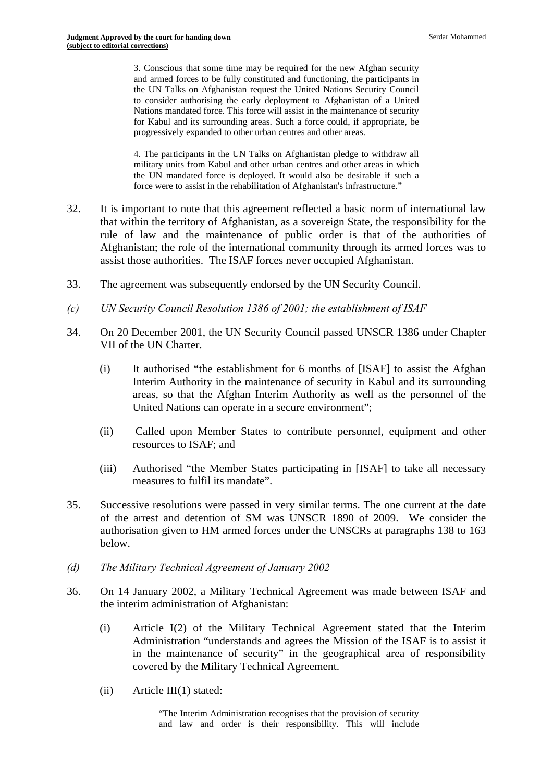3. Conscious that some time may be required for the new Afghan security and armed forces to be fully constituted and functioning, the participants in the UN Talks on Afghanistan request the United Nations Security Council to consider authorising the early deployment to Afghanistan of a United Nations mandated force. This force will assist in the maintenance of security for Kabul and its surrounding areas. Such a force could, if appropriate, be progressively expanded to other urban centres and other areas.

 the UN mandated force is deployed. It would also be desirable if such a 4. The participants in the UN Talks on Afghanistan pledge to withdraw all military units from Kabul and other urban centres and other areas in which force were to assist in the rehabilitation of Afghanistan's infrastructure."

- 32. It is important to note that this agreement reflected a basic norm of international law that within the territory of Afghanistan, as a sovereign State, the responsibility for the rule of law and the maintenance of public order is that of the authorities of Afghanistan; the role of the international community through its armed forces was to assist those authorities. The ISAF forces never occupied Afghanistan.
- 33. The agreement was subsequently endorsed by the UN Security Council.
- *(c) UN Security Council Resolution 1386 of 2001; the establishment of ISAF*
- 34. On 20 December 2001, the UN Security Council passed UNSCR 1386 under Chapter VII of the UN Charter.
	- $(i)$  It authorised "the establishment for 6 months of [ISAF] to assist the Afghan Interim Authority in the maintenance of security in Kabul and its surrounding areas, so that the Afghan Interim Authority as well as the personnel of the United Nations can operate in a secure environment";
	- (ii) Called upon Member States to contribute personnel, equipment and other resources to ISAF; and
	- (iii) Authorised "the Member States participating in [ISAF] to take all necessary measures to fulfil its mandate".
- 35. Successive resolutions were passed in very similar terms. The one current at the date of the arrest and detention of SM was UNSCR 1890 of 2009. We consider the authorisation given to HM armed forces under the UNSCRs at paragraphs 138 to 163 below.
- *(d) The Military Technical Agreement of January 2002*
- 36. On 14 January 2002, a Military Technical Agreement was made between ISAF and the interim administration of Afghanistan:
	- (i) Article I(2) of the Military Technical Agreement stated that the Interim Administration "understands and agrees the Mission of the ISAF is to assist it in the maintenance of security" in the geographical area of responsibility covered by the Military Technical Agreement.
	- $(ii)$  Article III(1) stated: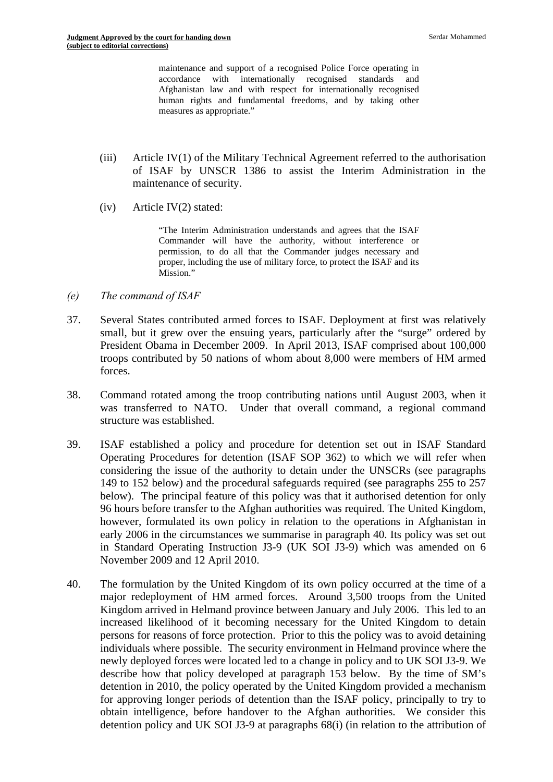maintenance and support of a recognised Police Force operating in accordance with internationally recognised standards and Afghanistan law and with respect for internationally recognised human rights and fundamental freedoms, and by taking other measures as appropriate."

- $(iii)$  Article IV(1) of the Military Technical Agreement referred to the authorisation of ISAF by UNSCR 1386 to assist the Interim Administration in the maintenance of security.
- $(iv)$  Article IV $(2)$  stated:

"The Interim Administration understands and agrees that the ISAF Commander will have the authority, without interference or permission, to do all that the Commander judges necessary and proper, including the use of military force, to protect the ISAF and its Mission."

- *(e) The command of ISAF*
- 37. Several States contributed armed forces to ISAF. Deployment at first was relatively small, but it grew over the ensuing years, particularly after the "surge" ordered by President Obama in December 2009. In April 2013, ISAF comprised about 100,000 troops contributed by 50 nations of whom about 8,000 were members of HM armed forces.
- structure was established. 38. Command rotated among the troop contributing nations until August 2003, when it was transferred to NATO. Under that overall command, a regional command
- 39. ISAF established a policy and procedure for detention set out in ISAF Standard Operating Procedures for detention (ISAF SOP 362) to which we will refer when considering the issue of the authority to detain under the UNSCRs (see paragraphs 149 to 152 below) and the procedural safeguards required (see paragraphs 255 to 257 below). The principal feature of this policy was that it authorised detention for only 96 hours before transfer to the Afghan authorities was required. The United Kingdom, however, formulated its own policy in relation to the operations in Afghanistan in early 2006 in the circumstances we summarise in paragraph 40. Its policy was set out in Standard Operating Instruction J3-9 (UK SOI J3-9) which was amended on 6 November 2009 and 12 April 2010.
- 40. The formulation by the United Kingdom of its own policy occurred at the time of a major redeployment of HM armed forces. Around 3,500 troops from the United Kingdom arrived in Helmand province between January and July 2006. This led to an increased likelihood of it becoming necessary for the United Kingdom to detain persons for reasons of force protection. Prior to this the policy was to avoid detaining individuals where possible. The security environment in Helmand province where the newly deployed forces were located led to a change in policy and to UK SOI J3-9. We describe how that policy developed at paragraph 153 below. By the time of SM's detention in 2010, the policy operated by the United Kingdom provided a mechanism for approving longer periods of detention than the ISAF policy, principally to try to obtain intelligence, before handover to the Afghan authorities. We consider this detention policy and UK SOI J3-9 at paragraphs 68(i) (in relation to the attribution of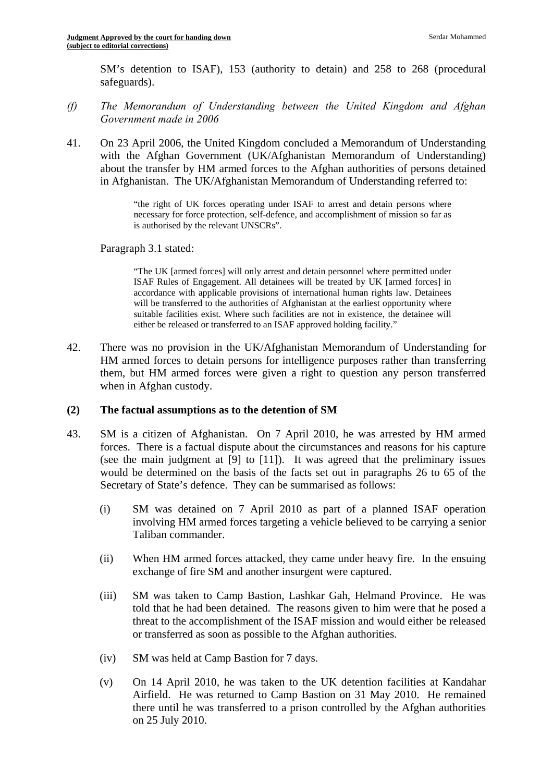SM's detention to ISAF), 153 (authority to detain) and 258 to 268 (procedural safeguards).

- *(f) The Memorandum of Understanding between the United Kingdom and Afghan Government made in 2006*
- 41. On 23 April 2006, the United Kingdom concluded a Memorandum of Understanding with the Afghan Government (UK/Afghanistan Memorandum of Understanding) about the transfer by HM armed forces to the Afghan authorities of persons detained in Afghanistan. The UK/Afghanistan Memorandum of Understanding referred to:

"the right of UK forces operating under ISAF to arrest and detain persons where necessary for force protection, self-defence, and accomplishment of mission so far as is authorised by the relevant UNSCRs".

Paragraph 3.1 stated:

 either be released or transferred to an ISAF approved holding facility." "The UK [armed forces] will only arrest and detain personnel where permitted under ISAF Rules of Engagement. All detainees will be treated by UK [armed forces] in accordance with applicable provisions of international human rights law. Detainees will be transferred to the authorities of Afghanistan at the earliest opportunity where suitable facilities exist. Where such facilities are not in existence, the detainee will

42. There was no provision in the UK/Afghanistan Memorandum of Understanding for HM armed forces to detain persons for intelligence purposes rather than transferring them, but HM armed forces were given a right to question any person transferred when in Afghan custody.

#### **(2) The factual assumptions as to the detention of SM**

- 43. SM is a citizen of Afghanistan. On 7 April 2010, he was arrested by HM armed forces. There is a factual dispute about the circumstances and reasons for his capture (see the main judgment at [9] to [11]). It was agreed that the preliminary issues would be determined on the basis of the facts set out in paragraphs 26 to 65 of the Secretary of State's defence. They can be summarised as follows:
	- (i) SM was detained on 7 April 2010 as part of a planned ISAF operation involving HM armed forces targeting a vehicle believed to be carrying a senior Taliban commander.
	- (ii) When HM armed forces attacked, they came under heavy fire. In the ensuing exchange of fire SM and another insurgent were captured.
	- (iii) SM was taken to Camp Bastion, Lashkar Gah, Helmand Province. He was told that he had been detained. The reasons given to him were that he posed a threat to the accomplishment of the ISAF mission and would either be released or transferred as soon as possible to the Afghan authorities.
	- (iv) SM was held at Camp Bastion for 7 days.
	- (v) On 14 April 2010, he was taken to the UK detention facilities at Kandahar Airfield. He was returned to Camp Bastion on 31 May 2010. He remained there until he was transferred to a prison controlled by the Afghan authorities on 25 July 2010.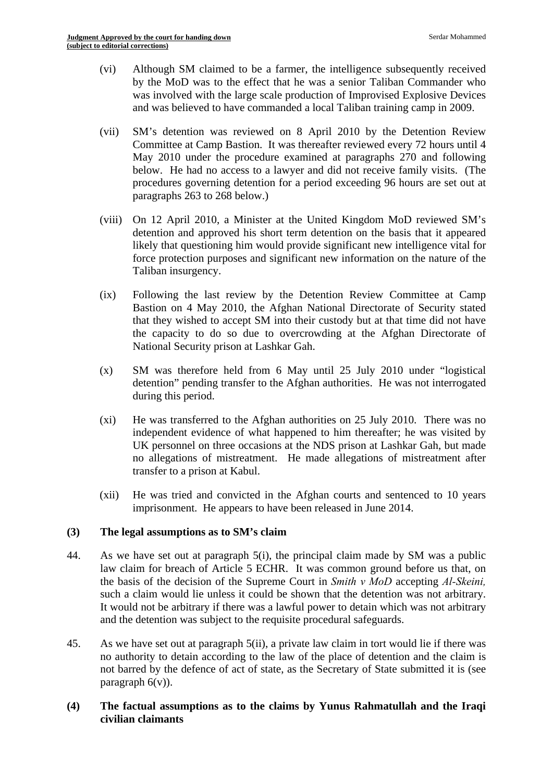- (vi) Although SM claimed to be a farmer, the intelligence subsequently received by the MoD was to the effect that he was a senior Taliban Commander who was involved with the large scale production of Improvised Explosive Devices and was believed to have commanded a local Taliban training camp in 2009.
- (vii) SM's detention was reviewed on 8 April 2010 by the Detention Review Committee at Camp Bastion. It was thereafter reviewed every 72 hours until 4 May 2010 under the procedure examined at paragraphs 270 and following below. He had no access to a lawyer and did not receive family visits. (The procedures governing detention for a period exceeding 96 hours are set out at paragraphs 263 to 268 below.)
- (viii) On 12 April 2010, a Minister at the United Kingdom MoD reviewed SM's detention and approved his short term detention on the basis that it appeared likely that questioning him would provide significant new intelligence vital for force protection purposes and significant new information on the nature of the Taliban insurgency.
- (ix) Following the last review by the Detention Review Committee at Camp Bastion on 4 May 2010, the Afghan National Directorate of Security stated that they wished to accept SM into their custody but at that time did not have the capacity to do so due to overcrowding at the Afghan Directorate of National Security prison at Lashkar Gah.
- (x) SM was therefore held from 6 May until 25 July 2010 under "logistical detention" pending transfer to the Afghan authorities. He was not interrogated during this period.
- (xi) He was transferred to the Afghan authorities on 25 July 2010. There was no independent evidence of what happened to him thereafter; he was visited by UK personnel on three occasions at the NDS prison at Lashkar Gah, but made no allegations of mistreatment. He made allegations of mistreatment after transfer to a prison at Kabul.
- (xii) He was tried and convicted in the Afghan courts and sentenced to 10 years imprisonment. He appears to have been released in June 2014.

#### **(3) The legal assumptions as to SM's claim**

- 44. As we have set out at paragraph 5(i), the principal claim made by SM was a public law claim for breach of Article 5 ECHR. It was common ground before us that, on the basis of the decision of the Supreme Court in *Smith v MoD* accepting *Al-Skeini,*  such a claim would lie unless it could be shown that the detention was not arbitrary. It would not be arbitrary if there was a lawful power to detain which was not arbitrary and the detention was subject to the requisite procedural safeguards.
- 45. As we have set out at paragraph 5(ii), a private law claim in tort would lie if there was no authority to detain according to the law of the place of detention and the claim is not barred by the defence of act of state, as the Secretary of State submitted it is (see paragraph  $6(v)$ ).

#### **(4) The factual assumptions as to the claims by Yunus Rahmatullah and the Iraqi civilian claimants**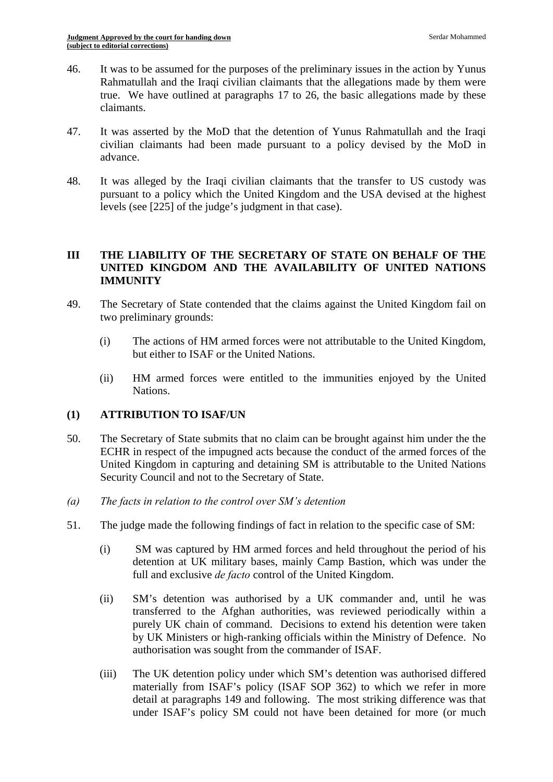- 46. It was to be assumed for the purposes of the preliminary issues in the action by Yunus Rahmatullah and the Iraqi civilian claimants that the allegations made by them were true. We have outlined at paragraphs 17 to 26, the basic allegations made by these claimants.
- 47. It was asserted by the MoD that the detention of Yunus Rahmatullah and the Iraqi civilian claimants had been made pursuant to a policy devised by the MoD in advance.
- 48. It was alleged by the Iraqi civilian claimants that the transfer to US custody was pursuant to a policy which the United Kingdom and the USA devised at the highest levels (see [225] of the judge's judgment in that case).

# **III THE LIABILITY OF THE SECRETARY OF STATE ON BEHALF OF THE UNITED KINGDOM AND THE AVAILABILITY OF UNITED NATIONS IMMUNITY**

- 49. The Secretary of State contended that the claims against the United Kingdom fail on two preliminary grounds:
	- (i) The actions of HM armed forces were not attributable to the United Kingdom, but either to ISAF or the United Nations.
	- (ii) HM armed forces were entitled to the immunities enjoyed by the United Nations.

# **(1) ATTRIBUTION TO ISAF/UN**

- 50. The Secretary of State submits that no claim can be brought against him under the the ECHR in respect of the impugned acts because the conduct of the armed forces of the United Kingdom in capturing and detaining SM is attributable to the United Nations Security Council and not to the Secretary of State.
- *(a) The facts in relation to the control over SM's detention*
- 51. The judge made the following findings of fact in relation to the specific case of SM:
	- (i) SM was captured by HM armed forces and held throughout the period of his detention at UK military bases, mainly Camp Bastion, which was under the full and exclusive *de facto* control of the United Kingdom.
	- (ii) SM's detention was authorised by a UK commander and, until he was transferred to the Afghan authorities, was reviewed periodically within a purely UK chain of command. Decisions to extend his detention were taken by UK Ministers or high-ranking officials within the Ministry of Defence. No authorisation was sought from the commander of ISAF.
	- (iii) The UK detention policy under which SM's detention was authorised differed materially from ISAF's policy (ISAF SOP 362) to which we refer in more detail at paragraphs 149 and following. The most striking difference was that under ISAF's policy SM could not have been detained for more (or much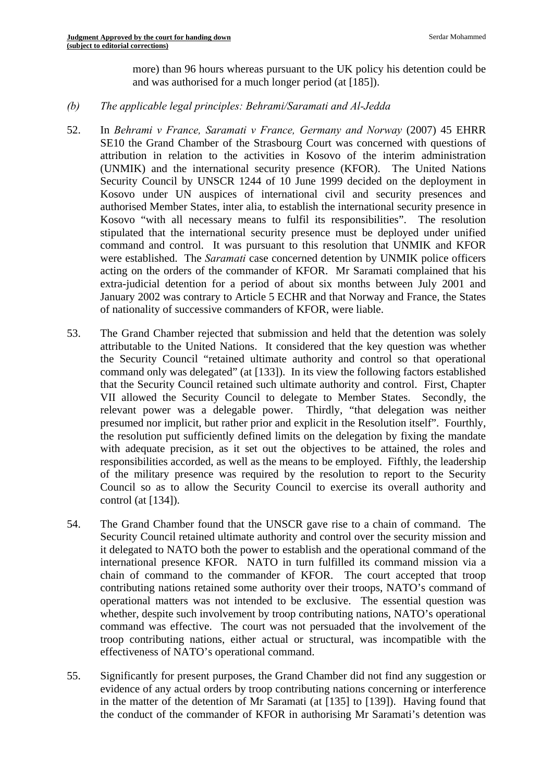more) than 96 hours whereas pursuant to the UK policy his detention could be and was authorised for a much longer period (at [185]).

# *(b) The applicable legal principles: Behrami/Saramati and Al-Jedda*

- 52. In *Behrami v France, Saramati v France, Germany and Norway* (2007) 45 EHRR SE10 the Grand Chamber of the Strasbourg Court was concerned with questions of attribution in relation to the activities in Kosovo of the interim administration (UNMIK) and the international security presence (KFOR). The United Nations Security Council by UNSCR 1244 of 10 June 1999 decided on the deployment in Kosovo under UN auspices of international civil and security presences and authorised Member States, inter alia, to establish the international security presence in Kosovo "with all necessary means to fulfil its responsibilities". The resolution stipulated that the international security presence must be deployed under unified command and control. It was pursuant to this resolution that UNMIK and KFOR were established. The *Saramati* case concerned detention by UNMIK police officers acting on the orders of the commander of KFOR. Mr Saramati complained that his extra-judicial detention for a period of about six months between July 2001 and January 2002 was contrary to Article 5 ECHR and that Norway and France, the States of nationality of successive commanders of KFOR, were liable.
- 53. The Grand Chamber rejected that submission and held that the detention was solely attributable to the United Nations. It considered that the key question was whether the Security Council "retained ultimate authority and control so that operational command only was delegated" (at [133]). In its view the following factors established that the Security Council retained such ultimate authority and control. First, Chapter VII allowed the Security Council to delegate to Member States. Secondly, the relevant power was a delegable power. Thirdly, "that delegation was neither presumed nor implicit, but rather prior and explicit in the Resolution itself". Fourthly, the resolution put sufficiently defined limits on the delegation by fixing the mandate with adequate precision, as it set out the objectives to be attained, the roles and responsibilities accorded, as well as the means to be employed. Fifthly, the leadership of the military presence was required by the resolution to report to the Security Council so as to allow the Security Council to exercise its overall authority and control (at [134]).
- 54. The Grand Chamber found that the UNSCR gave rise to a chain of command. The Security Council retained ultimate authority and control over the security mission and it delegated to NATO both the power to establish and the operational command of the international presence KFOR. NATO in turn fulfilled its command mission via a chain of command to the commander of KFOR. The court accepted that troop contributing nations retained some authority over their troops, NATO's command of operational matters was not intended to be exclusive. The essential question was whether, despite such involvement by troop contributing nations, NATO's operational command was effective. The court was not persuaded that the involvement of the troop contributing nations, either actual or structural, was incompatible with the effectiveness of NATO's operational command.
- 55. Significantly for present purposes, the Grand Chamber did not find any suggestion or evidence of any actual orders by troop contributing nations concerning or interference in the matter of the detention of Mr Saramati (at [135] to [139]). Having found that the conduct of the commander of KFOR in authorising Mr Saramati's detention was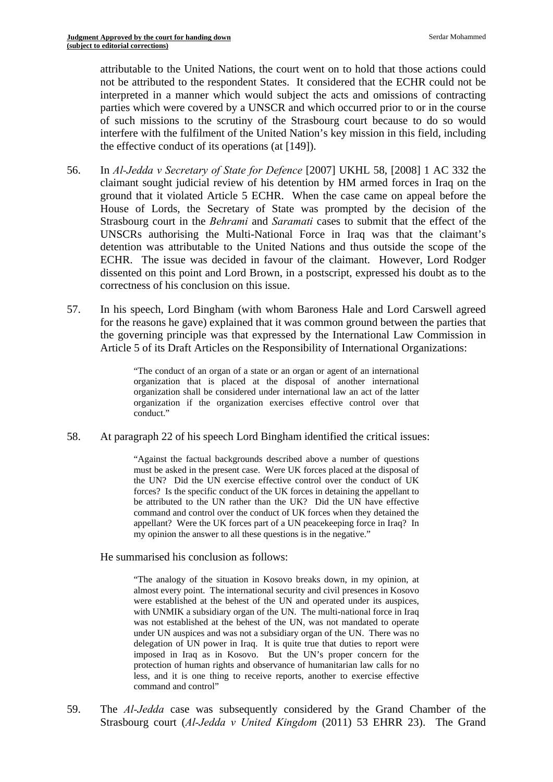attributable to the United Nations, the court went on to hold that those actions could not be attributed to the respondent States. It considered that the ECHR could not be interpreted in a manner which would subject the acts and omissions of contracting parties which were covered by a UNSCR and which occurred prior to or in the course of such missions to the scrutiny of the Strasbourg court because to do so would interfere with the fulfilment of the United Nation's key mission in this field, including the effective conduct of its operations (at [149]).

- 56. In *Al-Jedda v Secretary of State for Defence* [2007] UKHL 58, [2008] 1 AC 332 the claimant sought judicial review of his detention by HM armed forces in Iraq on the ground that it violated Article 5 ECHR. When the case came on appeal before the House of Lords, the Secretary of State was prompted by the decision of the Strasbourg court in the *Behrami* and *Saramati* cases to submit that the effect of the UNSCRs authorising the Multi-National Force in Iraq was that the claimant's detention was attributable to the United Nations and thus outside the scope of the ECHR. The issue was decided in favour of the claimant. However, Lord Rodger dissented on this point and Lord Brown, in a postscript, expressed his doubt as to the correctness of his conclusion on this issue.
- 57. In his speech, Lord Bingham (with whom Baroness Hale and Lord Carswell agreed for the reasons he gave) explained that it was common ground between the parties that the governing principle was that expressed by the International Law Commission in Article 5 of its Draft Articles on the Responsibility of International Organizations:

"The conduct of an organ of a state or an organ or agent of an international organization that is placed at the disposal of another international organization shall be considered under international law an act of the latter organization if the organization exercises effective control over that conduct."

58. At paragraph 22 of his speech Lord Bingham identified the critical issues:

 forces? Is the specific conduct of the UK forces in detaining the appellant to appellant? Were the UK forces part of a UN peacekeeping force in Iraq? In "Against the factual backgrounds described above a number of questions must be asked in the present case. Were UK forces placed at the disposal of the UN? Did the UN exercise effective control over the conduct of UK be attributed to the UN rather than the UK? Did the UN have effective command and control over the conduct of UK forces when they detained the my opinion the answer to all these questions is in the negative."

He summarised his conclusion as follows:

 with UNMIK a subsidiary organ of the UN. The multi-national force in Iraq was not established at the behest of the UN, was not mandated to operate protection of human rights and observance of humanitarian law calls for no "The analogy of the situation in Kosovo breaks down, in my opinion, at almost every point. The international security and civil presences in Kosovo were established at the behest of the UN and operated under its auspices, under UN auspices and was not a subsidiary organ of the UN. There was no delegation of UN power in Iraq. It is quite true that duties to report were imposed in Iraq as in Kosovo. But the UN's proper concern for the less, and it is one thing to receive reports, another to exercise effective command and control"

59. The *Al-Jedda* case was subsequently considered by the Grand Chamber of the Strasbourg court (*Al-Jedda v United Kingdom* (2011) 53 EHRR 23). The Grand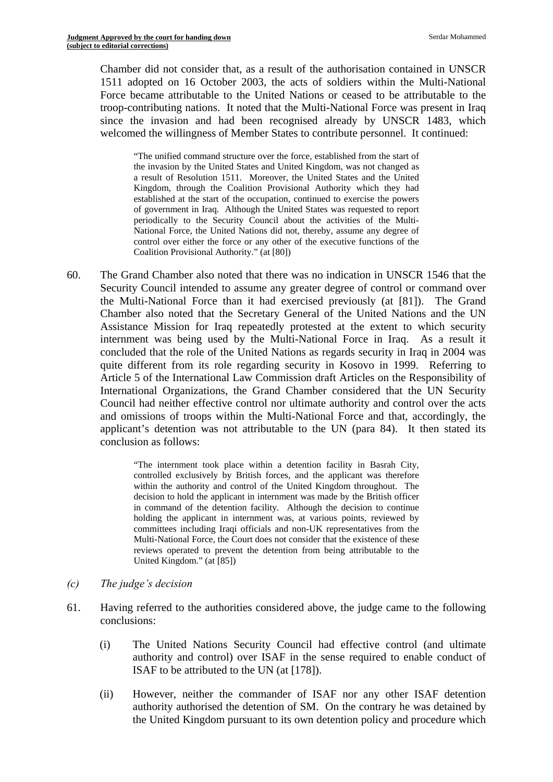Chamber did not consider that, as a result of the authorisation contained in UNSCR 1511 adopted on 16 October 2003, the acts of soldiers within the Multi-National Force became attributable to the United Nations or ceased to be attributable to the troop-contributing nations. It noted that the Multi-National Force was present in Iraq since the invasion and had been recognised already by UNSCR 1483, which welcomed the willingness of Member States to contribute personnel. It continued:

"The unified command structure over the force, established from the start of the invasion by the United States and United Kingdom, was not changed as a result of Resolution 1511. Moreover, the United States and the United Kingdom, through the Coalition Provisional Authority which they had established at the start of the occupation, continued to exercise the powers of government in Iraq. Although the United States was requested to report periodically to the Security Council about the activities of the Multi-National Force, the United Nations did not, thereby, assume any degree of control over either the force or any other of the executive functions of the Coalition Provisional Authority." (at [80])

60. The Grand Chamber also noted that there was no indication in UNSCR 1546 that the Security Council intended to assume any greater degree of control or command over the Multi-National Force than it had exercised previously (at [81]). The Grand Chamber also noted that the Secretary General of the United Nations and the UN Assistance Mission for Iraq repeatedly protested at the extent to which security internment was being used by the Multi-National Force in Iraq. As a result it concluded that the role of the United Nations as regards security in Iraq in 2004 was quite different from its role regarding security in Kosovo in 1999. Referring to Article 5 of the International Law Commission draft Articles on the Responsibility of International Organizations, the Grand Chamber considered that the UN Security Council had neither effective control nor ultimate authority and control over the acts and omissions of troops within the Multi-National Force and that, accordingly, the applicant's detention was not attributable to the UN (para 84). It then stated its conclusion as follows:

> holding the applicant in internment was, at various points, reviewed by "The internment took place within a detention facility in Basrah City, controlled exclusively by British forces, and the applicant was therefore within the authority and control of the United Kingdom throughout. The decision to hold the applicant in internment was made by the British officer in command of the detention facility. Although the decision to continue committees including Iraqi officials and non-UK representatives from the Multi-National Force, the Court does not consider that the existence of these reviews operated to prevent the detention from being attributable to the United Kingdom." (at [85])

- *(c) The judge's decision*
- 61. Having referred to the authorities considered above, the judge came to the following conclusions:
	- (i) The United Nations Security Council had effective control (and ultimate authority and control) over ISAF in the sense required to enable conduct of ISAF to be attributed to the UN (at [178]).
	- (ii) However, neither the commander of ISAF nor any other ISAF detention authority authorised the detention of SM. On the contrary he was detained by the United Kingdom pursuant to its own detention policy and procedure which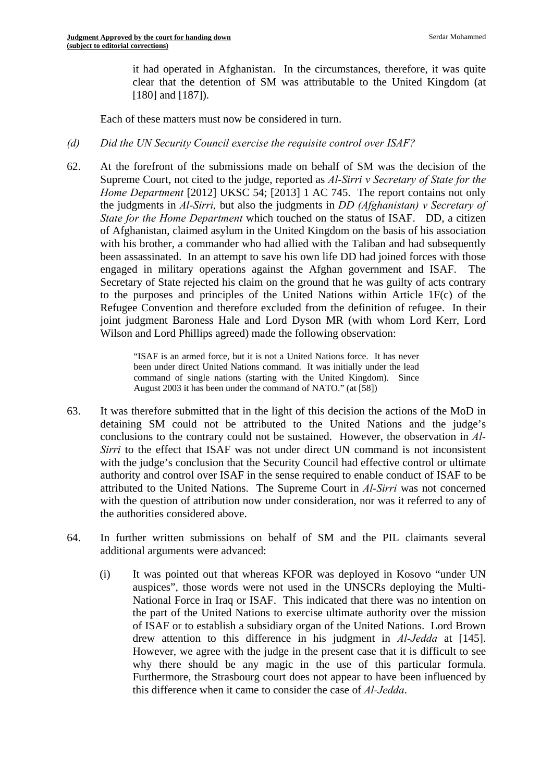it had operated in Afghanistan. In the circumstances, therefore, it was quite clear that the detention of SM was attributable to the United Kingdom (at [180] and [187]).

Each of these matters must now be considered in turn.

#### *(d) Did the UN Security Council exercise the requisite control over ISAF?*

62. At the forefront of the submissions made on behalf of SM was the decision of the Supreme Court, not cited to the judge, reported as *Al-Sirri v Secretary of State for the Home Department* [2012] UKSC 54; [2013] 1 AC 745. The report contains not only the judgments in *Al-Sirri,* but also the judgments in *DD (Afghanistan) v Secretary of State for the Home Department* which touched on the status of ISAF. DD, a citizen of Afghanistan, claimed asylum in the United Kingdom on the basis of his association with his brother, a commander who had allied with the Taliban and had subsequently been assassinated. In an attempt to save his own life DD had joined forces with those engaged in military operations against the Afghan government and ISAF. Secretary of State rejected his claim on the ground that he was guilty of acts contrary to the purposes and principles of the United Nations within Article 1F(c) of the Refugee Convention and therefore excluded from the definition of refugee. In their joint judgment Baroness Hale and Lord Dyson MR (with whom Lord Kerr, Lord Wilson and Lord Phillips agreed) made the following observation:

> "ISAF is an armed force, but it is not a United Nations force. It has never been under direct United Nations command. It was initially under the lead command of single nations (starting with the United Kingdom). Since August 2003 it has been under the command of NATO." (at [58])

- 63. It was therefore submitted that in the light of this decision the actions of the MoD in detaining SM could not be attributed to the United Nations and the judge's conclusions to the contrary could not be sustained. However, the observation in *Al-Sirri* to the effect that ISAF was not under direct UN command is not inconsistent with the judge's conclusion that the Security Council had effective control or ultimate authority and control over ISAF in the sense required to enable conduct of ISAF to be attributed to the United Nations. The Supreme Court in *Al-Sirri* was not concerned with the question of attribution now under consideration, nor was it referred to any of the authorities considered above.
- 64. In further written submissions on behalf of SM and the PIL claimants several additional arguments were advanced:
	- (i) It was pointed out that whereas KFOR was deployed in Kosovo "under UN auspices", those words were not used in the UNSCRs deploying the Multi-National Force in Iraq or ISAF. This indicated that there was no intention on the part of the United Nations to exercise ultimate authority over the mission of ISAF or to establish a subsidiary organ of the United Nations. Lord Brown drew attention to this difference in his judgment in *Al-Jedda* at [145]. However, we agree with the judge in the present case that it is difficult to see why there should be any magic in the use of this particular formula. Furthermore, the Strasbourg court does not appear to have been influenced by this difference when it came to consider the case of *Al-Jedda*.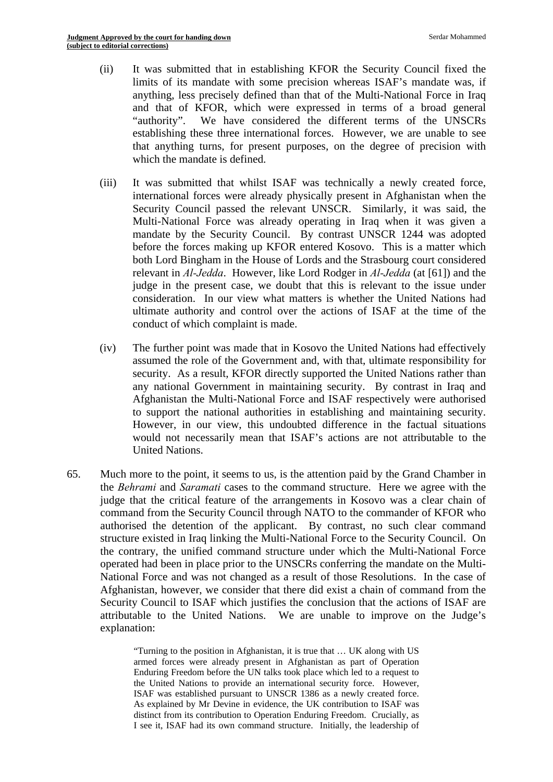- (ii) It was submitted that in establishing KFOR the Security Council fixed the limits of its mandate with some precision whereas ISAF's mandate was, if anything, less precisely defined than that of the Multi-National Force in Iraq and that of KFOR, which were expressed in terms of a broad general "authority". We have considered the different terms of the UNSCRs establishing these three international forces. However, we are unable to see that anything turns, for present purposes, on the degree of precision with which the mandate is defined.
- (iii) It was submitted that whilst ISAF was technically a newly created force, international forces were already physically present in Afghanistan when the Security Council passed the relevant UNSCR. Similarly, it was said, the Multi-National Force was already operating in Iraq when it was given a mandate by the Security Council. By contrast UNSCR 1244 was adopted before the forces making up KFOR entered Kosovo. This is a matter which both Lord Bingham in the House of Lords and the Strasbourg court considered relevant in *Al-Jedda*. However, like Lord Rodger in *Al-Jedda* (at [61]) and the judge in the present case, we doubt that this is relevant to the issue under consideration. In our view what matters is whether the United Nations had ultimate authority and control over the actions of ISAF at the time of the conduct of which complaint is made.
- (iv) The further point was made that in Kosovo the United Nations had effectively assumed the role of the Government and, with that, ultimate responsibility for security. As a result, KFOR directly supported the United Nations rather than any national Government in maintaining security. By contrast in Iraq and Afghanistan the Multi-National Force and ISAF respectively were authorised to support the national authorities in establishing and maintaining security. However, in our view, this undoubted difference in the factual situations would not necessarily mean that ISAF's actions are not attributable to the United Nations.
- 65. Much more to the point, it seems to us, is the attention paid by the Grand Chamber in the *Behrami* and *Saramati* cases to the command structure. Here we agree with the judge that the critical feature of the arrangements in Kosovo was a clear chain of command from the Security Council through NATO to the commander of KFOR who authorised the detention of the applicant. By contrast, no such clear command structure existed in Iraq linking the Multi-National Force to the Security Council. On the contrary, the unified command structure under which the Multi-National Force operated had been in place prior to the UNSCRs conferring the mandate on the Multi-National Force and was not changed as a result of those Resolutions. In the case of Afghanistan, however, we consider that there did exist a chain of command from the Security Council to ISAF which justifies the conclusion that the actions of ISAF are attributable to the United Nations. We are unable to improve on the Judge's explanation:

 distinct from its contribution to Operation Enduring Freedom. Crucially, as I see it, ISAF had its own command structure. Initially, the leadership of "Turning to the position in Afghanistan, it is true that … UK along with US armed forces were already present in Afghanistan as part of Operation Enduring Freedom before the UN talks took place which led to a request to the United Nations to provide an international security force. However, ISAF was established pursuant to UNSCR 1386 as a newly created force. As explained by Mr Devine in evidence, the UK contribution to ISAF was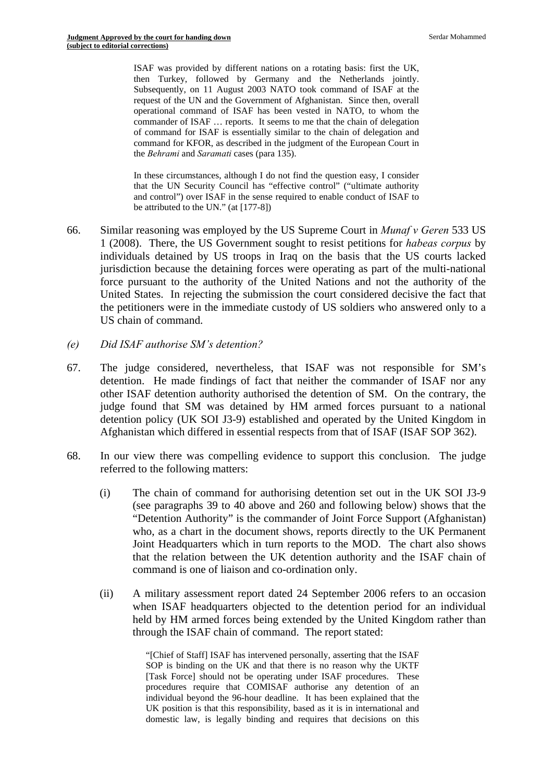then Turkey, followed by Germany and the Netherlands jointly. request of the UN and the Government of Afghanistan. Since then, overall ISAF was provided by different nations on a rotating basis: first the UK, Subsequently, on 11 August 2003 NATO took command of ISAF at the operational command of ISAF has been vested in NATO, to whom the commander of ISAF … reports. It seems to me that the chain of delegation of command for ISAF is essentially similar to the chain of delegation and command for KFOR, as described in the judgment of the European Court in the *Behrami* and *Saramati* cases (para 135).

In these circumstances, although I do not find the question easy, I consider that the UN Security Council has "effective control" ("ultimate authority and control") over ISAF in the sense required to enable conduct of ISAF to be attributed to the UN." (at [177-8])

- 66. Similar reasoning was employed by the US Supreme Court in *Munaf v Geren* 533 US 1 (2008). There, the US Government sought to resist petitions for *habeas corpus* by individuals detained by US troops in Iraq on the basis that the US courts lacked jurisdiction because the detaining forces were operating as part of the multi-national force pursuant to the authority of the United Nations and not the authority of the United States. In rejecting the submission the court considered decisive the fact that the petitioners were in the immediate custody of US soldiers who answered only to a US chain of command.
- *(e) Did ISAF authorise SM's detention?*
- 67. The judge considered, nevertheless, that ISAF was not responsible for SM's detention. He made findings of fact that neither the commander of ISAF nor any other ISAF detention authority authorised the detention of SM. On the contrary, the judge found that SM was detained by HM armed forces pursuant to a national detention policy (UK SOI J3-9) established and operated by the United Kingdom in Afghanistan which differed in essential respects from that of ISAF (ISAF SOP 362).
- 68. In our view there was compelling evidence to support this conclusion. The judge referred to the following matters:
	- (i) The chain of command for authorising detention set out in the UK SOI J3-9 (see paragraphs 39 to 40 above and 260 and following below) shows that the "Detention Authority" is the commander of Joint Force Support (Afghanistan) who, as a chart in the document shows, reports directly to the UK Permanent Joint Headquarters which in turn reports to the MOD. The chart also shows that the relation between the UK detention authority and the ISAF chain of command is one of liaison and co-ordination only.
	- (ii) A military assessment report dated 24 September 2006 refers to an occasion when ISAF headquarters objected to the detention period for an individual held by HM armed forces being extended by the United Kingdom rather than through the ISAF chain of command. The report stated:

"[Chief of Staff] ISAF has intervened personally, asserting that the ISAF SOP is binding on the UK and that there is no reason why the UKTF [Task Force] should not be operating under ISAF procedures. These procedures require that COMISAF authorise any detention of an individual beyond the 96-hour deadline. It has been explained that the UK position is that this responsibility, based as it is in international and domestic law, is legally binding and requires that decisions on this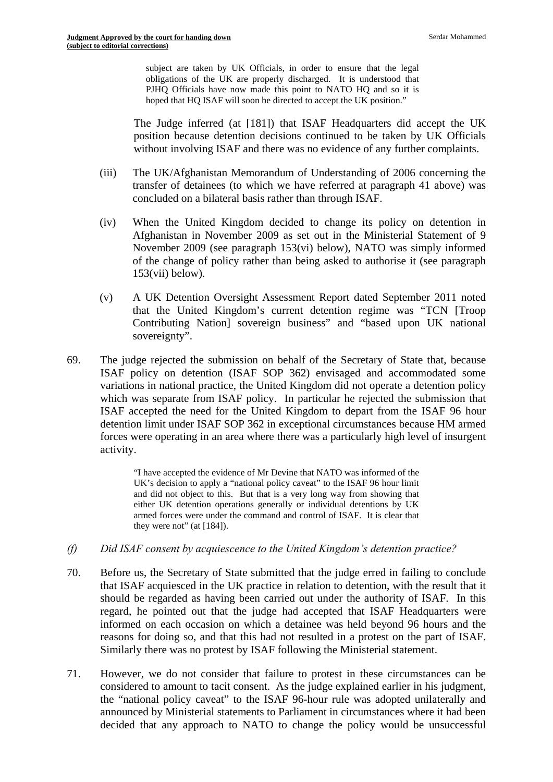subject are taken by UK Officials, in order to ensure that the legal obligations of the UK are properly discharged. It is understood that PJHQ Officials have now made this point to NATO HQ and so it is hoped that HQ ISAF will soon be directed to accept the UK position."

The Judge inferred (at [181]) that ISAF Headquarters did accept the UK position because detention decisions continued to be taken by UK Officials without involving ISAF and there was no evidence of any further complaints.

- (iii) The UK/Afghanistan Memorandum of Understanding of 2006 concerning the transfer of detainees (to which we have referred at paragraph 41 above) was concluded on a bilateral basis rather than through ISAF.
- (iv) When the United Kingdom decided to change its policy on detention in Afghanistan in November 2009 as set out in the Ministerial Statement of 9 November 2009 (see paragraph 153(vi) below), NATO was simply informed of the change of policy rather than being asked to authorise it (see paragraph  $153(vii)$  below).
- (v) A UK Detention Oversight Assessment Report dated September 2011 noted that the United Kingdom's current detention regime was "TCN [Troop Contributing Nation] sovereign business" and "based upon UK national sovereignty".
- 69. The judge rejected the submission on behalf of the Secretary of State that, because ISAF policy on detention (ISAF SOP 362) envisaged and accommodated some variations in national practice, the United Kingdom did not operate a detention policy which was separate from ISAF policy. In particular he rejected the submission that ISAF accepted the need for the United Kingdom to depart from the ISAF 96 hour detention limit under ISAF SOP 362 in exceptional circumstances because HM armed forces were operating in an area where there was a particularly high level of insurgent activity.

 UK's decision to apply a "national policy caveat" to the ISAF 96 hour limit "I have accepted the evidence of Mr Devine that NATO was informed of the and did not object to this. But that is a very long way from showing that either UK detention operations generally or individual detentions by UK armed forces were under the command and control of ISAF. It is clear that they were not" (at [184]).

- *(f) Did ISAF consent by acquiescence to the United Kingdom's detention practice?*
- 70. Before us, the Secretary of State submitted that the judge erred in failing to conclude that ISAF acquiesced in the UK practice in relation to detention, with the result that it should be regarded as having been carried out under the authority of ISAF. In this regard, he pointed out that the judge had accepted that ISAF Headquarters were informed on each occasion on which a detainee was held beyond 96 hours and the reasons for doing so, and that this had not resulted in a protest on the part of ISAF. Similarly there was no protest by ISAF following the Ministerial statement.
- 71. However, we do not consider that failure to protest in these circumstances can be considered to amount to tacit consent. As the judge explained earlier in his judgment, the "national policy caveat" to the ISAF 96-hour rule was adopted unilaterally and announced by Ministerial statements to Parliament in circumstances where it had been decided that any approach to NATO to change the policy would be unsuccessful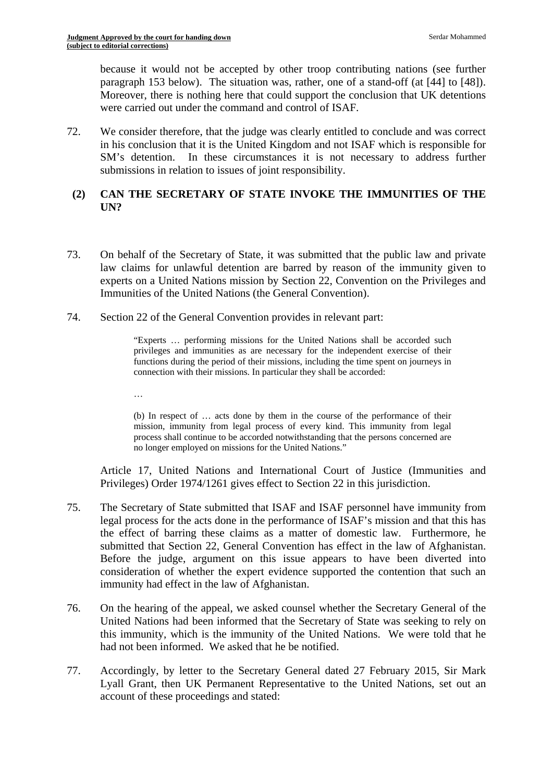because it would not be accepted by other troop contributing nations (see further paragraph 153 below). The situation was, rather, one of a stand-off (at [44] to [48]). Moreover, there is nothing here that could support the conclusion that UK detentions were carried out under the command and control of ISAF.

72. We consider therefore, that the judge was clearly entitled to conclude and was correct in his conclusion that it is the United Kingdom and not ISAF which is responsible for SM's detention. In these circumstances it is not necessary to address further submissions in relation to issues of joint responsibility.

# **(2) CAN THE SECRETARY OF STATE INVOKE THE IMMUNITIES OF THE UN?**

- 73. On behalf of the Secretary of State, it was submitted that the public law and private law claims for unlawful detention are barred by reason of the immunity given to experts on a United Nations mission by Section 22, Convention on the Privileges and Immunities of the United Nations (the General Convention).
- 74. Section 22 of the General Convention provides in relevant part:

"Experts … performing missions for the United Nations shall be accorded such privileges and immunities as are necessary for the independent exercise of their functions during the period of their missions, including the time spent on journeys in connection with their missions. In particular they shall be accorded:

…

(b) In respect of … acts done by them in the course of the performance of their mission, immunity from legal process of every kind. This immunity from legal process shall continue to be accorded notwithstanding that the persons concerned are no longer employed on missions for the United Nations."

Article 17, United Nations and International Court of Justice (Immunities and Privileges) Order 1974/1261 gives effect to Section 22 in this jurisdiction.

- 75. The Secretary of State submitted that ISAF and ISAF personnel have immunity from legal process for the acts done in the performance of ISAF's mission and that this has the effect of barring these claims as a matter of domestic law. Furthermore, he submitted that Section 22, General Convention has effect in the law of Afghanistan. Before the judge, argument on this issue appears to have been diverted into consideration of whether the expert evidence supported the contention that such an immunity had effect in the law of Afghanistan.
- 76. On the hearing of the appeal, we asked counsel whether the Secretary General of the United Nations had been informed that the Secretary of State was seeking to rely on this immunity, which is the immunity of the United Nations. We were told that he had not been informed. We asked that he be notified.
- 77. Accordingly, by letter to the Secretary General dated 27 February 2015, Sir Mark Lyall Grant, then UK Permanent Representative to the United Nations, set out an account of these proceedings and stated: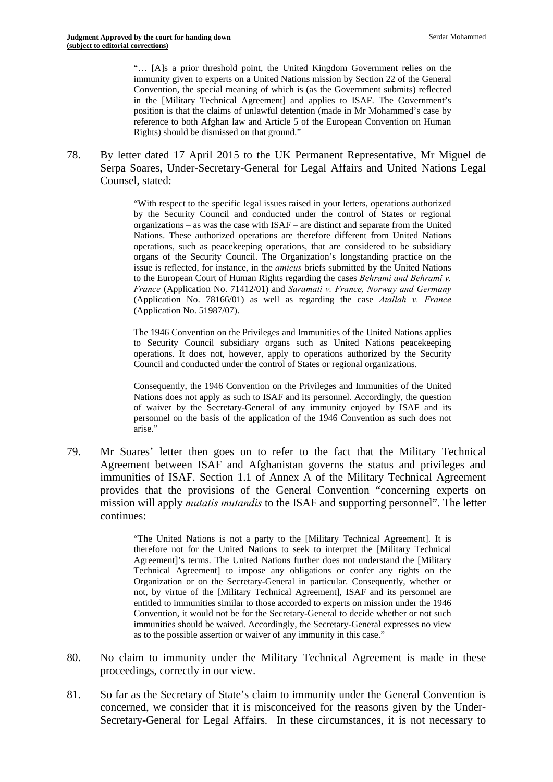position is that the claims of unlawful detention (made in Mr Mohammed's case by reference to both Afghan law and Article 5 of the European Convention on Human Rights) should be dismissed on that ground." "… [A]s a prior threshold point, the United Kingdom Government relies on the immunity given to experts on a United Nations mission by Section 22 of the General Convention, the special meaning of which is (as the Government submits) reflected in the [Military Technical Agreement] and applies to ISAF. The Government's

78. By letter dated 17 April 2015 to the UK Permanent Representative, Mr Miguel de Serpa Soares, Under-Secretary-General for Legal Affairs and United Nations Legal Counsel, stated:

> "With respect to the specific legal issues raised in your letters, operations authorized by the Security Council and conducted under the control of States or regional organizations – as was the case with ISAF – are distinct and separate from the United Nations. These authorized operations are therefore different from United Nations operations, such as peacekeeping operations, that are considered to be subsidiary organs of the Security Council. The Organization's longstanding practice on the issue is reflected, for instance, in the *amicus* briefs submitted by the United Nations to the European Court of Human Rights regarding the cases *Behrami and Behrami v. France* (Application No. 71412/01) and *Saramati v. France, Norway and Germany*  (Application No. 78166/01) as well as regarding the case *Atallah v. France*  (Application No. 51987/07).

> Council and conducted under the control of States or regional organizations. The 1946 Convention on the Privileges and Immunities of the United Nations applies to Security Council subsidiary organs such as United Nations peacekeeping operations. It does not, however, apply to operations authorized by the Security

> personnel on the basis of the application of the 1946 Convention as such does not Consequently, the 1946 Convention on the Privileges and Immunities of the United Nations does not apply as such to ISAF and its personnel. Accordingly, the question of waiver by the Secretary-General of any immunity enjoyed by ISAF and its arise."

79. Mr Soares' letter then goes on to refer to the fact that the Military Technical Agreement between ISAF and Afghanistan governs the status and privileges and immunities of ISAF. Section 1.1 of Annex A of the Military Technical Agreement provides that the provisions of the General Convention "concerning experts on mission will apply *mutatis mutandis* to the ISAF and supporting personnel". The letter continues:

> as to the possible assertion or waiver of any immunity in this case." "The United Nations is not a party to the [Military Technical Agreement]. It is therefore not for the United Nations to seek to interpret the [Military Technical Agreement]'s terms. The United Nations further does not understand the [Military Technical Agreement] to impose any obligations or confer any rights on the Organization or on the Secretary-General in particular. Consequently, whether or not, by virtue of the [Military Technical Agreement], ISAF and its personnel are entitled to immunities similar to those accorded to experts on mission under the 1946 Convention, it would not be for the Secretary-General to decide whether or not such immunities should be waived. Accordingly, the Secretary-General expresses no view

- 80. No claim to immunity under the Military Technical Agreement is made in these proceedings, correctly in our view.
- 81. So far as the Secretary of State's claim to immunity under the General Convention is concerned, we consider that it is misconceived for the reasons given by the Under-Secretary-General for Legal Affairs. In these circumstances, it is not necessary to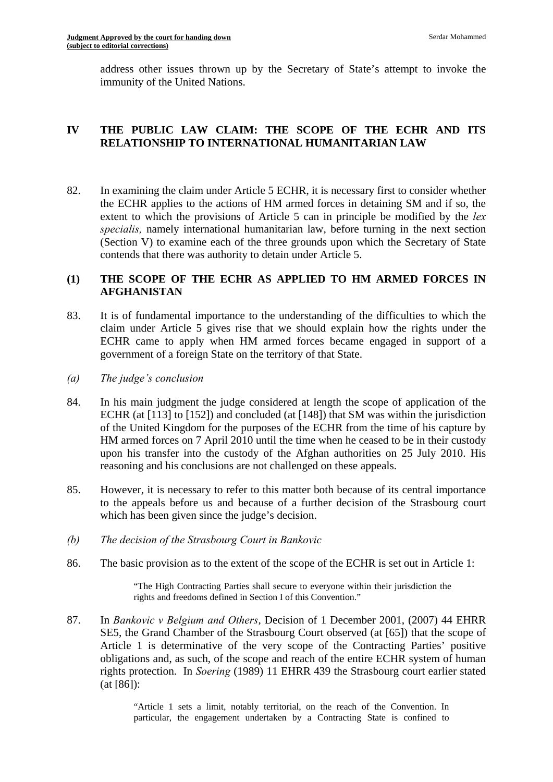address other issues thrown up by the Secretary of State's attempt to invoke the immunity of the United Nations.

# **IV THE PUBLIC LAW CLAIM: THE SCOPE OF THE ECHR AND ITS RELATIONSHIP TO INTERNATIONAL HUMANITARIAN LAW**

82. In examining the claim under Article 5 ECHR, it is necessary first to consider whether the ECHR applies to the actions of HM armed forces in detaining SM and if so, the extent to which the provisions of Article 5 can in principle be modified by the *lex specialis,* namely international humanitarian law, before turning in the next section (Section V) to examine each of the three grounds upon which the Secretary of State contends that there was authority to detain under Article 5.

# **(1) THE SCOPE OF THE ECHR AS APPLIED TO HM ARMED FORCES IN AFGHANISTAN**

- 83. It is of fundamental importance to the understanding of the difficulties to which the claim under Article 5 gives rise that we should explain how the rights under the ECHR came to apply when HM armed forces became engaged in support of a government of a foreign State on the territory of that State.
- *(a) The judge's conclusion*
- 84. In his main judgment the judge considered at length the scope of application of the ECHR (at [113] to [152]) and concluded (at [148]) that SM was within the jurisdiction of the United Kingdom for the purposes of the ECHR from the time of his capture by HM armed forces on 7 April 2010 until the time when he ceased to be in their custody upon his transfer into the custody of the Afghan authorities on 25 July 2010. His reasoning and his conclusions are not challenged on these appeals.
- 85. However, it is necessary to refer to this matter both because of its central importance to the appeals before us and because of a further decision of the Strasbourg court which has been given since the judge's decision.
- *(b) The decision of the Strasbourg Court in Bankovic*
- 86. The basic provision as to the extent of the scope of the ECHR is set out in Article 1:

"The High Contracting Parties shall secure to everyone within their jurisdiction the rights and freedoms defined in Section I of this Convention."

87. In *Bankovic v Belgium and Others*, Decision of 1 December 2001, (2007) 44 EHRR SE5, the Grand Chamber of the Strasbourg Court observed (at [65]) that the scope of Article 1 is determinative of the very scope of the Contracting Parties' positive obligations and, as such, of the scope and reach of the entire ECHR system of human rights protection. In *Soering* (1989) 11 EHRR 439 the Strasbourg court earlier stated (at [86]):

> "Article 1 sets a limit, notably territorial, on the reach of the Convention. In particular, the engagement undertaken by a Contracting State is confined to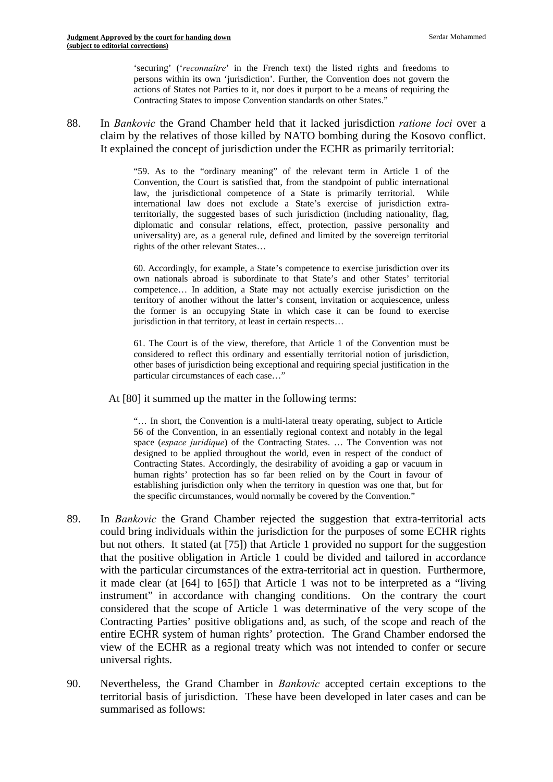'securing' ('*reconnaître*' in the French text) the listed rights and freedoms to persons within its own 'jurisdiction'. Further, the Convention does not govern the actions of States not Parties to it, nor does it purport to be a means of requiring the Contracting States to impose Convention standards on other States."

88. In *Bankovic* the Grand Chamber held that it lacked jurisdiction *ratione loci* over a claim by the relatives of those killed by NATO bombing during the Kosovo conflict. It explained the concept of jurisdiction under the ECHR as primarily territorial:

> "59. As to the "ordinary meaning" of the relevant term in Article 1 of the Convention, the Court is satisfied that, from the standpoint of public international law, the jurisdictional competence of a State is primarily territorial. While international law does not exclude a State's exercise of jurisdiction extraterritorially, the suggested bases of such jurisdiction (including nationality, flag, diplomatic and consular relations, effect, protection, passive personality and universality) are, as a general rule, defined and limited by the sovereign territorial rights of the other relevant States…

> the former is an occupying State in which case it can be found to exercise 60. Accordingly, for example, a State's competence to exercise jurisdiction over its own nationals abroad is subordinate to that State's and other States' territorial competence… In addition, a State may not actually exercise jurisdiction on the territory of another without the latter's consent, invitation or acquiescence, unless jurisdiction in that territory, at least in certain respects…

> considered to reflect this ordinary and essentially territorial notion of jurisdiction, 61. The Court is of the view, therefore, that Article 1 of the Convention must be other bases of jurisdiction being exceptional and requiring special justification in the particular circumstances of each case…"

At [80] it summed up the matter in the following terms:

 Contracting States. Accordingly, the desirability of avoiding a gap or vacuum in "… In short, the Convention is a multi-lateral treaty operating, subject to Article 56 of the Convention, in an essentially regional context and notably in the legal space (*espace juridique*) of the Contracting States. … The Convention was not designed to be applied throughout the world, even in respect of the conduct of human rights' protection has so far been relied on by the Court in favour of establishing jurisdiction only when the territory in question was one that, but for the specific circumstances, would normally be covered by the Convention."

- 89. In *Bankovic* the Grand Chamber rejected the suggestion that extra-territorial acts could bring individuals within the jurisdiction for the purposes of some ECHR rights but not others. It stated (at [75]) that Article 1 provided no support for the suggestion that the positive obligation in Article 1 could be divided and tailored in accordance with the particular circumstances of the extra-territorial act in question. Furthermore, it made clear (at [64] to [65]) that Article 1 was not to be interpreted as a "living instrument" in accordance with changing conditions. On the contrary the court considered that the scope of Article 1 was determinative of the very scope of the Contracting Parties' positive obligations and, as such, of the scope and reach of the entire ECHR system of human rights' protection. The Grand Chamber endorsed the view of the ECHR as a regional treaty which was not intended to confer or secure universal rights.
- 90. Nevertheless, the Grand Chamber in *Bankovic* accepted certain exceptions to the territorial basis of jurisdiction. These have been developed in later cases and can be summarised as follows: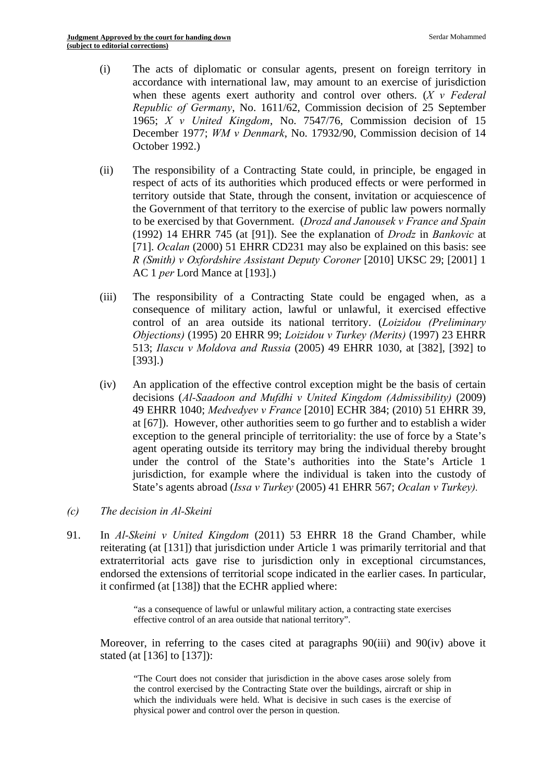- (i) The acts of diplomatic or consular agents, present on foreign territory in accordance with international law, may amount to an exercise of jurisdiction when these agents exert authority and control over others. (*X v Federal Republic of Germany*, No. 1611/62, Commission decision of 25 September 1965; *X v United Kingdom*, No. 7547/76, Commission decision of 15 December 1977; *WM v Denmark*, No. 17932/90, Commission decision of 14 October 1992.)
- (ii) The responsibility of a Contracting State could, in principle, be engaged in respect of acts of its authorities which produced effects or were performed in territory outside that State, through the consent, invitation or acquiescence of the Government of that territory to the exercise of public law powers normally to be exercised by that Government. (*Drozd and Janousek v France and Spain*  (1992) 14 EHRR 745 (at [91]). See the explanation of *Drodz* in *Bankovic* at [71]. *Ocalan* (2000) 51 EHRR CD231 may also be explained on this basis: see *R (Smith) v Oxfordshire Assistant Deputy Coroner* [2010] UKSC 29; [2001] 1 AC 1 *per* Lord Mance at [193].)
- (iii) The responsibility of a Contracting State could be engaged when, as a consequence of military action, lawful or unlawful, it exercised effective control of an area outside its national territory. (*Loizidou (Preliminary Objections)* (1995) 20 EHRR 99; *Loizidou v Turkey (Merits)* (1997) 23 EHRR 513; *Ilascu v Moldova and Russia* (2005) 49 EHRR 1030, at [382], [392] to [393].)
- (iv) An application of the effective control exception might be the basis of certain decisions (*Al-Saadoon and Mufdhi v United Kingdom (Admissibility)* (2009) 49 EHRR 1040; *Medvedyev v France* [2010] ECHR 384; (2010) 51 EHRR 39, at [67]). However, other authorities seem to go further and to establish a wider exception to the general principle of territoriality: the use of force by a State's agent operating outside its territory may bring the individual thereby brought under the control of the State's authorities into the State's Article 1 jurisdiction, for example where the individual is taken into the custody of State's agents abroad (*Issa v Turkey* (2005) 41 EHRR 567; *Ocalan v Turkey).*
- *(c) The decision in Al-Skeini*
- 91. In *Al-Skeini v United Kingdom* (2011) 53 EHRR 18 the Grand Chamber, while reiterating (at [131]) that jurisdiction under Article 1 was primarily territorial and that extraterritorial acts gave rise to jurisdiction only in exceptional circumstances, endorsed the extensions of territorial scope indicated in the earlier cases. In particular, it confirmed (at [138]) that the ECHR applied where:

"as a consequence of lawful or unlawful military action, a contracting state exercises effective control of an area outside that national territory".

Moreover, in referring to the cases cited at paragraphs 90(iii) and 90(iv) above it stated (at [136] to [137]):

 physical power and control over the person in question. "The Court does not consider that jurisdiction in the above cases arose solely from the control exercised by the Contracting State over the buildings, aircraft or ship in which the individuals were held. What is decisive in such cases is the exercise of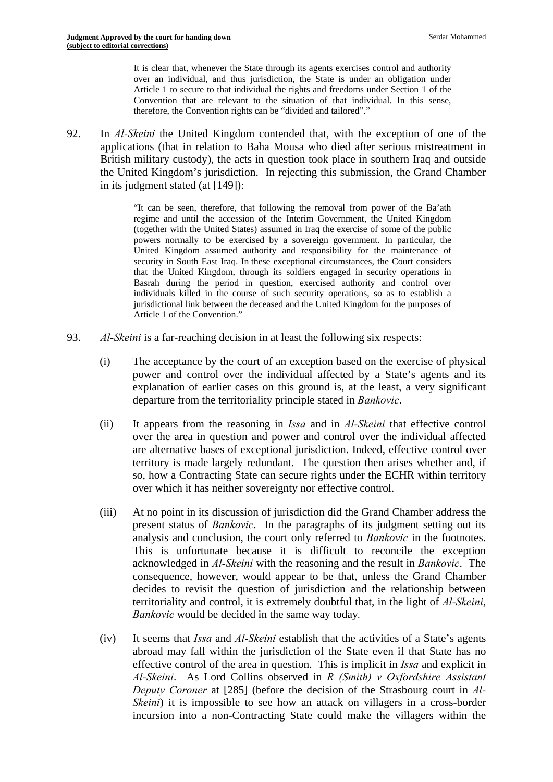over an individual, and thus jurisdiction, the State is under an obligation under It is clear that, whenever the State through its agents exercises control and authority Article 1 to secure to that individual the rights and freedoms under Section 1 of the Convention that are relevant to the situation of that individual. In this sense, therefore, the Convention rights can be "divided and tailored"."

92. In *Al-Skeini* the United Kingdom contended that, with the exception of one of the applications (that in relation to Baha Mousa who died after serious mistreatment in British military custody), the acts in question took place in southern Iraq and outside the United Kingdom's jurisdiction. In rejecting this submission, the Grand Chamber in its judgment stated (at [149]):

> "It can be seen, therefore, that following the removal from power of the Ba'ath regime and until the accession of the Interim Government, the United Kingdom (together with the United States) assumed in Iraq the exercise of some of the public powers normally to be exercised by a sovereign government. In particular, the United Kingdom assumed authority and responsibility for the maintenance of security in South East Iraq. In these exceptional circumstances, the Court considers that the United Kingdom, through its soldiers engaged in security operations in Basrah during the period in question, exercised authority and control over individuals killed in the course of such security operations, so as to establish a jurisdictional link between the deceased and the United Kingdom for the purposes of Article 1 of the Convention."

- 93. *Al-Skeini* is a far-reaching decision in at least the following six respects:
	- (i) The acceptance by the court of an exception based on the exercise of physical power and control over the individual affected by a State's agents and its explanation of earlier cases on this ground is, at the least, a very significant departure from the territoriality principle stated in *Bankovic*.
	- (ii) It appears from the reasoning in *Issa* and in *Al-Skeini* that effective control over the area in question and power and control over the individual affected are alternative bases of exceptional jurisdiction. Indeed, effective control over territory is made largely redundant. The question then arises whether and, if so, how a Contracting State can secure rights under the ECHR within territory over which it has neither sovereignty nor effective control.
	- (iii) At no point in its discussion of jurisdiction did the Grand Chamber address the present status of *Bankovic*. In the paragraphs of its judgment setting out its analysis and conclusion, the court only referred to *Bankovic* in the footnotes. This is unfortunate because it is difficult to reconcile the exception acknowledged in *Al-Skeini* with the reasoning and the result in *Bankovic*. The consequence, however, would appear to be that, unless the Grand Chamber decides to revisit the question of jurisdiction and the relationship between territoriality and control, it is extremely doubtful that, in the light of *Al-Skeini*, *Bankovic* would be decided in the same way today*.*
	- (iv) It seems that *Issa* and *Al-Skeini* establish that the activities of a State's agents abroad may fall within the jurisdiction of the State even if that State has no effective control of the area in question. This is implicit in *Issa* and explicit in *Al-Skeini*. As Lord Collins observed in *R (Smith) v Oxfordshire Assistant Deputy Coroner* at [285] (before the decision of the Strasbourg court in *Al-Skeini*) it is impossible to see how an attack on villagers in a cross-border incursion into a non-Contracting State could make the villagers within the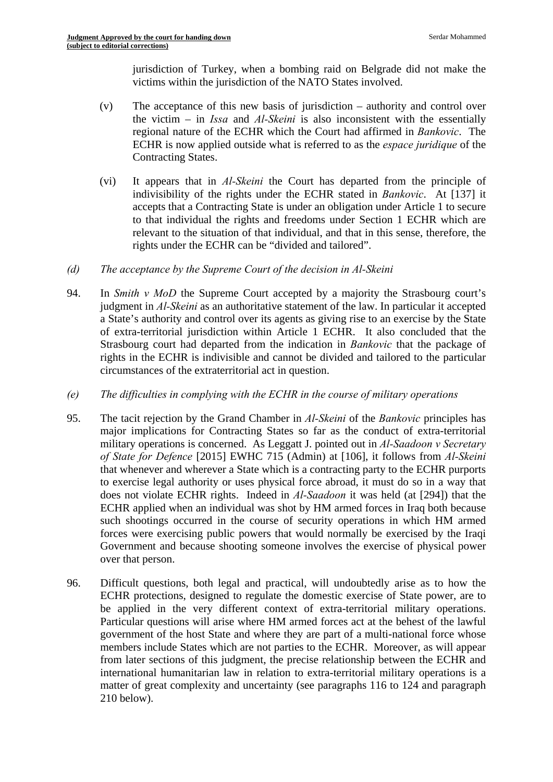jurisdiction of Turkey, when a bombing raid on Belgrade did not make the victims within the jurisdiction of the NATO States involved.

- $(v)$  The acceptance of this new basis of jurisdiction authority and control over the victim – in *Issa* and *Al-Skeini* is also inconsistent with the essentially regional nature of the ECHR which the Court had affirmed in *Bankovic*. The ECHR is now applied outside what is referred to as the *espace juridique* of the Contracting States.
- (vi) It appears that in *Al-Skeini* the Court has departed from the principle of indivisibility of the rights under the ECHR stated in *Bankovic*. At [137] it accepts that a Contracting State is under an obligation under Article 1 to secure to that individual the rights and freedoms under Section 1 ECHR which are relevant to the situation of that individual, and that in this sense, therefore, the rights under the ECHR can be "divided and tailored".
- *(d) The acceptance by the Supreme Court of the decision in Al-Skeini*
- 94. In *Smith v MoD* the Supreme Court accepted by a majority the Strasbourg court's judgment in *Al-Skeini* as an authoritative statement of the law. In particular it accepted a State's authority and control over its agents as giving rise to an exercise by the State of extra-territorial jurisdiction within Article 1 ECHR. It also concluded that the Strasbourg court had departed from the indication in *Bankovic* that the package of rights in the ECHR is indivisible and cannot be divided and tailored to the particular circumstances of the extraterritorial act in question.
- *(e) The difficulties in complying with the ECHR in the course of military operations*
- 95. The tacit rejection by the Grand Chamber in *Al-Skeini* of the *Bankovic* principles has major implications for Contracting States so far as the conduct of extra-territorial military operations is concerned. As Leggatt J. pointed out in *Al-Saadoon v Secretary of State for Defence* [2015] EWHC 715 (Admin) at [106], it follows from *Al-Skeini*  that whenever and wherever a State which is a contracting party to the ECHR purports to exercise legal authority or uses physical force abroad, it must do so in a way that does not violate ECHR rights. Indeed in *Al-Saadoon* it was held (at [294]) that the ECHR applied when an individual was shot by HM armed forces in Iraq both because such shootings occurred in the course of security operations in which HM armed forces were exercising public powers that would normally be exercised by the Iraqi Government and because shooting someone involves the exercise of physical power over that person.
- be applied in the very different context of extra-territorial military operations. 96. Difficult questions, both legal and practical, will undoubtedly arise as to how the ECHR protections, designed to regulate the domestic exercise of State power, are to Particular questions will arise where HM armed forces act at the behest of the lawful government of the host State and where they are part of a multi-national force whose members include States which are not parties to the ECHR. Moreover, as will appear from later sections of this judgment, the precise relationship between the ECHR and international humanitarian law in relation to extra-territorial military operations is a matter of great complexity and uncertainty (see paragraphs 116 to 124 and paragraph 210 below).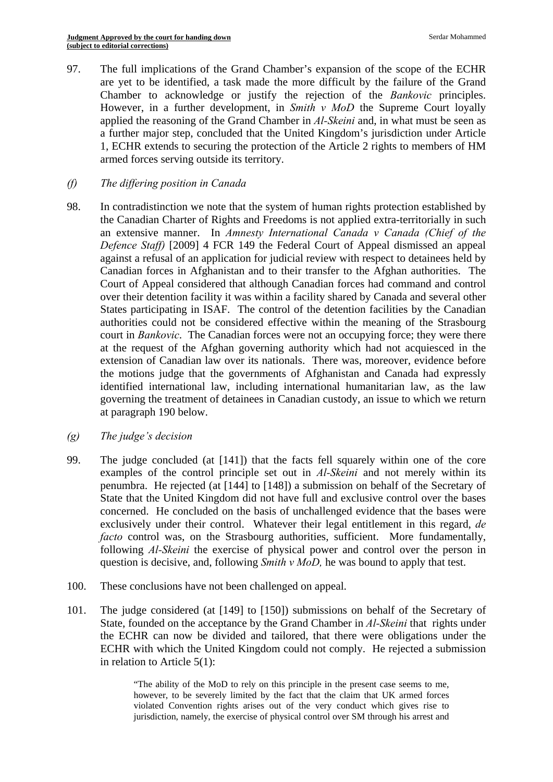97. The full implications of the Grand Chamber's expansion of the scope of the ECHR are yet to be identified, a task made the more difficult by the failure of the Grand Chamber to acknowledge or justify the rejection of the *Bankovic* principles. However, in a further development, in *Smith v MoD* the Supreme Court loyally applied the reasoning of the Grand Chamber in *Al-Skeini* and, in what must be seen as a further major step, concluded that the United Kingdom's jurisdiction under Article 1, ECHR extends to securing the protection of the Article 2 rights to members of HM armed forces serving outside its territory.

# *(f) The differing position in Canada*

- 98. In contradistinction we note that the system of human rights protection established by the Canadian Charter of Rights and Freedoms is not applied extra-territorially in such an extensive manner. In *Amnesty International Canada v Canada (Chief of the Defence Staff)* [2009] 4 FCR 149 the Federal Court of Appeal dismissed an appeal against a refusal of an application for judicial review with respect to detainees held by Canadian forces in Afghanistan and to their transfer to the Afghan authorities. The Court of Appeal considered that although Canadian forces had command and control over their detention facility it was within a facility shared by Canada and several other States participating in ISAF. The control of the detention facilities by the Canadian authorities could not be considered effective within the meaning of the Strasbourg court in *Bankovic*. The Canadian forces were not an occupying force; they were there at the request of the Afghan governing authority which had not acquiesced in the extension of Canadian law over its nationals. There was, moreover, evidence before the motions judge that the governments of Afghanistan and Canada had expressly identified international law, including international humanitarian law, as the law governing the treatment of detainees in Canadian custody, an issue to which we return at paragraph 190 below.
- *(g) The judge's decision*
- 99. The judge concluded (at [141]) that the facts fell squarely within one of the core examples of the control principle set out in *Al-Skeini* and not merely within its penumbra. He rejected (at [144] to [148]) a submission on behalf of the Secretary of State that the United Kingdom did not have full and exclusive control over the bases concerned. He concluded on the basis of unchallenged evidence that the bases were exclusively under their control. Whatever their legal entitlement in this regard, *de facto* control was, on the Strasbourg authorities, sufficient. More fundamentally, following *Al-Skeini* the exercise of physical power and control over the person in question is decisive, and, following *Smith v MoD,* he was bound to apply that test.
- 100. These conclusions have not been challenged on appeal.
- 101. The judge considered (at [149] to [150]) submissions on behalf of the Secretary of State, founded on the acceptance by the Grand Chamber in *Al-Skeini* that rights under the ECHR can now be divided and tailored, that there were obligations under the ECHR with which the United Kingdom could not comply. He rejected a submission in relation to Article 5(1):

 "The ability of the MoD to rely on this principle in the present case seems to me, however, to be severely limited by the fact that the claim that UK armed forces violated Convention rights arises out of the very conduct which gives rise to jurisdiction, namely, the exercise of physical control over SM through his arrest and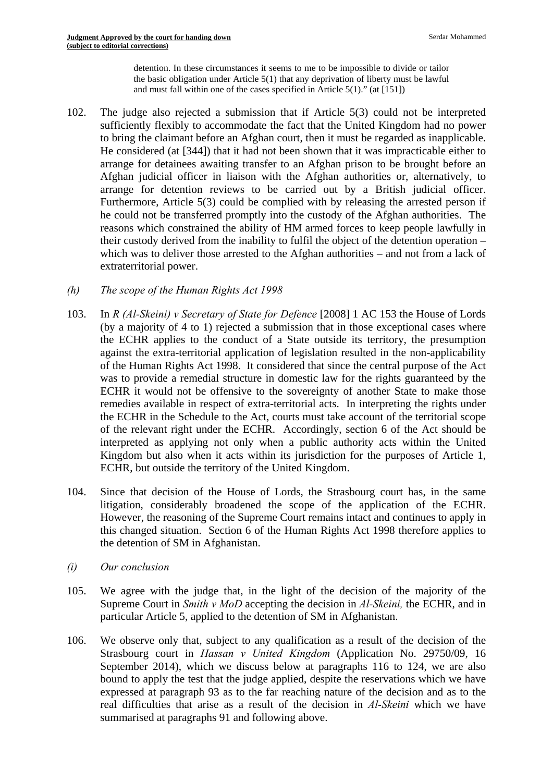detention. In these circumstances it seems to me to be impossible to divide or tailor the basic obligation under Article 5(1) that any deprivation of liberty must be lawful and must fall within one of the cases specified in Article 5(1)." (at [151])

- 102. The judge also rejected a submission that if Article 5(3) could not be interpreted sufficiently flexibly to accommodate the fact that the United Kingdom had no power to bring the claimant before an Afghan court, then it must be regarded as inapplicable. He considered (at [344]) that it had not been shown that it was impracticable either to arrange for detainees awaiting transfer to an Afghan prison to be brought before an Afghan judicial officer in liaison with the Afghan authorities or, alternatively, to arrange for detention reviews to be carried out by a British judicial officer. Furthermore, Article 5(3) could be complied with by releasing the arrested person if he could not be transferred promptly into the custody of the Afghan authorities. The reasons which constrained the ability of HM armed forces to keep people lawfully in their custody derived from the inability to fulfil the object of the detention operation – which was to deliver those arrested to the Afghan authorities – and not from a lack of extraterritorial power.
- $(h)$ *The scope of the Human Rights Act 1998*
- ECHR, but outside the territory of the United Kingdom. 103. In *R (Al-Skeini) v Secretary of State for Defence* [2008] 1 AC 153 the House of Lords (by a majority of 4 to 1) rejected a submission that in those exceptional cases where the ECHR applies to the conduct of a State outside its territory, the presumption against the extra-territorial application of legislation resulted in the non-applicability of the Human Rights Act 1998. It considered that since the central purpose of the Act was to provide a remedial structure in domestic law for the rights guaranteed by the ECHR it would not be offensive to the sovereignty of another State to make those remedies available in respect of extra-territorial acts. In interpreting the rights under the ECHR in the Schedule to the Act, courts must take account of the territorial scope of the relevant right under the ECHR. Accordingly, section 6 of the Act should be interpreted as applying not only when a public authority acts within the United Kingdom but also when it acts within its jurisdiction for the purposes of Article 1,
- 104. Since that decision of the House of Lords, the Strasbourg court has, in the same litigation, considerably broadened the scope of the application of the ECHR. However, the reasoning of the Supreme Court remains intact and continues to apply in this changed situation. Section 6 of the Human Rights Act 1998 therefore applies to the detention of SM in Afghanistan.
- *(i) Our conclusion*
- 105. We agree with the judge that, in the light of the decision of the majority of the Supreme Court in *Smith v MoD* accepting the decision in *Al-Skeini,* the ECHR, and in particular Article 5, applied to the detention of SM in Afghanistan.
- 106. We observe only that, subject to any qualification as a result of the decision of the Strasbourg court in *Hassan v United Kingdom* (Application No. 29750/09, 16 September 2014), which we discuss below at paragraphs 116 to 124, we are also bound to apply the test that the judge applied, despite the reservations which we have expressed at paragraph 93 as to the far reaching nature of the decision and as to the real difficulties that arise as a result of the decision in *Al-Skeini* which we have summarised at paragraphs 91 and following above.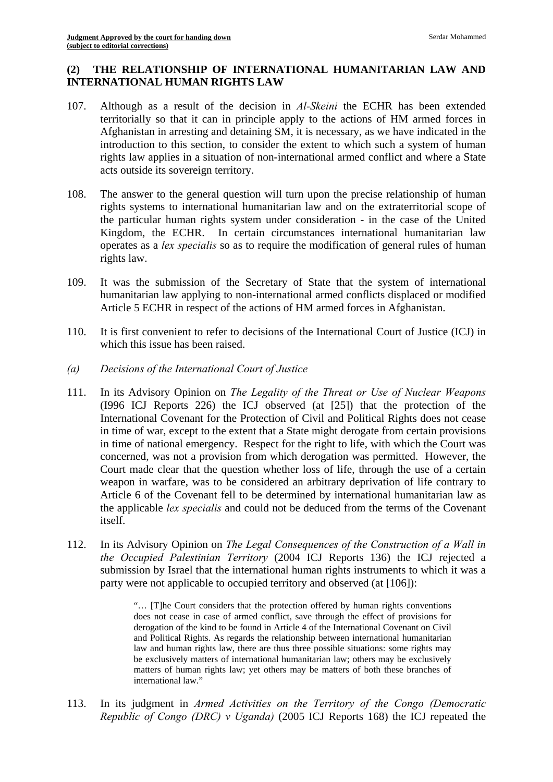# **(2) THE RELATIONSHIP OF INTERNATIONAL HUMANITARIAN LAW AND INTERNATIONAL HUMAN RIGHTS LAW**

- 107. Although as a result of the decision in *Al-Skeini* the ECHR has been extended territorially so that it can in principle apply to the actions of HM armed forces in Afghanistan in arresting and detaining SM, it is necessary, as we have indicated in the introduction to this section, to consider the extent to which such a system of human rights law applies in a situation of non-international armed conflict and where a State acts outside its sovereign territory.
- 108. The answer to the general question will turn upon the precise relationship of human rights systems to international humanitarian law and on the extraterritorial scope of the particular human rights system under consideration - in the case of the United Kingdom, the ECHR. In certain circumstances international humanitarian law operates as a *lex specialis* so as to require the modification of general rules of human rights law.
- 109. It was the submission of the Secretary of State that the system of international humanitarian law applying to non-international armed conflicts displaced or modified Article 5 ECHR in respect of the actions of HM armed forces in Afghanistan.
- 110. It is first convenient to refer to decisions of the International Court of Justice (ICJ) in which this issue has been raised.
- *(a) Decisions of the International Court of Justice*
- 111. In its Advisory Opinion on *The Legality of the Threat or Use of Nuclear Weapons*  (I996 ICJ Reports 226) the ICJ observed (at [25]) that the protection of the International Covenant for the Protection of Civil and Political Rights does not cease in time of war, except to the extent that a State might derogate from certain provisions in time of national emergency. Respect for the right to life, with which the Court was concerned, was not a provision from which derogation was permitted. However, the Court made clear that the question whether loss of life, through the use of a certain weapon in warfare, was to be considered an arbitrary deprivation of life contrary to Article 6 of the Covenant fell to be determined by international humanitarian law as the applicable *lex specialis* and could not be deduced from the terms of the Covenant itself.
- 112. In its Advisory Opinion on *The Legal Consequences of the Construction of a Wall in the Occupied Palestinian Territory* (2004 ICJ Reports 136) the ICJ rejected a submission by Israel that the international human rights instruments to which it was a party were not applicable to occupied territory and observed (at [106]):

 matters of human rights law; yet others may be matters of both these branches of "… [T]he Court considers that the protection offered by human rights conventions does not cease in case of armed conflict, save through the effect of provisions for derogation of the kind to be found in Article 4 of the International Covenant on Civil and Political Rights. As regards the relationship between international humanitarian law and human rights law, there are thus three possible situations: some rights may be exclusively matters of international humanitarian law; others may be exclusively international law."

113. In its judgment in *Armed Activities on the Territory of the Congo (Democratic Republic of Congo (DRC) v Uganda)* (2005 ICJ Reports 168) the ICJ repeated the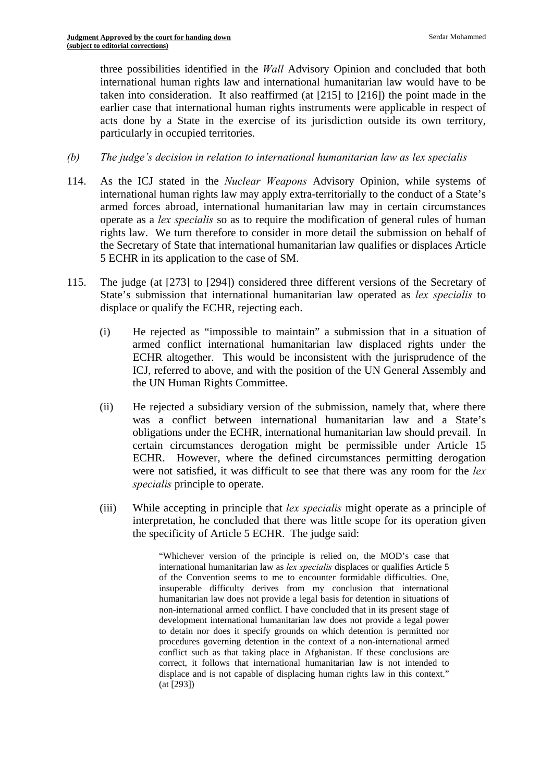three possibilities identified in the *Wall* Advisory Opinion and concluded that both international human rights law and international humanitarian law would have to be taken into consideration. It also reaffirmed (at [215] to [216]) the point made in the earlier case that international human rights instruments were applicable in respect of acts done by a State in the exercise of its jurisdiction outside its own territory, particularly in occupied territories.

- *(b) The judge's decision in relation to international humanitarian law as lex specialis*
- 114. As the ICJ stated in the *Nuclear Weapons* Advisory Opinion, while systems of international human rights law may apply extra-territorially to the conduct of a State's armed forces abroad, international humanitarian law may in certain circumstances operate as a *lex specialis* so as to require the modification of general rules of human rights law. We turn therefore to consider in more detail the submission on behalf of the Secretary of State that international humanitarian law qualifies or displaces Article 5 ECHR in its application to the case of SM.
- 115. The judge (at [273] to [294]) considered three different versions of the Secretary of State's submission that international humanitarian law operated as *lex specialis* to displace or qualify the ECHR, rejecting each.
	- (i) He rejected as "impossible to maintain" a submission that in a situation of armed conflict international humanitarian law displaced rights under the ECHR altogether. This would be inconsistent with the jurisprudence of the ICJ, referred to above, and with the position of the UN General Assembly and the UN Human Rights Committee.
	- (ii) He rejected a subsidiary version of the submission, namely that, where there was a conflict between international humanitarian law and a State's obligations under the ECHR, international humanitarian law should prevail. In certain circumstances derogation might be permissible under Article 15 ECHR. However, where the defined circumstances permitting derogation were not satisfied, it was difficult to see that there was any room for the *lex specialis* principle to operate.
	- (iii) While accepting in principle that *lex specialis* might operate as a principle of interpretation, he concluded that there was little scope for its operation given the specificity of Article 5 ECHR. The judge said:

"Whichever version of the principle is relied on, the MOD's case that international humanitarian law as *lex specialis* displaces or qualifies Article 5 of the Convention seems to me to encounter formidable difficulties. One, insuperable difficulty derives from my conclusion that international humanitarian law does not provide a legal basis for detention in situations of non-international armed conflict. I have concluded that in its present stage of development international humanitarian law does not provide a legal power to detain nor does it specify grounds on which detention is permitted nor procedures governing detention in the context of a non-international armed conflict such as that taking place in Afghanistan. If these conclusions are correct, it follows that international humanitarian law is not intended to displace and is not capable of displacing human rights law in this context." (at [293])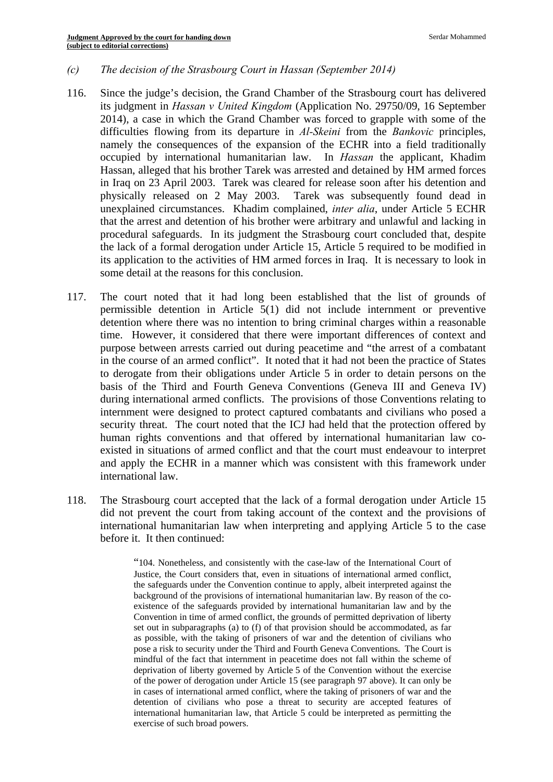#### *(c) The decision of the Strasbourg Court in Hassan (September 2014)*

- 116. Since the judge's decision, the Grand Chamber of the Strasbourg court has delivered its judgment in *Hassan v United Kingdom* (Application No. 29750/09, 16 September 2014), a case in which the Grand Chamber was forced to grapple with some of the difficulties flowing from its departure in *Al-Skeini* from the *Bankovic* principles, namely the consequences of the expansion of the ECHR into a field traditionally occupied by international humanitarian law. In *Hassan* the applicant, Khadim Hassan, alleged that his brother Tarek was arrested and detained by HM armed forces in Iraq on 23 April 2003. Tarek was cleared for release soon after his detention and physically released on 2 May 2003. Tarek was subsequently found dead in unexplained circumstances. Khadim complained, *inter alia*, under Article 5 ECHR that the arrest and detention of his brother were arbitrary and unlawful and lacking in procedural safeguards. In its judgment the Strasbourg court concluded that, despite the lack of a formal derogation under Article 15, Article 5 required to be modified in its application to the activities of HM armed forces in Iraq. It is necessary to look in some detail at the reasons for this conclusion.
- 117. The court noted that it had long been established that the list of grounds of permissible detention in Article 5(1) did not include internment or preventive detention where there was no intention to bring criminal charges within a reasonable time. However, it considered that there were important differences of context and purpose between arrests carried out during peacetime and "the arrest of a combatant in the course of an armed conflict". It noted that it had not been the practice of States to derogate from their obligations under Article 5 in order to detain persons on the basis of the Third and Fourth Geneva Conventions (Geneva III and Geneva IV) during international armed conflicts. The provisions of those Conventions relating to internment were designed to protect captured combatants and civilians who posed a security threat. The court noted that the ICJ had held that the protection offered by human rights conventions and that offered by international humanitarian law coexisted in situations of armed conflict and that the court must endeavour to interpret and apply the ECHR in a manner which was consistent with this framework under international law.
- 118. The Strasbourg court accepted that the lack of a formal derogation under Article 15 did not prevent the court from taking account of the context and the provisions of international humanitarian law when interpreting and applying Article 5 to the case before it. It then continued:

 existence of the safeguards provided by international humanitarian law and by the of the power of derogation under Article 15 (see paragraph 97 above). It can only be "104. Nonetheless, and consistently with the case-law of the International Court of Justice, the Court considers that, even in situations of international armed conflict, the safeguards under the Convention continue to apply, albeit interpreted against the background of the provisions of international humanitarian law. By reason of the co-Convention in time of armed conflict, the grounds of permitted deprivation of liberty set out in subparagraphs (a) to (f) of that provision should be accommodated, as far as possible, with the taking of prisoners of war and the detention of civilians who pose a risk to security under the Third and Fourth Geneva Conventions. The Court is mindful of the fact that internment in peacetime does not fall within the scheme of deprivation of liberty governed by Article 5 of the Convention without the exercise in cases of international armed conflict, where the taking of prisoners of war and the detention of civilians who pose a threat to security are accepted features of international humanitarian law, that Article 5 could be interpreted as permitting the exercise of such broad powers.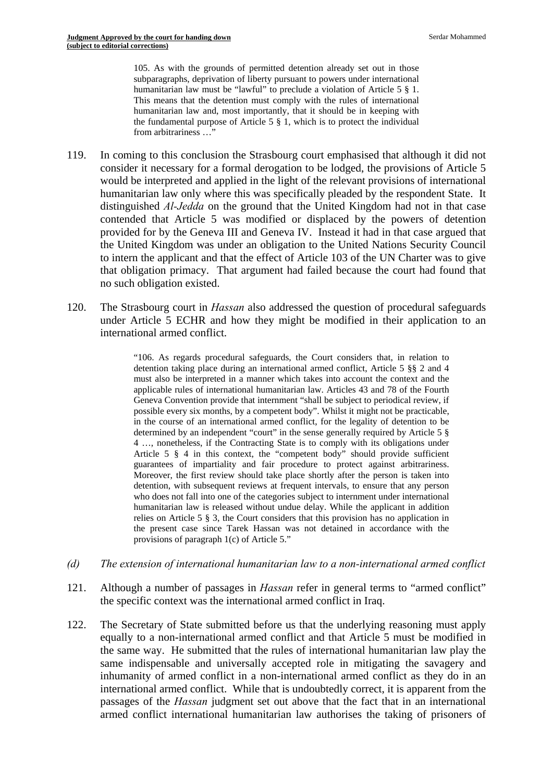105. As with the grounds of permitted detention already set out in those humanitarian law and, most importantly, that it should be in keeping with the fundamental purpose of Article  $5 \S 1$ , which is to protect the individual subparagraphs, deprivation of liberty pursuant to powers under international humanitarian law must be "lawful" to preclude a violation of Article 5 § 1. This means that the detention must comply with the rules of international from arbitrariness …"

- 119. In coming to this conclusion the Strasbourg court emphasised that although it did not consider it necessary for a formal derogation to be lodged, the provisions of Article 5 would be interpreted and applied in the light of the relevant provisions of international humanitarian law only where this was specifically pleaded by the respondent State. It distinguished *Al-Jedda* on the ground that the United Kingdom had not in that case contended that Article 5 was modified or displaced by the powers of detention provided for by the Geneva III and Geneva IV. Instead it had in that case argued that the United Kingdom was under an obligation to the United Nations Security Council to intern the applicant and that the effect of Article 103 of the UN Charter was to give that obligation primacy. That argument had failed because the court had found that no such obligation existed.
- 120. The Strasbourg court in *Hassan* also addressed the question of procedural safeguards under Article 5 ECHR and how they might be modified in their application to an international armed conflict.

 "106. As regards procedural safeguards, the Court considers that, in relation to guarantees of impartiality and fair procedure to protect against arbitrariness. detention taking place during an international armed conflict, Article 5 §§ 2 and 4 must also be interpreted in a manner which takes into account the context and the applicable rules of international humanitarian law. Articles 43 and 78 of the Fourth Geneva Convention provide that internment "shall be subject to periodical review, if possible every six months, by a competent body". Whilst it might not be practicable, in the course of an international armed conflict, for the legality of detention to be determined by an independent "court" in the sense generally required by Article 5 § 4 …, nonetheless, if the Contracting State is to comply with its obligations under Article 5 § 4 in this context, the "competent body" should provide sufficient Moreover, the first review should take place shortly after the person is taken into detention, with subsequent reviews at frequent intervals, to ensure that any person who does not fall into one of the categories subject to internment under international humanitarian law is released without undue delay. While the applicant in addition relies on Article 5 § 3, the Court considers that this provision has no application in the present case since Tarek Hassan was not detained in accordance with the provisions of paragraph 1(c) of Article 5."

- *(d) The extension of international humanitarian law to a non-international armed conflict*
- 121. Although a number of passages in *Hassan* refer in general terms to "armed conflict" the specific context was the international armed conflict in Iraq.
- 122. The Secretary of State submitted before us that the underlying reasoning must apply equally to a non-international armed conflict and that Article 5 must be modified in the same way. He submitted that the rules of international humanitarian law play the same indispensable and universally accepted role in mitigating the savagery and inhumanity of armed conflict in a non-international armed conflict as they do in an international armed conflict. While that is undoubtedly correct, it is apparent from the passages of the *Hassan* judgment set out above that the fact that in an international armed conflict international humanitarian law authorises the taking of prisoners of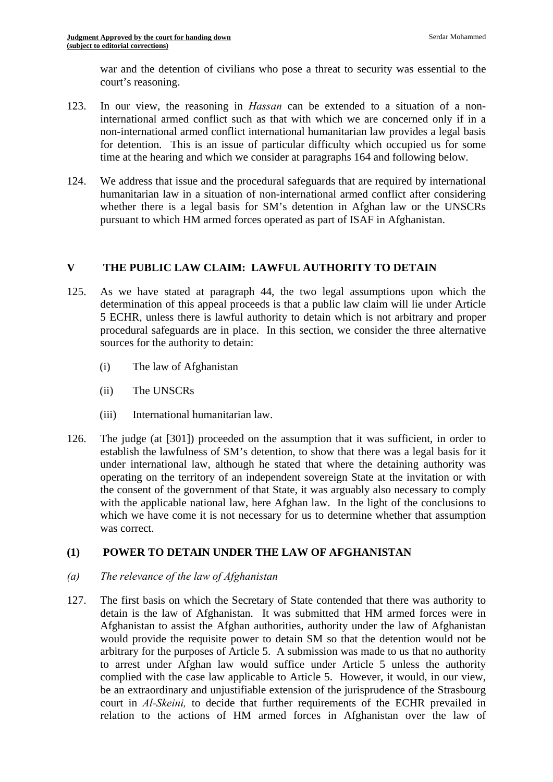war and the detention of civilians who pose a threat to security was essential to the court's reasoning.

- 123. In our view, the reasoning in *Hassan* can be extended to a situation of a noninternational armed conflict such as that with which we are concerned only if in a non-international armed conflict international humanitarian law provides a legal basis for detention. This is an issue of particular difficulty which occupied us for some time at the hearing and which we consider at paragraphs 164 and following below.
- 124. We address that issue and the procedural safeguards that are required by international humanitarian law in a situation of non-international armed conflict after considering whether there is a legal basis for SM's detention in Afghan law or the UNSCRs pursuant to which HM armed forces operated as part of ISAF in Afghanistan.

#### **V THE PUBLIC LAW CLAIM: LAWFUL AUTHORITY TO DETAIN**

- 125. As we have stated at paragraph 44, the two legal assumptions upon which the determination of this appeal proceeds is that a public law claim will lie under Article 5 ECHR, unless there is lawful authority to detain which is not arbitrary and proper procedural safeguards are in place. In this section, we consider the three alternative sources for the authority to detain:
	- (i) The law of Afghanistan
	- (ii) The UNSCRs
	- (iii) International humanitarian law.
- 126. The judge (at [301]) proceeded on the assumption that it was sufficient, in order to establish the lawfulness of SM's detention, to show that there was a legal basis for it under international law, although he stated that where the detaining authority was operating on the territory of an independent sovereign State at the invitation or with the consent of the government of that State, it was arguably also necessary to comply with the applicable national law, here Afghan law. In the light of the conclusions to which we have come it is not necessary for us to determine whether that assumption was correct.

# **(1) POWER TO DETAIN UNDER THE LAW OF AFGHANISTAN**

- *(a) The relevance of the law of Afghanistan*
- 127. The first basis on which the Secretary of State contended that there was authority to detain is the law of Afghanistan. It was submitted that HM armed forces were in Afghanistan to assist the Afghan authorities, authority under the law of Afghanistan would provide the requisite power to detain SM so that the detention would not be arbitrary for the purposes of Article 5. A submission was made to us that no authority to arrest under Afghan law would suffice under Article 5 unless the authority complied with the case law applicable to Article 5. However, it would, in our view, be an extraordinary and unjustifiable extension of the jurisprudence of the Strasbourg court in *Al-Skeini,* to decide that further requirements of the ECHR prevailed in relation to the actions of HM armed forces in Afghanistan over the law of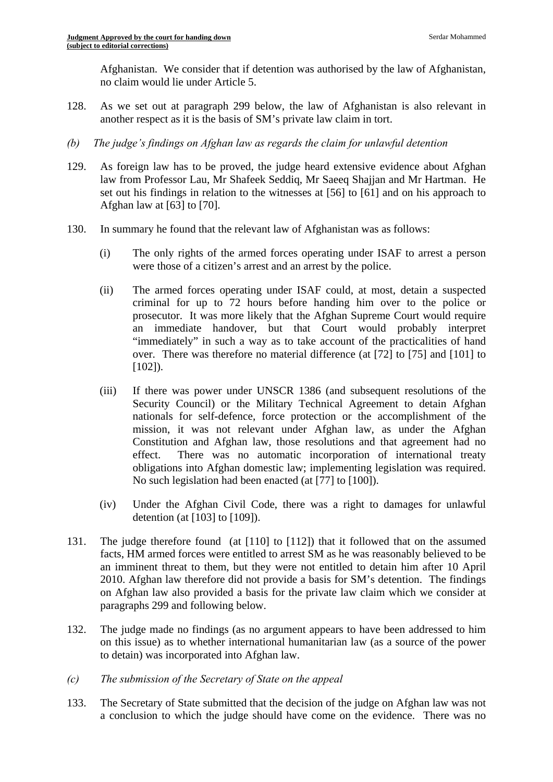Afghanistan. We consider that if detention was authorised by the law of Afghanistan, no claim would lie under Article 5.

- 128. As we set out at paragraph 299 below, the law of Afghanistan is also relevant in another respect as it is the basis of SM's private law claim in tort.
- *(b) The judge's findings on Afghan law as regards the claim for unlawful detention*
- 129. As foreign law has to be proved, the judge heard extensive evidence about Afghan law from Professor Lau, Mr Shafeek Seddiq, Mr Saeeq Shajjan and Mr Hartman. He set out his findings in relation to the witnesses at [56] to [61] and on his approach to Afghan law at [63] to [70].
- 130. In summary he found that the relevant law of Afghanistan was as follows:
	- (i) The only rights of the armed forces operating under ISAF to arrest a person were those of a citizen's arrest and an arrest by the police.
	- (ii) The armed forces operating under ISAF could, at most, detain a suspected criminal for up to 72 hours before handing him over to the police or prosecutor. It was more likely that the Afghan Supreme Court would require an immediate handover, but that Court would probably interpret "immediately" in such a way as to take account of the practicalities of hand over. There was therefore no material difference (at [72] to [75] and [101] to [102]).
	- (iii) If there was power under UNSCR 1386 (and subsequent resolutions of the Security Council) or the Military Technical Agreement to detain Afghan nationals for self-defence, force protection or the accomplishment of the mission, it was not relevant under Afghan law, as under the Afghan Constitution and Afghan law, those resolutions and that agreement had no effect. There was no automatic incorporation of international treaty obligations into Afghan domestic law; implementing legislation was required. No such legislation had been enacted (at [77] to [100]).
	- (iv) Under the Afghan Civil Code, there was a right to damages for unlawful detention (at [103] to [109]).
- 131. The judge therefore found (at [110] to [112]) that it followed that on the assumed facts, HM armed forces were entitled to arrest SM as he was reasonably believed to be an imminent threat to them, but they were not entitled to detain him after 10 April 2010. Afghan law therefore did not provide a basis for SM's detention. The findings on Afghan law also provided a basis for the private law claim which we consider at paragraphs 299 and following below.
- 132. The judge made no findings (as no argument appears to have been addressed to him on this issue) as to whether international humanitarian law (as a source of the power to detain) was incorporated into Afghan law.
- *(c) The submission of the Secretary of State on the appeal*
- 133. The Secretary of State submitted that the decision of the judge on Afghan law was not a conclusion to which the judge should have come on the evidence. There was no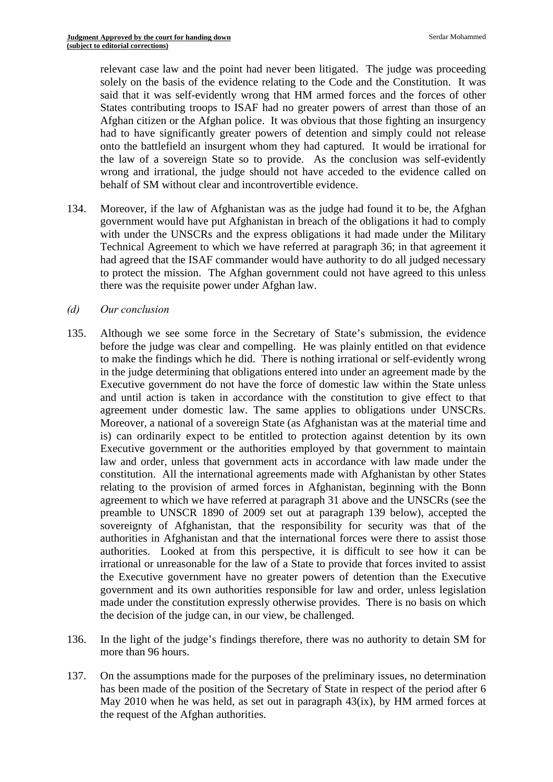relevant case law and the point had never been litigated. The judge was proceeding solely on the basis of the evidence relating to the Code and the Constitution. It was said that it was self-evidently wrong that HM armed forces and the forces of other States contributing troops to ISAF had no greater powers of arrest than those of an Afghan citizen or the Afghan police. It was obvious that those fighting an insurgency had to have significantly greater powers of detention and simply could not release onto the battlefield an insurgent whom they had captured. It would be irrational for the law of a sovereign State so to provide. As the conclusion was self-evidently wrong and irrational, the judge should not have acceded to the evidence called on behalf of SM without clear and incontrovertible evidence.

- 134. Moreover, if the law of Afghanistan was as the judge had found it to be, the Afghan government would have put Afghanistan in breach of the obligations it had to comply with under the UNSCRs and the express obligations it had made under the Military Technical Agreement to which we have referred at paragraph 36; in that agreement it had agreed that the ISAF commander would have authority to do all judged necessary to protect the mission. The Afghan government could not have agreed to this unless there was the requisite power under Afghan law.
- *(d) Our conclusion*
- 135. Although we see some force in the Secretary of State's submission, the evidence before the judge was clear and compelling. He was plainly entitled on that evidence to make the findings which he did. There is nothing irrational or self-evidently wrong in the judge determining that obligations entered into under an agreement made by the Executive government do not have the force of domestic law within the State unless and until action is taken in accordance with the constitution to give effect to that agreement under domestic law. The same applies to obligations under UNSCRs. Moreover, a national of a sovereign State (as Afghanistan was at the material time and is) can ordinarily expect to be entitled to protection against detention by its own Executive government or the authorities employed by that government to maintain law and order, unless that government acts in accordance with law made under the constitution. All the international agreements made with Afghanistan by other States relating to the provision of armed forces in Afghanistan, beginning with the Bonn agreement to which we have referred at paragraph 31 above and the UNSCRs (see the preamble to UNSCR 1890 of 2009 set out at paragraph 139 below), accepted the sovereignty of Afghanistan, that the responsibility for security was that of the authorities in Afghanistan and that the international forces were there to assist those authorities. Looked at from this perspective, it is difficult to see how it can be irrational or unreasonable for the law of a State to provide that forces invited to assist the Executive government have no greater powers of detention than the Executive government and its own authorities responsible for law and order, unless legislation made under the constitution expressly otherwise provides. There is no basis on which the decision of the judge can, in our view, be challenged.
- 136. In the light of the judge's findings therefore, there was no authority to detain SM for more than 96 hours.
- 137. On the assumptions made for the purposes of the preliminary issues, no determination has been made of the position of the Secretary of State in respect of the period after 6 May 2010 when he was held, as set out in paragraph  $43(ix)$ , by HM armed forces at the request of the Afghan authorities.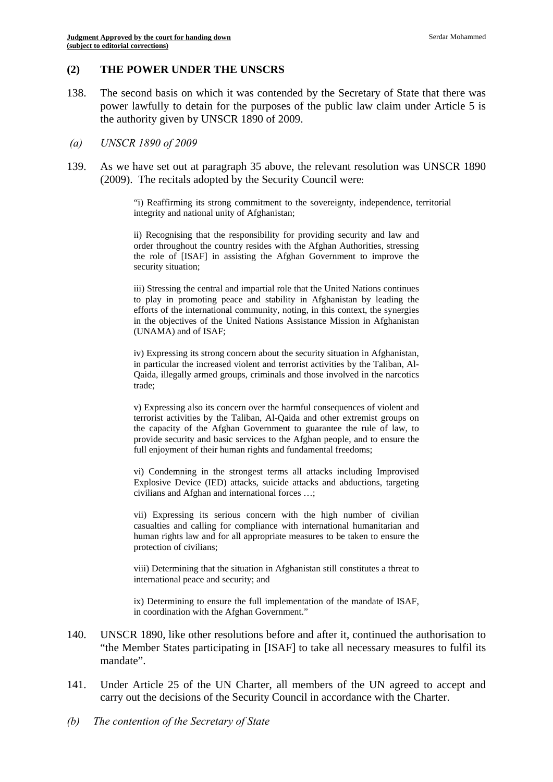#### **(2) THE POWER UNDER THE UNSCRS**

138. The second basis on which it was contended by the Secretary of State that there was power lawfully to detain for the purposes of the public law claim under Article 5 is the authority given by UNSCR 1890 of 2009.

#### *(a) UNSCR 1890 of 2009*

139. As we have set out at paragraph 35 above, the relevant resolution was UNSCR 1890 (2009). The recitals adopted by the Security Council were:

> "i) Reaffirming its strong commitment to the sovereignty, independence, territorial integrity and national unity of Afghanistan;

ii) Recognising that the responsibility for providing security and law and order throughout the country resides with the Afghan Authorities, stressing the role of [ISAF] in assisting the Afghan Government to improve the security situation;

 in the objectives of the United Nations Assistance Mission in Afghanistan iii) Stressing the central and impartial role that the United Nations continues to play in promoting peace and stability in Afghanistan by leading the efforts of the international community, noting, in this context, the synergies (UNAMA) and of ISAF;

iv) Expressing its strong concern about the security situation in Afghanistan, in particular the increased violent and terrorist activities by the Taliban, Al-Qaida, illegally armed groups, criminals and those involved in the narcotics trade;

 terrorist activities by the Taliban, Al-Qaida and other extremist groups on v) Expressing also its concern over the harmful consequences of violent and the capacity of the Afghan Government to guarantee the rule of law, to provide security and basic services to the Afghan people, and to ensure the full enjoyment of their human rights and fundamental freedoms;

 vi) Condemning in the strongest terms all attacks including Improvised Explosive Device (IED) attacks, suicide attacks and abductions, targeting civilians and Afghan and international forces …;

vii) Expressing its serious concern with the high number of civilian casualties and calling for compliance with international humanitarian and human rights law and for all appropriate measures to be taken to ensure the protection of civilians;

viii) Determining that the situation in Afghanistan still constitutes a threat to international peace and security; and

ix) Determining to ensure the full implementation of the mandate of ISAF, in coordination with the Afghan Government."

- 140. UNSCR 1890, like other resolutions before and after it, continued the authorisation to "the Member States participating in [ISAF] to take all necessary measures to fulfil its mandate".
- 141. Under Article 25 of the UN Charter, all members of the UN agreed to accept and carry out the decisions of the Security Council in accordance with the Charter.
- *(b) The contention of the Secretary of State*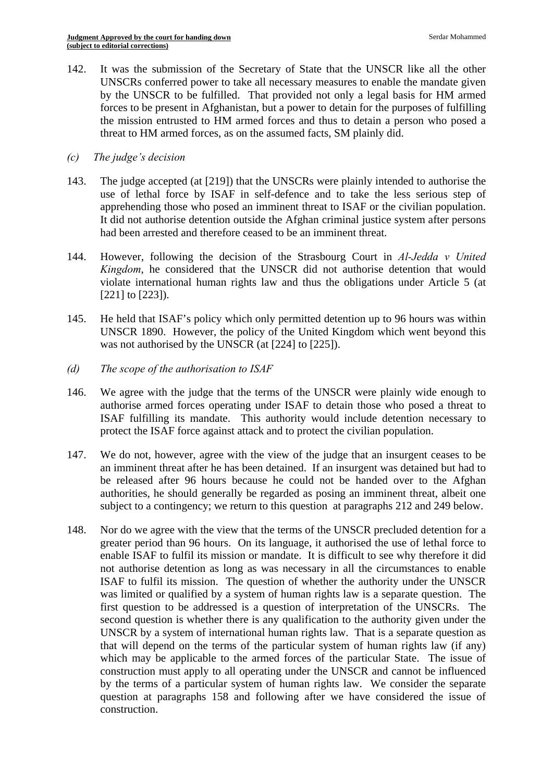142. It was the submission of the Secretary of State that the UNSCR like all the other UNSCRs conferred power to take all necessary measures to enable the mandate given by the UNSCR to be fulfilled. That provided not only a legal basis for HM armed forces to be present in Afghanistan, but a power to detain for the purposes of fulfilling the mission entrusted to HM armed forces and thus to detain a person who posed a threat to HM armed forces, as on the assumed facts, SM plainly did.

### *(c) The judge's decision*

- apprehending those who posed an imminent threat to ISAF or the civilian population. It did not authorise detention outside the Afghan criminal justice system after persons 143. The judge accepted (at [219]) that the UNSCRs were plainly intended to authorise the use of lethal force by ISAF in self-defence and to take the less serious step of had been arrested and therefore ceased to be an imminent threat.
- 144. However, following the decision of the Strasbourg Court in *Al-Jedda v United Kingdom*, he considered that the UNSCR did not authorise detention that would violate international human rights law and thus the obligations under Article 5 (at [221] to [223]).
- 145. He held that ISAF's policy which only permitted detention up to 96 hours was within UNSCR 1890. However, the policy of the United Kingdom which went beyond this was not authorised by the UNSCR (at [224] to [225]).
- *(d) The scope of the authorisation to ISAF*
- 146. We agree with the judge that the terms of the UNSCR were plainly wide enough to authorise armed forces operating under ISAF to detain those who posed a threat to ISAF fulfilling its mandate. This authority would include detention necessary to protect the ISAF force against attack and to protect the civilian population.
- 147. We do not, however, agree with the view of the judge that an insurgent ceases to be an imminent threat after he has been detained. If an insurgent was detained but had to be released after 96 hours because he could not be handed over to the Afghan authorities, he should generally be regarded as posing an imminent threat, albeit one subject to a contingency; we return to this question at paragraphs 212 and 249 below.
- 148. Nor do we agree with the view that the terms of the UNSCR precluded detention for a greater period than 96 hours. On its language, it authorised the use of lethal force to enable ISAF to fulfil its mission or mandate. It is difficult to see why therefore it did not authorise detention as long as was necessary in all the circumstances to enable ISAF to fulfil its mission. The question of whether the authority under the UNSCR was limited or qualified by a system of human rights law is a separate question. The first question to be addressed is a question of interpretation of the UNSCRs. The second question is whether there is any qualification to the authority given under the UNSCR by a system of international human rights law. That is a separate question as that will depend on the terms of the particular system of human rights law (if any) which may be applicable to the armed forces of the particular State. The issue of construction must apply to all operating under the UNSCR and cannot be influenced by the terms of a particular system of human rights law. We consider the separate question at paragraphs 158 and following after we have considered the issue of construction.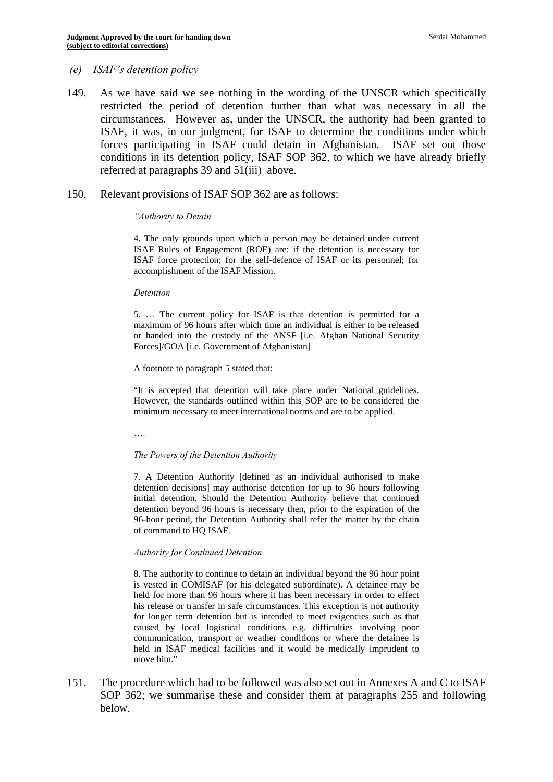#### *(e) ISAF's detention policy*

- 149. As we have said we see nothing in the wording of the UNSCR which specifically restricted the period of detention further than what was necessary in all the circumstances. However as, under the UNSCR, the authority had been granted to ISAF, it was, in our judgment, for ISAF to determine the conditions under which forces participating in ISAF could detain in Afghanistan. ISAF set out those conditions in its detention policy, ISAF SOP 362, to which we have already briefly referred at paragraphs 39 and 51(iii) above.
- 150. Relevant provisions of ISAF SOP 362 are as follows:

#### *"Authority to Detain*

 ISAF force protection; for the self-defence of ISAF or its personnel; for 4. The only grounds upon which a person may be detained under current ISAF Rules of Engagement (ROE) are: if the detention is necessary for accomplishment of the ISAF Mission.

#### *Detention*

 maximum of 96 hours after which time an individual is either to be released 5. … The current policy for ISAF is that detention is permitted for a or handed into the custody of the ANSF [i.e. Afghan National Security Forces]/GOA [i.e. Government of Afghanistan]

A footnote to paragraph 5 stated that:

 minimum necessary to meet international norms and are to be applied. "It is accepted that detention will take place under National guidelines. However, the standards outlined within this SOP are to be considered the

….

#### *The Powers of the Detention Authority*

7. A Detention Authority [defined as an individual authorised to make detention decisions] may authorise detention for up to 96 hours following initial detention. Should the Detention Authority believe that continued detention beyond 96 hours is necessary then, prior to the expiration of the 96-hour period, the Detention Authority shall refer the matter by the chain of command to HQ ISAF.

#### *Authority for Continued Detention*

 8. The authority to continue to detain an individual beyond the 96 hour point held for more than 96 hours where it has been necessary in order to effect is vested in COMISAF (or his delegated subordinate). A detainee may be his release or transfer in safe circumstances. This exception is not authority for longer term detention but is intended to meet exigencies such as that caused by local logistical conditions e.g. difficulties involving poor communication, transport or weather conditions or where the detainee is held in ISAF medical facilities and it would be medically imprudent to move him."

151. The procedure which had to be followed was also set out in Annexes A and C to ISAF SOP 362; we summarise these and consider them at paragraphs 255 and following below.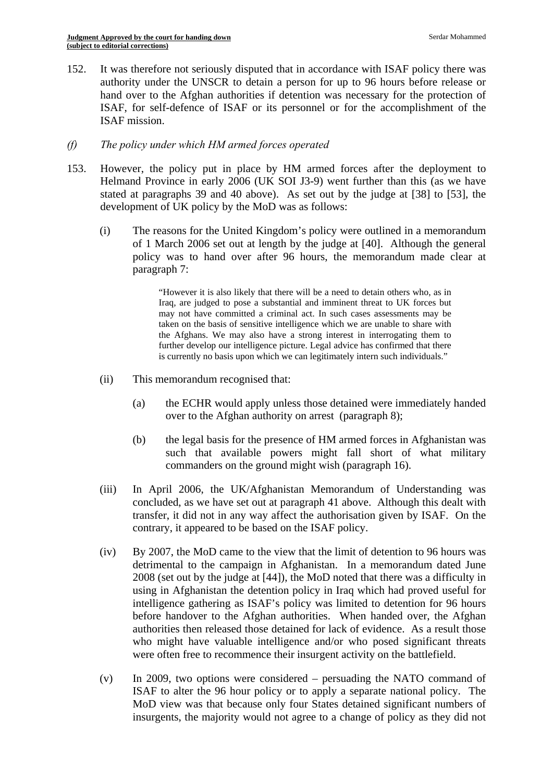152. It was therefore not seriously disputed that in accordance with ISAF policy there was authority under the UNSCR to detain a person for up to 96 hours before release or hand over to the Afghan authorities if detention was necessary for the protection of ISAF, for self-defence of ISAF or its personnel or for the accomplishment of the ISAF mission.

### *(f) The policy under which HM armed forces operated*

- 153. However, the policy put in place by HM armed forces after the deployment to Helmand Province in early 2006 (UK SOI J3-9) went further than this (as we have stated at paragraphs 39 and 40 above). As set out by the judge at [38] to [53], the development of UK policy by the MoD was as follows:
	- (i) The reasons for the United Kingdom's policy were outlined in a memorandum of 1 March 2006 set out at length by the judge at [40]. Although the general policy was to hand over after 96 hours, the memorandum made clear at paragraph 7:

 is currently no basis upon which we can legitimately intern such individuals." "However it is also likely that there will be a need to detain others who, as in Iraq, are judged to pose a substantial and imminent threat to UK forces but may not have committed a criminal act. In such cases assessments may be taken on the basis of sensitive intelligence which we are unable to share with the Afghans. We may also have a strong interest in interrogating them to further develop our intelligence picture. Legal advice has confirmed that there

- (ii) This memorandum recognised that:
	- (a) the ECHR would apply unless those detained were immediately handed over to the Afghan authority on arrest (paragraph 8);
	- (b) the legal basis for the presence of HM armed forces in Afghanistan was such that available powers might fall short of what military commanders on the ground might wish (paragraph 16).
- (iii) In April 2006, the UK/Afghanistan Memorandum of Understanding was concluded, as we have set out at paragraph 41 above. Although this dealt with transfer, it did not in any way affect the authorisation given by ISAF. On the contrary, it appeared to be based on the ISAF policy.
- (iv) By 2007, the MoD came to the view that the limit of detention to 96 hours was detrimental to the campaign in Afghanistan. In a memorandum dated June 2008 (set out by the judge at [44]), the MoD noted that there was a difficulty in using in Afghanistan the detention policy in Iraq which had proved useful for intelligence gathering as ISAF's policy was limited to detention for 96 hours before handover to the Afghan authorities. When handed over, the Afghan authorities then released those detained for lack of evidence. As a result those who might have valuable intelligence and/or who posed significant threats were often free to recommence their insurgent activity on the battlefield.
- $(v)$  In 2009, two options were considered persuading the NATO command of ISAF to alter the 96 hour policy or to apply a separate national policy. The MoD view was that because only four States detained significant numbers of insurgents, the majority would not agree to a change of policy as they did not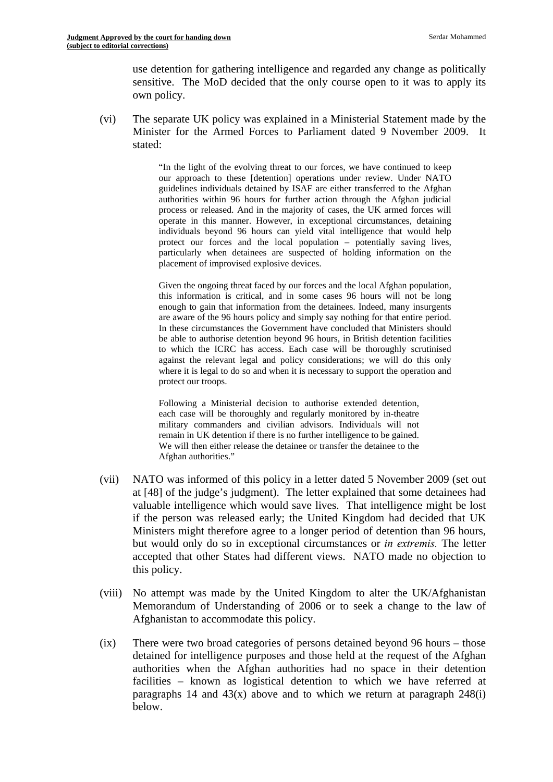use detention for gathering intelligence and regarded any change as politically sensitive. The MoD decided that the only course open to it was to apply its own policy.

(vi) The separate UK policy was explained in a Ministerial Statement made by the Minister for the Armed Forces to Parliament dated 9 November 2009. It stated:

> "In the light of the evolving threat to our forces, we have continued to keep authorities within 96 hours for further action through the Afghan judicial particularly when detainees are suspected of holding information on the our approach to these [detention] operations under review. Under NATO guidelines individuals detained by ISAF are either transferred to the Afghan process or released. And in the majority of cases, the UK armed forces will operate in this manner. However, in exceptional circumstances, detaining individuals beyond 96 hours can yield vital intelligence that would help protect our forces and the local population – potentially saving lives, placement of improvised explosive devices.

> Given the ongoing threat faced by our forces and the local Afghan population, be able to authorise detention beyond 96 hours, in British detention facilities where it is legal to do so and when it is necessary to support the operation and this information is critical, and in some cases 96 hours will not be long enough to gain that information from the detainees. Indeed, many insurgents are aware of the 96 hours policy and simply say nothing for that entire period. In these circumstances the Government have concluded that Ministers should to which the ICRC has access. Each case will be thoroughly scrutinised against the relevant legal and policy considerations; we will do this only protect our troops.

Following a Ministerial decision to authorise extended detention, each case will be thoroughly and regularly monitored by in-theatre military commanders and civilian advisors. Individuals will not remain in UK detention if there is no further intelligence to be gained. We will then either release the detainee or transfer the detainee to the Afghan authorities."

- (vii) NATO was informed of this policy in a letter dated 5 November 2009 (set out at [48] of the judge's judgment). The letter explained that some detainees had valuable intelligence which would save lives. That intelligence might be lost if the person was released early; the United Kingdom had decided that UK Ministers might therefore agree to a longer period of detention than 96 hours, but would only do so in exceptional circumstances or *in extremis.* The letter accepted that other States had different views. NATO made no objection to this policy.
- (viii) No attempt was made by the United Kingdom to alter the UK/Afghanistan Memorandum of Understanding of 2006 or to seek a change to the law of Afghanistan to accommodate this policy.
- (ix) There were two broad categories of persons detained beyond 96 hours those detained for intelligence purposes and those held at the request of the Afghan authorities when the Afghan authorities had no space in their detention facilities – known as logistical detention to which we have referred at paragraphs 14 and  $43(x)$  above and to which we return at paragraph  $248(i)$ below.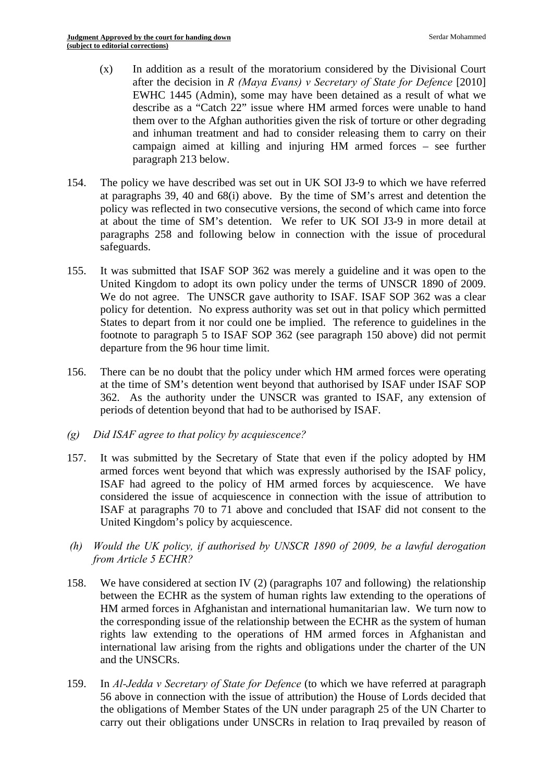- $(x)$  In addition as a result of the moratorium considered by the Divisional Court after the decision in *R (Maya Evans) v Secretary of State for Defence* [2010] EWHC 1445 (Admin), some may have been detained as a result of what we describe as a "Catch 22" issue where HM armed forces were unable to hand them over to the Afghan authorities given the risk of torture or other degrading and inhuman treatment and had to consider releasing them to carry on their campaign aimed at killing and injuring HM armed forces – see further paragraph 213 below.
- 154. The policy we have described was set out in UK SOI J3-9 to which we have referred at paragraphs 39, 40 and 68(i) above. By the time of SM's arrest and detention the policy was reflected in two consecutive versions, the second of which came into force at about the time of SM's detention. We refer to UK SOI J3-9 in more detail at paragraphs 258 and following below in connection with the issue of procedural safeguards.
- 155. It was submitted that ISAF SOP 362 was merely a guideline and it was open to the United Kingdom to adopt its own policy under the terms of UNSCR 1890 of 2009. We do not agree. The UNSCR gave authority to ISAF. ISAF SOP 362 was a clear policy for detention. No express authority was set out in that policy which permitted States to depart from it nor could one be implied. The reference to guidelines in the footnote to paragraph 5 to ISAF SOP 362 (see paragraph 150 above) did not permit departure from the 96 hour time limit.
- 156. There can be no doubt that the policy under which HM armed forces were operating at the time of SM's detention went beyond that authorised by ISAF under ISAF SOP 362. As the authority under the UNSCR was granted to ISAF, any extension of periods of detention beyond that had to be authorised by ISAF.
- *(g) Did ISAF agree to that policy by acquiescence?*
- 157. It was submitted by the Secretary of State that even if the policy adopted by HM armed forces went beyond that which was expressly authorised by the ISAF policy, ISAF had agreed to the policy of HM armed forces by acquiescence. We have considered the issue of acquiescence in connection with the issue of attribution to ISAF at paragraphs 70 to 71 above and concluded that ISAF did not consent to the United Kingdom's policy by acquiescence.
- *(h) Would the UK policy, if authorised by UNSCR 1890 of 2009, be a lawful derogation from Article 5 ECHR?*
- 158. We have considered at section IV (2) (paragraphs 107 and following) the relationship between the ECHR as the system of human rights law extending to the operations of HM armed forces in Afghanistan and international humanitarian law. We turn now to the corresponding issue of the relationship between the ECHR as the system of human rights law extending to the operations of HM armed forces in Afghanistan and international law arising from the rights and obligations under the charter of the UN and the UNSCRs.
- 159. In *Al-Jedda v Secretary of State for Defence* (to which we have referred at paragraph 56 above in connection with the issue of attribution) the House of Lords decided that the obligations of Member States of the UN under paragraph 25 of the UN Charter to carry out their obligations under UNSCRs in relation to Iraq prevailed by reason of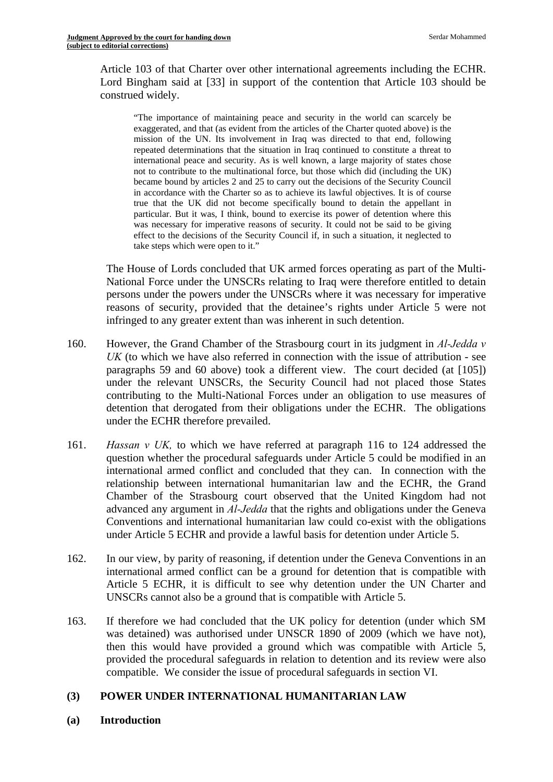Article 103 of that Charter over other international agreements including the ECHR. Lord Bingham said at [33] in support of the contention that Article 103 should be construed widely.

"The importance of maintaining peace and security in the world can scarcely be exaggerated, and that (as evident from the articles of the Charter quoted above) is the mission of the UN. Its involvement in Iraq was directed to that end, following repeated determinations that the situation in Iraq continued to constitute a threat to international peace and security. As is well known, a large majority of states chose not to contribute to the multinational force, but those which did (including the UK) became bound by articles 2 and 25 to carry out the decisions of the Security Council in accordance with the Charter so as to achieve its lawful objectives. It is of course true that the UK did not become specifically bound to detain the appellant in particular. But it was, I think, bound to exercise its power of detention where this was necessary for imperative reasons of security. It could not be said to be giving effect to the decisions of the Security Council if, in such a situation, it neglected to take steps which were open to it."

The House of Lords concluded that UK armed forces operating as part of the Multi-National Force under the UNSCRs relating to Iraq were therefore entitled to detain persons under the powers under the UNSCRs where it was necessary for imperative reasons of security, provided that the detainee's rights under Article 5 were not infringed to any greater extent than was inherent in such detention.

- 160. However, the Grand Chamber of the Strasbourg court in its judgment in *Al-Jedda v UK* (to which we have also referred in connection with the issue of attribution - see paragraphs 59 and 60 above) took a different view. The court decided (at [105]) under the relevant UNSCRs, the Security Council had not placed those States contributing to the Multi-National Forces under an obligation to use measures of detention that derogated from their obligations under the ECHR. The obligations under the ECHR therefore prevailed.
- 161. *Hassan v UK,* to which we have referred at paragraph 116 to 124 addressed the question whether the procedural safeguards under Article 5 could be modified in an international armed conflict and concluded that they can. In connection with the relationship between international humanitarian law and the ECHR, the Grand Chamber of the Strasbourg court observed that the United Kingdom had not advanced any argument in *Al-Jedda* that the rights and obligations under the Geneva Conventions and international humanitarian law could co-exist with the obligations under Article 5 ECHR and provide a lawful basis for detention under Article 5.
- 162. In our view, by parity of reasoning, if detention under the Geneva Conventions in an international armed conflict can be a ground for detention that is compatible with Article 5 ECHR, it is difficult to see why detention under the UN Charter and UNSCRs cannot also be a ground that is compatible with Article 5.
- 163. If therefore we had concluded that the UK policy for detention (under which SM was detained) was authorised under UNSCR 1890 of 2009 (which we have not), then this would have provided a ground which was compatible with Article 5, provided the procedural safeguards in relation to detention and its review were also compatible. We consider the issue of procedural safeguards in section VI.

# **(3) POWER UNDER INTERNATIONAL HUMANITARIAN LAW**

**(a) Introduction**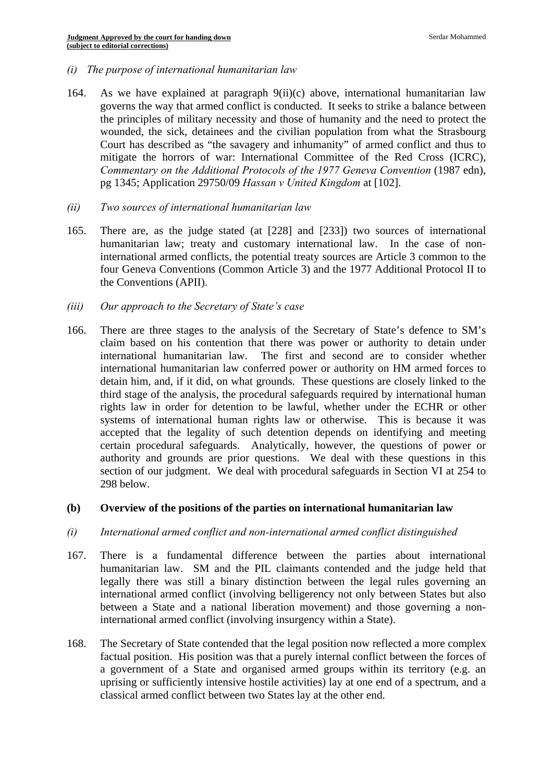- *(i) The purpose of international humanitarian law*
- 164. As we have explained at paragraph  $9(ii)(c)$  above, international humanitarian law governs the way that armed conflict is conducted. It seeks to strike a balance between the principles of military necessity and those of humanity and the need to protect the wounded, the sick, detainees and the civilian population from what the Strasbourg Court has described as "the savagery and inhumanity" of armed conflict and thus to mitigate the horrors of war: International Committee of the Red Cross (ICRC), *Commentary on the Additional Protocols of the 1977 Geneva Convention (1987 edn),* pg 1345; Application 29750/09 *Hassan v United Kingdom* at [102].
- *(ii) Two sources of international humanitarian law*
- 165. There are, as the judge stated (at [228] and [233]) two sources of international humanitarian law; treaty and customary international law. In the case of noninternational armed conflicts, the potential treaty sources are Article 3 common to the four Geneva Conventions (Common Article 3) and the 1977 Additional Protocol II to the Conventions (APII).
- *(iii) Our approach to the Secretary of State's case*
- 166. There are three stages to the analysis of the Secretary of State's defence to SM's claim based on his contention that there was power or authority to detain under international humanitarian law. The first and second are to consider whether international humanitarian law conferred power or authority on HM armed forces to detain him, and, if it did, on what grounds. These questions are closely linked to the third stage of the analysis, the procedural safeguards required by international human rights law in order for detention to be lawful, whether under the ECHR or other systems of international human rights law or otherwise. This is because it was accepted that the legality of such detention depends on identifying and meeting certain procedural safeguards. Analytically, however, the questions of power or authority and grounds are prior questions. We deal with these questions in this section of our judgment. We deal with procedural safeguards in Section VI at 254 to 298 below.

#### **(b) Overview of the positions of the parties on international humanitarian law**

- *(i) International armed conflict and non-international armed conflict distinguished*
- 167. There is a fundamental difference between the parties about international humanitarian law. SM and the PIL claimants contended and the judge held that legally there was still a binary distinction between the legal rules governing an international armed conflict (involving belligerency not only between States but also between a State and a national liberation movement) and those governing a noninternational armed conflict (involving insurgency within a State).
- 168. The Secretary of State contended that the legal position now reflected a more complex factual position. His position was that a purely internal conflict between the forces of a government of a State and organised armed groups within its territory (e.g. an uprising or sufficiently intensive hostile activities) lay at one end of a spectrum, and a classical armed conflict between two States lay at the other end.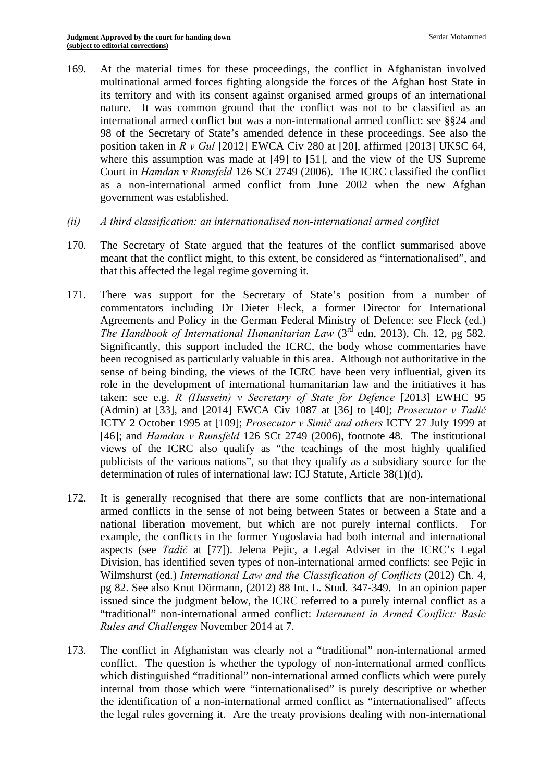- 169. At the material times for these proceedings, the conflict in Afghanistan involved multinational armed forces fighting alongside the forces of the Afghan host State in its territory and with its consent against organised armed groups of an international nature. It was common ground that the conflict was not to be classified as an international armed conflict but was a non-international armed conflict: see §§24 and 98 of the Secretary of State's amended defence in these proceedings. See also the position taken in *R v Gul* [2012] EWCA Civ 280 at [20], affirmed [2013] UKSC 64, where this assumption was made at [49] to [51], and the view of the US Supreme Court in *Hamdan v Rumsfeld* 126 SCt 2749 (2006). The ICRC classified the conflict as a non-international armed conflict from June 2002 when the new Afghan government was established.
- *(ii) A third classification: an internationalised non-international armed conflict*
- 170. The Secretary of State argued that the features of the conflict summarised above meant that the conflict might, to this extent, be considered as "internationalised", and that this affected the legal regime governing it.
- (Admin) at [33], and [2014] EWCA Civ 1087 at [36] to [40]; *Prosecutor v Tadič* 171. There was support for the Secretary of State's position from a number of commentators including Dr Dieter Fleck, a former Director for International Agreements and Policy in the German Federal Ministry of Defence: see Fleck (ed.) *The Handbook of International Humanitarian Law* (3rd edn, 2013), Ch. 12, pg 582. Significantly, this support included the ICRC, the body whose commentaries have been recognised as particularly valuable in this area. Although not authoritative in the sense of being binding, the views of the ICRC have been very influential, given its role in the development of international humanitarian law and the initiatives it has taken: see e.g. *R (Hussein) v Secretary of State for Defence* [2013] EWHC 95 ICTY 2 October 1995 at [109]; *Prosecutor v Simič and others* ICTY 27 July 1999 at [46]; and *Hamdan v Rumsfeld* 126 SCt 2749 (2006), footnote 48. The institutional views of the ICRC also qualify as "the teachings of the most highly qualified publicists of the various nations", so that they qualify as a subsidiary source for the determination of rules of international law: ICJ Statute, Article 38(1)(d).
- 172. It is generally recognised that there are some conflicts that are non-international armed conflicts in the sense of not being between States or between a State and a national liberation movement, but which are not purely internal conflicts. For example, the conflicts in the former Yugoslavia had both internal and international aspects (see *Tadič* at [77]). Jelena Pejic, a Legal Adviser in the ICRC's Legal Division, has identified seven types of non-international armed conflicts: see Pejic in Wilmshurst (ed.) *International Law and the Classification of Conflicts* (2012) Ch. 4, pg 82. See also Knut Dörmann, (2012) 88 Int. L. Stud. 347-349. In an opinion paper issued since the judgment below, the ICRC referred to a purely internal conflict as a "traditional" non-international armed conflict: *Internment in Armed Conflict: Basic Rules and Challenges* November 2014 at 7.
- 173. The conflict in Afghanistan was clearly not a "traditional" non-international armed conflict. The question is whether the typology of non-international armed conflicts which distinguished "traditional" non-international armed conflicts which were purely internal from those which were "internationalised" is purely descriptive or whether the identification of a non-international armed conflict as "internationalised" affects the legal rules governing it. Are the treaty provisions dealing with non-international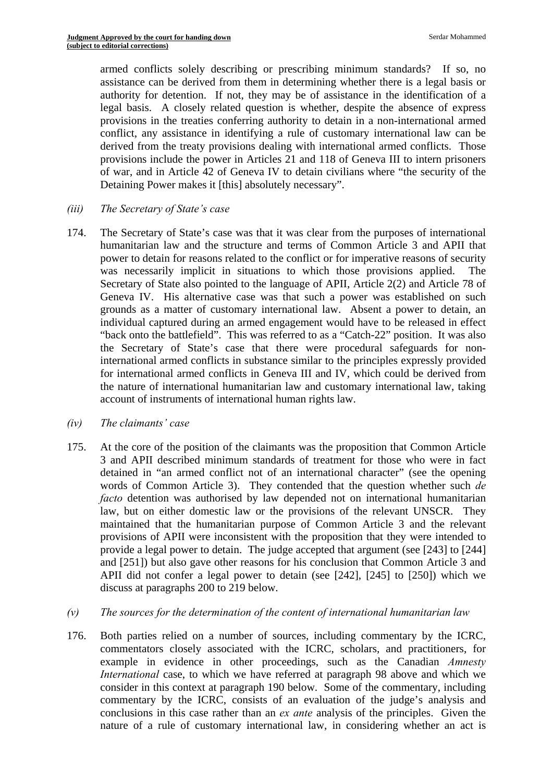armed conflicts solely describing or prescribing minimum standards? If so, no assistance can be derived from them in determining whether there is a legal basis or authority for detention. If not, they may be of assistance in the identification of a legal basis. A closely related question is whether, despite the absence of express provisions in the treaties conferring authority to detain in a non-international armed conflict, any assistance in identifying a rule of customary international law can be derived from the treaty provisions dealing with international armed conflicts. Those provisions include the power in Articles 21 and 118 of Geneva III to intern prisoners of war, and in Article 42 of Geneva IV to detain civilians where "the security of the Detaining Power makes it [this] absolutely necessary".

- *(iii) The Secretary of State's case*
- 174. The Secretary of State's case was that it was clear from the purposes of international humanitarian law and the structure and terms of Common Article 3 and APII that power to detain for reasons related to the conflict or for imperative reasons of security was necessarily implicit in situations to which those provisions applied. The Secretary of State also pointed to the language of APII, Article 2(2) and Article 78 of Geneva IV. His alternative case was that such a power was established on such grounds as a matter of customary international law. Absent a power to detain, an individual captured during an armed engagement would have to be released in effect "back onto the battlefield". This was referred to as a "Catch-22" position. It was also the Secretary of State's case that there were procedural safeguards for noninternational armed conflicts in substance similar to the principles expressly provided for international armed conflicts in Geneva III and IV, which could be derived from the nature of international humanitarian law and customary international law, taking account of instruments of international human rights law.
- *(iv) The claimants' case*
- 175. At the core of the position of the claimants was the proposition that Common Article 3 and APII described minimum standards of treatment for those who were in fact detained in "an armed conflict not of an international character" (see the opening words of Common Article 3). They contended that the question whether such *de facto* detention was authorised by law depended not on international humanitarian law, but on either domestic law or the provisions of the relevant UNSCR. They maintained that the humanitarian purpose of Common Article 3 and the relevant provisions of APII were inconsistent with the proposition that they were intended to provide a legal power to detain. The judge accepted that argument (see [243] to [244] and [251]) but also gave other reasons for his conclusion that Common Article 3 and APII did not confer a legal power to detain (see [242], [245] to [250]) which we discuss at paragraphs 200 to 219 below.
- *(v) The sources for the determination of the content of international humanitarian law*
- 176. Both parties relied on a number of sources, including commentary by the ICRC, commentators closely associated with the ICRC, scholars, and practitioners, for example in evidence in other proceedings, such as the Canadian *Amnesty International* case, to which we have referred at paragraph 98 above and which we consider in this context at paragraph 190 below. Some of the commentary, including commentary by the ICRC, consists of an evaluation of the judge's analysis and conclusions in this case rather than an *ex ante* analysis of the principles. Given the nature of a rule of customary international law, in considering whether an act is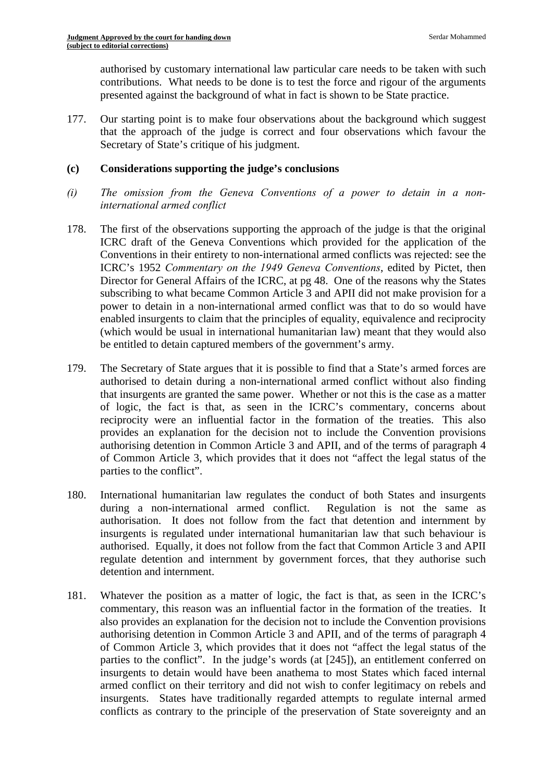authorised by customary international law particular care needs to be taken with such contributions. What needs to be done is to test the force and rigour of the arguments presented against the background of what in fact is shown to be State practice.

177. Our starting point is to make four observations about the background which suggest that the approach of the judge is correct and four observations which favour the Secretary of State's critique of his judgment.

#### **(c) Considerations supporting the judge's conclusions**

- *(i) The omission from the Geneva Conventions of a power to detain in a noninternational armed conflict*
- 178. The first of the observations supporting the approach of the judge is that the original ICRC draft of the Geneva Conventions which provided for the application of the Conventions in their entirety to non-international armed conflicts was rejected: see the ICRC's 1952 *Commentary on the 1949 Geneva Conventions*, edited by Pictet, then Director for General Affairs of the ICRC, at pg 48. One of the reasons why the States subscribing to what became Common Article 3 and APII did not make provision for a power to detain in a non-international armed conflict was that to do so would have enabled insurgents to claim that the principles of equality, equivalence and reciprocity (which would be usual in international humanitarian law) meant that they would also be entitled to detain captured members of the government's army.
- 179. The Secretary of State argues that it is possible to find that a State's armed forces are authorised to detain during a non-international armed conflict without also finding that insurgents are granted the same power. Whether or not this is the case as a matter of logic, the fact is that, as seen in the ICRC's commentary, concerns about reciprocity were an influential factor in the formation of the treaties. This also provides an explanation for the decision not to include the Convention provisions authorising detention in Common Article 3 and APII, and of the terms of paragraph 4 of Common Article 3, which provides that it does not "affect the legal status of the parties to the conflict".
- 180. International humanitarian law regulates the conduct of both States and insurgents during a non-international armed conflict. Regulation is not the same as authorisation. It does not follow from the fact that detention and internment by insurgents is regulated under international humanitarian law that such behaviour is authorised. Equally, it does not follow from the fact that Common Article 3 and APII regulate detention and internment by government forces, that they authorise such detention and internment.
- 181. Whatever the position as a matter of logic, the fact is that, as seen in the ICRC's commentary, this reason was an influential factor in the formation of the treaties. It also provides an explanation for the decision not to include the Convention provisions authorising detention in Common Article 3 and APII, and of the terms of paragraph 4 of Common Article 3, which provides that it does not "affect the legal status of the parties to the conflict". In the judge's words (at [245]), an entitlement conferred on insurgents to detain would have been anathema to most States which faced internal armed conflict on their territory and did not wish to confer legitimacy on rebels and insurgents. States have traditionally regarded attempts to regulate internal armed conflicts as contrary to the principle of the preservation of State sovereignty and an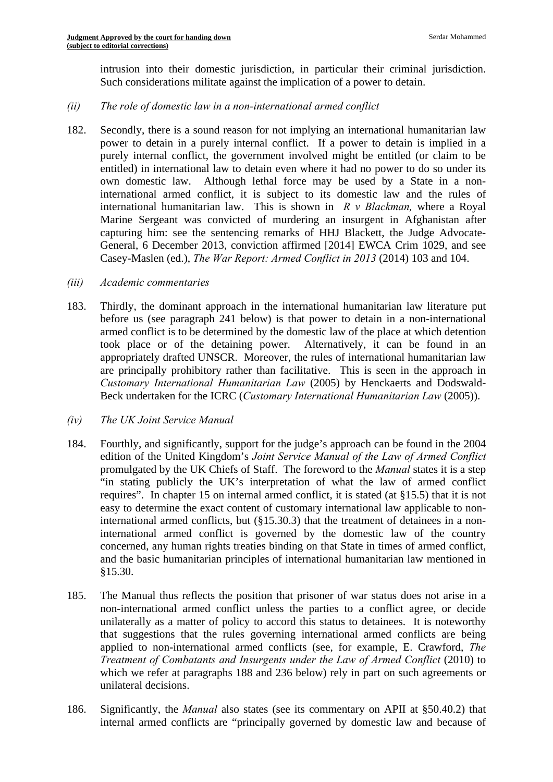intrusion into their domestic jurisdiction, in particular their criminal jurisdiction. Such considerations militate against the implication of a power to detain.

### *(ii) The role of domestic law in a non-international armed conflict*

- 182. Secondly, there is a sound reason for not implying an international humanitarian law power to detain in a purely internal conflict. If a power to detain is implied in a purely internal conflict, the government involved might be entitled (or claim to be entitled) in international law to detain even where it had no power to do so under its own domestic law. Although lethal force may be used by a State in a noninternational armed conflict, it is subject to its domestic law and the rules of international humanitarian law. This is shown in *R v Blackman,* where a Royal Marine Sergeant was convicted of murdering an insurgent in Afghanistan after capturing him: see the sentencing remarks of HHJ Blackett, the Judge Advocate-General, 6 December 2013, conviction affirmed [2014] EWCA Crim 1029, and see Casey-Maslen (ed.), *The War Report: Armed Conflict in 2013* (2014) 103 and 104.
- *(iii) Academic commentaries*
- 183. Thirdly, the dominant approach in the international humanitarian law literature put before us (see paragraph 241 below) is that power to detain in a non-international armed conflict is to be determined by the domestic law of the place at which detention took place or of the detaining power. Alternatively, it can be found in an appropriately drafted UNSCR. Moreover, the rules of international humanitarian law are principally prohibitory rather than facilitative. This is seen in the approach in *Customary International Humanitarian Law* (2005) by Henckaerts and Dodswald-Beck undertaken for the ICRC (*Customary International Humanitarian Law* (2005)).
- *(iv) The UK Joint Service Manual*
- 184. Fourthly, and significantly, support for the judge's approach can be found in the 2004 edition of the United Kingdom's *Joint Service Manual of the Law of Armed Conflict*  promulgated by the UK Chiefs of Staff. The foreword to the *Manual* states it is a step "in stating publicly the UK's interpretation of what the law of armed conflict requires". In chapter 15 on internal armed conflict, it is stated (at §15.5) that it is not easy to determine the exact content of customary international law applicable to noninternational armed conflicts, but (§15.30.3) that the treatment of detainees in a noninternational armed conflict is governed by the domestic law of the country concerned, any human rights treaties binding on that State in times of armed conflict, and the basic humanitarian principles of international humanitarian law mentioned in §15.30.
- 185. The Manual thus reflects the position that prisoner of war status does not arise in a non-international armed conflict unless the parties to a conflict agree, or decide unilaterally as a matter of policy to accord this status to detainees. It is noteworthy that suggestions that the rules governing international armed conflicts are being applied to non-international armed conflicts (see, for example, E. Crawford, *The Treatment of Combatants and Insurgents under the Law of Armed Conflict* (2010) to which we refer at paragraphs 188 and 236 below) rely in part on such agreements or unilateral decisions.
- 186. Significantly, the *Manual* also states (see its commentary on APII at §50.40.2) that internal armed conflicts are "principally governed by domestic law and because of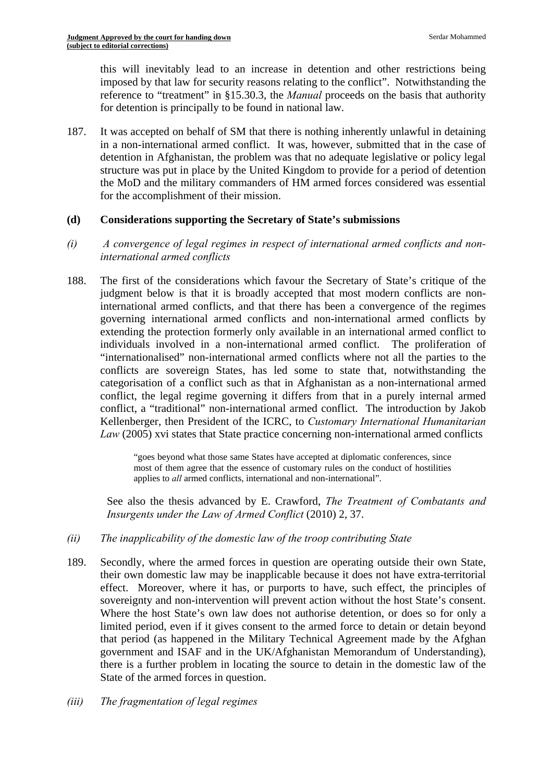this will inevitably lead to an increase in detention and other restrictions being imposed by that law for security reasons relating to the conflict". Notwithstanding the reference to "treatment" in §15.30.3, the *Manual* proceeds on the basis that authority for detention is principally to be found in national law.

187. It was accepted on behalf of SM that there is nothing inherently unlawful in detaining in a non-international armed conflict. It was, however, submitted that in the case of detention in Afghanistan, the problem was that no adequate legislative or policy legal structure was put in place by the United Kingdom to provide for a period of detention the MoD and the military commanders of HM armed forces considered was essential for the accomplishment of their mission.

# **(d) Considerations supporting the Secretary of State's submissions**

- *(i) A convergence of legal regimes in respect of international armed conflicts and noninternational armed conflicts*
- 188. The first of the considerations which favour the Secretary of State's critique of the judgment below is that it is broadly accepted that most modern conflicts are noninternational armed conflicts, and that there has been a convergence of the regimes governing international armed conflicts and non-international armed conflicts by extending the protection formerly only available in an international armed conflict to individuals involved in a non-international armed conflict. The proliferation of "internationalised" non-international armed conflicts where not all the parties to the conflicts are sovereign States, has led some to state that, notwithstanding the categorisation of a conflict such as that in Afghanistan as a non-international armed conflict, the legal regime governing it differs from that in a purely internal armed conflict, a "traditional" non-international armed conflict. The introduction by Jakob Kellenberger, then President of the ICRC, to *Customary International Humanitarian Law* (2005) xvi states that State practice concerning non-international armed conflicts

"goes beyond what those same States have accepted at diplomatic conferences, since most of them agree that the essence of customary rules on the conduct of hostilities applies to *all* armed conflicts, international and non-international".

See also the thesis advanced by E. Crawford, *The Treatment of Combatants and Insurgents under the Law of Armed Conflict* (2010) 2, 37.

- *(ii) The inapplicability of the domestic law of the troop contributing State*
- 189. Secondly, where the armed forces in question are operating outside their own State, their own domestic law may be inapplicable because it does not have extra-territorial effect. Moreover, where it has, or purports to have, such effect, the principles of sovereignty and non-intervention will prevent action without the host State's consent. Where the host State's own law does not authorise detention, or does so for only a limited period, even if it gives consent to the armed force to detain or detain beyond that period (as happened in the Military Technical Agreement made by the Afghan government and ISAF and in the UK/Afghanistan Memorandum of Understanding), there is a further problem in locating the source to detain in the domestic law of the State of the armed forces in question.
- *(iii) The fragmentation of legal regimes*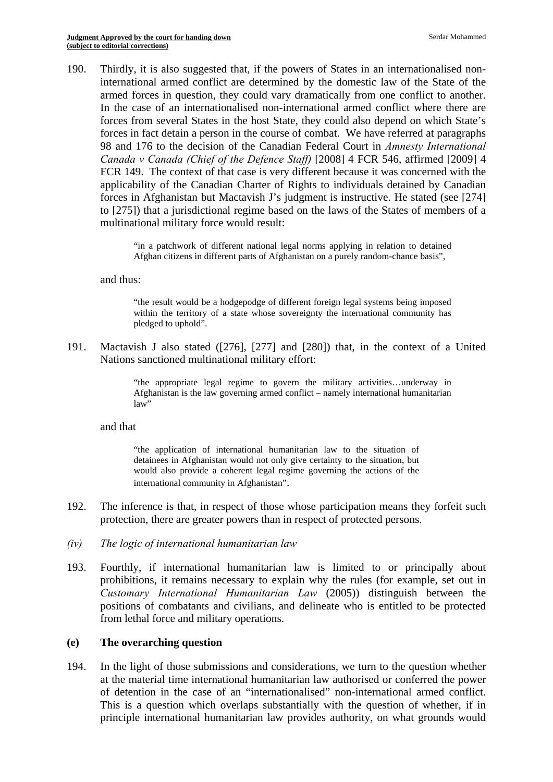190. Thirdly, it is also suggested that, if the powers of States in an internationalised noninternational armed conflict are determined by the domestic law of the State of the armed forces in question, they could vary dramatically from one conflict to another. In the case of an internationalised non-international armed conflict where there are forces from several States in the host State, they could also depend on which State's forces in fact detain a person in the course of combat. We have referred at paragraphs 98 and 176 to the decision of the Canadian Federal Court in *Amnesty International Canada v Canada (Chief of the Defence Staff)* [2008] 4 FCR 546, affirmed [2009] 4 FCR 149. The context of that case is very different because it was concerned with the applicability of the Canadian Charter of Rights to individuals detained by Canadian forces in Afghanistan but Mactavish J's judgment is instructive. He stated (see [274] to [275]) that a jurisdictional regime based on the laws of the States of members of a multinational military force would result:

> "in a patchwork of different national legal norms applying in relation to detained Afghan citizens in different parts of Afghanistan on a purely random-chance basis",

#### and thus:

"the result would be a hodgepodge of different foreign legal systems being imposed within the territory of a state whose sovereignty the international community has pledged to uphold".

191. Mactavish J also stated ([276], [277] and [280]) that, in the context of a United Nations sanctioned multinational military effort:

> "the appropriate legal regime to govern the military activities…underway in Afghanistan is the law governing armed conflict – namely international humanitarian law"

#### and that

"the application of international humanitarian law to the situation of detainees in Afghanistan would not only give certainty to the situation, but would also provide a coherent legal regime governing the actions of the international community in Afghanistan".

- 192. The inference is that, in respect of those whose participation means they forfeit such protection, there are greater powers than in respect of protected persons.
- *(iv) The logic of international humanitarian law*
- 193. Fourthly, if international humanitarian law is limited to or principally about prohibitions, it remains necessary to explain why the rules (for example, set out in *Customary International Humanitarian Law* (2005)) distinguish between the positions of combatants and civilians, and delineate who is entitled to be protected from lethal force and military operations.

#### **(e) The overarching question**

194. In the light of those submissions and considerations, we turn to the question whether at the material time international humanitarian law authorised or conferred the power of detention in the case of an "internationalised" non-international armed conflict. This is a question which overlaps substantially with the question of whether, if in principle international humanitarian law provides authority, on what grounds would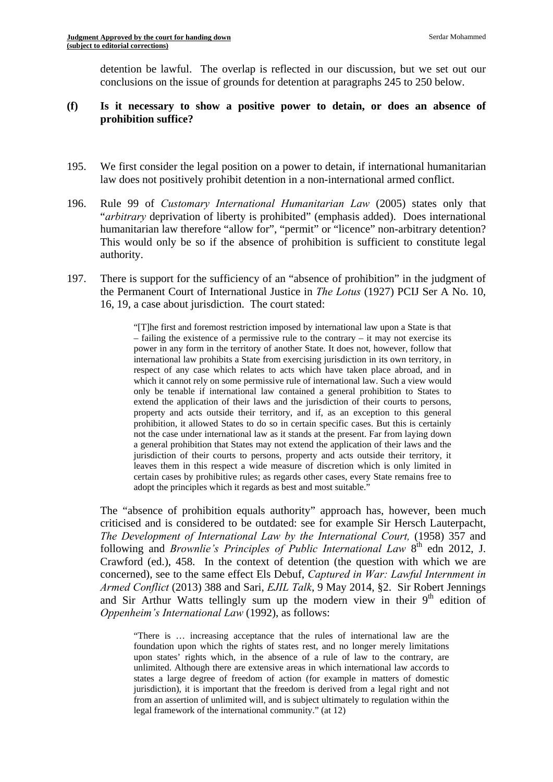detention be lawful. The overlap is reflected in our discussion, but we set out our conclusions on the issue of grounds for detention at paragraphs 245 to 250 below.

### **(f) Is it necessary to show a positive power to detain, or does an absence of prohibition suffice?**

- 195. We first consider the legal position on a power to detain, if international humanitarian law does not positively prohibit detention in a non-international armed conflict.
- 196. Rule 99 of *Customary International Humanitarian Law* (2005) states only that "*arbitrary* deprivation of liberty is prohibited" (emphasis added). Does international humanitarian law therefore "allow for", "permit" or "licence" non-arbitrary detention? This would only be so if the absence of prohibition is sufficient to constitute legal authority.
- 197. There is support for the sufficiency of an "absence of prohibition" in the judgment of the Permanent Court of International Justice in *The Lotus* (1927) PCIJ Ser A No. 10, 16, 19, a case about jurisdiction. The court stated:

 extend the application of their laws and the jurisdiction of their courts to persons, "[T]he first and foremost restriction imposed by international law upon a State is that – failing the existence of a permissive rule to the contrary – it may not exercise its power in any form in the territory of another State. It does not, however, follow that international law prohibits a State from exercising jurisdiction in its own territory, in respect of any case which relates to acts which have taken place abroad, and in which it cannot rely on some permissive rule of international law. Such a view would only be tenable if international law contained a general prohibition to States to property and acts outside their territory, and if, as an exception to this general prohibition, it allowed States to do so in certain specific cases. But this is certainly not the case under international law as it stands at the present. Far from laying down a general prohibition that States may not extend the application of their laws and the jurisdiction of their courts to persons, property and acts outside their territory, it leaves them in this respect a wide measure of discretion which is only limited in certain cases by prohibitive rules; as regards other cases, every State remains free to adopt the principles which it regards as best and most suitable."

The "absence of prohibition equals authority" approach has, however, been much criticised and is considered to be outdated: see for example Sir Hersch Lauterpacht, *The Development of International Law by the International Court,* (1958) 357 and following and *Brownlie's Principles of Public International Law* 8<sup>th</sup> edn 2012, J. Crawford (ed.), 458. In the context of detention (the question with which we are concerned), see to the same effect Els Debuf, *Captured in War: Lawful Internment in Armed Conflict* (2013) 388 and Sari, *EJIL Talk*, 9 May 2014, §2. Sir Robert Jennings and Sir Arthur Watts tellingly sum up the modern view in their  $9<sup>th</sup>$  edition of *Oppenheim's International Law* (1992), as follows:

 foundation upon which the rights of states rest, and no longer merely limitations from an assertion of unlimited will, and is subject ultimately to regulation within the "There is … increasing acceptance that the rules of international law are the upon states' rights which, in the absence of a rule of law to the contrary, are unlimited. Although there are extensive areas in which international law accords to states a large degree of freedom of action (for example in matters of domestic jurisdiction), it is important that the freedom is derived from a legal right and not legal framework of the international community." (at 12)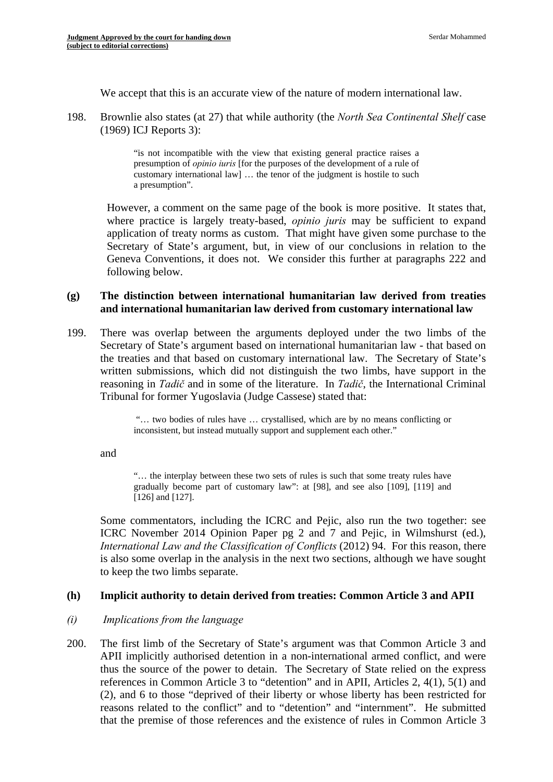We accept that this is an accurate view of the nature of modern international law.

198. Brownlie also states (at 27) that while authority (the *North Sea Continental Shelf* case (1969) ICJ Reports 3):

> "is not incompatible with the view that existing general practice raises a presumption of *opinio iuris* [for the purposes of the development of a rule of customary international law] … the tenor of the judgment is hostile to such a presumption".

application of treaty norms as custom. That might have given some purchase to the However, a comment on the same page of the book is more positive. It states that, where practice is largely treaty-based, *opinio juris* may be sufficient to expand Secretary of State's argument, but, in view of our conclusions in relation to the Geneva Conventions, it does not. We consider this further at paragraphs 222 and following below.

# **(g) The distinction between international humanitarian law derived from treaties and international humanitarian law derived from customary international law**

199. There was overlap between the arguments deployed under the two limbs of the Secretary of State's argument based on international humanitarian law - that based on the treaties and that based on customary international law. The Secretary of State's written submissions, which did not distinguish the two limbs, have support in the reasoning in *Tadič* and in some of the literature. In *Tadič*, the International Criminal Tribunal for former Yugoslavia (Judge Cassese) stated that:

> "… two bodies of rules have … crystallised, which are by no means conflicting or inconsistent, but instead mutually support and supplement each other."

and

"… the interplay between these two sets of rules is such that some treaty rules have gradually become part of customary law": at [98], and see also [109], [119] and [126] and [127].

Some commentators, including the ICRC and Pejic, also run the two together: see ICRC November 2014 Opinion Paper pg 2 and 7 and Pejic, in Wilmshurst (ed.), *International Law and the Classification of Conflicts* (2012) 94. For this reason, there is also some overlap in the analysis in the next two sections, although we have sought to keep the two limbs separate.

# **(h) Implicit authority to detain derived from treaties: Common Article 3 and APII**

# *(i) Implications from the language*

200. The first limb of the Secretary of State's argument was that Common Article 3 and APII implicitly authorised detention in a non-international armed conflict, and were thus the source of the power to detain. The Secretary of State relied on the express references in Common Article 3 to "detention" and in APII, Articles 2, 4(1), 5(1) and (2), and 6 to those "deprived of their liberty or whose liberty has been restricted for reasons related to the conflict" and to "detention" and "internment". He submitted that the premise of those references and the existence of rules in Common Article 3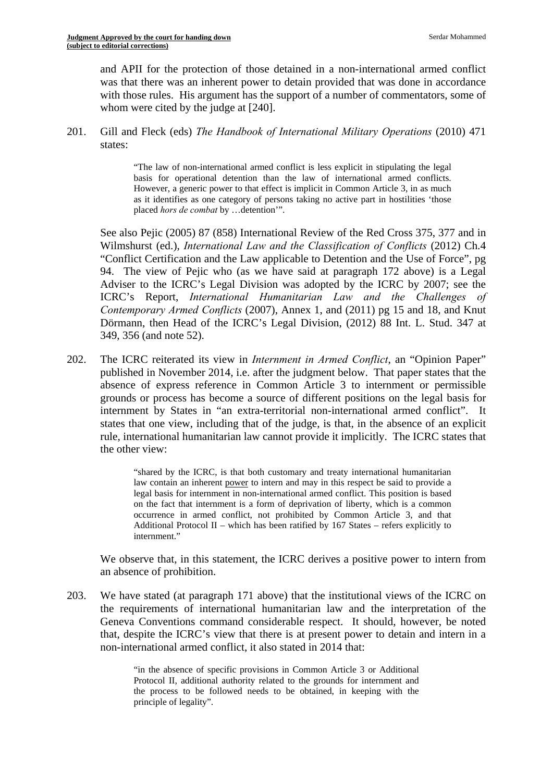and APII for the protection of those detained in a non-international armed conflict was that there was an inherent power to detain provided that was done in accordance with those rules. His argument has the support of a number of commentators, some of whom were cited by the judge at [240].

201. Gill and Fleck (eds) *The Handbook of International Military Operations* (2010) 471 states:

> "The law of non-international armed conflict is less explicit in stipulating the legal basis for operational detention than the law of international armed conflicts. However, a generic power to that effect is implicit in Common Article 3, in as much as it identifies as one category of persons taking no active part in hostilities 'those placed *hors de combat* by …detention'".

See also Pejic (2005) 87 (858) International Review of the Red Cross 375, 377 and in Wilmshurst (ed.), *International Law and the Classification of Conflicts* (2012) Ch.4 "Conflict Certification and the Law applicable to Detention and the Use of Force", pg 94. The view of Pejic who (as we have said at paragraph 172 above) is a Legal Adviser to the ICRC's Legal Division was adopted by the ICRC by 2007; see the ICRC's Report, *International Humanitarian Law and the Challenges of Contemporary Armed Conflicts* (2007), Annex 1, and (2011) pg 15 and 18, and Knut Dörmann, then Head of the ICRC's Legal Division, (2012) 88 Int. L. Stud. 347 at 349, 356 (and note 52).

202. The ICRC reiterated its view in *Internment in Armed Conflict*, an "Opinion Paper" published in November 2014, i.e. after the judgment below. That paper states that the absence of express reference in Common Article 3 to internment or permissible grounds or process has become a source of different positions on the legal basis for internment by States in "an extra-territorial non-international armed conflict". It states that one view, including that of the judge, is that, in the absence of an explicit rule, international humanitarian law cannot provide it implicitly. The ICRC states that the other view:

> "shared by the ICRC, is that both customary and treaty international humanitarian law contain an inherent power to intern and may in this respect be said to provide a legal basis for internment in non-international armed conflict. This position is based on the fact that internment is a form of deprivation of liberty, which is a common occurrence in armed conflict, not prohibited by Common Article 3, and that Additional Protocol II – which has been ratified by 167 States – refers explicitly to internment."

We observe that, in this statement, the ICRC derives a positive power to intern from an absence of prohibition.

203. We have stated (at paragraph 171 above) that the institutional views of the ICRC on the requirements of international humanitarian law and the interpretation of the Geneva Conventions command considerable respect. It should, however, be noted that, despite the ICRC's view that there is at present power to detain and intern in a non-international armed conflict, it also stated in 2014 that:

> the process to be followed needs to be obtained, in keeping with the "in the absence of specific provisions in Common Article 3 or Additional Protocol II, additional authority related to the grounds for internment and principle of legality".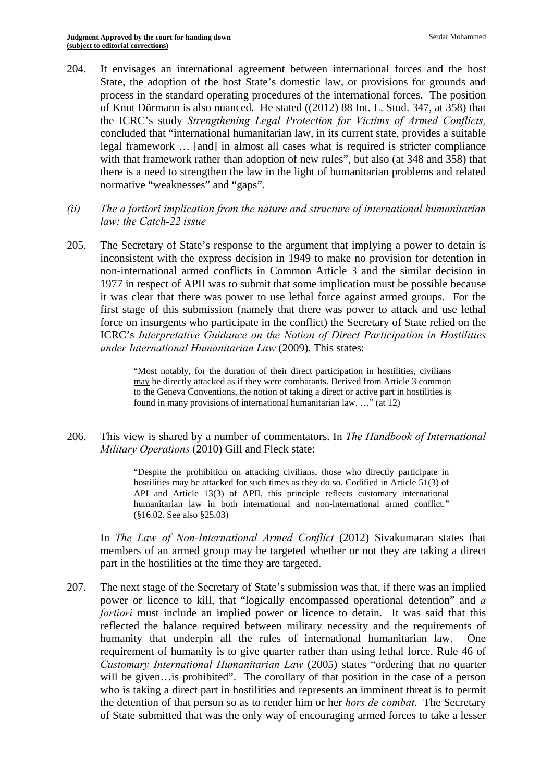- normative "weaknesses" and "gaps". 204. It envisages an international agreement between international forces and the host State, the adoption of the host State's domestic law, or provisions for grounds and process in the standard operating procedures of the international forces. The position of Knut Dörmann is also nuanced. He stated ((2012) 88 Int. L. Stud. 347, at 358) that the ICRC's study *Strengthening Legal Protection for Victims of Armed Conflicts,*  concluded that "international humanitarian law, in its current state, provides a suitable legal framework … [and] in almost all cases what is required is stricter compliance with that framework rather than adoption of new rules", but also (at 348 and 358) that there is a need to strengthen the law in the light of humanitarian problems and related
- *(ii) The a fortiori implication from the nature and structure of international humanitarian law: the Catch-22 issue*
- 205. The Secretary of State's response to the argument that implying a power to detain is inconsistent with the express decision in 1949 to make no provision for detention in non-international armed conflicts in Common Article 3 and the similar decision in 1977 in respect of APII was to submit that some implication must be possible because it was clear that there was power to use lethal force against armed groups. For the first stage of this submission (namely that there was power to attack and use lethal force on insurgents who participate in the conflict) the Secretary of State relied on the ICRC's *Interpretative Guidance on the Notion of Direct Participation in Hostilities under International Humanitarian Law* (2009). This states:

"Most notably, for the duration of their direct participation in hostilities, civilians may be directly attacked as if they were combatants. Derived from Article 3 common to the Geneva Conventions, the notion of taking a direct or active part in hostilities is found in many provisions of international humanitarian law. …" (at 12)

206. This view is shared by a number of commentators. In *The Handbook of International Military Operations* (2010) Gill and Fleck state:

> (§16.02. See also §25.03) "Despite the prohibition on attacking civilians, those who directly participate in hostilities may be attacked for such times as they do so. Codified in Article 51(3) of API and Article 13(3) of APII, this principle reflects customary international humanitarian law in both international and non-international armed conflict."

In *The Law of Non-International Armed Conflict* (2012) Sivakumaran states that members of an armed group may be targeted whether or not they are taking a direct part in the hostilities at the time they are targeted.

207. The next stage of the Secretary of State's submission was that, if there was an implied power or licence to kill, that "logically encompassed operational detention" and *a fortiori* must include an implied power or licence to detain. It was said that this reflected the balance required between military necessity and the requirements of humanity that underpin all the rules of international humanitarian law. One requirement of humanity is to give quarter rather than using lethal force. Rule 46 of *Customary International Humanitarian Law* (2005) states "ordering that no quarter will be given... is prohibited". The corollary of that position in the case of a person who is taking a direct part in hostilities and represents an imminent threat is to permit the detention of that person so as to render him or her *hors de combat*. The Secretary of State submitted that was the only way of encouraging armed forces to take a lesser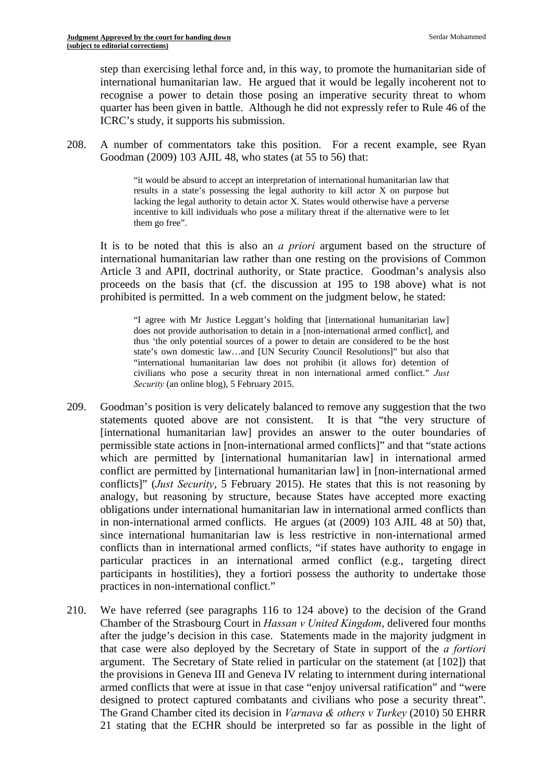step than exercising lethal force and, in this way, to promote the humanitarian side of international humanitarian law. He argued that it would be legally incoherent not to recognise a power to detain those posing an imperative security threat to whom quarter has been given in battle. Although he did not expressly refer to Rule 46 of the ICRC's study, it supports his submission.

208. A number of commentators take this position. For a recent example, see Ryan Goodman (2009) 103 AJIL 48, who states (at 55 to 56) that:

> lacking the legal authority to detain actor X. States would otherwise have a perverse "it would be absurd to accept an interpretation of international humanitarian law that results in a state's possessing the legal authority to kill actor X on purpose but incentive to kill individuals who pose a military threat if the alternative were to let them go free".

It is to be noted that this is also an *a priori* argument based on the structure of international humanitarian law rather than one resting on the provisions of Common Article 3 and APII, doctrinal authority, or State practice. Goodman's analysis also proceeds on the basis that (cf. the discussion at 195 to 198 above) what is not prohibited is permitted. In a web comment on the judgment below, he stated:

 does not provide authorisation to detain in a [non-international armed conflict], and "I agree with Mr Justice Leggatt's holding that [international humanitarian law] thus 'the only potential sources of a power to detain are considered to be the host state's own domestic law…and [UN Security Council Resolutions]" but also that "international humanitarian law does not prohibit (it allows for) detention of civilians who pose a security threat in non international armed conflict." *Just Security* (an online blog), 5 February 2015.

- 209. Goodman's position is very delicately balanced to remove any suggestion that the two statements quoted above are not consistent. It is that "the very structure of [international humanitarian law] provides an answer to the outer boundaries of permissible state actions in [non-international armed conflicts]" and that "state actions which are permitted by [international humanitarian law] in international armed conflict are permitted by [international humanitarian law] in [non-international armed conflicts]" (*Just Security*, 5 February 2015). He states that this is not reasoning by analogy, but reasoning by structure, because States have accepted more exacting obligations under international humanitarian law in international armed conflicts than in non-international armed conflicts. He argues (at (2009) 103 AJIL 48 at 50) that, since international humanitarian law is less restrictive in non-international armed conflicts than in international armed conflicts, "if states have authority to engage in particular practices in an international armed conflict (e.g., targeting direct participants in hostilities), they a fortiori possess the authority to undertake those practices in non-international conflict."
- designed to protect captured combatants and civilians who pose a security threat". 210. We have referred (see paragraphs 116 to 124 above) to the decision of the Grand Chamber of the Strasbourg Court in *Hassan v United Kingdom*, delivered four months after the judge's decision in this case. Statements made in the majority judgment in that case were also deployed by the Secretary of State in support of the *a fortiori*  argument. The Secretary of State relied in particular on the statement (at [102]) that the provisions in Geneva III and Geneva IV relating to internment during international armed conflicts that were at issue in that case "enjoy universal ratification" and "were The Grand Chamber cited its decision in *Varnava & others v Turkey* (2010) 50 EHRR 21 stating that the ECHR should be interpreted so far as possible in the light of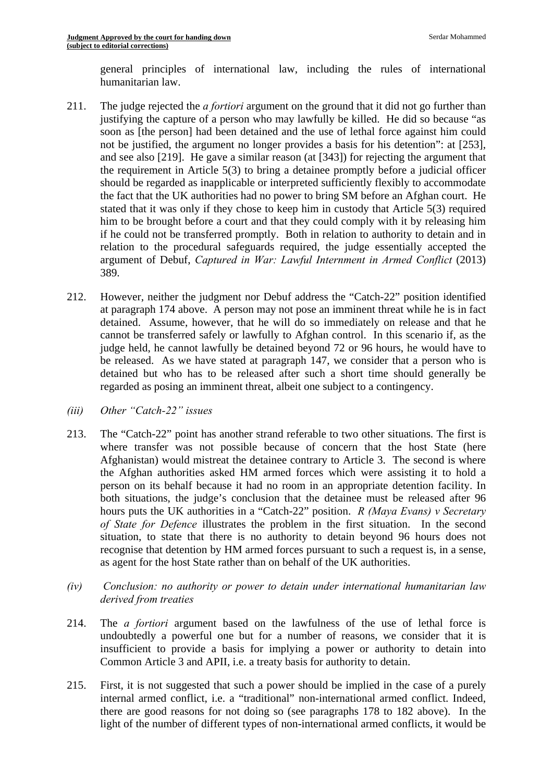general principles of international law, including the rules of international humanitarian law.

- 211. The judge rejected the *a fortiori* argument on the ground that it did not go further than justifying the capture of a person who may lawfully be killed. He did so because "as soon as [the person] had been detained and the use of lethal force against him could not be justified, the argument no longer provides a basis for his detention": at [253], and see also [219]. He gave a similar reason (at [343]) for rejecting the argument that the requirement in Article 5(3) to bring a detainee promptly before a judicial officer should be regarded as inapplicable or interpreted sufficiently flexibly to accommodate the fact that the UK authorities had no power to bring SM before an Afghan court. He stated that it was only if they chose to keep him in custody that Article 5(3) required him to be brought before a court and that they could comply with it by releasing him if he could not be transferred promptly. Both in relation to authority to detain and in relation to the procedural safeguards required, the judge essentially accepted the argument of Debuf, *Captured in War: Lawful Internment in Armed Conflict* (2013) 389.
- 212. However, neither the judgment nor Debuf address the "Catch-22" position identified at paragraph 174 above. A person may not pose an imminent threat while he is in fact detained. Assume, however, that he will do so immediately on release and that he cannot be transferred safely or lawfully to Afghan control. In this scenario if, as the judge held, he cannot lawfully be detained beyond 72 or 96 hours, he would have to be released. As we have stated at paragraph 147, we consider that a person who is detained but who has to be released after such a short time should generally be regarded as posing an imminent threat, albeit one subject to a contingency.
- *(iii) Other "Catch-22" issues*
- hours puts the UK authorities in a "Catch-22" position. *R (Maya Evans) v Secretary*  213. The "Catch-22" point has another strand referable to two other situations. The first is where transfer was not possible because of concern that the host State (here Afghanistan) would mistreat the detainee contrary to Article 3. The second is where the Afghan authorities asked HM armed forces which were assisting it to hold a person on its behalf because it had no room in an appropriate detention facility. In both situations, the judge's conclusion that the detainee must be released after 96 *of State for Defence* illustrates the problem in the first situation. In the second situation, to state that there is no authority to detain beyond 96 hours does not recognise that detention by HM armed forces pursuant to such a request is, in a sense, as agent for the host State rather than on behalf of the UK authorities.
- $(iv)$ *Conclusion: no authority or power to detain under international humanitarian law derived from treaties*
- 214. The *a fortiori* argument based on the lawfulness of the use of lethal force is undoubtedly a powerful one but for a number of reasons, we consider that it is insufficient to provide a basis for implying a power or authority to detain into Common Article 3 and APII, i.e. a treaty basis for authority to detain.
- 215. First, it is not suggested that such a power should be implied in the case of a purely internal armed conflict, i.e. a "traditional" non-international armed conflict. Indeed, there are good reasons for not doing so (see paragraphs 178 to 182 above). In the light of the number of different types of non-international armed conflicts, it would be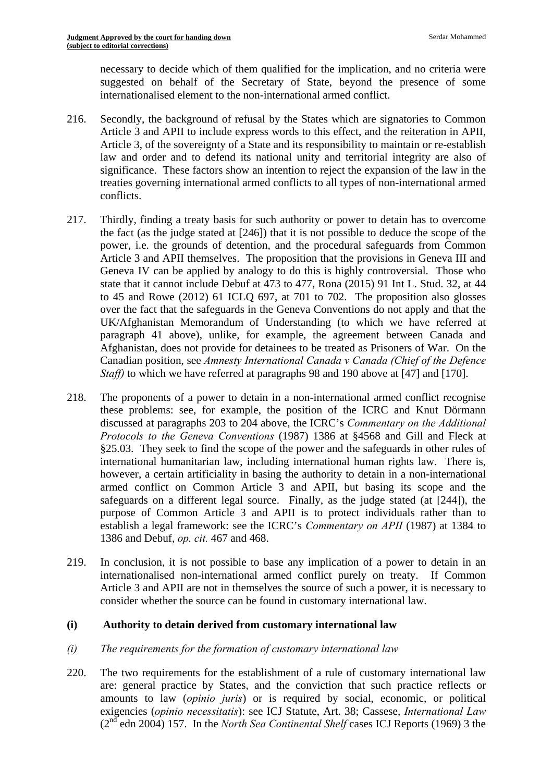necessary to decide which of them qualified for the implication, and no criteria were suggested on behalf of the Secretary of State, beyond the presence of some internationalised element to the non-international armed conflict.

- 216. Secondly, the background of refusal by the States which are signatories to Common Article 3 and APII to include express words to this effect, and the reiteration in APII, Article 3, of the sovereignty of a State and its responsibility to maintain or re-establish law and order and to defend its national unity and territorial integrity are also of significance. These factors show an intention to reject the expansion of the law in the treaties governing international armed conflicts to all types of non-international armed conflicts.
- 217. Thirdly, finding a treaty basis for such authority or power to detain has to overcome the fact (as the judge stated at [246]) that it is not possible to deduce the scope of the power, i.e. the grounds of detention, and the procedural safeguards from Common Article 3 and APII themselves. The proposition that the provisions in Geneva III and Geneva IV can be applied by analogy to do this is highly controversial. Those who state that it cannot include Debuf at 473 to 477, Rona (2015) 91 Int L. Stud. 32, at 44 to 45 and Rowe (2012) 61 ICLQ 697, at 701 to 702. The proposition also glosses over the fact that the safeguards in the Geneva Conventions do not apply and that the UK/Afghanistan Memorandum of Understanding (to which we have referred at paragraph 41 above), unlike, for example, the agreement between Canada and Afghanistan, does not provide for detainees to be treated as Prisoners of War. On the Canadian position, see *Amnesty International Canada v Canada (Chief of the Defence Staff)* to which we have referred at paragraphs 98 and 190 above at [47] and [170].
- 218. The proponents of a power to detain in a non-international armed conflict recognise these problems: see, for example, the position of the ICRC and Knut Dörmann discussed at paragraphs 203 to 204 above, the ICRC's *Commentary on the Additional Protocols to the Geneva Conventions* (1987) 1386 at §4568 and Gill and Fleck at §25.03. They seek to find the scope of the power and the safeguards in other rules of international humanitarian law, including international human rights law. There is, however, a certain artificiality in basing the authority to detain in a non-international armed conflict on Common Article 3 and APII, but basing its scope and the safeguards on a different legal source. Finally, as the judge stated (at [244]), the purpose of Common Article 3 and APII is to protect individuals rather than to establish a legal framework: see the ICRC's *Commentary on APII* (1987) at 1384 to 1386 and Debuf, *op. cit.* 467 and 468.
- consider whether the source can be found in customary international law. 219. In conclusion, it is not possible to base any implication of a power to detain in an internationalised non-international armed conflict purely on treaty. If Common Article 3 and APII are not in themselves the source of such a power, it is necessary to

# **(i) Authority to detain derived from customary international law**

#### *(i) The requirements for the formation of customary international law*

220. The two requirements for the establishment of a rule of customary international law are: general practice by States, and the conviction that such practice reflects or amounts to law (*opinio juris*) or is required by social, economic, or political exigencies (*opinio necessitatis*): see ICJ Statute, Art. 38; Cassese, *International Law*  (2nd edn 2004) 157. In the *North Sea Continental Shelf* cases ICJ Reports (1969) 3 the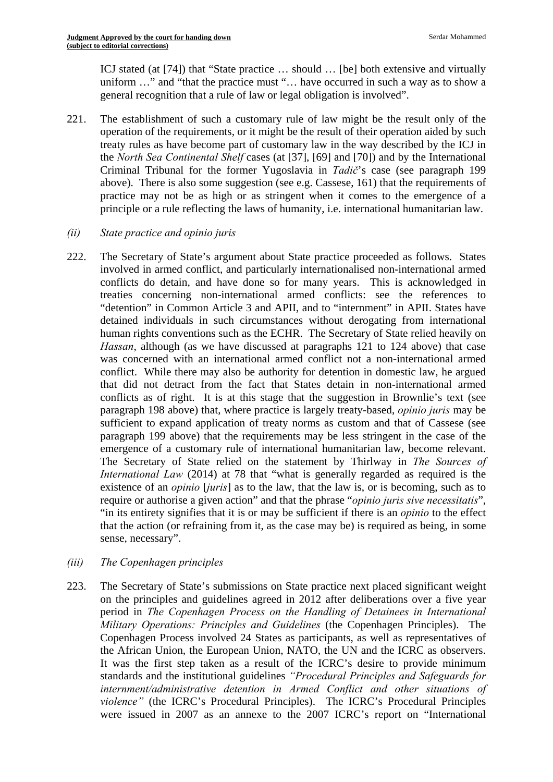ICJ stated (at [74]) that "State practice … should … [be] both extensive and virtually uniform …" and "that the practice must "… have occurred in such a way as to show a general recognition that a rule of law or legal obligation is involved".

221. The establishment of such a customary rule of law might be the result only of the operation of the requirements, or it might be the result of their operation aided by such treaty rules as have become part of customary law in the way described by the ICJ in the *North Sea Continental Shelf* cases (at [37], [69] and [70]) and by the International Criminal Tribunal for the former Yugoslavia in *Tadič*'s case (see paragraph 199 above). There is also some suggestion (see e.g. Cassese, 161) that the requirements of practice may not be as high or as stringent when it comes to the emergence of a principle or a rule reflecting the laws of humanity, i.e. international humanitarian law.

# *(ii) State practice and opinio juris*

- 222. The Secretary of State's argument about State practice proceeded as follows. States involved in armed conflict, and particularly internationalised non-international armed conflicts do detain, and have done so for many years. This is acknowledged in treaties concerning non-international armed conflicts: see the references to "detention" in Common Article 3 and APII, and to "internment" in APII. States have detained individuals in such circumstances without derogating from international human rights conventions such as the ECHR. The Secretary of State relied heavily on *Hassan*, although (as we have discussed at paragraphs 121 to 124 above) that case was concerned with an international armed conflict not a non-international armed conflict. While there may also be authority for detention in domestic law, he argued that did not detract from the fact that States detain in non-international armed conflicts as of right. It is at this stage that the suggestion in Brownlie's text (see paragraph 198 above) that, where practice is largely treaty-based, *opinio juris* may be sufficient to expand application of treaty norms as custom and that of Cassese (see paragraph 199 above) that the requirements may be less stringent in the case of the emergence of a customary rule of international humanitarian law, become relevant. The Secretary of State relied on the statement by Thirlway in *The Sources of International Law* (2014) at 78 that "what is generally regarded as required is the existence of an *opinio* [*juris*] as to the law, that the law is, or is becoming, such as to require or authorise a given action" and that the phrase "*opinio juris sive necessitatis*", "in its entirety signifies that it is or may be sufficient if there is an *opinio* to the effect that the action (or refraining from it, as the case may be) is required as being, in some sense, necessary".
- *(iii) The Copenhagen principles*
- *violence"* (the ICRC's Procedural Principles). The ICRC's Procedural Principles 223. The Secretary of State's submissions on State practice next placed significant weight on the principles and guidelines agreed in 2012 after deliberations over a five year period in *The Copenhagen Process on the Handling of Detainees in International Military Operations: Principles and Guidelines* (the Copenhagen Principles). The Copenhagen Process involved 24 States as participants, as well as representatives of the African Union, the European Union, NATO, the UN and the ICRC as observers. It was the first step taken as a result of the ICRC's desire to provide minimum standards and the institutional guidelines *"Procedural Principles and Safeguards for internment/administrative detention in Armed Conflict and other situations of*  were issued in 2007 as an annexe to the 2007 ICRC's report on "International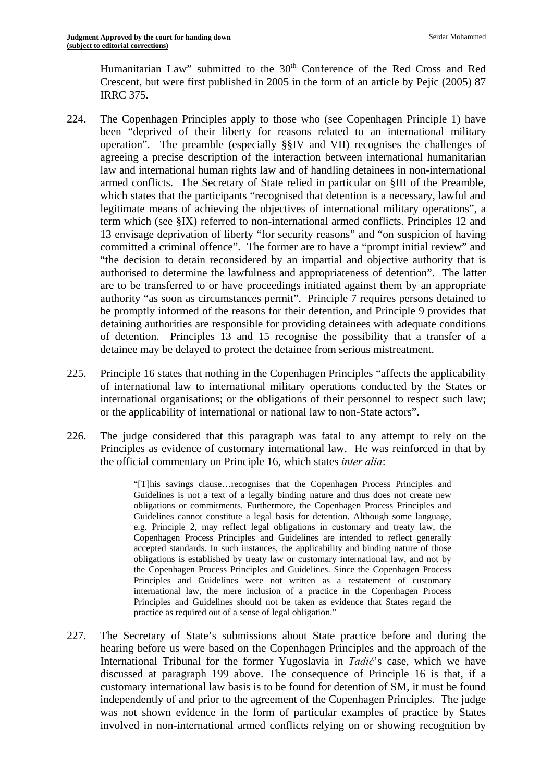Humanitarian Law" submitted to the  $30<sup>th</sup>$  Conference of the Red Cross and Red Crescent, but were first published in 2005 in the form of an article by Pejic (2005) 87 IRRC 375.

- 224. The Copenhagen Principles apply to those who (see Copenhagen Principle 1) have been "deprived of their liberty for reasons related to an international military operation". The preamble (especially §§IV and VII) recognises the challenges of agreeing a precise description of the interaction between international humanitarian law and international human rights law and of handling detainees in non-international armed conflicts. The Secretary of State relied in particular on §III of the Preamble, which states that the participants "recognised that detention is a necessary, lawful and legitimate means of achieving the objectives of international military operations", a term which (see §IX) referred to non-international armed conflicts. Principles 12 and 13 envisage deprivation of liberty "for security reasons" and "on suspicion of having committed a criminal offence". The former are to have a "prompt initial review" and "the decision to detain reconsidered by an impartial and objective authority that is authorised to determine the lawfulness and appropriateness of detention". The latter are to be transferred to or have proceedings initiated against them by an appropriate authority "as soon as circumstances permit". Principle 7 requires persons detained to be promptly informed of the reasons for their detention, and Principle 9 provides that detaining authorities are responsible for providing detainees with adequate conditions of detention. Principles 13 and 15 recognise the possibility that a transfer of a detainee may be delayed to protect the detainee from serious mistreatment.
- 225. Principle 16 states that nothing in the Copenhagen Principles "affects the applicability of international law to international military operations conducted by the States or international organisations; or the obligations of their personnel to respect such law; or the applicability of international or national law to non-State actors".
- 226. The judge considered that this paragraph was fatal to any attempt to rely on the Principles as evidence of customary international law. He was reinforced in that by the official commentary on Principle 16, which states *inter alia*:

 obligations is established by treaty law or customary international law, and not by the Copenhagen Process Principles and Guidelines. Since the Copenhagen Process international law, the mere inclusion of a practice in the Copenhagen Process practice as required out of a sense of legal obligation." "[T]his savings clause…recognises that the Copenhagen Process Principles and Guidelines is not a text of a legally binding nature and thus does not create new obligations or commitments. Furthermore, the Copenhagen Process Principles and Guidelines cannot constitute a legal basis for detention. Although some language, e.g. Principle 2, may reflect legal obligations in customary and treaty law, the Copenhagen Process Principles and Guidelines are intended to reflect generally accepted standards. In such instances, the applicability and binding nature of those Principles and Guidelines were not written as a restatement of customary Principles and Guidelines should not be taken as evidence that States regard the

227. The Secretary of State's submissions about State practice before and during the hearing before us were based on the Copenhagen Principles and the approach of the International Tribunal for the former Yugoslavia in *Tadič*'s case, which we have discussed at paragraph 199 above. The consequence of Principle 16 is that, if a customary international law basis is to be found for detention of SM, it must be found independently of and prior to the agreement of the Copenhagen Principles. The judge was not shown evidence in the form of particular examples of practice by States involved in non-international armed conflicts relying on or showing recognition by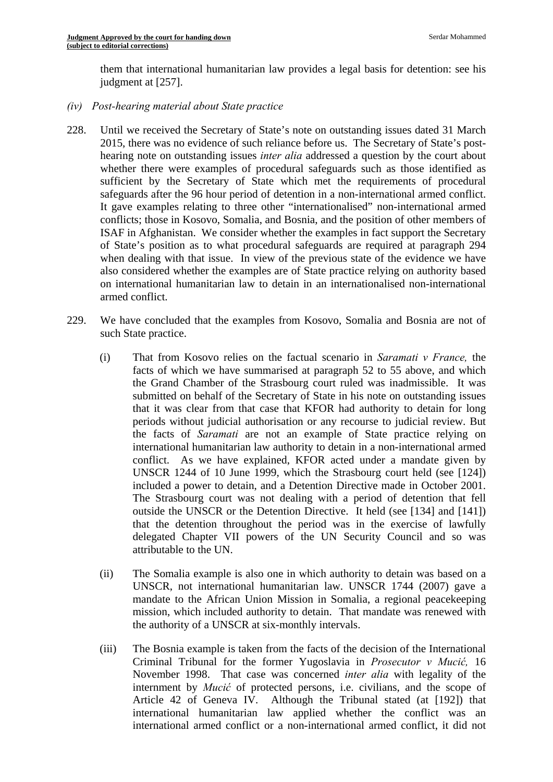them that international humanitarian law provides a legal basis for detention: see his judgment at [257].

- *(iv) Post-hearing material about State practice*
- 228. Until we received the Secretary of State's note on outstanding issues dated 31 March 2015, there was no evidence of such reliance before us. The Secretary of State's posthearing note on outstanding issues *inter alia* addressed a question by the court about whether there were examples of procedural safeguards such as those identified as sufficient by the Secretary of State which met the requirements of procedural safeguards after the 96 hour period of detention in a non-international armed conflict. It gave examples relating to three other "internationalised" non-international armed conflicts; those in Kosovo, Somalia, and Bosnia, and the position of other members of ISAF in Afghanistan. We consider whether the examples in fact support the Secretary of State's position as to what procedural safeguards are required at paragraph 294 when dealing with that issue. In view of the previous state of the evidence we have also considered whether the examples are of State practice relying on authority based on international humanitarian law to detain in an internationalised non-international armed conflict.
- 229. We have concluded that the examples from Kosovo, Somalia and Bosnia are not of such State practice.
	- (i) That from Kosovo relies on the factual scenario in *Saramati v France,* the facts of which we have summarised at paragraph 52 to 55 above, and which the Grand Chamber of the Strasbourg court ruled was inadmissible. It was submitted on behalf of the Secretary of State in his note on outstanding issues that it was clear from that case that KFOR had authority to detain for long periods without judicial authorisation or any recourse to judicial review. But the facts of *Saramati* are not an example of State practice relying on international humanitarian law authority to detain in a non-international armed conflict. As we have explained, KFOR acted under a mandate given by UNSCR 1244 of 10 June 1999, which the Strasbourg court held (see [124]) included a power to detain, and a Detention Directive made in October 2001. The Strasbourg court was not dealing with a period of detention that fell outside the UNSCR or the Detention Directive. It held (see [134] and [141]) that the detention throughout the period was in the exercise of lawfully delegated Chapter VII powers of the UN Security Council and so was attributable to the UN.
	- (ii) The Somalia example is also one in which authority to detain was based on a UNSCR, not international humanitarian law. UNSCR 1744 (2007) gave a mandate to the African Union Mission in Somalia, a regional peacekeeping mission, which included authority to detain. That mandate was renewed with the authority of a UNSCR at six-monthly intervals.
	- (iii) The Bosnia example is taken from the facts of the decision of the International Criminal Tribunal for the former Yugoslavia in *Prosecutor v Mucić,* 16 November 1998. That case was concerned *inter alia* with legality of the internment by *Mucić* of protected persons, i.e. civilians, and the scope of Article 42 of Geneva IV. Although the Tribunal stated (at [192]) that international humanitarian law applied whether the conflict was an international armed conflict or a non-international armed conflict, it did not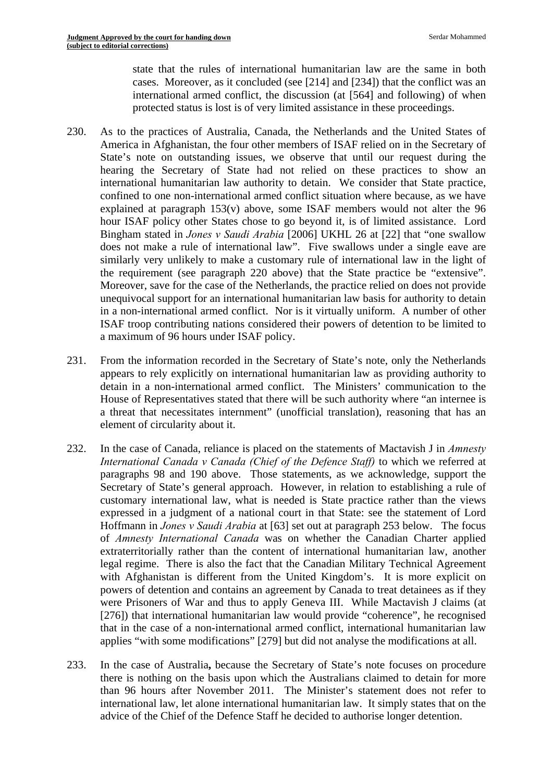state that the rules of international humanitarian law are the same in both cases. Moreover, as it concluded (see [214] and [234]) that the conflict was an international armed conflict, the discussion (at [564] and following) of when protected status is lost is of very limited assistance in these proceedings.

- 230. As to the practices of Australia, Canada, the Netherlands and the United States of America in Afghanistan, the four other members of ISAF relied on in the Secretary of State's note on outstanding issues, we observe that until our request during the hearing the Secretary of State had not relied on these practices to show an international humanitarian law authority to detain. We consider that State practice, confined to one non-international armed conflict situation where because, as we have explained at paragraph 153(v) above, some ISAF members would not alter the 96 hour ISAF policy other States chose to go beyond it, is of limited assistance. Lord Bingham stated in *Jones v Saudi Arabia* [2006] UKHL 26 at [22] that "one swallow does not make a rule of international law". Five swallows under a single eave are similarly very unlikely to make a customary rule of international law in the light of the requirement (see paragraph 220 above) that the State practice be "extensive". Moreover, save for the case of the Netherlands, the practice relied on does not provide unequivocal support for an international humanitarian law basis for authority to detain in a non-international armed conflict. Nor is it virtually uniform. A number of other ISAF troop contributing nations considered their powers of detention to be limited to a maximum of 96 hours under ISAF policy.
- 231. From the information recorded in the Secretary of State's note, only the Netherlands appears to rely explicitly on international humanitarian law as providing authority to detain in a non-international armed conflict. The Ministers' communication to the House of Representatives stated that there will be such authority where "an internee is a threat that necessitates internment" (unofficial translation), reasoning that has an element of circularity about it.
- 232. In the case of Canada, reliance is placed on the statements of Mactavish J in *Amnesty International Canada v Canada (Chief of the Defence Staff)* to which we referred at paragraphs 98 and 190 above. Those statements, as we acknowledge, support the Secretary of State's general approach. However, in relation to establishing a rule of customary international law, what is needed is State practice rather than the views expressed in a judgment of a national court in that State: see the statement of Lord Hoffmann in *Jones v Saudi Arabia* at [63] set out at paragraph 253 below. The focus of *Amnesty International Canada* was on whether the Canadian Charter applied extraterritorially rather than the content of international humanitarian law, another legal regime. There is also the fact that the Canadian Military Technical Agreement with Afghanistan is different from the United Kingdom's. It is more explicit on powers of detention and contains an agreement by Canada to treat detainees as if they were Prisoners of War and thus to apply Geneva III. While Mactavish J claims (at [276]) that international humanitarian law would provide "coherence", he recognised that in the case of a non-international armed conflict, international humanitarian law applies "with some modifications" [279] but did not analyse the modifications at all.
- 233. In the case of Australia**,** because the Secretary of State's note focuses on procedure there is nothing on the basis upon which the Australians claimed to detain for more than 96 hours after November 2011. The Minister's statement does not refer to international law, let alone international humanitarian law. It simply states that on the advice of the Chief of the Defence Staff he decided to authorise longer detention.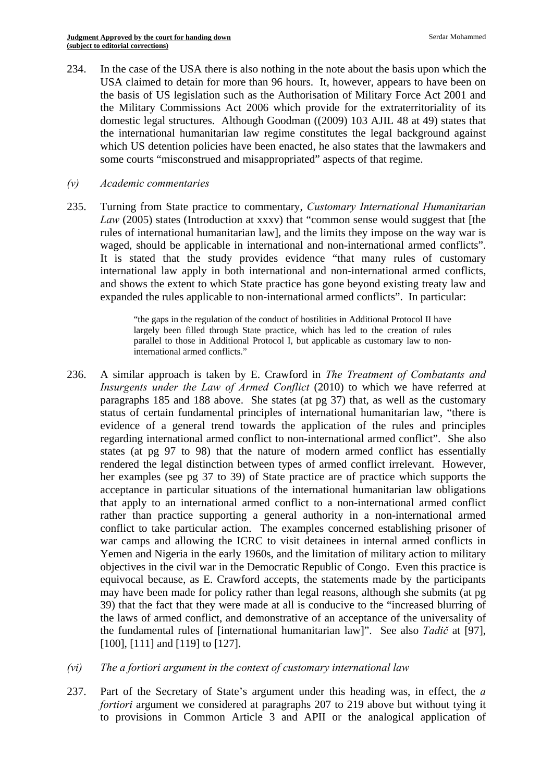234. In the case of the USA there is also nothing in the note about the basis upon which the USA claimed to detain for more than 96 hours. It, however, appears to have been on the basis of US legislation such as the Authorisation of Military Force Act 2001 and the Military Commissions Act 2006 which provide for the extraterritoriality of its domestic legal structures. Although Goodman ((2009) 103 AJIL 48 at 49) states that the international humanitarian law regime constitutes the legal background against which US detention policies have been enacted, he also states that the lawmakers and some courts "misconstrued and misappropriated" aspects of that regime.

#### *(v) Academic commentaries*

waged, should be applicable in international and non-international armed conflicts". 235. Turning from State practice to commentary, *Customary International Humanitarian Law* (2005) states (Introduction at xxxv) that "common sense would suggest that [the rules of international humanitarian law], and the limits they impose on the way war is It is stated that the study provides evidence "that many rules of customary international law apply in both international and non-international armed conflicts, and shows the extent to which State practice has gone beyond existing treaty law and expanded the rules applicable to non-international armed conflicts". In particular:

> "the gaps in the regulation of the conduct of hostilities in Additional Protocol II have largely been filled through State practice, which has led to the creation of rules parallel to those in Additional Protocol I, but applicable as customary law to noninternational armed conflicts."

- 236. A similar approach is taken by E. Crawford in *The Treatment of Combatants and Insurgents under the Law of Armed Conflict* (2010) to which we have referred at paragraphs 185 and 188 above. She states (at pg 37) that, as well as the customary status of certain fundamental principles of international humanitarian law, "there is evidence of a general trend towards the application of the rules and principles regarding international armed conflict to non-international armed conflict". She also states (at pg 97 to 98) that the nature of modern armed conflict has essentially rendered the legal distinction between types of armed conflict irrelevant. However, her examples (see pg 37 to 39) of State practice are of practice which supports the acceptance in particular situations of the international humanitarian law obligations that apply to an international armed conflict to a non-international armed conflict rather than practice supporting a general authority in a non-international armed conflict to take particular action. The examples concerned establishing prisoner of war camps and allowing the ICRC to visit detainees in internal armed conflicts in Yemen and Nigeria in the early 1960s, and the limitation of military action to military objectives in the civil war in the Democratic Republic of Congo. Even this practice is equivocal because, as E. Crawford accepts, the statements made by the participants may have been made for policy rather than legal reasons, although she submits (at pg 39) that the fact that they were made at all is conducive to the "increased blurring of the laws of armed conflict, and demonstrative of an acceptance of the universality of the fundamental rules of [international humanitarian law]". See also *Tadič* at [97], [100], [111] and [119] to [127].
- *(vi) The a fortiori argument in the context of customary international law*
- 237. Part of the Secretary of State's argument under this heading was, in effect, the *a fortiori* argument we considered at paragraphs 207 to 219 above but without tying it to provisions in Common Article 3 and APII or the analogical application of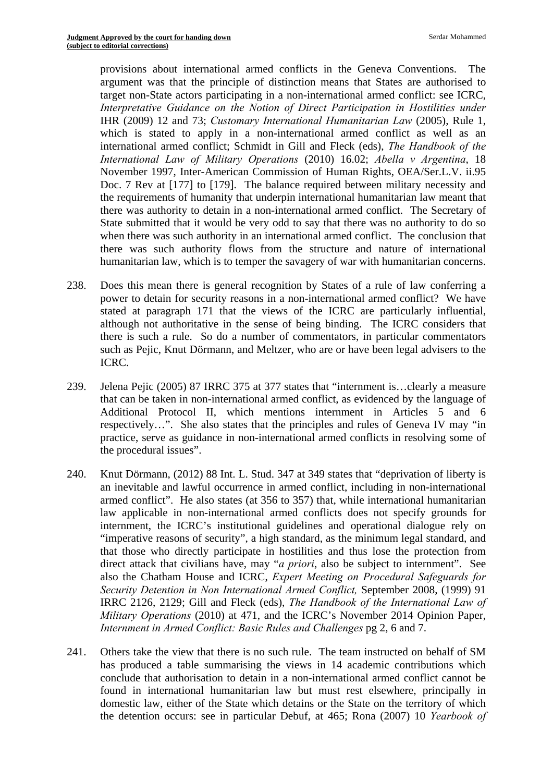provisions about international armed conflicts in the Geneva Conventions. The argument was that the principle of distinction means that States are authorised to target non-State actors participating in a non-international armed conflict: see ICRC, *Interpretative Guidance on the Notion of Direct Participation in Hostilities under*  IHR (2009) 12 and 73; *Customary International Humanitarian Law* (2005), Rule 1, which is stated to apply in a non-international armed conflict as well as an international armed conflict; Schmidt in Gill and Fleck (eds), *The Handbook of the International Law of Military Operations* (2010) 16.02; *Abella v Argentina*, 18 November 1997, Inter-American Commission of Human Rights, OEA/Ser.L.V. ii.95 Doc. 7 Rev at [177] to [179]. The balance required between military necessity and the requirements of humanity that underpin international humanitarian law meant that there was authority to detain in a non-international armed conflict. The Secretary of State submitted that it would be very odd to say that there was no authority to do so when there was such authority in an international armed conflict. The conclusion that there was such authority flows from the structure and nature of international humanitarian law, which is to temper the savagery of war with humanitarian concerns.

- 238. Does this mean there is general recognition by States of a rule of law conferring a power to detain for security reasons in a non-international armed conflict? We have stated at paragraph 171 that the views of the ICRC are particularly influential, although not authoritative in the sense of being binding. The ICRC considers that there is such a rule. So do a number of commentators, in particular commentators such as Pejic, Knut Dörmann, and Meltzer, who are or have been legal advisers to the ICRC.
- 239. Jelena Pejic (2005) 87 IRRC 375 at 377 states that "internment is…clearly a measure that can be taken in non-international armed conflict, as evidenced by the language of Additional Protocol II, which mentions internment in Articles 5 and 6 respectively…". She also states that the principles and rules of Geneva IV may "in practice, serve as guidance in non-international armed conflicts in resolving some of the procedural issues".
- 240. Knut Dörmann, (2012) 88 Int. L. Stud. 347 at 349 states that "deprivation of liberty is an inevitable and lawful occurrence in armed conflict, including in non-international armed conflict". He also states (at 356 to 357) that, while international humanitarian law applicable in non-international armed conflicts does not specify grounds for internment, the ICRC's institutional guidelines and operational dialogue rely on "imperative reasons of security", a high standard, as the minimum legal standard, and that those who directly participate in hostilities and thus lose the protection from direct attack that civilians have, may "*a priori*, also be subject to internment". See also the Chatham House and ICRC, *Expert Meeting on Procedural Safeguards for Security Detention in Non International Armed Conflict,* September 2008, (1999) 91 IRRC 2126, 2129; Gill and Fleck (eds), *The Handbook of the International Law of Military Operations* (2010) at 471, and the ICRC's November 2014 Opinion Paper, *Internment in Armed Conflict: Basic Rules and Challenges pg 2, 6 and 7.*
- 241. Others take the view that there is no such rule. The team instructed on behalf of SM has produced a table summarising the views in 14 academic contributions which conclude that authorisation to detain in a non-international armed conflict cannot be found in international humanitarian law but must rest elsewhere, principally in domestic law, either of the State which detains or the State on the territory of which the detention occurs: see in particular Debuf, at 465; Rona (2007) 10 *Yearbook of*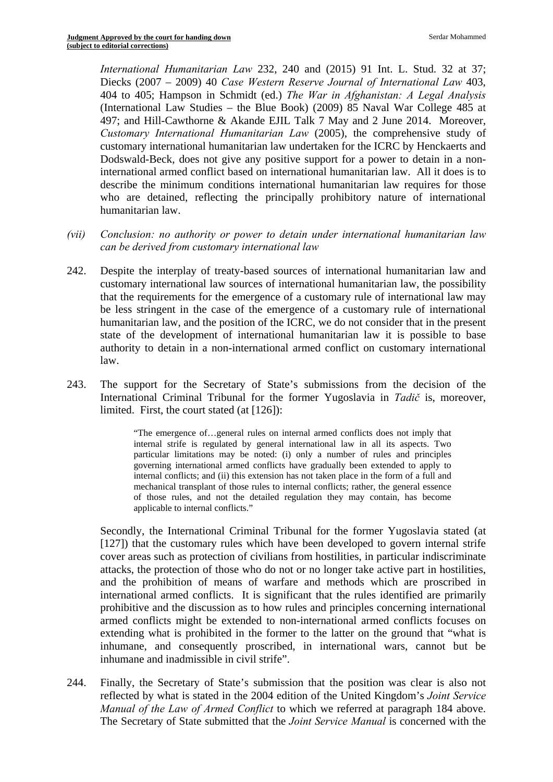*International Humanitarian Law* 232, 240 and (2015) 91 Int. L. Stud. 32 at 37; Diecks (2007 – 2009) 40 *Case Western Reserve Journal of International Law* 403, 404 to 405; Hampson in Schmidt (ed.) *The War in Afghanistan: A Legal Analysis*  (International Law Studies – the Blue Book) (2009) 85 Naval War College 485 at 497; and Hill-Cawthorne & Akande EJIL Talk 7 May and 2 June 2014. Moreover, *Customary International Humanitarian Law* (2005), the comprehensive study of customary international humanitarian law undertaken for the ICRC by Henckaerts and Dodswald-Beck, does not give any positive support for a power to detain in a noninternational armed conflict based on international humanitarian law. All it does is to describe the minimum conditions international humanitarian law requires for those who are detained, reflecting the principally prohibitory nature of international humanitarian law.

- *(vii) Conclusion: no authority or power to detain under international humanitarian law can be derived from customary international law*
- 242. Despite the interplay of treaty-based sources of international humanitarian law and customary international law sources of international humanitarian law, the possibility that the requirements for the emergence of a customary rule of international law may be less stringent in the case of the emergence of a customary rule of international humanitarian law, and the position of the ICRC, we do not consider that in the present state of the development of international humanitarian law it is possible to base authority to detain in a non-international armed conflict on customary international law.
- 243. The support for the Secretary of State's submissions from the decision of the International Criminal Tribunal for the former Yugoslavia in *Tadič* is, moreover, limited. First, the court stated (at [126]):

 of those rules, and not the detailed regulation they may contain, has become "The emergence of…general rules on internal armed conflicts does not imply that internal strife is regulated by general international law in all its aspects. Two particular limitations may be noted: (i) only a number of rules and principles governing international armed conflicts have gradually been extended to apply to internal conflicts; and (ii) this extension has not taken place in the form of a full and mechanical transplant of those rules to internal conflicts; rather, the general essence applicable to internal conflicts."

Secondly, the International Criminal Tribunal for the former Yugoslavia stated (at [127]) that the customary rules which have been developed to govern internal strife cover areas such as protection of civilians from hostilities, in particular indiscriminate attacks, the protection of those who do not or no longer take active part in hostilities, and the prohibition of means of warfare and methods which are proscribed in international armed conflicts. It is significant that the rules identified are primarily prohibitive and the discussion as to how rules and principles concerning international armed conflicts might be extended to non-international armed conflicts focuses on extending what is prohibited in the former to the latter on the ground that "what is inhumane, and consequently proscribed, in international wars, cannot but be inhumane and inadmissible in civil strife".

244. Finally, the Secretary of State's submission that the position was clear is also not reflected by what is stated in the 2004 edition of the United Kingdom's *Joint Service Manual of the Law of Armed Conflict* to which we referred at paragraph 184 above. The Secretary of State submitted that the *Joint Service Manual* is concerned with the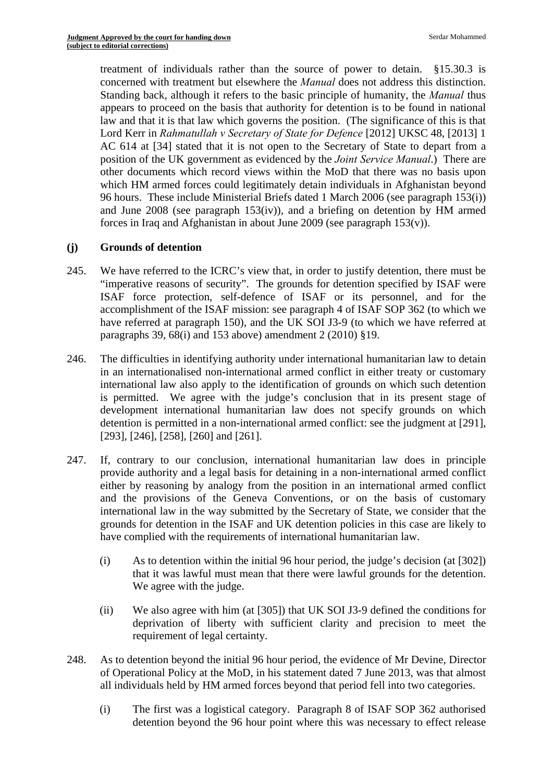treatment of individuals rather than the source of power to detain. §15.30.3 is concerned with treatment but elsewhere the *Manual* does not address this distinction. Standing back, although it refers to the basic principle of humanity, the *Manual* thus appears to proceed on the basis that authority for detention is to be found in national law and that it is that law which governs the position. (The significance of this is that Lord Kerr in *Rahmatullah v Secretary of State for Defence* [2012] UKSC 48, [2013] 1 AC 614 at [34] stated that it is not open to the Secretary of State to depart from a position of the UK government as evidenced by the *Joint Service Manual*.) There are other documents which record views within the MoD that there was no basis upon which HM armed forces could legitimately detain individuals in Afghanistan beyond 96 hours. These include Ministerial Briefs dated 1 March 2006 (see paragraph 153(i)) and June 2008 (see paragraph 153(iv)), and a briefing on detention by HM armed forces in Iraq and Afghanistan in about June 2009 (see paragraph  $153(v)$ ).

### **(j) Grounds of detention**

- 245. We have referred to the ICRC's view that, in order to justify detention, there must be "imperative reasons of security". The grounds for detention specified by ISAF were ISAF force protection, self-defence of ISAF or its personnel, and for the accomplishment of the ISAF mission: see paragraph 4 of ISAF SOP 362 (to which we have referred at paragraph 150), and the UK SOI J3-9 (to which we have referred at paragraphs 39,  $68(i)$  and 153 above) amendment 2 (2010) §19.
- 246. The difficulties in identifying authority under international humanitarian law to detain in an internationalised non-international armed conflict in either treaty or customary international law also apply to the identification of grounds on which such detention is permitted. We agree with the judge's conclusion that in its present stage of development international humanitarian law does not specify grounds on which detention is permitted in a non-international armed conflict: see the judgment at [291], [293], [246], [258], [260] and [261].
- 247. If, contrary to our conclusion, international humanitarian law does in principle provide authority and a legal basis for detaining in a non-international armed conflict either by reasoning by analogy from the position in an international armed conflict and the provisions of the Geneva Conventions, or on the basis of customary international law in the way submitted by the Secretary of State, we consider that the grounds for detention in the ISAF and UK detention policies in this case are likely to have complied with the requirements of international humanitarian law.
	- (i) As to detention within the initial 96 hour period, the judge's decision (at  $[302]$ ) that it was lawful must mean that there were lawful grounds for the detention. We agree with the judge.
	- (ii) We also agree with him (at [305]) that UK SOI J3-9 defined the conditions for deprivation of liberty with sufficient clarity and precision to meet the requirement of legal certainty.
- 248. As to detention beyond the initial 96 hour period, the evidence of Mr Devine, Director of Operational Policy at the MoD, in his statement dated 7 June 2013, was that almost all individuals held by HM armed forces beyond that period fell into two categories.
	- (i) The first was a logistical category. Paragraph 8 of ISAF SOP 362 authorised detention beyond the 96 hour point where this was necessary to effect release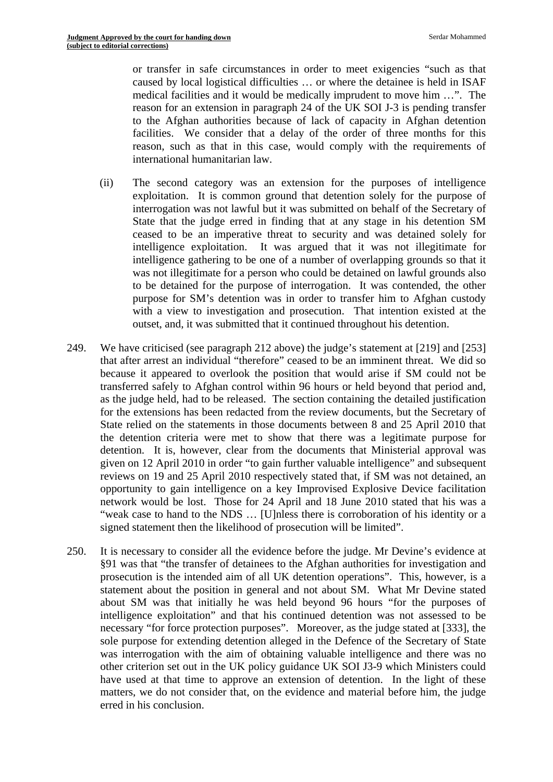or transfer in safe circumstances in order to meet exigencies "such as that caused by local logistical difficulties … or where the detainee is held in ISAF medical facilities and it would be medically imprudent to move him …". The reason for an extension in paragraph 24 of the UK SOI J-3 is pending transfer to the Afghan authorities because of lack of capacity in Afghan detention facilities. We consider that a delay of the order of three months for this reason, such as that in this case, would comply with the requirements of international humanitarian law.

- (ii) The second category was an extension for the purposes of intelligence exploitation. It is common ground that detention solely for the purpose of interrogation was not lawful but it was submitted on behalf of the Secretary of State that the judge erred in finding that at any stage in his detention SM ceased to be an imperative threat to security and was detained solely for intelligence exploitation. It was argued that it was not illegitimate for intelligence gathering to be one of a number of overlapping grounds so that it was not illegitimate for a person who could be detained on lawful grounds also to be detained for the purpose of interrogation. It was contended, the other purpose for SM's detention was in order to transfer him to Afghan custody with a view to investigation and prosecution. That intention existed at the outset, and, it was submitted that it continued throughout his detention.
- 249. We have criticised (see paragraph 212 above) the judge's statement at  $[219]$  and  $[253]$ that after arrest an individual "therefore" ceased to be an imminent threat. We did so because it appeared to overlook the position that would arise if SM could not be transferred safely to Afghan control within 96 hours or held beyond that period and, as the judge held, had to be released. The section containing the detailed justification for the extensions has been redacted from the review documents, but the Secretary of State relied on the statements in those documents between 8 and 25 April 2010 that the detention criteria were met to show that there was a legitimate purpose for detention. It is, however, clear from the documents that Ministerial approval was given on 12 April 2010 in order "to gain further valuable intelligence" and subsequent reviews on 19 and 25 April 2010 respectively stated that, if SM was not detained, an opportunity to gain intelligence on a key Improvised Explosive Device facilitation network would be lost. Those for 24 April and 18 June 2010 stated that his was a "weak case to hand to the NDS … [U]nless there is corroboration of his identity or a signed statement then the likelihood of prosecution will be limited".
- statement about the position in general and not about SM. What Mr Devine stated 250. It is necessary to consider all the evidence before the judge. Mr Devine's evidence at §91 was that "the transfer of detainees to the Afghan authorities for investigation and prosecution is the intended aim of all UK detention operations". This, however, is a about SM was that initially he was held beyond 96 hours "for the purposes of intelligence exploitation" and that his continued detention was not assessed to be necessary "for force protection purposes". Moreover, as the judge stated at [333], the sole purpose for extending detention alleged in the Defence of the Secretary of State was interrogation with the aim of obtaining valuable intelligence and there was no other criterion set out in the UK policy guidance UK SOI J3-9 which Ministers could have used at that time to approve an extension of detention. In the light of these matters, we do not consider that, on the evidence and material before him, the judge erred in his conclusion.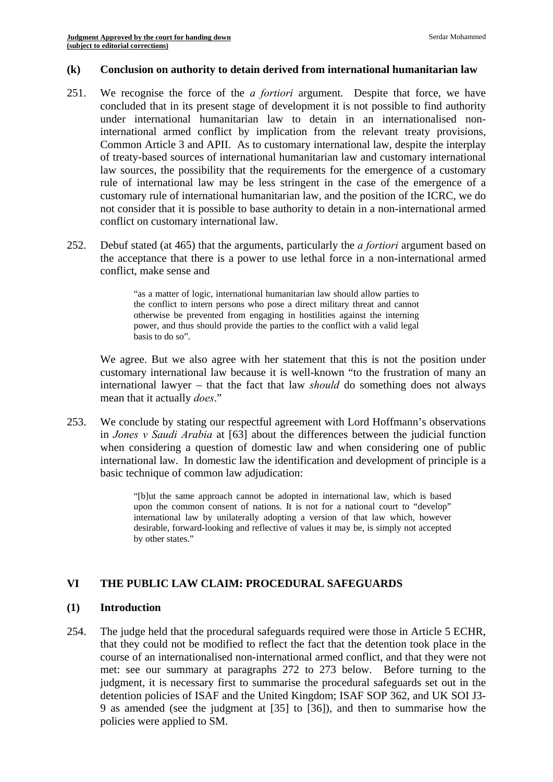#### **(k) Conclusion on authority to detain derived from international humanitarian law**

- 251. We recognise the force of the *a fortiori* argument. Despite that force, we have concluded that in its present stage of development it is not possible to find authority under international humanitarian law to detain in an internationalised noninternational armed conflict by implication from the relevant treaty provisions, Common Article 3 and APII. As to customary international law, despite the interplay of treaty-based sources of international humanitarian law and customary international law sources, the possibility that the requirements for the emergence of a customary rule of international law may be less stringent in the case of the emergence of a customary rule of international humanitarian law, and the position of the ICRC, we do not consider that it is possible to base authority to detain in a non-international armed conflict on customary international law.
- 252. Debuf stated (at 465) that the arguments, particularly the *a fortiori* argument based on the acceptance that there is a power to use lethal force in a non-international armed conflict, make sense and

basis to do so". "as a matter of logic, international humanitarian law should allow parties to the conflict to intern persons who pose a direct military threat and cannot otherwise be prevented from engaging in hostilities against the interning power, and thus should provide the parties to the conflict with a valid legal

We agree. But we also agree with her statement that this is not the position under customary international law because it is well-known "to the frustration of many an international lawyer – that the fact that law *should* do something does not always mean that it actually *does*."

253. We conclude by stating our respectful agreement with Lord Hoffmann's observations in *Jones v Saudi Arabia* at [63] about the differences between the judicial function when considering a question of domestic law and when considering one of public international law. In domestic law the identification and development of principle is a basic technique of common law adjudication:

> international law by unilaterally adopting a version of that law which, however "[b]ut the same approach cannot be adopted in international law, which is based upon the common consent of nations. It is not for a national court to "develop" desirable, forward-looking and reflective of values it may be, is simply not accepted by other states."

## **VI THE PUBLIC LAW CLAIM: PROCEDURAL SAFEGUARDS**

#### **(1) Introduction**

254. The judge held that the procedural safeguards required were those in Article 5 ECHR, that they could not be modified to reflect the fact that the detention took place in the course of an internationalised non-international armed conflict, and that they were not met: see our summary at paragraphs 272 to 273 below. Before turning to the judgment, it is necessary first to summarise the procedural safeguards set out in the detention policies of ISAF and the United Kingdom; ISAF SOP 362, and UK SOI J3 9 as amended (see the judgment at [35] to [36]), and then to summarise how the policies were applied to SM.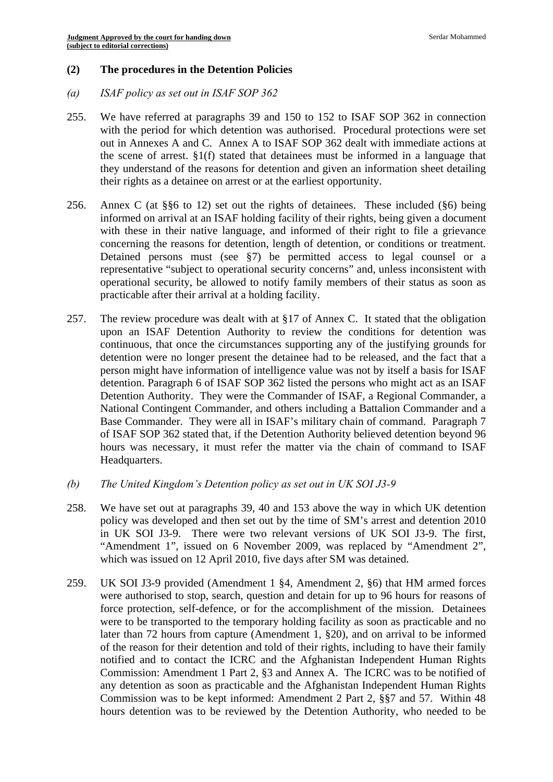## **(2) The procedures in the Detention Policies**

- *(a) ISAF policy as set out in ISAF SOP 362*
- 255. We have referred at paragraphs 39 and 150 to 152 to ISAF SOP 362 in connection with the period for which detention was authorised. Procedural protections were set out in Annexes A and C. Annex A to ISAF SOP 362 dealt with immediate actions at the scene of arrest. §1(f) stated that detainees must be informed in a language that they understand of the reasons for detention and given an information sheet detailing their rights as a detainee on arrest or at the earliest opportunity.
- 256. Annex C (at  $\S6$  to 12) set out the rights of detainees. These included ( $\S6$ ) being informed on arrival at an ISAF holding facility of their rights, being given a document with these in their native language, and informed of their right to file a grievance concerning the reasons for detention, length of detention, or conditions or treatment. Detained persons must (see §7) be permitted access to legal counsel or a representative "subject to operational security concerns" and, unless inconsistent with operational security, be allowed to notify family members of their status as soon as practicable after their arrival at a holding facility.
- 257. The review procedure was dealt with at §17 of Annex C. It stated that the obligation upon an ISAF Detention Authority to review the conditions for detention was continuous, that once the circumstances supporting any of the justifying grounds for detention were no longer present the detainee had to be released, and the fact that a person might have information of intelligence value was not by itself a basis for ISAF detention. Paragraph 6 of ISAF SOP 362 listed the persons who might act as an ISAF Detention Authority. They were the Commander of ISAF, a Regional Commander, a National Contingent Commander, and others including a Battalion Commander and a Base Commander. They were all in ISAF's military chain of command. Paragraph 7 of ISAF SOP 362 stated that, if the Detention Authority believed detention beyond 96 hours was necessary, it must refer the matter via the chain of command to ISAF Headquarters.
- *(b) The United Kingdom's Detention policy as set out in UK SOI J3-9*
- 258. We have set out at paragraphs 39, 40 and 153 above the way in which UK detention policy was developed and then set out by the time of SM's arrest and detention 2010 in UK SOI J3-9. There were two relevant versions of UK SOI J3-9. The first, "Amendment 1", issued on 6 November 2009, was replaced by "Amendment 2", which was issued on 12 April 2010, five days after SM was detained.
- 259. UK SOI J3-9 provided (Amendment 1 §4, Amendment 2, §6) that HM armed forces were authorised to stop, search, question and detain for up to 96 hours for reasons of force protection, self-defence, or for the accomplishment of the mission. Detainees were to be transported to the temporary holding facility as soon as practicable and no later than 72 hours from capture (Amendment 1, §20), and on arrival to be informed of the reason for their detention and told of their rights, including to have their family notified and to contact the ICRC and the Afghanistan Independent Human Rights Commission: Amendment 1 Part 2, §3 and Annex A. The ICRC was to be notified of any detention as soon as practicable and the Afghanistan Independent Human Rights Commission was to be kept informed: Amendment 2 Part 2, §§7 and 57. Within 48 hours detention was to be reviewed by the Detention Authority, who needed to be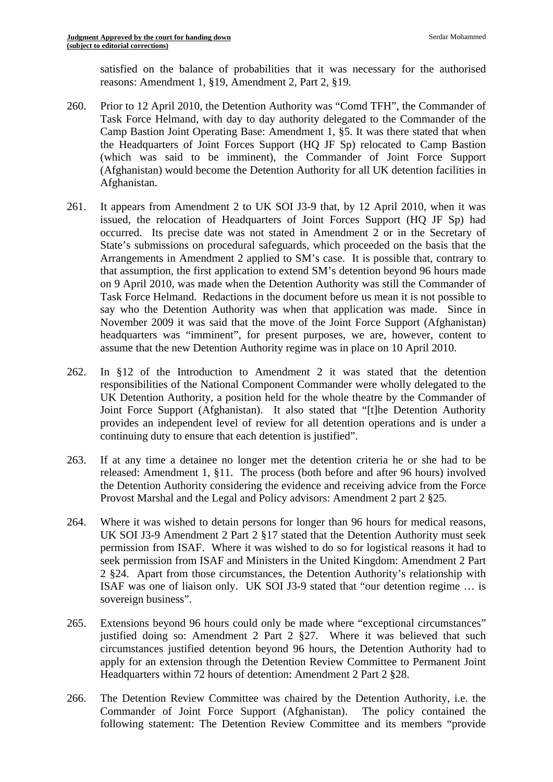satisfied on the balance of probabilities that it was necessary for the authorised reasons: Amendment 1, §19, Amendment 2, Part 2, §19.

- 260. Prior to 12 April 2010, the Detention Authority was "Comd TFH", the Commander of Task Force Helmand, with day to day authority delegated to the Commander of the Camp Bastion Joint Operating Base: Amendment 1, §5. It was there stated that when the Headquarters of Joint Forces Support (HQ JF Sp) relocated to Camp Bastion (which was said to be imminent), the Commander of Joint Force Support (Afghanistan) would become the Detention Authority for all UK detention facilities in Afghanistan.
- 261. It appears from Amendment 2 to UK SOI J3-9 that, by 12 April 2010, when it was issued, the relocation of Headquarters of Joint Forces Support (HQ JF Sp) had occurred. Its precise date was not stated in Amendment 2 or in the Secretary of State's submissions on procedural safeguards, which proceeded on the basis that the Arrangements in Amendment 2 applied to SM's case. It is possible that, contrary to that assumption, the first application to extend SM's detention beyond 96 hours made on 9 April 2010, was made when the Detention Authority was still the Commander of Task Force Helmand. Redactions in the document before us mean it is not possible to say who the Detention Authority was when that application was made. Since in November 2009 it was said that the move of the Joint Force Support (Afghanistan) headquarters was "imminent", for present purposes, we are, however, content to assume that the new Detention Authority regime was in place on 10 April 2010.
- 262. In §12 of the Introduction to Amendment 2 it was stated that the detention responsibilities of the National Component Commander were wholly delegated to the UK Detention Authority, a position held for the whole theatre by the Commander of Joint Force Support (Afghanistan). It also stated that "[t]he Detention Authority provides an independent level of review for all detention operations and is under a continuing duty to ensure that each detention is justified".
- 263. If at any time a detainee no longer met the detention criteria he or she had to be released: Amendment 1, §11. The process (both before and after 96 hours) involved the Detention Authority considering the evidence and receiving advice from the Force Provost Marshal and the Legal and Policy advisors: Amendment 2 part 2 §25.
- 264. Where it was wished to detain persons for longer than 96 hours for medical reasons, UK SOI J3-9 Amendment 2 Part 2 §17 stated that the Detention Authority must seek permission from ISAF. Where it was wished to do so for logistical reasons it had to seek permission from ISAF and Ministers in the United Kingdom: Amendment 2 Part 2 §24. Apart from those circumstances, the Detention Authority's relationship with ISAF was one of liaison only. UK SOI J3-9 stated that "our detention regime … is sovereign business".
- 265. Extensions beyond 96 hours could only be made where "exceptional circumstances" justified doing so: Amendment 2 Part 2 §27. Where it was believed that such circumstances justified detention beyond 96 hours, the Detention Authority had to apply for an extension through the Detention Review Committee to Permanent Joint Headquarters within 72 hours of detention: Amendment 2 Part 2 §28.
- 266. The Detention Review Committee was chaired by the Detention Authority, i.e. the Commander of Joint Force Support (Afghanistan). The policy contained the following statement: The Detention Review Committee and its members "provide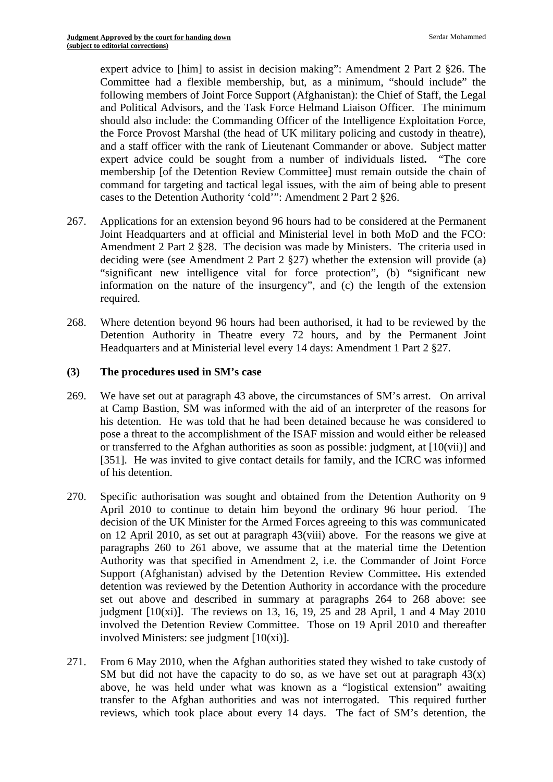expert advice to [him] to assist in decision making": Amendment 2 Part 2 §26. The Committee had a flexible membership, but, as a minimum, "should include" the following members of Joint Force Support (Afghanistan): the Chief of Staff, the Legal and Political Advisors, and the Task Force Helmand Liaison Officer. The minimum should also include: the Commanding Officer of the Intelligence Exploitation Force, the Force Provost Marshal (the head of UK military policing and custody in theatre), and a staff officer with the rank of Lieutenant Commander or above. Subject matter expert advice could be sought from a number of individuals listed**.** "The core membership [of the Detention Review Committee] must remain outside the chain of command for targeting and tactical legal issues, with the aim of being able to present cases to the Detention Authority 'cold'": Amendment 2 Part 2 §26.

- 267. Applications for an extension beyond 96 hours had to be considered at the Permanent Joint Headquarters and at official and Ministerial level in both MoD and the FCO: Amendment 2 Part 2 §28. The decision was made by Ministers. The criteria used in deciding were (see Amendment 2 Part 2 §27) whether the extension will provide (a) "significant new intelligence vital for force protection", (b) "significant new information on the nature of the insurgency", and (c) the length of the extension required.
- 268. Where detention beyond 96 hours had been authorised, it had to be reviewed by the Detention Authority in Theatre every 72 hours, and by the Permanent Joint Headquarters and at Ministerial level every 14 days: Amendment 1 Part 2 §27.

## **(3) The procedures used in SM's case**

- 269. We have set out at paragraph 43 above, the circumstances of SM's arrest. On arrival at Camp Bastion, SM was informed with the aid of an interpreter of the reasons for his detention. He was told that he had been detained because he was considered to pose a threat to the accomplishment of the ISAF mission and would either be released or transferred to the Afghan authorities as soon as possible: judgment, at [10(vii)] and [351]. He was invited to give contact details for family, and the ICRC was informed of his detention.
- 270. Specific authorisation was sought and obtained from the Detention Authority on 9 April 2010 to continue to detain him beyond the ordinary 96 hour period. The decision of the UK Minister for the Armed Forces agreeing to this was communicated on 12 April 2010, as set out at paragraph 43(viii) above. For the reasons we give at paragraphs 260 to 261 above, we assume that at the material time the Detention Authority was that specified in Amendment 2, i.e. the Commander of Joint Force Support (Afghanistan) advised by the Detention Review Committee**.** His extended detention was reviewed by the Detention Authority in accordance with the procedure set out above and described in summary at paragraphs 264 to 268 above: see judgment  $[10(xi)]$ . The reviews on 13, 16, 19, 25 and 28 April, 1 and 4 May 2010 involved the Detention Review Committee. Those on 19 April 2010 and thereafter involved Ministers: see judgment [10(xi)].
- 271. From 6 May 2010, when the Afghan authorities stated they wished to take custody of SM but did not have the capacity to do so, as we have set out at paragraph  $43(x)$ above, he was held under what was known as a "logistical extension" awaiting transfer to the Afghan authorities and was not interrogated. This required further reviews, which took place about every 14 days. The fact of SM's detention, the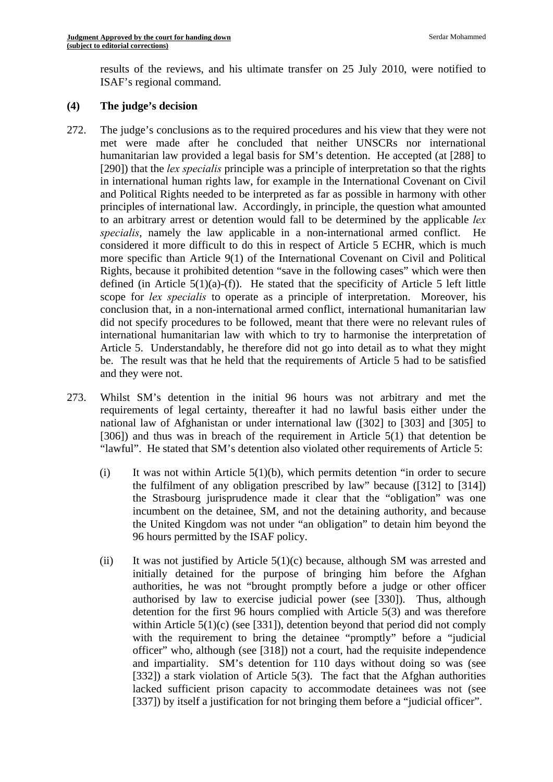results of the reviews, and his ultimate transfer on 25 July 2010, were notified to ISAF's regional command.

## **(4) The judge's decision**

- 272. The judge's conclusions as to the required procedures and his view that they were not met were made after he concluded that neither UNSCRs nor international humanitarian law provided a legal basis for SM's detention. He accepted (at [288] to [290]) that the *lex specialis* principle was a principle of interpretation so that the rights in international human rights law, for example in the International Covenant on Civil and Political Rights needed to be interpreted as far as possible in harmony with other principles of international law. Accordingly, in principle, the question what amounted to an arbitrary arrest or detention would fall to be determined by the applicable *lex specialis*, namely the law applicable in a non-international armed conflict. He considered it more difficult to do this in respect of Article 5 ECHR, which is much more specific than Article 9(1) of the International Covenant on Civil and Political Rights, because it prohibited detention "save in the following cases" which were then defined (in Article  $5(1)(a)-(f)$ ). He stated that the specificity of Article 5 left little scope for *lex specialis* to operate as a principle of interpretation. Moreover, his conclusion that, in a non-international armed conflict, international humanitarian law did not specify procedures to be followed, meant that there were no relevant rules of international humanitarian law with which to try to harmonise the interpretation of Article 5. Understandably, he therefore did not go into detail as to what they might be. The result was that he held that the requirements of Article 5 had to be satisfied and they were not.
- 273. Whilst SM's detention in the initial 96 hours was not arbitrary and met the requirements of legal certainty, thereafter it had no lawful basis either under the national law of Afghanistan or under international law ([302] to [303] and [305] to [306]) and thus was in breach of the requirement in Article 5(1) that detention be "lawful". He stated that SM's detention also violated other requirements of Article 5:
	- (i) It was not within Article  $5(1)(b)$ , which permits detention "in order to secure the fulfilment of any obligation prescribed by law" because ([312] to [314]) the Strasbourg jurisprudence made it clear that the "obligation" was one incumbent on the detainee, SM, and not the detaining authority, and because the United Kingdom was not under "an obligation" to detain him beyond the 96 hours permitted by the ISAF policy.
	- (ii) It was not justified by Article  $5(1)(c)$  because, although SM was arrested and initially detained for the purpose of bringing him before the Afghan authorities, he was not "brought promptly before a judge or other officer authorised by law to exercise judicial power (see [330]). Thus, although detention for the first 96 hours complied with Article 5(3) and was therefore within Article  $5(1)(c)$  (see [331]), detention beyond that period did not comply with the requirement to bring the detainee "promptly" before a "judicial officer" who, although (see [318]) not a court, had the requisite independence and impartiality. SM's detention for 110 days without doing so was (see [332]) a stark violation of Article 5(3). The fact that the Afghan authorities lacked sufficient prison capacity to accommodate detainees was not (see [337]) by itself a justification for not bringing them before a "judicial officer".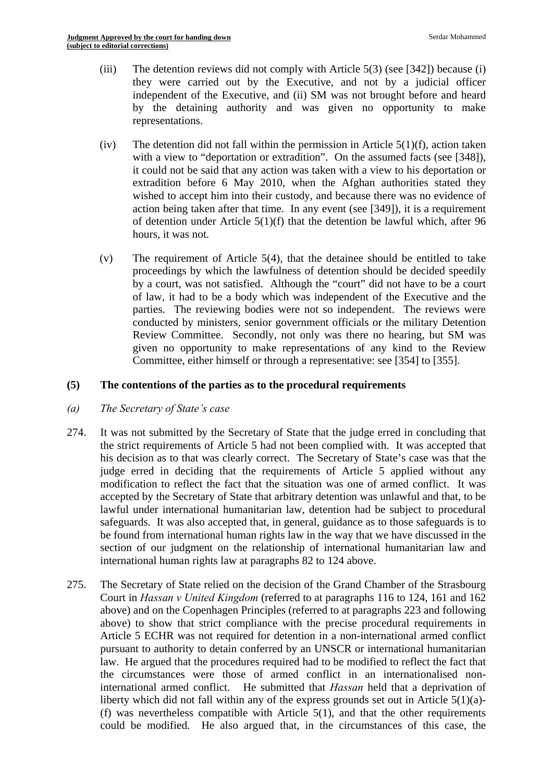- (iii) The detention reviews did not comply with Article  $5(3)$  (see [342]) because (i) they were carried out by the Executive, and not by a judicial officer independent of the Executive, and (ii) SM was not brought before and heard by the detaining authority and was given no opportunity to make representations.
- (iv) The detention did not fall within the permission in Article  $5(1)(f)$ , action taken with a view to "deportation or extradition". On the assumed facts (see [348]), it could not be said that any action was taken with a view to his deportation or extradition before 6 May 2010, when the Afghan authorities stated they wished to accept him into their custody, and because there was no evidence of action being taken after that time. In any event (see [349]), it is a requirement of detention under Article 5(1)(f) that the detention be lawful which, after 96 hours, it was not.
- (v) The requirement of Article  $5(4)$ , that the detainee should be entitled to take proceedings by which the lawfulness of detention should be decided speedily by a court, was not satisfied. Although the "court" did not have to be a court of law, it had to be a body which was independent of the Executive and the parties. The reviewing bodies were not so independent. The reviews were conducted by ministers, senior government officials or the military Detention Review Committee. Secondly, not only was there no hearing, but SM was given no opportunity to make representations of any kind to the Review Committee, either himself or through a representative: see [354] to [355].

## **(5) The contentions of the parties as to the procedural requirements**

- *(a) The Secretary of State's case*
- 274. It was not submitted by the Secretary of State that the judge erred in concluding that the strict requirements of Article 5 had not been complied with. It was accepted that his decision as to that was clearly correct. The Secretary of State's case was that the judge erred in deciding that the requirements of Article 5 applied without any modification to reflect the fact that the situation was one of armed conflict. It was accepted by the Secretary of State that arbitrary detention was unlawful and that, to be lawful under international humanitarian law, detention had be subject to procedural safeguards. It was also accepted that, in general, guidance as to those safeguards is to be found from international human rights law in the way that we have discussed in the section of our judgment on the relationship of international humanitarian law and international human rights law at paragraphs 82 to 124 above.
- 275. The Secretary of State relied on the decision of the Grand Chamber of the Strasbourg Court in *Hassan v United Kingdom* (referred to at paragraphs 116 to 124, 161 and 162 above) and on the Copenhagen Principles (referred to at paragraphs 223 and following above) to show that strict compliance with the precise procedural requirements in Article 5 ECHR was not required for detention in a non-international armed conflict pursuant to authority to detain conferred by an UNSCR or international humanitarian law. He argued that the procedures required had to be modified to reflect the fact that the circumstances were those of armed conflict in an internationalised noninternational armed conflict. He submitted that *Hassan* held that a deprivation of liberty which did not fall within any of the express grounds set out in Article  $5(1)(a)$ -(f) was nevertheless compatible with Article 5(1), and that the other requirements could be modified. He also argued that, in the circumstances of this case, the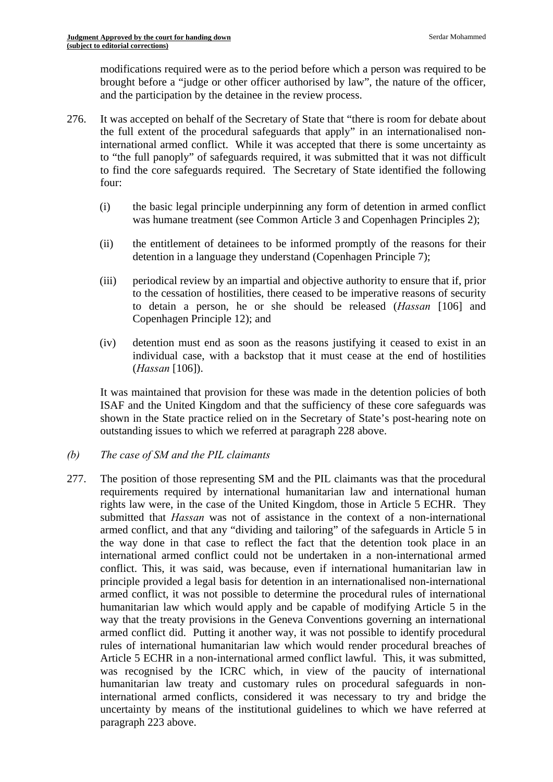modifications required were as to the period before which a person was required to be brought before a "judge or other officer authorised by law", the nature of the officer, and the participation by the detainee in the review process.

- 276. It was accepted on behalf of the Secretary of State that "there is room for debate about the full extent of the procedural safeguards that apply" in an internationalised noninternational armed conflict. While it was accepted that there is some uncertainty as to "the full panoply" of safeguards required, it was submitted that it was not difficult to find the core safeguards required. The Secretary of State identified the following four:
	- (i) the basic legal principle underpinning any form of detention in armed conflict was humane treatment (see Common Article 3 and Copenhagen Principles 2);
	- (ii) the entitlement of detainees to be informed promptly of the reasons for their detention in a language they understand (Copenhagen Principle 7);
	- (iii) periodical review by an impartial and objective authority to ensure that if, prior to the cessation of hostilities, there ceased to be imperative reasons of security to detain a person, he or she should be released (*Hassan* [106] and Copenhagen Principle 12); and
	- (iv) detention must end as soon as the reasons justifying it ceased to exist in an individual case, with a backstop that it must cease at the end of hostilities (*Hassan* [106]).

It was maintained that provision for these was made in the detention policies of both ISAF and the United Kingdom and that the sufficiency of these core safeguards was shown in the State practice relied on in the Secretary of State's post-hearing note on outstanding issues to which we referred at paragraph 228 above.

## *(b) The case of SM and the PIL claimants*

277. The position of those representing SM and the PIL claimants was that the procedural requirements required by international humanitarian law and international human rights law were, in the case of the United Kingdom, those in Article 5 ECHR. They submitted that *Hassan* was not of assistance in the context of a non-international armed conflict, and that any "dividing and tailoring" of the safeguards in Article 5 in the way done in that case to reflect the fact that the detention took place in an international armed conflict could not be undertaken in a non-international armed conflict. This, it was said, was because, even if international humanitarian law in principle provided a legal basis for detention in an internationalised non-international armed conflict, it was not possible to determine the procedural rules of international humanitarian law which would apply and be capable of modifying Article 5 in the way that the treaty provisions in the Geneva Conventions governing an international armed conflict did. Putting it another way, it was not possible to identify procedural rules of international humanitarian law which would render procedural breaches of Article 5 ECHR in a non-international armed conflict lawful. This, it was submitted, was recognised by the ICRC which, in view of the paucity of international humanitarian law treaty and customary rules on procedural safeguards in noninternational armed conflicts, considered it was necessary to try and bridge the uncertainty by means of the institutional guidelines to which we have referred at paragraph 223 above.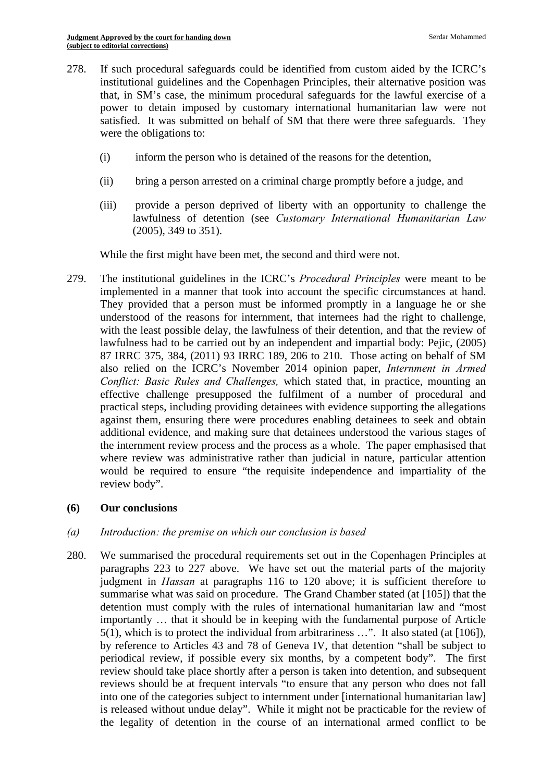- 278. If such procedural safeguards could be identified from custom aided by the ICRC's institutional guidelines and the Copenhagen Principles, their alternative position was that, in SM's case, the minimum procedural safeguards for the lawful exercise of a power to detain imposed by customary international humanitarian law were not satisfied. It was submitted on behalf of SM that there were three safeguards. They were the obligations to:
	- (i) inform the person who is detained of the reasons for the detention,
	- (ii) bring a person arrested on a criminal charge promptly before a judge, and
	- (iii) provide a person deprived of liberty with an opportunity to challenge the lawfulness of detention (see *Customary International Humanitarian Law*  (2005), 349 to 351).

While the first might have been met, the second and third were not.

279. The institutional guidelines in the ICRC's *Procedural Principles* were meant to be implemented in a manner that took into account the specific circumstances at hand. They provided that a person must be informed promptly in a language he or she understood of the reasons for internment, that internees had the right to challenge, with the least possible delay, the lawfulness of their detention, and that the review of lawfulness had to be carried out by an independent and impartial body: Pejic, (2005) 87 IRRC 375, 384, (2011) 93 IRRC 189, 206 to 210. Those acting on behalf of SM also relied on the ICRC's November 2014 opinion paper, *Internment in Armed Conflict: Basic Rules and Challenges,* which stated that, in practice, mounting an effective challenge presupposed the fulfilment of a number of procedural and practical steps, including providing detainees with evidence supporting the allegations against them, ensuring there were procedures enabling detainees to seek and obtain additional evidence, and making sure that detainees understood the various stages of the internment review process and the process as a whole. The paper emphasised that where review was administrative rather than judicial in nature, particular attention would be required to ensure "the requisite independence and impartiality of the review body".

## **(6) Our conclusions**

## *(a) Introduction: the premise on which our conclusion is based*

280. We summarised the procedural requirements set out in the Copenhagen Principles at paragraphs 223 to 227 above. We have set out the material parts of the majority judgment in *Hassan* at paragraphs 116 to 120 above; it is sufficient therefore to summarise what was said on procedure. The Grand Chamber stated (at [105]) that the detention must comply with the rules of international humanitarian law and "most importantly … that it should be in keeping with the fundamental purpose of Article 5(1), which is to protect the individual from arbitrariness …". It also stated (at [106]), by reference to Articles 43 and 78 of Geneva IV, that detention "shall be subject to periodical review, if possible every six months, by a competent body". The first review should take place shortly after a person is taken into detention, and subsequent reviews should be at frequent intervals "to ensure that any person who does not fall into one of the categories subject to internment under [international humanitarian law] is released without undue delay". While it might not be practicable for the review of the legality of detention in the course of an international armed conflict to be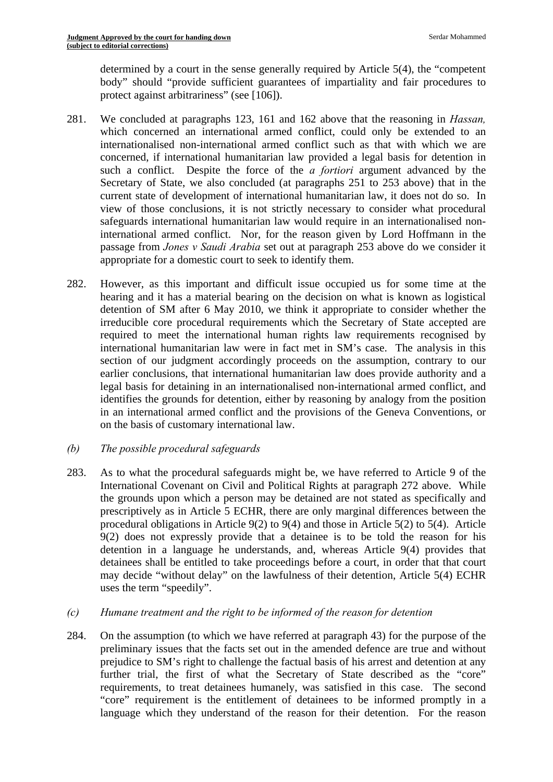determined by a court in the sense generally required by Article 5(4), the "competent body" should "provide sufficient guarantees of impartiality and fair procedures to protect against arbitrariness" (see [106]).

- 281. We concluded at paragraphs 123, 161 and 162 above that the reasoning in *Hassan,*  which concerned an international armed conflict, could only be extended to an internationalised non-international armed conflict such as that with which we are concerned, if international humanitarian law provided a legal basis for detention in such a conflict. Despite the force of the *a fortiori* argument advanced by the Secretary of State, we also concluded (at paragraphs 251 to 253 above) that in the current state of development of international humanitarian law, it does not do so. In view of those conclusions, it is not strictly necessary to consider what procedural safeguards international humanitarian law would require in an internationalised noninternational armed conflict. Nor, for the reason given by Lord Hoffmann in the passage from *Jones v Saudi Arabia* set out at paragraph 253 above do we consider it appropriate for a domestic court to seek to identify them.
- 282. However, as this important and difficult issue occupied us for some time at the hearing and it has a material bearing on the decision on what is known as logistical detention of SM after 6 May 2010, we think it appropriate to consider whether the irreducible core procedural requirements which the Secretary of State accepted are required to meet the international human rights law requirements recognised by international humanitarian law were in fact met in SM's case. The analysis in this section of our judgment accordingly proceeds on the assumption, contrary to our earlier conclusions, that international humanitarian law does provide authority and a legal basis for detaining in an internationalised non-international armed conflict, and identifies the grounds for detention, either by reasoning by analogy from the position in an international armed conflict and the provisions of the Geneva Conventions, or on the basis of customary international law.
- *(b) The possible procedural safeguards*
- 283. As to what the procedural safeguards might be, we have referred to Article 9 of the International Covenant on Civil and Political Rights at paragraph 272 above. While the grounds upon which a person may be detained are not stated as specifically and prescriptively as in Article 5 ECHR, there are only marginal differences between the procedural obligations in Article 9(2) to 9(4) and those in Article 5(2) to 5(4). Article 9(2) does not expressly provide that a detainee is to be told the reason for his detention in a language he understands, and, whereas Article 9(4) provides that detainees shall be entitled to take proceedings before a court, in order that that court may decide "without delay" on the lawfulness of their detention, Article 5(4) ECHR uses the term "speedily".
- *(c) Humane treatment and the right to be informed of the reason for detention*
- 284. On the assumption (to which we have referred at paragraph 43) for the purpose of the preliminary issues that the facts set out in the amended defence are true and without prejudice to SM's right to challenge the factual basis of his arrest and detention at any further trial, the first of what the Secretary of State described as the "core" requirements, to treat detainees humanely, was satisfied in this case. The second "core" requirement is the entitlement of detainees to be informed promptly in a language which they understand of the reason for their detention. For the reason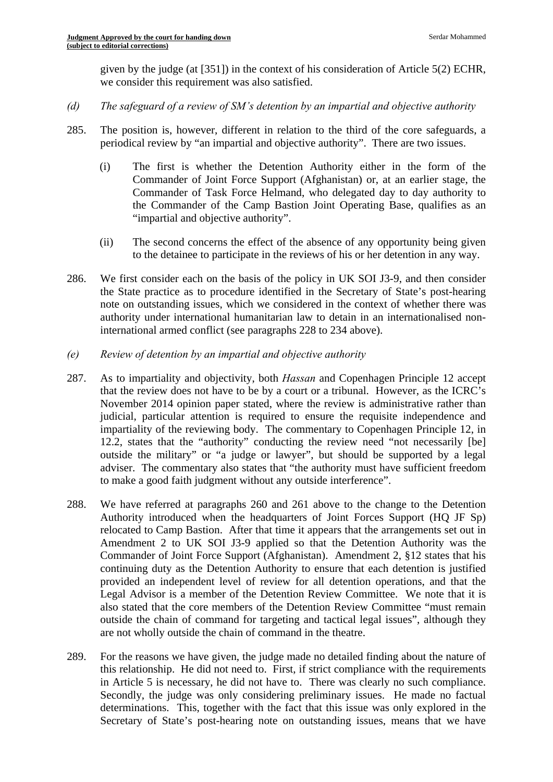given by the judge (at [351]) in the context of his consideration of Article 5(2) ECHR, we consider this requirement was also satisfied.

- *(d) The safeguard of a review of SM's detention by an impartial and objective authority*
- 285. The position is, however, different in relation to the third of the core safeguards, a periodical review by "an impartial and objective authority". There are two issues.
	- (i) The first is whether the Detention Authority either in the form of the Commander of Joint Force Support (Afghanistan) or, at an earlier stage, the Commander of Task Force Helmand, who delegated day to day authority to the Commander of the Camp Bastion Joint Operating Base, qualifies as an "impartial and objective authority".
	- (ii) The second concerns the effect of the absence of any opportunity being given to the detainee to participate in the reviews of his or her detention in any way.
- 286. We first consider each on the basis of the policy in UK SOI J3-9, and then consider the State practice as to procedure identified in the Secretary of State's post-hearing note on outstanding issues, which we considered in the context of whether there was authority under international humanitarian law to detain in an internationalised noninternational armed conflict (see paragraphs 228 to 234 above).
- *(e) Review of detention by an impartial and objective authority*
- 287. As to impartiality and objectivity, both *Hassan* and Copenhagen Principle 12 accept that the review does not have to be by a court or a tribunal. However, as the ICRC's November 2014 opinion paper stated, where the review is administrative rather than judicial, particular attention is required to ensure the requisite independence and impartiality of the reviewing body. The commentary to Copenhagen Principle 12, in 12.2, states that the "authority" conducting the review need "not necessarily [be] outside the military" or "a judge or lawyer", but should be supported by a legal adviser. The commentary also states that "the authority must have sufficient freedom to make a good faith judgment without any outside interference".
- 288. We have referred at paragraphs 260 and 261 above to the change to the Detention Authority introduced when the headquarters of Joint Forces Support (HQ JF Sp) relocated to Camp Bastion. After that time it appears that the arrangements set out in Amendment 2 to UK SOI J3-9 applied so that the Detention Authority was the Commander of Joint Force Support (Afghanistan). Amendment 2, §12 states that his continuing duty as the Detention Authority to ensure that each detention is justified provided an independent level of review for all detention operations, and that the Legal Advisor is a member of the Detention Review Committee. We note that it is also stated that the core members of the Detention Review Committee "must remain outside the chain of command for targeting and tactical legal issues", although they are not wholly outside the chain of command in the theatre.
- 289. For the reasons we have given, the judge made no detailed finding about the nature of this relationship. He did not need to. First, if strict compliance with the requirements in Article 5 is necessary, he did not have to. There was clearly no such compliance. Secondly, the judge was only considering preliminary issues. He made no factual determinations. This, together with the fact that this issue was only explored in the Secretary of State's post-hearing note on outstanding issues, means that we have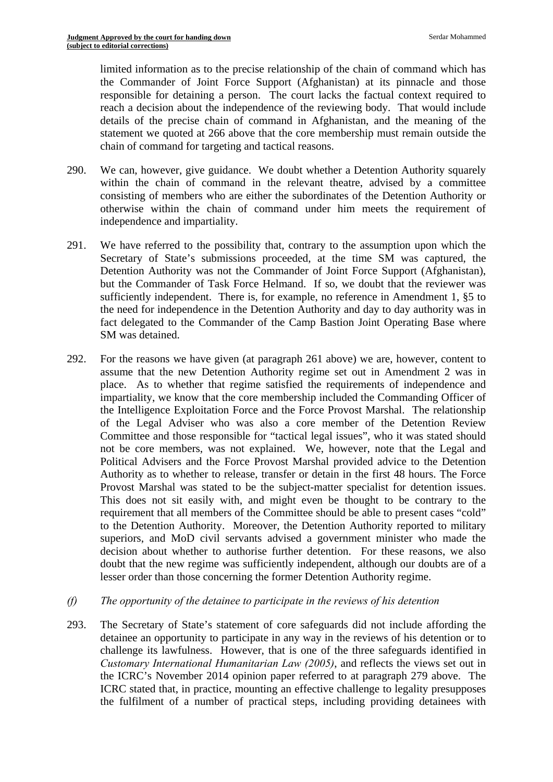limited information as to the precise relationship of the chain of command which has the Commander of Joint Force Support (Afghanistan) at its pinnacle and those responsible for detaining a person. The court lacks the factual context required to reach a decision about the independence of the reviewing body. That would include details of the precise chain of command in Afghanistan, and the meaning of the statement we quoted at 266 above that the core membership must remain outside the chain of command for targeting and tactical reasons.

- 290. We can, however, give guidance. We doubt whether a Detention Authority squarely within the chain of command in the relevant theatre, advised by a committee consisting of members who are either the subordinates of the Detention Authority or otherwise within the chain of command under him meets the requirement of independence and impartiality.
- 291. We have referred to the possibility that, contrary to the assumption upon which the Secretary of State's submissions proceeded, at the time SM was captured, the Detention Authority was not the Commander of Joint Force Support (Afghanistan), but the Commander of Task Force Helmand. If so, we doubt that the reviewer was sufficiently independent. There is, for example, no reference in Amendment 1, §5 to the need for independence in the Detention Authority and day to day authority was in fact delegated to the Commander of the Camp Bastion Joint Operating Base where SM was detained.
- 292. For the reasons we have given (at paragraph 261 above) we are, however, content to assume that the new Detention Authority regime set out in Amendment 2 was in place. As to whether that regime satisfied the requirements of independence and impartiality, we know that the core membership included the Commanding Officer of the Intelligence Exploitation Force and the Force Provost Marshal. The relationship of the Legal Adviser who was also a core member of the Detention Review Committee and those responsible for "tactical legal issues", who it was stated should not be core members, was not explained. We, however, note that the Legal and Political Advisers and the Force Provost Marshal provided advice to the Detention Authority as to whether to release, transfer or detain in the first 48 hours. The Force Provost Marshal was stated to be the subject-matter specialist for detention issues. This does not sit easily with, and might even be thought to be contrary to the requirement that all members of the Committee should be able to present cases "cold" to the Detention Authority. Moreover, the Detention Authority reported to military superiors, and MoD civil servants advised a government minister who made the decision about whether to authorise further detention. For these reasons, we also doubt that the new regime was sufficiently independent, although our doubts are of a lesser order than those concerning the former Detention Authority regime.
- *(f) The opportunity of the detainee to participate in the reviews of his detention*
- 293. The Secretary of State's statement of core safeguards did not include affording the detainee an opportunity to participate in any way in the reviews of his detention or to challenge its lawfulness. However, that is one of the three safeguards identified in *Customary International Humanitarian Law (2005)*, and reflects the views set out in the ICRC's November 2014 opinion paper referred to at paragraph 279 above. The ICRC stated that, in practice, mounting an effective challenge to legality presupposes the fulfilment of a number of practical steps, including providing detainees with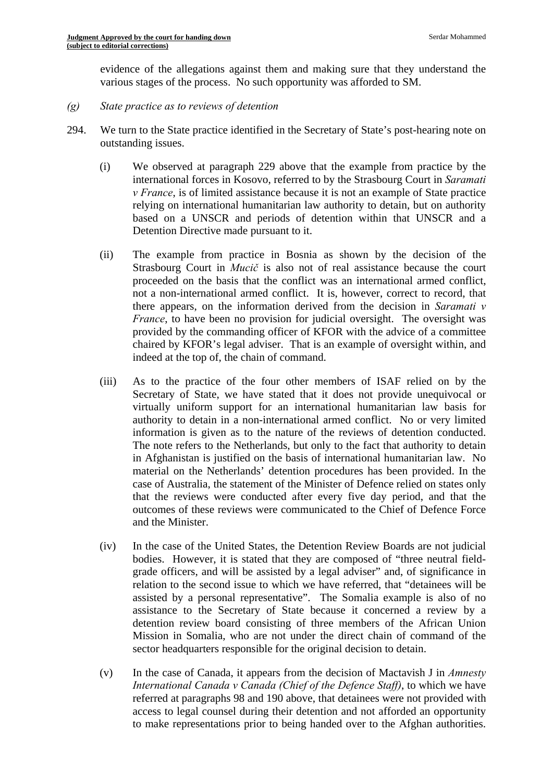evidence of the allegations against them and making sure that they understand the various stages of the process. No such opportunity was afforded to SM.

- *(g) State practice as to reviews of detention*
- 294. We turn to the State practice identified in the Secretary of State's post-hearing note on outstanding issues.
	- (i) We observed at paragraph 229 above that the example from practice by the international forces in Kosovo, referred to by the Strasbourg Court in *Saramati v France*, is of limited assistance because it is not an example of State practice relying on international humanitarian law authority to detain, but on authority based on a UNSCR and periods of detention within that UNSCR and a Detention Directive made pursuant to it.
	- (ii) The example from practice in Bosnia as shown by the decision of the Strasbourg Court in *Mucič* is also not of real assistance because the court proceeded on the basis that the conflict was an international armed conflict, not a non-international armed conflict. It is, however, correct to record, that there appears, on the information derived from the decision in *Saramati v France*, to have been no provision for judicial oversight. The oversight was provided by the commanding officer of KFOR with the advice of a committee chaired by KFOR's legal adviser. That is an example of oversight within, and indeed at the top of, the chain of command.
	- (iii) As to the practice of the four other members of ISAF relied on by the Secretary of State, we have stated that it does not provide unequivocal or virtually uniform support for an international humanitarian law basis for authority to detain in a non-international armed conflict. No or very limited information is given as to the nature of the reviews of detention conducted. The note refers to the Netherlands, but only to the fact that authority to detain in Afghanistan is justified on the basis of international humanitarian law. No material on the Netherlands' detention procedures has been provided. In the case of Australia, the statement of the Minister of Defence relied on states only that the reviews were conducted after every five day period, and that the outcomes of these reviews were communicated to the Chief of Defence Force and the Minister.
	- (iv) In the case of the United States, the Detention Review Boards are not judicial bodies. However, it is stated that they are composed of "three neutral fieldgrade officers, and will be assisted by a legal adviser" and, of significance in relation to the second issue to which we have referred, that "detainees will be assisted by a personal representative". The Somalia example is also of no assistance to the Secretary of State because it concerned a review by a detention review board consisting of three members of the African Union Mission in Somalia, who are not under the direct chain of command of the sector headquarters responsible for the original decision to detain.
	- (v) In the case of Canada, it appears from the decision of Mactavish J in *Amnesty International Canada v Canada (Chief of the Defence Staff)*, to which we have referred at paragraphs 98 and 190 above, that detainees were not provided with access to legal counsel during their detention and not afforded an opportunity to make representations prior to being handed over to the Afghan authorities.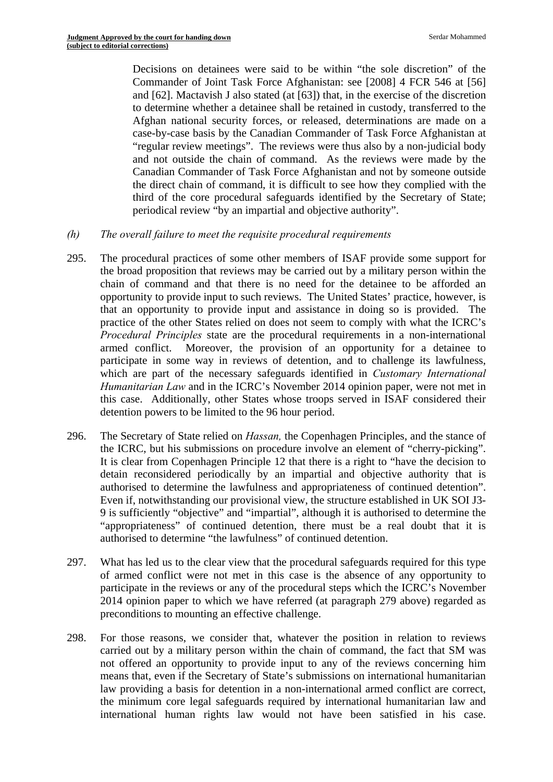Decisions on detainees were said to be within "the sole discretion" of the Commander of Joint Task Force Afghanistan: see [2008] 4 FCR 546 at [56] and [62]. Mactavish J also stated (at [63]) that, in the exercise of the discretion to determine whether a detainee shall be retained in custody, transferred to the Afghan national security forces, or released, determinations are made on a case-by-case basis by the Canadian Commander of Task Force Afghanistan at "regular review meetings". The reviews were thus also by a non-judicial body and not outside the chain of command. As the reviews were made by the Canadian Commander of Task Force Afghanistan and not by someone outside the direct chain of command, it is difficult to see how they complied with the third of the core procedural safeguards identified by the Secretary of State; periodical review "by an impartial and objective authority".

- *(h) The overall failure to meet the requisite procedural requirements*
- 295. The procedural practices of some other members of ISAF provide some support for the broad proposition that reviews may be carried out by a military person within the chain of command and that there is no need for the detainee to be afforded an opportunity to provide input to such reviews. The United States' practice, however, is that an opportunity to provide input and assistance in doing so is provided. The practice of the other States relied on does not seem to comply with what the ICRC's *Procedural Principles* state are the procedural requirements in a non-international armed conflict. Moreover, the provision of an opportunity for a detainee to participate in some way in reviews of detention, and to challenge its lawfulness, which are part of the necessary safeguards identified in *Customary International Humanitarian Law* and in the ICRC's November 2014 opinion paper, were not met in this case. Additionally, other States whose troops served in ISAF considered their detention powers to be limited to the 96 hour period.
- the ICRC, but his submissions on procedure involve an element of "cherry-picking". 296. The Secretary of State relied on *Hassan,* the Copenhagen Principles, and the stance of It is clear from Copenhagen Principle 12 that there is a right to "have the decision to detain reconsidered periodically by an impartial and objective authority that is authorised to determine the lawfulness and appropriateness of continued detention". Even if, notwithstanding our provisional view, the structure established in UK SOI J3 9 is sufficiently "objective" and "impartial", although it is authorised to determine the "appropriateness" of continued detention, there must be a real doubt that it is authorised to determine "the lawfulness" of continued detention.
- 297. What has led us to the clear view that the procedural safeguards required for this type of armed conflict were not met in this case is the absence of any opportunity to participate in the reviews or any of the procedural steps which the ICRC's November 2014 opinion paper to which we have referred (at paragraph 279 above) regarded as preconditions to mounting an effective challenge.
- 298. For those reasons, we consider that, whatever the position in relation to reviews carried out by a military person within the chain of command, the fact that SM was not offered an opportunity to provide input to any of the reviews concerning him means that, even if the Secretary of State's submissions on international humanitarian law providing a basis for detention in a non-international armed conflict are correct, the minimum core legal safeguards required by international humanitarian law and international human rights law would not have been satisfied in his case.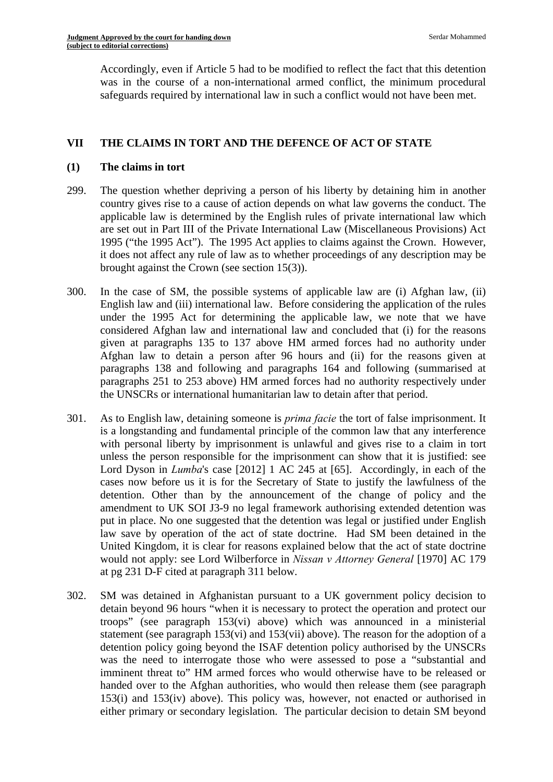Accordingly, even if Article 5 had to be modified to reflect the fact that this detention was in the course of a non-international armed conflict, the minimum procedural safeguards required by international law in such a conflict would not have been met.

# **VII THE CLAIMS IN TORT AND THE DEFENCE OF ACT OF STATE**

# **(1) The claims in tort**

- 299. The question whether depriving a person of his liberty by detaining him in another country gives rise to a cause of action depends on what law governs the conduct. The applicable law is determined by the English rules of private international law which are set out in Part III of the Private International Law (Miscellaneous Provisions) Act 1995 ("the 1995 Act"). The 1995 Act applies to claims against the Crown. However, it does not affect any rule of law as to whether proceedings of any description may be brought against the Crown (see section 15(3)).
- 300. In the case of SM, the possible systems of applicable law are (i) Afghan law, (ii) English law and (iii) international law. Before considering the application of the rules under the 1995 Act for determining the applicable law, we note that we have considered Afghan law and international law and concluded that (i) for the reasons given at paragraphs 135 to 137 above HM armed forces had no authority under Afghan law to detain a person after 96 hours and (ii) for the reasons given at paragraphs 138 and following and paragraphs 164 and following (summarised at paragraphs 251 to 253 above) HM armed forces had no authority respectively under the UNSCRs or international humanitarian law to detain after that period.
- 301. As to English law, detaining someone is *prima facie* the tort of false imprisonment. It is a longstanding and fundamental principle of the common law that any interference with personal liberty by imprisonment is unlawful and gives rise to a claim in tort unless the person responsible for the imprisonment can show that it is justified: see Lord Dyson in *Lumba*'s case [2012] 1 AC 245 at [65]. Accordingly, in each of the cases now before us it is for the Secretary of State to justify the lawfulness of the detention. Other than by the announcement of the change of policy and the amendment to UK SOI J3-9 no legal framework authorising extended detention was put in place. No one suggested that the detention was legal or justified under English law save by operation of the act of state doctrine. Had SM been detained in the United Kingdom, it is clear for reasons explained below that the act of state doctrine would not apply: see Lord Wilberforce in *Nissan v Attorney General* [1970] AC 179 at pg 231 D-F cited at paragraph 311 below.
- 302. SM was detained in Afghanistan pursuant to a UK government policy decision to detain beyond 96 hours "when it is necessary to protect the operation and protect our troops" (see paragraph 153(vi) above) which was announced in a ministerial statement (see paragraph 153(vi) and 153(vii) above). The reason for the adoption of a detention policy going beyond the ISAF detention policy authorised by the UNSCRs was the need to interrogate those who were assessed to pose a "substantial and imminent threat to" HM armed forces who would otherwise have to be released or handed over to the Afghan authorities, who would then release them (see paragraph 153(i) and 153(iv) above). This policy was, however, not enacted or authorised in either primary or secondary legislation. The particular decision to detain SM beyond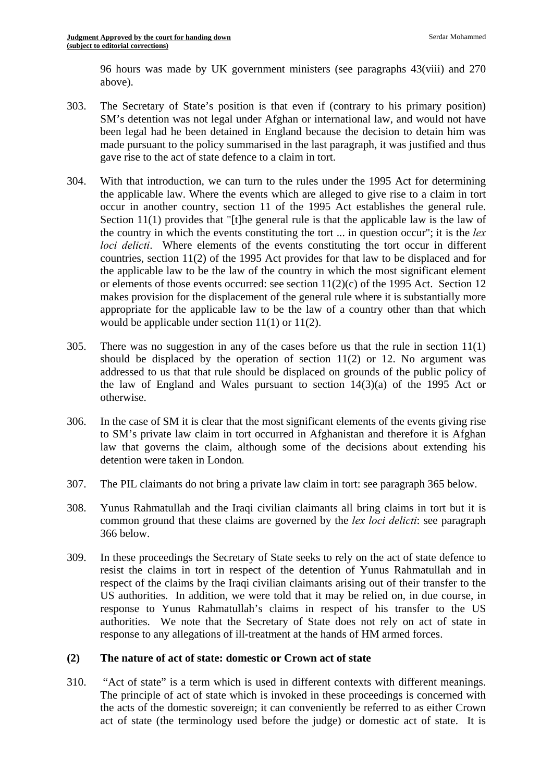96 hours was made by UK government ministers (see paragraphs 43(viii) and 270 above).

- 303. The Secretary of State's position is that even if (contrary to his primary position) SM's detention was not legal under Afghan or international law, and would not have been legal had he been detained in England because the decision to detain him was made pursuant to the policy summarised in the last paragraph, it was justified and thus gave rise to the act of state defence to a claim in tort.
- 304. With that introduction, we can turn to the rules under the 1995 Act for determining the applicable law. Where the events which are alleged to give rise to a claim in tort occur in another country, section 11 of the 1995 Act establishes the general rule. Section 11(1) provides that "[t]he general rule is that the applicable law is the law of the country in which the events constituting the tort ... in question occur"; it is the *lex loci delicti*. Where elements of the events constituting the tort occur in different countries, section 11(2) of the 1995 Act provides for that law to be displaced and for the applicable law to be the law of the country in which the most significant element or elements of those events occurred: see section  $11(2)(c)$  of the 1995 Act. Section 12 makes provision for the displacement of the general rule where it is substantially more appropriate for the applicable law to be the law of a country other than that which would be applicable under section 11(1) or 11(2).
- 305. There was no suggestion in any of the cases before us that the rule in section  $11(1)$ should be displaced by the operation of section  $11(2)$  or 12. No argument was addressed to us that that rule should be displaced on grounds of the public policy of the law of England and Wales pursuant to section  $14(3)(a)$  of the 1995 Act or otherwise.
- 306. In the case of SM it is clear that the most significant elements of the events giving rise to SM's private law claim in tort occurred in Afghanistan and therefore it is Afghan law that governs the claim, although some of the decisions about extending his detention were taken in London*.*
- 307. The PIL claimants do not bring a private law claim in tort: see paragraph 365 below.
- 308. Yunus Rahmatullah and the Iraqi civilian claimants all bring claims in tort but it is common ground that these claims are governed by the *lex loci delicti*: see paragraph 366 below.
- 309. In these proceedings the Secretary of State seeks to rely on the act of state defence to resist the claims in tort in respect of the detention of Yunus Rahmatullah and in respect of the claims by the Iraqi civilian claimants arising out of their transfer to the US authorities. In addition, we were told that it may be relied on, in due course, in response to Yunus Rahmatullah's claims in respect of his transfer to the US authorities. We note that the Secretary of State does not rely on act of state in response to any allegations of ill-treatment at the hands of HM armed forces.

## **(2) The nature of act of state: domestic or Crown act of state**

310. "Act of state" is a term which is used in different contexts with different meanings. The principle of act of state which is invoked in these proceedings is concerned with the acts of the domestic sovereign; it can conveniently be referred to as either Crown act of state (the terminology used before the judge) or domestic act of state. It is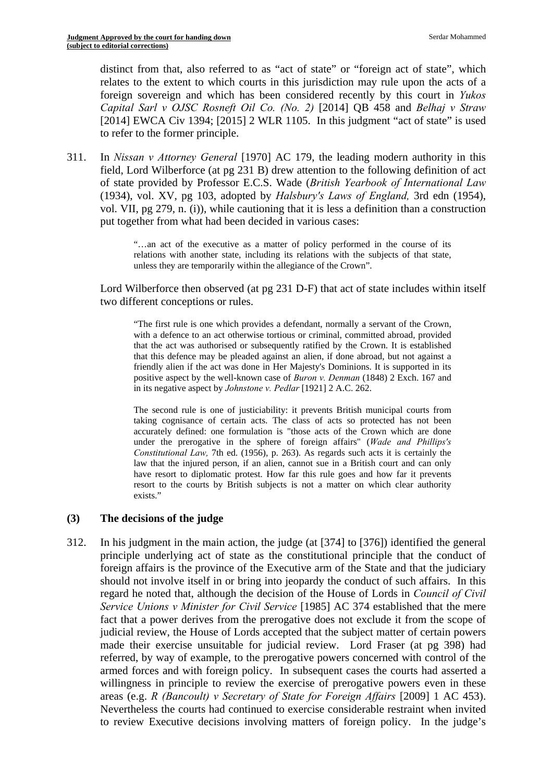distinct from that, also referred to as "act of state" or "foreign act of state", which relates to the extent to which courts in this jurisdiction may rule upon the acts of a foreign sovereign and which has been considered recently by this court in *Yukos Capital Sarl v OJSC Rosneft Oil Co. (No. 2)* [2014] QB 458 and *Belhaj v Straw*  [2014] EWCA Civ 1394; [2015] 2 WLR 1105. In this judgment "act of state" is used to refer to the former principle.

311. In *Nissan v Attorney General* [1970] AC 179, the leading modern authority in this field, Lord Wilberforce (at pg 231 B) drew attention to the following definition of act of state provided by Professor E.C.S. Wade (*British Yearbook of International Law*  (1934), vol. XV, pg 103, adopted by *Halsbury's Laws of England,* 3rd edn (1954), vol. VII, pg 279, n. (i)), while cautioning that it is less a definition than a construction put together from what had been decided in various cases:

> relations with another state, including its relations with the subjects of that state, "…an act of the executive as a matter of policy performed in the course of its unless they are temporarily within the allegiance of the Crown".

Lord Wilberforce then observed (at pg 231 D-F) that act of state includes within itself two different conceptions or rules.

 "The first rule is one which provides a defendant, normally a servant of the Crown, with a defence to an act otherwise tortious or criminal, committed abroad, provided that the act was authorised or subsequently ratified by the Crown. It is established that this defence may be pleaded against an alien, if done abroad, but not against a friendly alien if the act was done in Her Majesty's Dominions. It is supported in its positive aspect by the well-known case of *Buron v. Denman* (1848) 2 Exch. 167 and in its negative aspect by *Johnstone v. Pedlar* [1921] 2 A.C. 262.

 The second rule is one of justiciability: it prevents British municipal courts from resort to the courts by British subjects is not a matter on which clear authority taking cognisance of certain acts. The class of acts so protected has not been accurately defined: one formulation is "those acts of the Crown which are done under the prerogative in the sphere of foreign affairs" (*Wade and Phillips's Constitutional Law,* 7th ed. (1956), p. 263). As regards such acts it is certainly the law that the injured person, if an alien, cannot sue in a British court and can only have resort to diplomatic protest. How far this rule goes and how far it prevents exists."

## **(3) The decisions of the judge**

312. In his judgment in the main action, the judge (at [374] to [376]) identified the general principle underlying act of state as the constitutional principle that the conduct of foreign affairs is the province of the Executive arm of the State and that the judiciary should not involve itself in or bring into jeopardy the conduct of such affairs. In this regard he noted that, although the decision of the House of Lords in *Council of Civil Service Unions v Minister for Civil Service* [1985] AC 374 established that the mere fact that a power derives from the prerogative does not exclude it from the scope of judicial review, the House of Lords accepted that the subject matter of certain powers made their exercise unsuitable for judicial review. Lord Fraser (at pg 398) had referred, by way of example, to the prerogative powers concerned with control of the armed forces and with foreign policy. In subsequent cases the courts had asserted a willingness in principle to review the exercise of prerogative powers even in these areas (e.g. *R (Bancoult) v Secretary of State for Foreign Affairs* [2009] 1 AC 453). Nevertheless the courts had continued to exercise considerable restraint when invited to review Executive decisions involving matters of foreign policy. In the judge's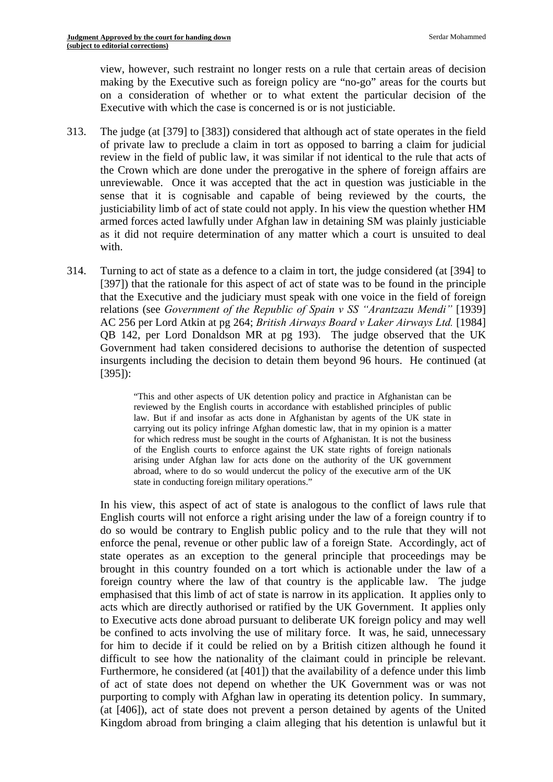view, however, such restraint no longer rests on a rule that certain areas of decision making by the Executive such as foreign policy are "no-go" areas for the courts but on a consideration of whether or to what extent the particular decision of the Executive with which the case is concerned is or is not justiciable.

- 313. The judge (at [379] to [383]) considered that although act of state operates in the field of private law to preclude a claim in tort as opposed to barring a claim for judicial review in the field of public law, it was similar if not identical to the rule that acts of the Crown which are done under the prerogative in the sphere of foreign affairs are unreviewable. Once it was accepted that the act in question was justiciable in the sense that it is cognisable and capable of being reviewed by the courts, the justiciability limb of act of state could not apply. In his view the question whether HM armed forces acted lawfully under Afghan law in detaining SM was plainly justiciable as it did not require determination of any matter which a court is unsuited to deal with.
- 314. Turning to act of state as a defence to a claim in tort, the judge considered (at [394] to [397]) that the rationale for this aspect of act of state was to be found in the principle that the Executive and the judiciary must speak with one voice in the field of foreign relations (see *Government of the Republic of Spain v SS "Arantzazu Mendi"* [1939] AC 256 per Lord Atkin at pg 264; *British Airways Board v Laker Airways Ltd.* [1984] QB 142, per Lord Donaldson MR at pg 193). The judge observed that the UK Government had taken considered decisions to authorise the detention of suspected insurgents including the decision to detain them beyond 96 hours. He continued (at [395]):

 arising under Afghan law for acts done on the authority of the UK government "This and other aspects of UK detention policy and practice in Afghanistan can be reviewed by the English courts in accordance with established principles of public law. But if and insofar as acts done in Afghanistan by agents of the UK state in carrying out its policy infringe Afghan domestic law, that in my opinion is a matter for which redress must be sought in the courts of Afghanistan. It is not the business of the English courts to enforce against the UK state rights of foreign nationals abroad, where to do so would undercut the policy of the executive arm of the UK state in conducting foreign military operations."

In his view, this aspect of act of state is analogous to the conflict of laws rule that English courts will not enforce a right arising under the law of a foreign country if to do so would be contrary to English public policy and to the rule that they will not enforce the penal, revenue or other public law of a foreign State. Accordingly, act of state operates as an exception to the general principle that proceedings may be brought in this country founded on a tort which is actionable under the law of a foreign country where the law of that country is the applicable law. The judge emphasised that this limb of act of state is narrow in its application. It applies only to acts which are directly authorised or ratified by the UK Government. It applies only to Executive acts done abroad pursuant to deliberate UK foreign policy and may well be confined to acts involving the use of military force. It was, he said, unnecessary for him to decide if it could be relied on by a British citizen although he found it difficult to see how the nationality of the claimant could in principle be relevant. Furthermore, he considered (at [401]) that the availability of a defence under this limb of act of state does not depend on whether the UK Government was or was not purporting to comply with Afghan law in operating its detention policy. In summary, (at [406]), act of state does not prevent a person detained by agents of the United Kingdom abroad from bringing a claim alleging that his detention is unlawful but it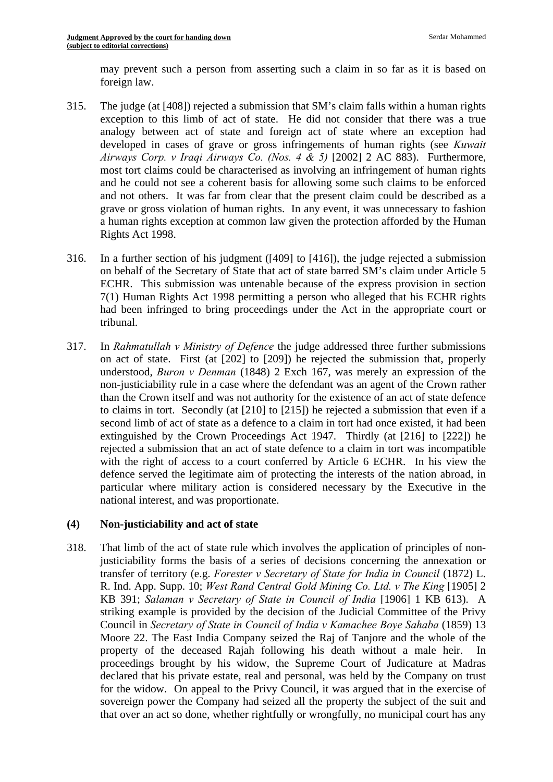may prevent such a person from asserting such a claim in so far as it is based on foreign law.

- 315. The judge (at [408]) rejected a submission that SM's claim falls within a human rights exception to this limb of act of state. He did not consider that there was a true analogy between act of state and foreign act of state where an exception had developed in cases of grave or gross infringements of human rights (see *Kuwait Airways Corp. v Iraqi Airways Co. (Nos. 4 & 5)* [2002] 2 AC 883). Furthermore, most tort claims could be characterised as involving an infringement of human rights and he could not see a coherent basis for allowing some such claims to be enforced and not others. It was far from clear that the present claim could be described as a grave or gross violation of human rights. In any event, it was unnecessary to fashion a human rights exception at common law given the protection afforded by the Human Rights Act 1998.
- 316. In a further section of his judgment ([409] to [416]), the judge rejected a submission on behalf of the Secretary of State that act of state barred SM's claim under Article 5 ECHR. This submission was untenable because of the express provision in section 7(1) Human Rights Act 1998 permitting a person who alleged that his ECHR rights had been infringed to bring proceedings under the Act in the appropriate court or tribunal.
- 317. In *Rahmatullah v Ministry of Defence* the judge addressed three further submissions on act of state. First (at [202] to [209]) he rejected the submission that, properly understood, *Buron v Denman* (1848) 2 Exch 167, was merely an expression of the non-justiciability rule in a case where the defendant was an agent of the Crown rather than the Crown itself and was not authority for the existence of an act of state defence to claims in tort. Secondly (at [210] to [215]) he rejected a submission that even if a second limb of act of state as a defence to a claim in tort had once existed, it had been extinguished by the Crown Proceedings Act 1947. Thirdly (at [216] to [222]) he rejected a submission that an act of state defence to a claim in tort was incompatible with the right of access to a court conferred by Article 6 ECHR. In his view the defence served the legitimate aim of protecting the interests of the nation abroad, in particular where military action is considered necessary by the Executive in the national interest, and was proportionate.

## **(4) Non-justiciability and act of state**

318. That limb of the act of state rule which involves the application of principles of nonjusticiability forms the basis of a series of decisions concerning the annexation or transfer of territory (e.g. *Forester v Secretary of State for India in Council* (1872) L. R. Ind. App. Supp. 10; *West Rand Central Gold Mining Co. Ltd. v The King* [1905] 2 KB 391; *Salaman v Secretary of State in Council of India* [1906] 1 KB 613). A striking example is provided by the decision of the Judicial Committee of the Privy Council in *Secretary of State in Council of India v Kamachee Boye Sahaba* (1859) 13 Moore 22. The East India Company seized the Raj of Tanjore and the whole of the property of the deceased Rajah following his death without a male heir. In proceedings brought by his widow, the Supreme Court of Judicature at Madras declared that his private estate, real and personal, was held by the Company on trust for the widow. On appeal to the Privy Council, it was argued that in the exercise of sovereign power the Company had seized all the property the subject of the suit and that over an act so done, whether rightfully or wrongfully, no municipal court has any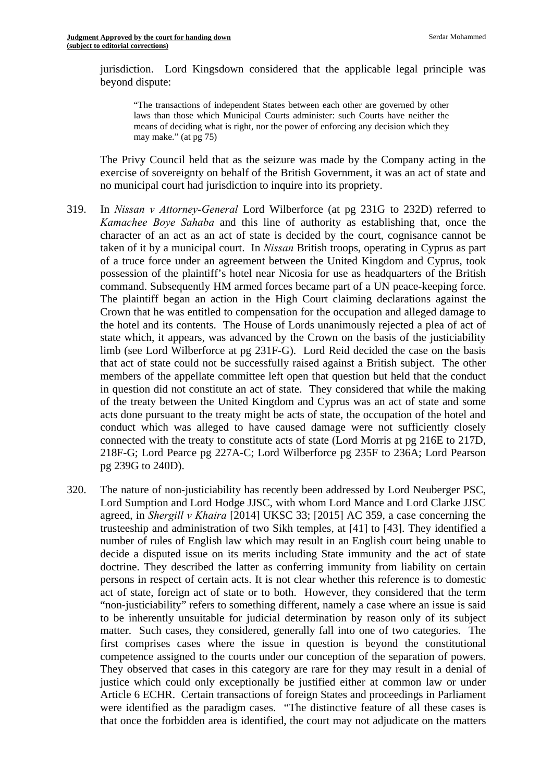jurisdiction. Lord Kingsdown considered that the applicable legal principle was beyond dispute:

 "The transactions of independent States between each other are governed by other may make." (at pg 75) laws than those which Municipal Courts administer: such Courts have neither the means of deciding what is right, nor the power of enforcing any decision which they

The Privy Council held that as the seizure was made by the Company acting in the exercise of sovereignty on behalf of the British Government, it was an act of state and no municipal court had jurisdiction to inquire into its propriety.

- 319. In *Nissan v Attorney-General* Lord Wilberforce (at pg 231G to 232D) referred to *Kamachee Boye Sahaba* and this line of authority as establishing that, once the character of an act as an act of state is decided by the court, cognisance cannot be taken of it by a municipal court. In *Nissan* British troops, operating in Cyprus as part of a truce force under an agreement between the United Kingdom and Cyprus, took possession of the plaintiff's hotel near Nicosia for use as headquarters of the British command. Subsequently HM armed forces became part of a UN peace-keeping force. The plaintiff began an action in the High Court claiming declarations against the Crown that he was entitled to compensation for the occupation and alleged damage to the hotel and its contents. The House of Lords unanimously rejected a plea of act of state which, it appears, was advanced by the Crown on the basis of the justiciability limb (see Lord Wilberforce at pg 231F-G). Lord Reid decided the case on the basis that act of state could not be successfully raised against a British subject. The other members of the appellate committee left open that question but held that the conduct in question did not constitute an act of state. They considered that while the making of the treaty between the United Kingdom and Cyprus was an act of state and some acts done pursuant to the treaty might be acts of state, the occupation of the hotel and conduct which was alleged to have caused damage were not sufficiently closely connected with the treaty to constitute acts of state (Lord Morris at pg 216E to 217D, 218F-G; Lord Pearce pg 227A-C; Lord Wilberforce pg 235F to 236A; Lord Pearson pg 239G to 240D).
- 320. The nature of non-justiciability has recently been addressed by Lord Neuberger PSC, Lord Sumption and Lord Hodge JJSC, with whom Lord Mance and Lord Clarke JJSC agreed, in *Shergill v Khaira* [2014] UKSC 33; [2015] AC 359, a case concerning the trusteeship and administration of two Sikh temples, at [41] to [43]. They identified a number of rules of English law which may result in an English court being unable to decide a disputed issue on its merits including State immunity and the act of state doctrine. They described the latter as conferring immunity from liability on certain persons in respect of certain acts. It is not clear whether this reference is to domestic act of state, foreign act of state or to both. However, they considered that the term "non-justiciability" refers to something different, namely a case where an issue is said to be inherently unsuitable for judicial determination by reason only of its subject matter. Such cases, they considered, generally fall into one of two categories. The first comprises cases where the issue in question is beyond the constitutional competence assigned to the courts under our conception of the separation of powers. They observed that cases in this category are rare for they may result in a denial of justice which could only exceptionally be justified either at common law or under Article 6 ECHR. Certain transactions of foreign States and proceedings in Parliament were identified as the paradigm cases. "The distinctive feature of all these cases is that once the forbidden area is identified, the court may not adjudicate on the matters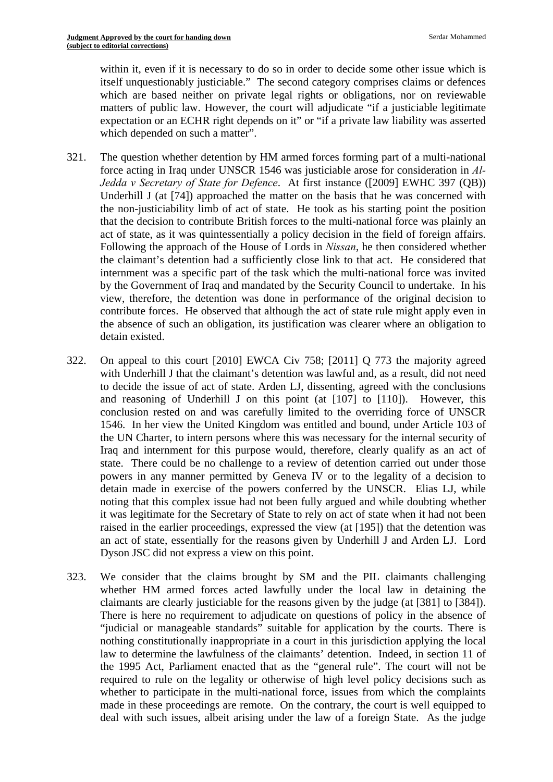within it, even if it is necessary to do so in order to decide some other issue which is itself unquestionably justiciable." The second category comprises claims or defences which are based neither on private legal rights or obligations, nor on reviewable matters of public law. However, the court will adjudicate "if a justiciable legitimate expectation or an ECHR right depends on it" or "if a private law liability was asserted which depended on such a matter".

- 321. The question whether detention by HM armed forces forming part of a multi-national force acting in Iraq under UNSCR 1546 was justiciable arose for consideration in *Al-Jedda v Secretary of State for Defence*. At first instance ([2009] EWHC 397 (QB)) Underhill J (at [74]) approached the matter on the basis that he was concerned with the non-justiciability limb of act of state. He took as his starting point the position that the decision to contribute British forces to the multi-national force was plainly an act of state, as it was quintessentially a policy decision in the field of foreign affairs. Following the approach of the House of Lords in *Nissan*, he then considered whether the claimant's detention had a sufficiently close link to that act. He considered that internment was a specific part of the task which the multi-national force was invited by the Government of Iraq and mandated by the Security Council to undertake. In his view, therefore, the detention was done in performance of the original decision to contribute forces. He observed that although the act of state rule might apply even in the absence of such an obligation, its justification was clearer where an obligation to detain existed.
- 322. On appeal to this court [2010] EWCA Civ 758; [2011] Q 773 the majority agreed with Underhill J that the claimant's detention was lawful and, as a result, did not need to decide the issue of act of state. Arden LJ, dissenting, agreed with the conclusions and reasoning of Underhill J on this point (at [107] to [110]). However, this conclusion rested on and was carefully limited to the overriding force of UNSCR 1546. In her view the United Kingdom was entitled and bound, under Article 103 of the UN Charter, to intern persons where this was necessary for the internal security of Iraq and internment for this purpose would, therefore, clearly qualify as an act of state. There could be no challenge to a review of detention carried out under those powers in any manner permitted by Geneva IV or to the legality of a decision to detain made in exercise of the powers conferred by the UNSCR. Elias LJ, while noting that this complex issue had not been fully argued and while doubting whether it was legitimate for the Secretary of State to rely on act of state when it had not been raised in the earlier proceedings, expressed the view (at [195]) that the detention was an act of state, essentially for the reasons given by Underhill J and Arden LJ. Lord Dyson JSC did not express a view on this point.
- 323. We consider that the claims brought by SM and the PIL claimants challenging whether HM armed forces acted lawfully under the local law in detaining the claimants are clearly justiciable for the reasons given by the judge (at [381] to [384]). There is here no requirement to adjudicate on questions of policy in the absence of "judicial or manageable standards" suitable for application by the courts. There is nothing constitutionally inappropriate in a court in this jurisdiction applying the local law to determine the lawfulness of the claimants' detention. Indeed, in section 11 of the 1995 Act, Parliament enacted that as the "general rule". The court will not be required to rule on the legality or otherwise of high level policy decisions such as whether to participate in the multi-national force, issues from which the complaints made in these proceedings are remote. On the contrary, the court is well equipped to deal with such issues, albeit arising under the law of a foreign State. As the judge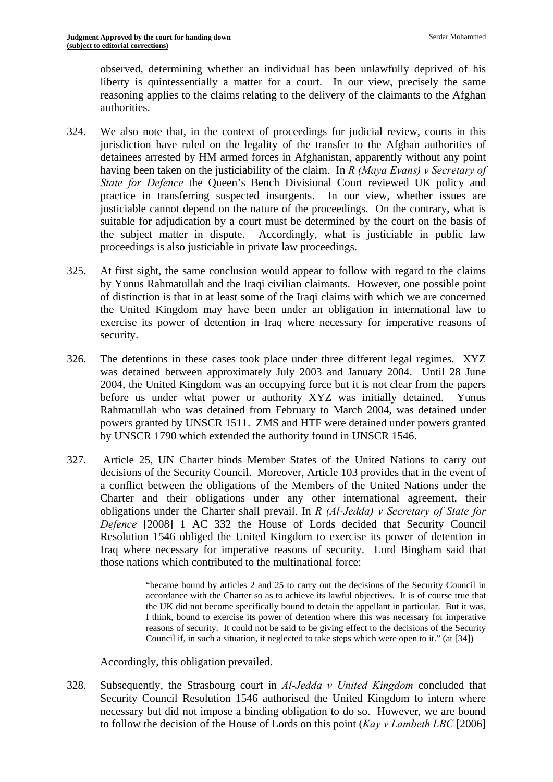observed, determining whether an individual has been unlawfully deprived of his liberty is quintessentially a matter for a court. In our view, precisely the same reasoning applies to the claims relating to the delivery of the claimants to the Afghan authorities.

- 324. We also note that, in the context of proceedings for judicial review, courts in this jurisdiction have ruled on the legality of the transfer to the Afghan authorities of detainees arrested by HM armed forces in Afghanistan, apparently without any point having been taken on the justiciability of the claim. In *R (Maya Evans) v Secretary of State for Defence* the Queen's Bench Divisional Court reviewed UK policy and practice in transferring suspected insurgents. In our view, whether issues are justiciable cannot depend on the nature of the proceedings. On the contrary, what is suitable for adjudication by a court must be determined by the court on the basis of the subject matter in dispute. Accordingly, what is justiciable in public law proceedings is also justiciable in private law proceedings.
- 325. At first sight, the same conclusion would appear to follow with regard to the claims by Yunus Rahmatullah and the Iraqi civilian claimants. However, one possible point of distinction is that in at least some of the Iraqi claims with which we are concerned the United Kingdom may have been under an obligation in international law to exercise its power of detention in Iraq where necessary for imperative reasons of security.
- 326. The detentions in these cases took place under three different legal regimes. XYZ was detained between approximately July 2003 and January 2004. Until 28 June 2004, the United Kingdom was an occupying force but it is not clear from the papers before us under what power or authority XYZ was initially detained. Yunus Rahmatullah who was detained from February to March 2004, was detained under powers granted by UNSCR 1511. ZMS and HTF were detained under powers granted by UNSCR 1790 which extended the authority found in UNSCR 1546.
- 327. Article 25, UN Charter binds Member States of the United Nations to carry out decisions of the Security Council. Moreover, Article 103 provides that in the event of a conflict between the obligations of the Members of the United Nations under the Charter and their obligations under any other international agreement, their obligations under the Charter shall prevail. In *R (Al-Jedda) v Secretary of State for Defence* [2008] 1 AC 332 the House of Lords decided that Security Council Resolution 1546 obliged the United Kingdom to exercise its power of detention in Iraq where necessary for imperative reasons of security. Lord Bingham said that those nations which contributed to the multinational force:

 reasons of security. It could not be said to be giving effect to the decisions of the Security "became bound by articles 2 and 25 to carry out the decisions of the Security Council in accordance with the Charter so as to achieve its lawful objectives. It is of course true that the UK did not become specifically bound to detain the appellant in particular. But it was, I think, bound to exercise its power of detention where this was necessary for imperative Council if, in such a situation, it neglected to take steps which were open to it." (at [34])

Accordingly, this obligation prevailed.

328. Subsequently, the Strasbourg court in *Al-Jedda v United Kingdom* concluded that Security Council Resolution 1546 authorised the United Kingdom to intern where necessary but did not impose a binding obligation to do so. However, we are bound to follow the decision of the House of Lords on this point (*Kay v Lambeth LBC* [2006]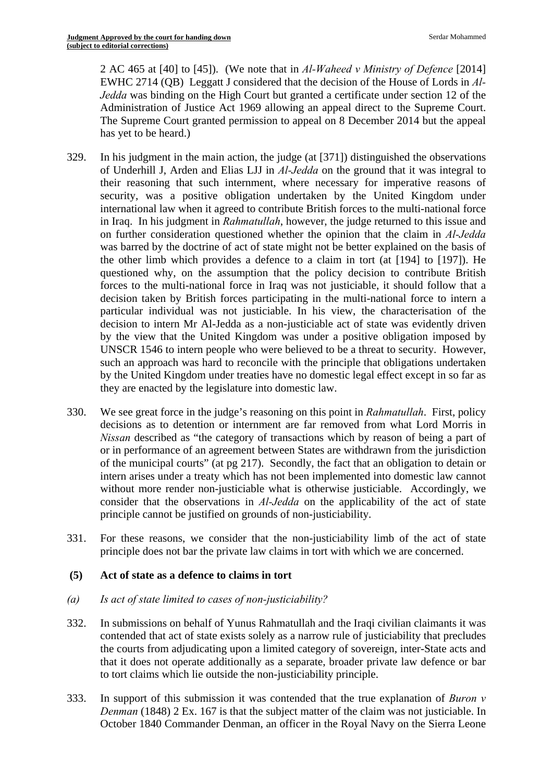2 AC 465 at [40] to [45]). (We note that in *Al-Waheed v Ministry of Defence* [2014] EWHC 2714 (QB) Leggatt J considered that the decision of the House of Lords in *Al-Jedda* was binding on the High Court but granted a certificate under section 12 of the Administration of Justice Act 1969 allowing an appeal direct to the Supreme Court. The Supreme Court granted permission to appeal on 8 December 2014 but the appeal has yet to be heard.)

- 329. In his judgment in the main action, the judge (at [371]) distinguished the observations of Underhill J, Arden and Elias LJJ in *Al-Jedda* on the ground that it was integral to their reasoning that such internment, where necessary for imperative reasons of security, was a positive obligation undertaken by the United Kingdom under international law when it agreed to contribute British forces to the multi-national force in Iraq. In his judgment in *Rahmatullah*, however, the judge returned to this issue and on further consideration questioned whether the opinion that the claim in *Al-Jedda*  was barred by the doctrine of act of state might not be better explained on the basis of the other limb which provides a defence to a claim in tort (at [194] to [197]). He questioned why, on the assumption that the policy decision to contribute British forces to the multi-national force in Iraq was not justiciable, it should follow that a decision taken by British forces participating in the multi-national force to intern a particular individual was not justiciable. In his view, the characterisation of the decision to intern Mr Al-Jedda as a non-justiciable act of state was evidently driven by the view that the United Kingdom was under a positive obligation imposed by UNSCR 1546 to intern people who were believed to be a threat to security. However, such an approach was hard to reconcile with the principle that obligations undertaken by the United Kingdom under treaties have no domestic legal effect except in so far as they are enacted by the legislature into domestic law.
- 330. We see great force in the judge's reasoning on this point in *Rahmatullah*. First, policy decisions as to detention or internment are far removed from what Lord Morris in *Nissan* described as "the category of transactions which by reason of being a part of or in performance of an agreement between States are withdrawn from the jurisdiction of the municipal courts" (at pg 217). Secondly, the fact that an obligation to detain or intern arises under a treaty which has not been implemented into domestic law cannot without more render non-justiciable what is otherwise justiciable. Accordingly, we consider that the observations in *Al-Jedda* on the applicability of the act of state principle cannot be justified on grounds of non-justiciability.
- 331. For these reasons, we consider that the non-justiciability limb of the act of state principle does not bar the private law claims in tort with which we are concerned.

## **(5) Act of state as a defence to claims in tort**

- *(a) Is act of state limited to cases of non-justiciability?*
- 332. In submissions on behalf of Yunus Rahmatullah and the Iraqi civilian claimants it was contended that act of state exists solely as a narrow rule of justiciability that precludes the courts from adjudicating upon a limited category of sovereign, inter-State acts and that it does not operate additionally as a separate, broader private law defence or bar to tort claims which lie outside the non-justiciability principle.
- 333. In support of this submission it was contended that the true explanation of *Buron v Denman* (1848) 2 Ex. 167 is that the subject matter of the claim was not justiciable. In October 1840 Commander Denman, an officer in the Royal Navy on the Sierra Leone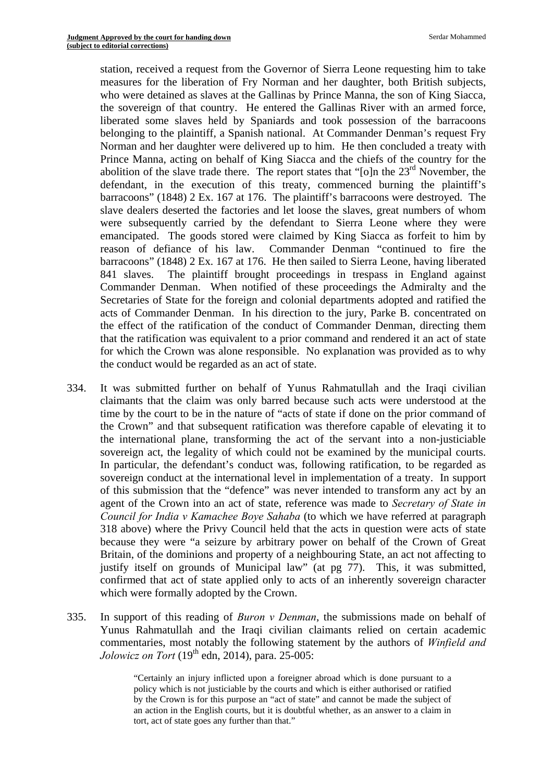station, received a request from the Governor of Sierra Leone requesting him to take measures for the liberation of Fry Norman and her daughter, both British subjects, who were detained as slaves at the Gallinas by Prince Manna, the son of King Siacca, the sovereign of that country. He entered the Gallinas River with an armed force, liberated some slaves held by Spaniards and took possession of the barracoons belonging to the plaintiff, a Spanish national. At Commander Denman's request Fry Norman and her daughter were delivered up to him. He then concluded a treaty with Prince Manna, acting on behalf of King Siacca and the chiefs of the country for the abolition of the slave trade there. The report states that "[o]n the  $23<sup>rd</sup>$  November, the defendant, in the execution of this treaty, commenced burning the plaintiff's barracoons" (1848) 2 Ex. 167 at 176. The plaintiff's barracoons were destroyed. The slave dealers deserted the factories and let loose the slaves, great numbers of whom were subsequently carried by the defendant to Sierra Leone where they were emancipated. The goods stored were claimed by King Siacca as forfeit to him by reason of defiance of his law. Commander Denman "continued to fire the barracoons" (1848) 2 Ex. 167 at 176. He then sailed to Sierra Leone, having liberated 841 slaves. The plaintiff brought proceedings in trespass in England against Commander Denman. When notified of these proceedings the Admiralty and the Secretaries of State for the foreign and colonial departments adopted and ratified the acts of Commander Denman. In his direction to the jury, Parke B. concentrated on the effect of the ratification of the conduct of Commander Denman, directing them that the ratification was equivalent to a prior command and rendered it an act of state for which the Crown was alone responsible. No explanation was provided as to why the conduct would be regarded as an act of state.

- 334. It was submitted further on behalf of Yunus Rahmatullah and the Iraqi civilian claimants that the claim was only barred because such acts were understood at the time by the court to be in the nature of "acts of state if done on the prior command of the Crown" and that subsequent ratification was therefore capable of elevating it to the international plane, transforming the act of the servant into a non-justiciable sovereign act, the legality of which could not be examined by the municipal courts. In particular, the defendant's conduct was, following ratification, to be regarded as sovereign conduct at the international level in implementation of a treaty. In support of this submission that the "defence" was never intended to transform any act by an agent of the Crown into an act of state, reference was made to *Secretary of State in Council for India v Kamachee Boye Sahaba* (to which we have referred at paragraph 318 above) where the Privy Council held that the acts in question were acts of state because they were "a seizure by arbitrary power on behalf of the Crown of Great Britain, of the dominions and property of a neighbouring State, an act not affecting to justify itself on grounds of Municipal law" (at pg 77). This, it was submitted, confirmed that act of state applied only to acts of an inherently sovereign character which were formally adopted by the Crown.
- 335. In support of this reading of *Buron v Denman*, the submissions made on behalf of Yunus Rahmatullah and the Iraqi civilian claimants relied on certain academic commentaries, most notably the following statement by the authors of *Winfield and Jolowicz on Tort* ( $19<sup>th</sup>$  edn, 2014), para. 25-005:

"Certainly an injury inflicted upon a foreigner abroad which is done pursuant to a policy which is not justiciable by the courts and which is either authorised or ratified by the Crown is for this purpose an "act of state" and cannot be made the subject of an action in the English courts, but it is doubtful whether, as an answer to a claim in tort, act of state goes any further than that."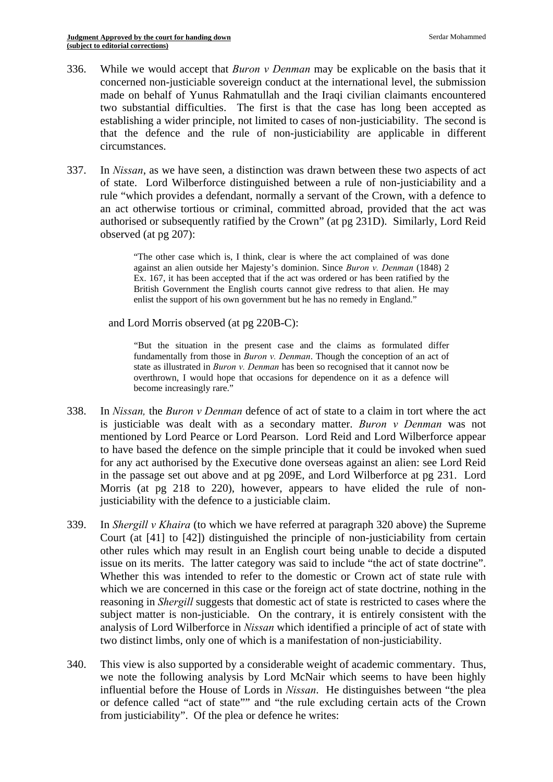- 336. While we would accept that *Buron v Denman* may be explicable on the basis that it concerned non-justiciable sovereign conduct at the international level, the submission made on behalf of Yunus Rahmatullah and the Iraqi civilian claimants encountered two substantial difficulties. The first is that the case has long been accepted as establishing a wider principle, not limited to cases of non-justiciability. The second is that the defence and the rule of non-justiciability are applicable in different circumstances.
- 337. In *Nissan*, as we have seen, a distinction was drawn between these two aspects of act of state. Lord Wilberforce distinguished between a rule of non-justiciability and a rule "which provides a defendant, normally a servant of the Crown, with a defence to an act otherwise tortious or criminal, committed abroad, provided that the act was authorised or subsequently ratified by the Crown" (at pg 231D). Similarly, Lord Reid observed (at pg 207):

 against an alien outside her Majesty's dominion. Since *Buron v. Denman* (1848) 2 British Government the English courts cannot give redress to that alien. He may "The other case which is, I think, clear is where the act complained of was done Ex. 167, it has been accepted that if the act was ordered or has been ratified by the enlist the support of his own government but he has no remedy in England."

and Lord Morris observed (at pg 220B-C):

 state as illustrated in *Buron v. Denman* has been so recognised that it cannot now be "But the situation in the present case and the claims as formulated differ fundamentally from those in *Buron v. Denman*. Though the conception of an act of overthrown, I would hope that occasions for dependence on it as a defence will become increasingly rare."

- 338. In *Nissan,* the *Buron v Denman* defence of act of state to a claim in tort where the act is justiciable was dealt with as a secondary matter. *Buron v Denman* was not mentioned by Lord Pearce or Lord Pearson. Lord Reid and Lord Wilberforce appear to have based the defence on the simple principle that it could be invoked when sued for any act authorised by the Executive done overseas against an alien: see Lord Reid in the passage set out above and at pg 209E, and Lord Wilberforce at pg 231. Lord Morris (at pg 218 to 220), however, appears to have elided the rule of nonjusticiability with the defence to a justiciable claim.
- 339. In *Shergill v Khaira* (to which we have referred at paragraph 320 above) the Supreme Court (at [41] to [42]) distinguished the principle of non-justiciability from certain other rules which may result in an English court being unable to decide a disputed issue on its merits. The latter category was said to include "the act of state doctrine". Whether this was intended to refer to the domestic or Crown act of state rule with which we are concerned in this case or the foreign act of state doctrine, nothing in the reasoning in *Shergill* suggests that domestic act of state is restricted to cases where the subject matter is non-justiciable. On the contrary, it is entirely consistent with the analysis of Lord Wilberforce in *Nissan* which identified a principle of act of state with two distinct limbs, only one of which is a manifestation of non-justiciability.
- 340. This view is also supported by a considerable weight of academic commentary. Thus, we note the following analysis by Lord McNair which seems to have been highly influential before the House of Lords in *Nissan*. He distinguishes between "the plea or defence called "act of state"" and "the rule excluding certain acts of the Crown from justiciability". Of the plea or defence he writes: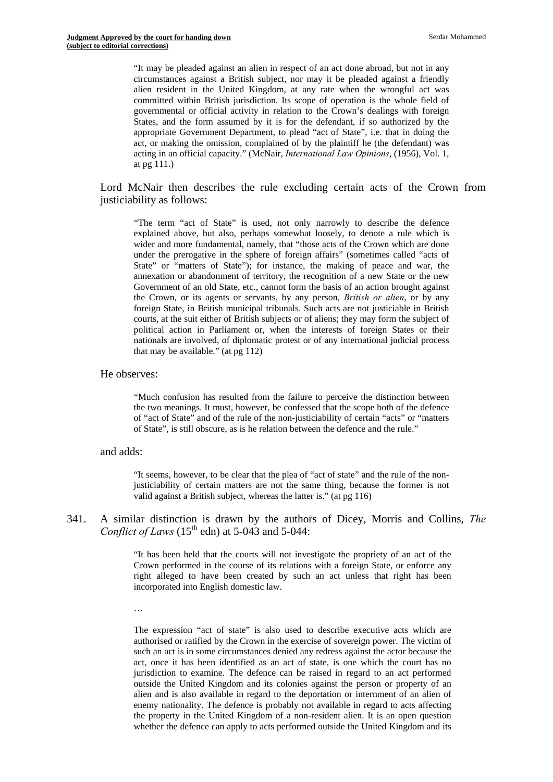committed within British jurisdiction. Its scope of operation is the whole field of acting in an official capacity." (McNair, *International Law Opinions*, (1956), Vol. 1, "It may be pleaded against an alien in respect of an act done abroad, but not in any circumstances against a British subject, nor may it be pleaded against a friendly alien resident in the United Kingdom, at any rate when the wrongful act was governmental or official activity in relation to the Crown's dealings with foreign States, and the form assumed by it is for the defendant, if so authorized by the appropriate Government Department, to plead "act of State", i.e. that in doing the act, or making the omission, complained of by the plaintiff he (the defendant) was at pg 111.)

Lord McNair then describes the rule excluding certain acts of the Crown from justiciability as follows:

 Government of an old State, etc., cannot form the basis of an action brought against the Crown, or its agents or servants, by any person, *British or alien*, or by any "The term "act of State" is used, not only narrowly to describe the defence explained above, but also, perhaps somewhat loosely, to denote a rule which is wider and more fundamental, namely, that "those acts of the Crown which are done under the prerogative in the sphere of foreign affairs" (sometimes called "acts of State" or "matters of State"); for instance, the making of peace and war, the annexation or abandonment of territory, the recognition of a new State or the new foreign State, in British municipal tribunals. Such acts are not justiciable in British courts, at the suit either of British subjects or of aliens; they may form the subject of political action in Parliament or, when the interests of foreign States or their nationals are involved, of diplomatic protest or of any international judicial process that may be available." (at pg 112)

#### He observes:

"Much confusion has resulted from the failure to perceive the distinction between the two meanings. It must, however, be confessed that the scope both of the defence of "act of State" and of the rule of the non-justiciability of certain "acts" or "matters of State", is still obscure, as is he relation between the defence and the rule."

#### and adds:

"It seems, however, to be clear that the plea of "act of state" and the rule of the nonjusticiability of certain matters are not the same thing, because the former is not valid against a British subject, whereas the latter is." (at pg 116)

#### 341. A similar distinction is drawn by the authors of Dicey, Morris and Collins, *The Conflict of Laws*  $(15<sup>th</sup>$  edn) at 5-043 and 5-044:

"It has been held that the courts will not investigate the propriety of an act of the Crown performed in the course of its relations with a foreign State, or enforce any right alleged to have been created by such an act unless that right has been incorporated into English domestic law.

…

 alien and is also available in regard to the deportation or internment of an alien of The expression "act of state" is also used to describe executive acts which are authorised or ratified by the Crown in the exercise of sovereign power. The victim of such an act is in some circumstances denied any redress against the actor because the act, once it has been identified as an act of state, is one which the court has no jurisdiction to examine. The defence can be raised in regard to an act performed outside the United Kingdom and its colonies against the person or property of an enemy nationality. The defence is probably not available in regard to acts affecting the property in the United Kingdom of a non-resident alien. It is an open question whether the defence can apply to acts performed outside the United Kingdom and its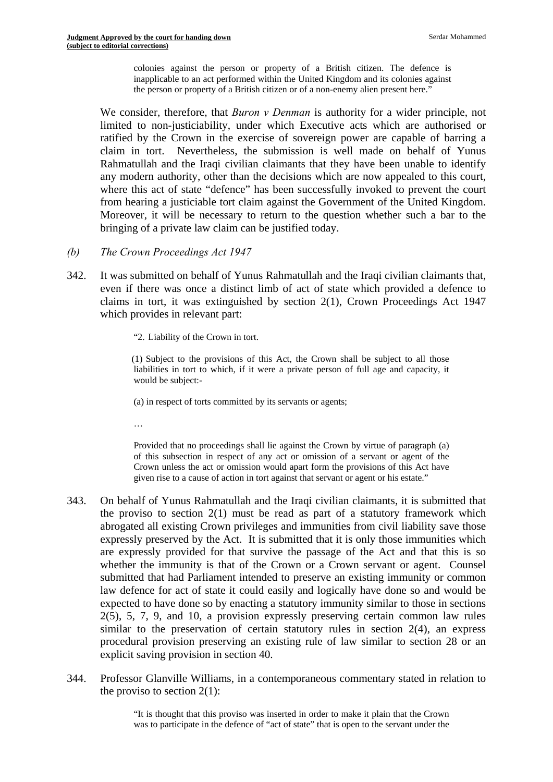colonies against the person or property of a British citizen. The defence is inapplicable to an act performed within the United Kingdom and its colonies against the person or property of a British citizen or of a non-enemy alien present here."

We consider, therefore, that *Buron v Denman* is authority for a wider principle, not limited to non-justiciability, under which Executive acts which are authorised or ratified by the Crown in the exercise of sovereign power are capable of barring a claim in tort. Nevertheless, the submission is well made on behalf of Yunus Rahmatullah and the Iraqi civilian claimants that they have been unable to identify any modern authority, other than the decisions which are now appealed to this court, where this act of state "defence" has been successfully invoked to prevent the court from hearing a justiciable tort claim against the Government of the United Kingdom. Moreover, it will be necessary to return to the question whether such a bar to the bringing of a private law claim can be justified today.

- *(b) The Crown Proceedings Act 1947*
- 342. It was submitted on behalf of Yunus Rahmatullah and the Iraqi civilian claimants that, even if there was once a distinct limb of act of state which provided a defence to claims in tort, it was extinguished by section 2(1), Crown Proceedings Act 1947 which provides in relevant part:
	- "2. Liability of the Crown in tort.

 liabilities in tort to which, if it were a private person of full age and capacity, it (1) Subject to the provisions of this Act, the Crown shall be subject to all those would be subject:

(a) in respect of torts committed by its servants or agents;

…

Provided that no proceedings shall lie against the Crown by virtue of paragraph (a) of this subsection in respect of any act or omission of a servant or agent of the Crown unless the act or omission would apart form the provisions of this Act have given rise to a cause of action in tort against that servant or agent or his estate."

- 343. On behalf of Yunus Rahmatullah and the Iraqi civilian claimants, it is submitted that the proviso to section 2(1) must be read as part of a statutory framework which abrogated all existing Crown privileges and immunities from civil liability save those expressly preserved by the Act. It is submitted that it is only those immunities which are expressly provided for that survive the passage of the Act and that this is so whether the immunity is that of the Crown or a Crown servant or agent. Counsel submitted that had Parliament intended to preserve an existing immunity or common law defence for act of state it could easily and logically have done so and would be expected to have done so by enacting a statutory immunity similar to those in sections 2(5), 5, 7, 9, and 10, a provision expressly preserving certain common law rules similar to the preservation of certain statutory rules in section 2(4), an express procedural provision preserving an existing rule of law similar to section 28 or an explicit saving provision in section 40.
- 344. Professor Glanville Williams, in a contemporaneous commentary stated in relation to the proviso to section  $2(1)$ :

"It is thought that this proviso was inserted in order to make it plain that the Crown was to participate in the defence of "act of state" that is open to the servant under the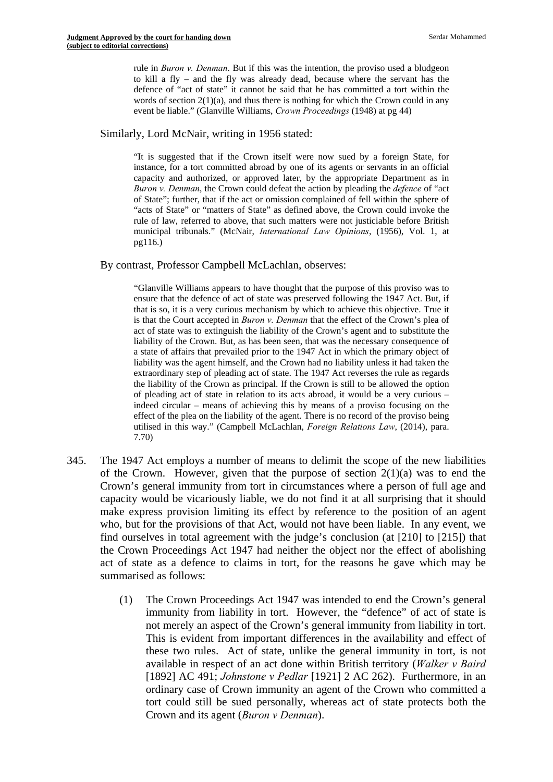rule in *Buron v. Denman*. But if this was the intention, the proviso used a bludgeon to kill a fly – and the fly was already dead, because where the servant has the defence of "act of state" it cannot be said that he has committed a tort within the words of section  $2(1)(a)$ , and thus there is nothing for which the Crown could in any event be liable." (Glanville Williams, *Crown Proceedings* (1948) at pg 44)

Similarly, Lord McNair, writing in 1956 stated:

 municipal tribunals." (McNair, *International Law Opinions*, (1956), Vol. 1, at "It is suggested that if the Crown itself were now sued by a foreign State, for instance, for a tort committed abroad by one of its agents or servants in an official capacity and authorized, or approved later, by the appropriate Department as in *Buron v. Denman*, the Crown could defeat the action by pleading the *defence* of "act of State"; further, that if the act or omission complained of fell within the sphere of "acts of State" or "matters of State" as defined above, the Crown could invoke the rule of law, referred to above, that such matters were not justiciable before British pg116.)

By contrast, Professor Campbell McLachlan, observes:

 ensure that the defence of act of state was preserved following the 1947 Act. But, if "Glanville Williams appears to have thought that the purpose of this proviso was to that is so, it is a very curious mechanism by which to achieve this objective. True it is that the Court accepted in *Buron v. Denman* that the effect of the Crown's plea of act of state was to extinguish the liability of the Crown's agent and to substitute the liability of the Crown. But, as has been seen, that was the necessary consequence of a state of affairs that prevailed prior to the 1947 Act in which the primary object of liability was the agent himself, and the Crown had no liability unless it had taken the extraordinary step of pleading act of state. The 1947 Act reverses the rule as regards the liability of the Crown as principal. If the Crown is still to be allowed the option of pleading act of state in relation to its acts abroad, it would be a very curious – indeed circular – means of achieving this by means of a proviso focusing on the effect of the plea on the liability of the agent. There is no record of the proviso being utilised in this way." (Campbell McLachlan, *Foreign Relations Law*, (2014), para. 7.70)

- 345. The 1947 Act employs a number of means to delimit the scope of the new liabilities of the Crown. However, given that the purpose of section  $2(1)(a)$  was to end the Crown's general immunity from tort in circumstances where a person of full age and capacity would be vicariously liable, we do not find it at all surprising that it should make express provision limiting its effect by reference to the position of an agent who, but for the provisions of that Act, would not have been liable. In any event, we find ourselves in total agreement with the judge's conclusion (at [210] to [215]) that the Crown Proceedings Act 1947 had neither the object nor the effect of abolishing act of state as a defence to claims in tort, for the reasons he gave which may be summarised as follows:
	- available in respect of an act done within British territory (*Walker v Baird*  (1) The Crown Proceedings Act 1947 was intended to end the Crown's general immunity from liability in tort. However, the "defence" of act of state is not merely an aspect of the Crown's general immunity from liability in tort. This is evident from important differences in the availability and effect of these two rules. Act of state, unlike the general immunity in tort, is not [1892] AC 491; *Johnstone v Pedlar* [1921] 2 AC 262). Furthermore, in an ordinary case of Crown immunity an agent of the Crown who committed a tort could still be sued personally, whereas act of state protects both the Crown and its agent (*Buron v Denman*).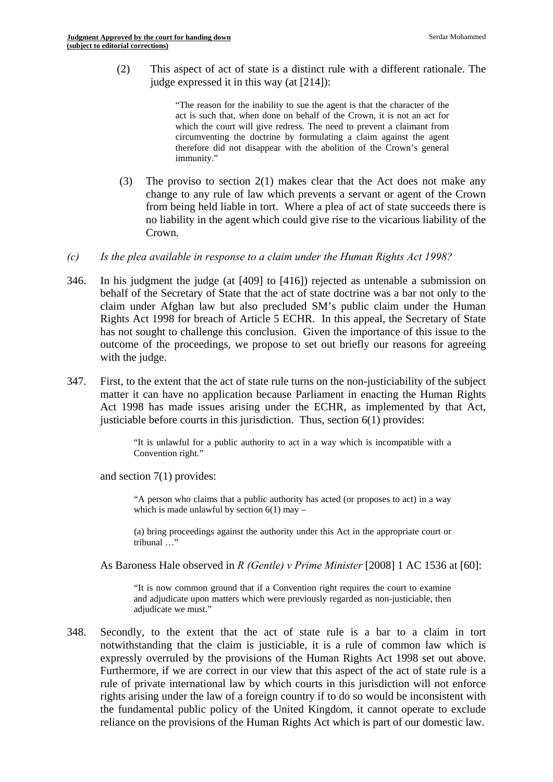(2) This aspect of act of state is a distinct rule with a different rationale. The judge expressed it in this way (at [214]):

> therefore did not disappear with the abolition of the Crown's general "The reason for the inability to sue the agent is that the character of the act is such that, when done on behalf of the Crown, it is not an act for which the court will give redress. The need to prevent a claimant from circumventing the doctrine by formulating a claim against the agent immunity."

- (3) The proviso to section  $2(1)$  makes clear that the Act does not make any change to any rule of law which prevents a servant or agent of the Crown from being held liable in tort. Where a plea of act of state succeeds there is no liability in the agent which could give rise to the vicarious liability of the Crown.
- *(c) Is the plea available in response to a claim under the Human Rights Act 1998?*
- 346. In his judgment the judge (at [409] to [416]) rejected as untenable a submission on behalf of the Secretary of State that the act of state doctrine was a bar not only to the claim under Afghan law but also precluded SM's public claim under the Human Rights Act 1998 for breach of Article 5 ECHR. In this appeal, the Secretary of State has not sought to challenge this conclusion. Given the importance of this issue to the outcome of the proceedings, we propose to set out briefly our reasons for agreeing with the judge.
- 347. First, to the extent that the act of state rule turns on the non-justiciability of the subject matter it can have no application because Parliament in enacting the Human Rights Act 1998 has made issues arising under the ECHR, as implemented by that Act, justiciable before courts in this jurisdiction. Thus, section 6(1) provides:

"It is unlawful for a public authority to act in a way which is incompatible with a Convention right."

and section 7(1) provides:

"A person who claims that a public authority has acted (or proposes to act) in a way which is made unlawful by section  $6(1)$  may –

(a) bring proceedings against the authority under this Act in the appropriate court or tribunal ...'

As Baroness Hale observed in *R (Gentle) v Prime Minister* [2008] 1 AC 1536 at [60]:

"It is now common ground that if a Convention right requires the court to examine and adjudicate upon matters which were previously regarded as non-justiciable, then adjudicate we must."

348. Secondly, to the extent that the act of state rule is a bar to a claim in tort notwithstanding that the claim is justiciable, it is a rule of common law which is expressly overruled by the provisions of the Human Rights Act 1998 set out above. Furthermore, if we are correct in our view that this aspect of the act of state rule is a rule of private international law by which courts in this jurisdiction will not enforce rights arising under the law of a foreign country if to do so would be inconsistent with the fundamental public policy of the United Kingdom, it cannot operate to exclude reliance on the provisions of the Human Rights Act which is part of our domestic law.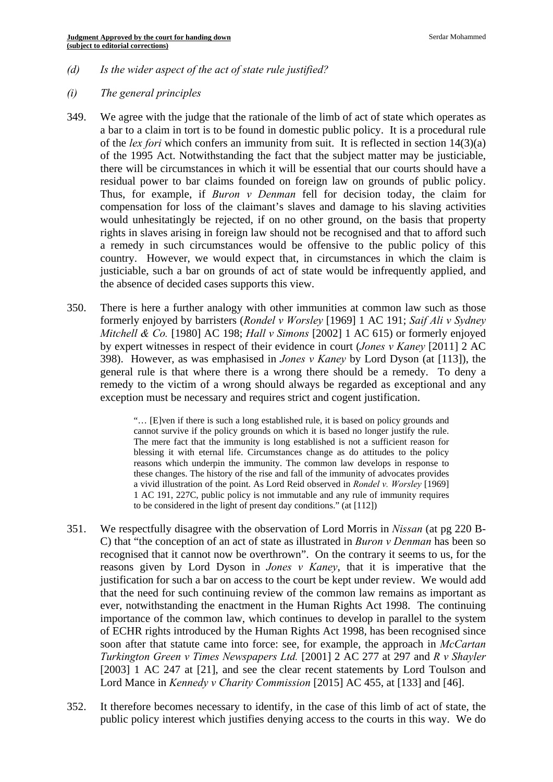*(d) Is the wider aspect of the act of state rule justified?* 

## *(i) The general principles*

- 349. We agree with the judge that the rationale of the limb of act of state which operates as a bar to a claim in tort is to be found in domestic public policy. It is a procedural rule of the *lex fori* which confers an immunity from suit. It is reflected in section 14(3)(a) of the 1995 Act. Notwithstanding the fact that the subject matter may be justiciable, there will be circumstances in which it will be essential that our courts should have a residual power to bar claims founded on foreign law on grounds of public policy. Thus, for example, if *Buron v Denman* fell for decision today, the claim for compensation for loss of the claimant's slaves and damage to his slaving activities would unhesitatingly be rejected, if on no other ground, on the basis that property rights in slaves arising in foreign law should not be recognised and that to afford such a remedy in such circumstances would be offensive to the public policy of this country. However, we would expect that, in circumstances in which the claim is justiciable, such a bar on grounds of act of state would be infrequently applied, and the absence of decided cases supports this view.
- 350. There is here a further analogy with other immunities at common law such as those formerly enjoyed by barristers (*Rondel v Worsley* [1969] 1 AC 191; *Saif Ali v Sydney Mitchell & Co.* [1980] AC 198; *Hall v Simons* [2002] 1 AC 615) or formerly enjoyed by expert witnesses in respect of their evidence in court (*Jones v Kaney* [2011] 2 AC 398). However, as was emphasised in *Jones v Kaney* by Lord Dyson (at [113]), the general rule is that where there is a wrong there should be a remedy. To deny a remedy to the victim of a wrong should always be regarded as exceptional and any exception must be necessary and requires strict and cogent justification.

"… [E]ven if there is such a long established rule, it is based on policy grounds and cannot survive if the policy grounds on which it is based no longer justify the rule. The mere fact that the immunity is long established is not a sufficient reason for blessing it with eternal life. Circumstances change as do attitudes to the policy reasons which underpin the immunity. The common law develops in response to these changes. The history of the rise and fall of the immunity of advocates provides a vivid illustration of the point. As Lord Reid observed in *Rondel v. Worsley* [1969] 1 AC 191, 227C, public policy is not immutable and any rule of immunity requires to be considered in the light of present day conditions." (at [112])

- 351. We respectfully disagree with the observation of Lord Morris in *Nissan* (at pg 220 B-C) that "the conception of an act of state as illustrated in *Buron v Denman* has been so recognised that it cannot now be overthrown". On the contrary it seems to us, for the reasons given by Lord Dyson in *Jones v Kaney*, that it is imperative that the justification for such a bar on access to the court be kept under review. We would add that the need for such continuing review of the common law remains as important as ever, notwithstanding the enactment in the Human Rights Act 1998. The continuing importance of the common law, which continues to develop in parallel to the system of ECHR rights introduced by the Human Rights Act 1998, has been recognised since soon after that statute came into force: see, for example, the approach in *McCartan Turkington Green v Times Newspapers Ltd.* [2001] 2 AC 277 at 297 and *R v Shayler*  [2003] 1 AC 247 at [21], and see the clear recent statements by Lord Toulson and Lord Mance in *Kennedy v Charity Commission* [2015] AC 455, at [133] and [46].
- 352. It therefore becomes necessary to identify, in the case of this limb of act of state, the public policy interest which justifies denying access to the courts in this way. We do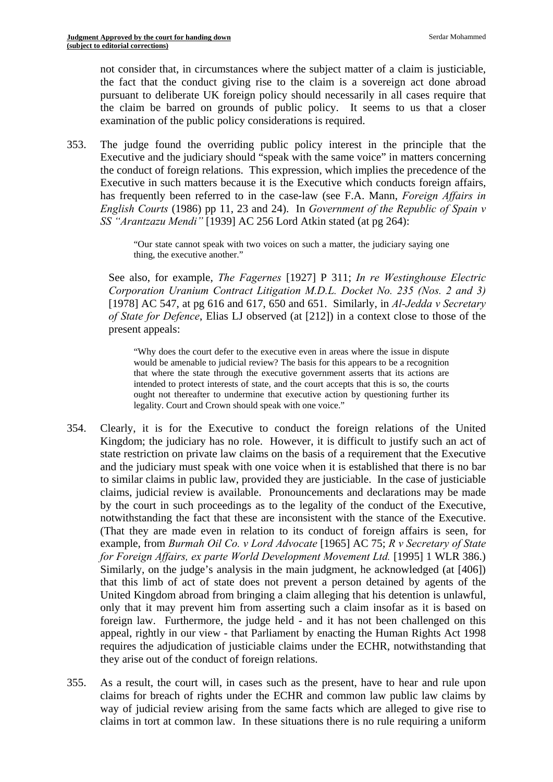not consider that, in circumstances where the subject matter of a claim is justiciable, the fact that the conduct giving rise to the claim is a sovereign act done abroad pursuant to deliberate UK foreign policy should necessarily in all cases require that the claim be barred on grounds of public policy. It seems to us that a closer examination of the public policy considerations is required.

353. The judge found the overriding public policy interest in the principle that the Executive and the judiciary should "speak with the same voice" in matters concerning the conduct of foreign relations. This expression, which implies the precedence of the Executive in such matters because it is the Executive which conducts foreign affairs, has frequently been referred to in the case-law (see F.A. Mann, *Foreign Affairs in English Courts* (1986) pp 11, 23 and 24). In *Government of the Republic of Spain v SS "Arantzazu Mendi"* [1939] AC 256 Lord Atkin stated (at pg 264):

> "Our state cannot speak with two voices on such a matter, the judiciary saying one thing, the executive another."

See also, for example, *The Fagernes* [1927] P 311; *In re Westinghouse Electric Corporation Uranium Contract Litigation M.D.L. Docket No. 235 (Nos. 2 and 3)*  [1978] AC 547, at pg 616 and 617, 650 and 651. Similarly, in *Al-Jedda v Secretary of State for Defence*, Elias LJ observed (at [212]) in a context close to those of the present appeals:

"Why does the court defer to the executive even in areas where the issue in dispute would be amenable to judicial review? The basis for this appears to be a recognition that where the state through the executive government asserts that its actions are intended to protect interests of state, and the court accepts that this is so, the courts ought not thereafter to undermine that executive action by questioning further its legality. Court and Crown should speak with one voice."

- *for Foreign Affairs, ex parte World Development Movement Ltd.* [1995] 1 WLR 386.) 354. Clearly, it is for the Executive to conduct the foreign relations of the United Kingdom; the judiciary has no role. However, it is difficult to justify such an act of state restriction on private law claims on the basis of a requirement that the Executive and the judiciary must speak with one voice when it is established that there is no bar to similar claims in public law, provided they are justiciable. In the case of justiciable claims, judicial review is available. Pronouncements and declarations may be made by the court in such proceedings as to the legality of the conduct of the Executive, notwithstanding the fact that these are inconsistent with the stance of the Executive. (That they are made even in relation to its conduct of foreign affairs is seen, for example, from *Burmah Oil Co. v Lord Advocate* [1965] AC 75; *R v Secretary of State*  Similarly, on the judge's analysis in the main judgment, he acknowledged (at [406]) that this limb of act of state does not prevent a person detained by agents of the United Kingdom abroad from bringing a claim alleging that his detention is unlawful, only that it may prevent him from asserting such a claim insofar as it is based on foreign law. Furthermore, the judge held - and it has not been challenged on this appeal, rightly in our view - that Parliament by enacting the Human Rights Act 1998 requires the adjudication of justiciable claims under the ECHR, notwithstanding that they arise out of the conduct of foreign relations.
- 355. As a result, the court will, in cases such as the present, have to hear and rule upon claims for breach of rights under the ECHR and common law public law claims by way of judicial review arising from the same facts which are alleged to give rise to claims in tort at common law. In these situations there is no rule requiring a uniform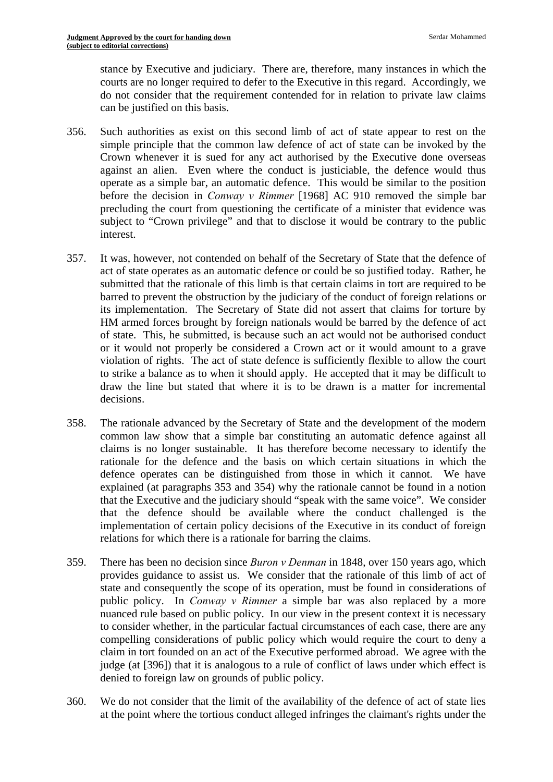stance by Executive and judiciary. There are, therefore, many instances in which the courts are no longer required to defer to the Executive in this regard. Accordingly, we do not consider that the requirement contended for in relation to private law claims can be justified on this basis.

- 356. Such authorities as exist on this second limb of act of state appear to rest on the simple principle that the common law defence of act of state can be invoked by the Crown whenever it is sued for any act authorised by the Executive done overseas against an alien. Even where the conduct is justiciable, the defence would thus operate as a simple bar, an automatic defence. This would be similar to the position before the decision in *Conway v Rimmer* [1968] AC 910 removed the simple bar precluding the court from questioning the certificate of a minister that evidence was subject to "Crown privilege" and that to disclose it would be contrary to the public interest.
- 357. It was, however, not contended on behalf of the Secretary of State that the defence of act of state operates as an automatic defence or could be so justified today. Rather, he submitted that the rationale of this limb is that certain claims in tort are required to be barred to prevent the obstruction by the judiciary of the conduct of foreign relations or its implementation. The Secretary of State did not assert that claims for torture by HM armed forces brought by foreign nationals would be barred by the defence of act of state. This, he submitted, is because such an act would not be authorised conduct or it would not properly be considered a Crown act or it would amount to a grave violation of rights. The act of state defence is sufficiently flexible to allow the court to strike a balance as to when it should apply. He accepted that it may be difficult to draw the line but stated that where it is to be drawn is a matter for incremental decisions.
- 358. The rationale advanced by the Secretary of State and the development of the modern common law show that a simple bar constituting an automatic defence against all claims is no longer sustainable. It has therefore become necessary to identify the rationale for the defence and the basis on which certain situations in which the defence operates can be distinguished from those in which it cannot. We have explained (at paragraphs 353 and 354) why the rationale cannot be found in a notion that the Executive and the judiciary should "speak with the same voice". We consider that the defence should be available where the conduct challenged is the implementation of certain policy decisions of the Executive in its conduct of foreign relations for which there is a rationale for barring the claims.
- 359. There has been no decision since *Buron v Denman* in 1848, over 150 years ago, which provides guidance to assist us. We consider that the rationale of this limb of act of state and consequently the scope of its operation, must be found in considerations of public policy. In *Conway v Rimmer* a simple bar was also replaced by a more nuanced rule based on public policy. In our view in the present context it is necessary to consider whether, in the particular factual circumstances of each case, there are any compelling considerations of public policy which would require the court to deny a claim in tort founded on an act of the Executive performed abroad. We agree with the judge (at [396]) that it is analogous to a rule of conflict of laws under which effect is denied to foreign law on grounds of public policy.
- 360. We do not consider that the limit of the availability of the defence of act of state lies at the point where the tortious conduct alleged infringes the claimant's rights under the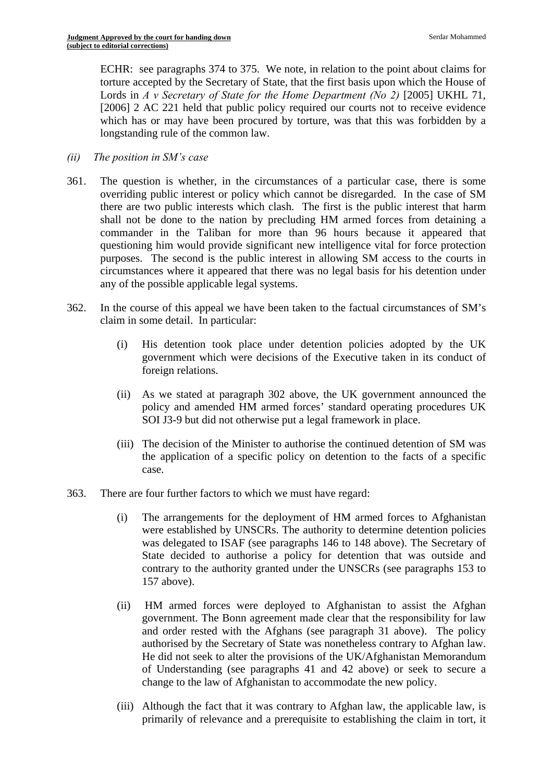ECHR: see paragraphs 374 to 375. We note, in relation to the point about claims for torture accepted by the Secretary of State, that the first basis upon which the House of Lords in *A v* Secretary of State for the Home Department (No 2) [2005] UKHL 71, [2006] 2 AC 221 held that public policy required our courts not to receive evidence which has or may have been procured by torture, was that this was forbidden by a longstanding rule of the common law.

- *(ii) The position in SM's case*
- 361. The question is whether, in the circumstances of a particular case, there is some overriding public interest or policy which cannot be disregarded. In the case of SM there are two public interests which clash. The first is the public interest that harm shall not be done to the nation by precluding HM armed forces from detaining a commander in the Taliban for more than 96 hours because it appeared that questioning him would provide significant new intelligence vital for force protection purposes. The second is the public interest in allowing SM access to the courts in circumstances where it appeared that there was no legal basis for his detention under any of the possible applicable legal systems.
- 362. In the course of this appeal we have been taken to the factual circumstances of SM's claim in some detail. In particular:
	- (i) His detention took place under detention policies adopted by the UK government which were decisions of the Executive taken in its conduct of foreign relations.
	- SOI J3-9 but did not otherwise put a legal framework in place. (ii) As we stated at paragraph 302 above, the UK government announced the policy and amended HM armed forces' standard operating procedures UK
	- (iii) The decision of the Minister to authorise the continued detention of SM was the application of a specific policy on detention to the facts of a specific case.
- 363. There are four further factors to which we must have regard:
	- (i) The arrangements for the deployment of HM armed forces to Afghanistan were established by UNSCRs. The authority to determine detention policies was delegated to ISAF (see paragraphs 146 to 148 above). The Secretary of State decided to authorise a policy for detention that was outside and contrary to the authority granted under the UNSCRs (see paragraphs 153 to 157 above).
	- (ii) HM armed forces were deployed to Afghanistan to assist the Afghan government. The Bonn agreement made clear that the responsibility for law and order rested with the Afghans (see paragraph 31 above). The policy authorised by the Secretary of State was nonetheless contrary to Afghan law. He did not seek to alter the provisions of the UK/Afghanistan Memorandum of Understanding (see paragraphs 41 and 42 above) or seek to secure a change to the law of Afghanistan to accommodate the new policy.
	- (iii) Although the fact that it was contrary to Afghan law, the applicable law, is primarily of relevance and a prerequisite to establishing the claim in tort, it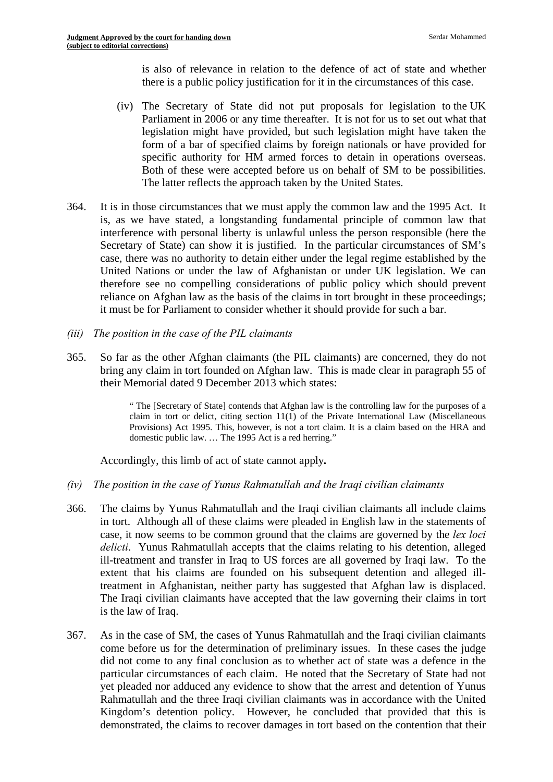is also of relevance in relation to the defence of act of state and whether there is a public policy justification for it in the circumstances of this case.

- specific authority for HM armed forces to detain in operations overseas. Both of these were accepted before us on behalf of SM to be possibilities. (iv) The Secretary of State did not put proposals for legislation to the UK Parliament in 2006 or any time thereafter. It is not for us to set out what that legislation might have provided, but such legislation might have taken the form of a bar of specified claims by foreign nationals or have provided for The latter reflects the approach taken by the United States.
- 364. It is in those circumstances that we must apply the common law and the 1995 Act. It is, as we have stated, a longstanding fundamental principle of common law that interference with personal liberty is unlawful unless the person responsible (here the Secretary of State) can show it is justified. In the particular circumstances of SM's case, there was no authority to detain either under the legal regime established by the United Nations or under the law of Afghanistan or under UK legislation. We can therefore see no compelling considerations of public policy which should prevent reliance on Afghan law as the basis of the claims in tort brought in these proceedings; it must be for Parliament to consider whether it should provide for such a bar.
- *(iii) The position in the case of the PIL claimants*
- 365. So far as the other Afghan claimants (the PIL claimants) are concerned, they do not bring any claim in tort founded on Afghan law. This is made clear in paragraph 55 of their Memorial dated 9 December 2013 which states:

 domestic public law. … The 1995 Act is a red herring." " The [Secretary of State] contends that Afghan law is the controlling law for the purposes of a claim in tort or delict, citing section 11(1) of the Private International Law (Miscellaneous Provisions) Act 1995. This, however, is not a tort claim. It is a claim based on the HRA and

Accordingly, this limb of act of state cannot apply*.* 

- *(iv) The position in the case of Yunus Rahmatullah and the Iraqi civilian claimants*
- 366. The claims by Yunus Rahmatullah and the Iraqi civilian claimants all include claims in tort. Although all of these claims were pleaded in English law in the statements of case, it now seems to be common ground that the claims are governed by the *lex loci delicti*. Yunus Rahmatullah accepts that the claims relating to his detention, alleged ill-treatment and transfer in Iraq to US forces are all governed by Iraqi law. To the extent that his claims are founded on his subsequent detention and alleged illtreatment in Afghanistan, neither party has suggested that Afghan law is displaced. The Iraqi civilian claimants have accepted that the law governing their claims in tort is the law of Iraq.
- 367. As in the case of SM, the cases of Yunus Rahmatullah and the Iraqi civilian claimants come before us for the determination of preliminary issues. In these cases the judge did not come to any final conclusion as to whether act of state was a defence in the particular circumstances of each claim. He noted that the Secretary of State had not yet pleaded nor adduced any evidence to show that the arrest and detention of Yunus Rahmatullah and the three Iraqi civilian claimants was in accordance with the United Kingdom's detention policy. However, he concluded that provided that this is demonstrated, the claims to recover damages in tort based on the contention that their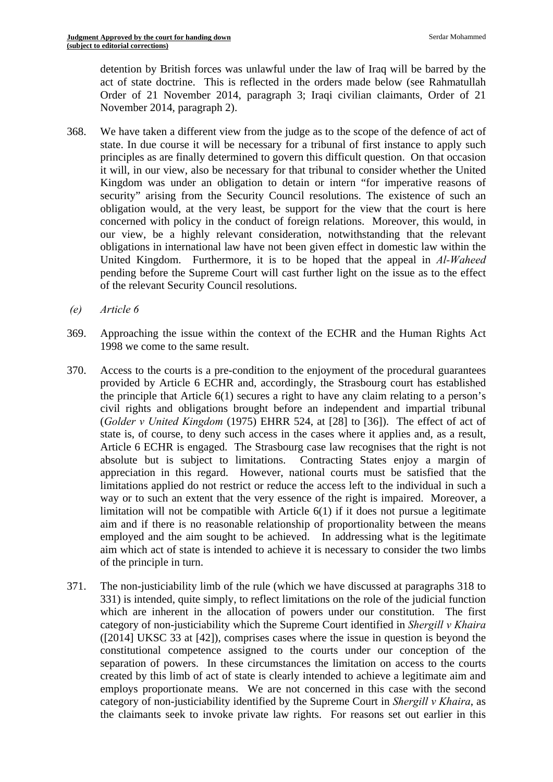detention by British forces was unlawful under the law of Iraq will be barred by the act of state doctrine. This is reflected in the orders made below (see Rahmatullah Order of 21 November 2014, paragraph 3; Iraqi civilian claimants, Order of 21 November 2014, paragraph 2).

- 368. We have taken a different view from the judge as to the scope of the defence of act of state. In due course it will be necessary for a tribunal of first instance to apply such principles as are finally determined to govern this difficult question. On that occasion it will, in our view, also be necessary for that tribunal to consider whether the United Kingdom was under an obligation to detain or intern "for imperative reasons of security" arising from the Security Council resolutions. The existence of such an obligation would, at the very least, be support for the view that the court is here concerned with policy in the conduct of foreign relations. Moreover, this would, in our view, be a highly relevant consideration, notwithstanding that the relevant obligations in international law have not been given effect in domestic law within the United Kingdom. Furthermore, it is to be hoped that the appeal in *Al-Waheed*  pending before the Supreme Court will cast further light on the issue as to the effect of the relevant Security Council resolutions.
- *(e) Article 6*
- 369. Approaching the issue within the context of the ECHR and the Human Rights Act 1998 we come to the same result.
- 370. Access to the courts is a pre-condition to the enjoyment of the procedural guarantees provided by Article 6 ECHR and, accordingly, the Strasbourg court has established the principle that Article 6(1) secures a right to have any claim relating to a person's civil rights and obligations brought before an independent and impartial tribunal (*Golder v United Kingdom* (1975) EHRR 524, at [28] to [36]). The effect of act of state is, of course, to deny such access in the cases where it applies and, as a result, Article 6 ECHR is engaged. The Strasbourg case law recognises that the right is not absolute but is subject to limitations. Contracting States enjoy a margin of appreciation in this regard. However, national courts must be satisfied that the limitations applied do not restrict or reduce the access left to the individual in such a way or to such an extent that the very essence of the right is impaired. Moreover, a limitation will not be compatible with Article 6(1) if it does not pursue a legitimate aim and if there is no reasonable relationship of proportionality between the means employed and the aim sought to be achieved. In addressing what is the legitimate aim which act of state is intended to achieve it is necessary to consider the two limbs of the principle in turn.
- 371. The non-justiciability limb of the rule (which we have discussed at paragraphs 318 to 331) is intended, quite simply, to reflect limitations on the role of the judicial function which are inherent in the allocation of powers under our constitution. The first category of non-justiciability which the Supreme Court identified in *Shergill v Khaira*  ([2014] UKSC 33 at [42]), comprises cases where the issue in question is beyond the constitutional competence assigned to the courts under our conception of the separation of powers. In these circumstances the limitation on access to the courts created by this limb of act of state is clearly intended to achieve a legitimate aim and employs proportionate means. We are not concerned in this case with the second category of non-justiciability identified by the Supreme Court in *Shergill v Khaira*, as the claimants seek to invoke private law rights. For reasons set out earlier in this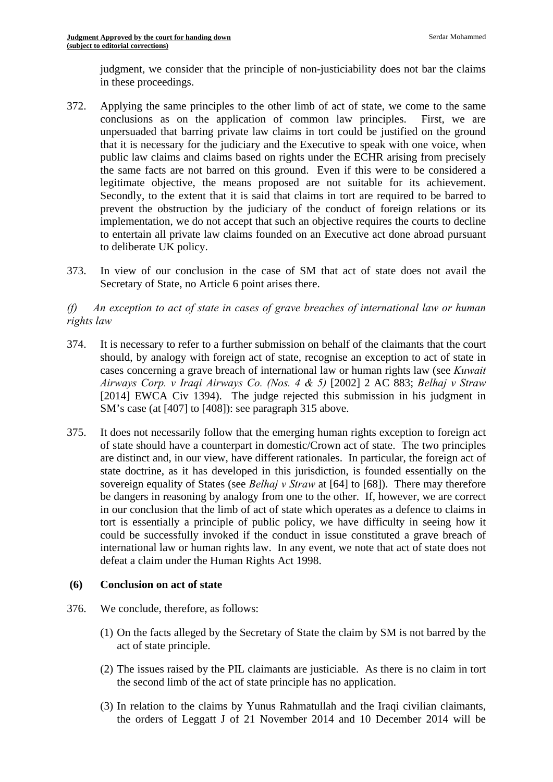judgment, we consider that the principle of non-justiciability does not bar the claims in these proceedings.

- 372. Applying the same principles to the other limb of act of state, we come to the same conclusions as on the application of common law principles. First, we are unpersuaded that barring private law claims in tort could be justified on the ground that it is necessary for the judiciary and the Executive to speak with one voice, when public law claims and claims based on rights under the ECHR arising from precisely the same facts are not barred on this ground. Even if this were to be considered a legitimate objective, the means proposed are not suitable for its achievement. Secondly, to the extent that it is said that claims in tort are required to be barred to prevent the obstruction by the judiciary of the conduct of foreign relations or its implementation, we do not accept that such an objective requires the courts to decline to entertain all private law claims founded on an Executive act done abroad pursuant to deliberate UK policy.
- 373. In view of our conclusion in the case of SM that act of state does not avail the Secretary of State, no Article 6 point arises there.

## *(f) An exception to act of state in cases of grave breaches of international law or human rights law*

- 374. It is necessary to refer to a further submission on behalf of the claimants that the court should, by analogy with foreign act of state, recognise an exception to act of state in cases concerning a grave breach of international law or human rights law (see *Kuwait Airways Corp. v Iraqi Airways Co. (Nos. 4 & 5)* [2002] 2 AC 883; *Belhaj v Straw*  [2014] EWCA Civ 1394). The judge rejected this submission in his judgment in SM's case (at [407] to [408]): see paragraph 315 above.
- 375. It does not necessarily follow that the emerging human rights exception to foreign act of state should have a counterpart in domestic/Crown act of state. The two principles are distinct and, in our view, have different rationales. In particular, the foreign act of state doctrine, as it has developed in this jurisdiction, is founded essentially on the sovereign equality of States (see *Belhaj v Straw* at [64] to [68]). There may therefore be dangers in reasoning by analogy from one to the other. If, however, we are correct in our conclusion that the limb of act of state which operates as a defence to claims in tort is essentially a principle of public policy, we have difficulty in seeing how it could be successfully invoked if the conduct in issue constituted a grave breach of international law or human rights law. In any event, we note that act of state does not defeat a claim under the Human Rights Act 1998.

## **(6) Conclusion on act of state**

- 376. We conclude, therefore, as follows:
	- (1) On the facts alleged by the Secretary of State the claim by SM is not barred by the act of state principle.
	- (2) The issues raised by the PIL claimants are justiciable. As there is no claim in tort the second limb of the act of state principle has no application.
	- (3) In relation to the claims by Yunus Rahmatullah and the Iraqi civilian claimants, the orders of Leggatt J of 21 November 2014 and 10 December 2014 will be